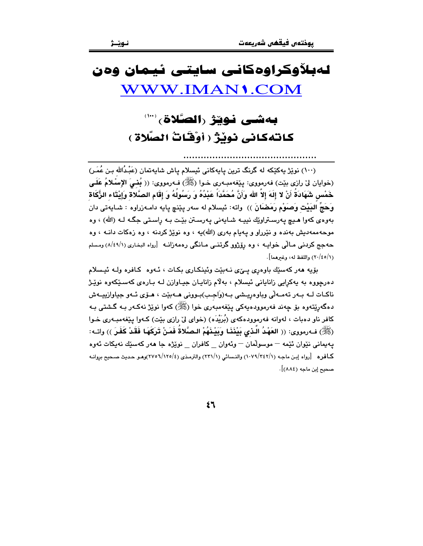# لەبلاوكراوەكانى سايتى ئيمان وەن WWW.IMAN1.COM

# كاتهكاني نويْژْ ( أوْقَاتُ الصَّلاة )

(١٠٠) نوێِژ بِهکێِکه له گرنگ ترین یابِهکانی ئیسلام یاش شابِهتمان (عَبْدُالله بـن عُمَـر) (خوايان ليٌ رازي بيّت) فەرمووى: يَيْغەمبەرى خـوا (ﷺ) فـەرمووى: (( بُغـيَ الإِسْلامُ عَلَـي خَمْس شَهَادَةُ أَنْ لا إِلَهَ إِلاَّ الله وَأَنَّ مُحَمَّدَاً عَبْدُهُ وَ رَسُولُهُ وَ إِقَامِ الصَّلاةَ وَإِيْتَاء الزُّكَاة وَحَجِّ البَيْتِ وَصَوْمٍ رَمَضَانَ )) واته: ئيسلام له سهر يێنچ يايه دامـهزراوه : شـايهتي دان بەوەي كەوا ھىچ يەرسىتراوێك نيپــە شـايەنى يەرسىتن بێت بـە راسىتى جگـە لـە (الله) ، وە موحه ممهدیش بهنده و نێرراو و پهیام بهری (الله)یه ، وه نوێژ کردنه ، وه زهکات دانــه ، وه حەجج كردنى مـالّى خواپـە ، وە رۆژوو گرتنـى مـانگى رەمەزانـە [رواه البخـارى (١/٤٩/١) ومسلم (٢٠/٤٥/١) واللفظ له، وغيرهما].

بۆيە ھەركەسىيك باوەرى يىنى نەبيت وئينكارى بكات ، ئـەوە كـافرە ولـە ئىـسلام دهرچووه به پهکرايي زاناياني ئيسلام ، بهلام زانايـان جيـاوازن لـه بـارهي کهسـێکهوه نوێـژ ناکـات لــه بــهر تهمــهالّى وباوهڕپــِشى بــه(وَاجـب)بـوونى هــهبێت ، هــۆى ئــهو جياوازييــهش دهگەرێتەوە بۆ چەند فەرموودەيەكى يێغەمبەرى خوا (ﷺ) كەوا نوێژ نەكـەر بـە گـشتى بـە کافر ناو دهبات ، لهوانه فهرموودهکهی (بُرَيْدَه) (خوای ليّ رازی بيّت) کـهوا يـێغهمبـهری خـوا (ﷺ) فـﻪرمووى: (( العَهْدُ الَّذي بَيْنَنَا وَبَيْنَهُمْ الصَّلاةُ فَمَنْ تَرَكَهَا فَقَدْ كَفَرَ )) واتـﻪ: يەيمانى نێوان ئێمە – موسولْمان – وئەوان \_ كافران \_ نوێژە جا ھەر كەسێك نەپكات ئەوە كمافره [رواه إبن ماجه (١٠٧٩/٢٤٢/١) والنسائي (٢٣١/١) والترمذي (٤/٢٧٥٦/١٣٥/٤)وهو حديث صحيح بروانه صحيح إبن ماجه (٨٨٤)].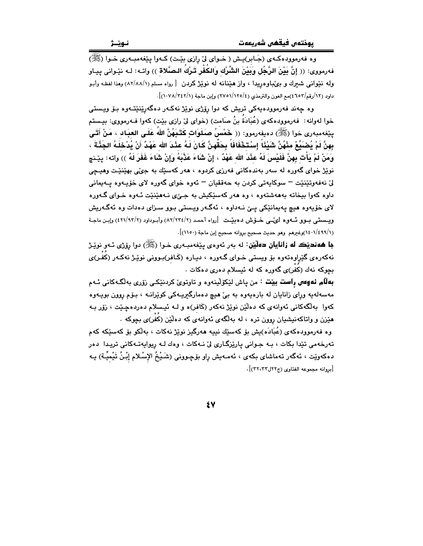وه فهرموودهکـهي (جَـابر)پـش ( خـواي ليّ رازي بێت) کـهوا پێغهمبـهري خـوا (ﷺ) فەرمورى: (( إِنَّ بَيْنَ الرَّجُلِ وَبَيْنَ الشِّرْك وَالكَفْرِ تَـرْكَ الـصَّلاة )) واتــه: لــه نێـوانى يـيـاو وله نَّيْواني شَعرك و بِيُمباوهريدا ، واز هَيْنانه له نويْزْ كردن [رواه مسلم (٨٢/٨٨/١) وهذا لفظه وأبـو داود (١٢/رقم/٤٦٥٢)مع العون والترمذي (٤/٥١/١٢٥/٤) وإين ماحة (١/٧٤٢/١).

وه چەند فەرموودەپەكى تريش كە دوا رۆژى نوێژ نەكەر دەگەرێنێتـەوە بـۆ ويـستى خوا لهوانه: فهرموودهكهى (عُبَادَةُ بنُ صَامت) (خواى ليّ رازى بيّت) كهوا فـهرمووى: بيـستم يِيْغەمبەرى خوا (ﷺ) دەيفەرمور: (( خَمْسُ صَلَوَاتِ كَتَبَهُنَّ اللهُ عَلَى العبَـاد ، مَنْ أَتَـى بِهِنَّ لَمْ يُصْبَحْ مِنْهُنَّ شَيْئًا ۚ إِسْتَخْفَافَاً بِحَقَّهِنَّ كَانَ لَهُ عَنْدَ الله عَهْدٌ أَنْ يُدْخلَهُ الجَذَّةَ ، وَمَنْ لَمْ يَأْت بِهِنَّ فَلَيْسَ لَهُ عِنْدَ الله عَهْدٌ ، إنْ شَاءَ عَذَّبَهُ وَإِنْ شَاءَ غَفَرَ لَهُ )) واته: يێـنـج نوێژ خوای گەورە لە سەر بەندەكانى فەرزى كردوە ، ھەر كەسێك بە جىّي بھێنێت وھيـڃى ليٰ نهفهوټێنێت – سوکايهتي کردن به حهققيان – ئهوه خواي گهوره لاي خۆپپوه پيهيماني داوه کهوا بیخاته بهههشتهوه ، وه ههر کهسێکیش به جـیٔی نـههێنێت ئـهوه خـوای گـهوره لای خۆپەوە ھېچ پەيمانێکى يـێ نـﻪداوە ، ئەگـﻪر ويـستى بـوو سـزای دەدات وە ئەگـﻪريش ویسستی بیوو ئسەوە لىمّنى خىوش دەبيّىت [رواه أحمد (٢/٢٣٤/٢) وأبىوداود (٢/٩٣/٢) وإبن ماجـة (١/٤٩٩/١)وغيرهم وهو حديث صحيح بروانه صحيح إبن ماجة (١١٥٠)].

جا ههنديٽڪ له زانايان دهليٽن: له بهر ئهوهي پيٽغهمبـهري خـوا (ﷺ) دوا رِوِّڻي ئـهو نويٽر نهکەرەي گێراوەتەوە بۆ ويستى خـواي گـەورە ، ديـارە (كَـافر)بـوونى نوێـژ نەكـەر (كَفْـر)ى .<br>بچوکه نهك (کَفَر)*ی* گەورە کە لە ئیسلام دەری دەکات

**بهالّم نهوهس راست بيبّت** : من پاش لێکۆلينەوه و تاوتویّ کردنێکی زۆری بەلگەکانی ئـهم مەسەلەيە وراى زانايان لە بارەيەوە بە بى ھىچ دەمارگىريـەكى كويْرانــە ، بـۆم روون بويــەوە کهوا بهڵگهکانی ئهوانهی که دهڵێن نوێژ نهکهر (کَافر)ه و لـه ئیـسلام دهردهچێت ، زۆر بـه هێزن و واتاکهنیشیان روون تره ، له بهلگهی ئهوانهی که دهڵێن (کُفْر)ی بچوکه ۰

وه فەرموودەكەي (عُبَادَه)يش بۆ كەسێك نىيە ھەرگىز نوێژ نەكات ، بەلكو بۆ كەسێكە كەم تەرخەمى تێدا بكات ، بـﻪ جـﻮانى يارێزگـارى لىْ نـﻪكات ، وەك لـﻪ ريوايەتـﻪكانى تريـدا دەر دەكەوێت ، ئەگەر تەماشاي بكەي ، ئەمـەيش راو بۆچـوونى (شَـبْخُ الإِسْـلام إِبْـنُ تَيْميِّـة) يـە [بروانه محموعه الفتاوى (ج٢٢ل٣٢) ].

٤V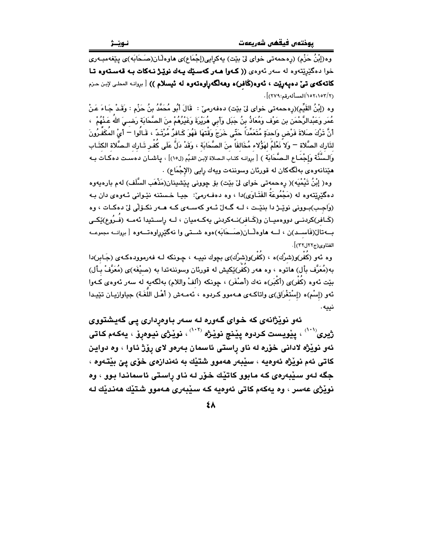وه(إِبْنُ حَزْمٍ) (رەحمەتى خواي لِيْ بِيْتِ) بِهكرايي(إِجْمَاع)ى هاوەڵـان(صَـحَابَه)ى بِيْغەمبـەرى خوا دهگێرێتەوه له سەر ئەوەي ((كەوا ھـەر كەسـێك يـەك نوێـژ نـەكات بـه قەسـتەوە تـا كاتهكهي تيٌّ دهيهريّت ، ئەوە(كَافر)ه وهەلگەراوەتەوە لە ئيسلام )) [ بروانه المطى لإبن حزم (٢/١٥٢،١٥٢/المسأله رقم:٢٧٩)].

وه (إِبْنُ القَيِّم)(رەحمەتى خواي لِي بِيْت) دەفەرمى : قَالَ أَبُو مُحَمَّدُ بنُ حَزْم : وَقَـدْ جَـاءَ عَـنْ عُمَر وَعَبْدالرَّحْمَن بن عَوْف وَمُعَاذُ بنُ جَبَل وَأَبِي هُرَيْرَةَ وَغَيْرُهُمْ منَ الصَّحَابَة رَضـيَ اللهُ عَـٰذُهُمْ ۚ › أَنَّ تَرْكَ صَلاةَ فَرْض وَاحدَةٍ مُتَعَمِّدَاً حَتَّى خَرَجَ وَقْتَهَا فَهُوَ كَـافرٌ مُرْتَـدٌ ، قَـالُوا ニ أَىْ المُكَفِّرُونَ لذَارِك الصَّلاة ¬ وَلا نَعْلَمُ لهَوُّلاء مُخَالفَاً منَ الصَّحَابَة ، وَقَدْ دَلَّ عَلَى كُفْـر تَـارك الـصَّلاة الكتَـاب وَالسَّنَّة وَإِجْمَـاعِ الـصَّحَابَة ﴾ [ بروانـه كتـاب الـصلاة لإبـن القـيِّم (ل٥٠)] ، يـاشـان دهسـت دهكـات بـه هێنانهوهي بهلگهكان له قورئان وسوننهت ويهك رايي (الإجْمَاع) .

وه( إِبْنُ تَيْمْيَه)( رەحمەتى خواي لِيّ بِيّت) بِق چوونى پِيّشينان(مَذْهَبِ السُّلَفِ) له م بارەپەوە دهگێرێتەوە لە (مَجْمُوعَةُ الفَتَـاوَى)دا ، وە دەڧـەرمىّ: جيـا خـستنە نێـوانى ئـەوەي دان بـە (وَاجِبِ)بِـوونی نوێـِـژ دا بنێـت ، لــه گــهلٌ ئــهو کهســهى کــه هــهر نکــوّلّى ليّ دهکــات ، وه (كَـافر)كردنــي دووهميــان و(كَـافر)نــهكردني بهكــهميان ، لــه راســتيدا ئهمــه (فــرُوع)ێِكــي بــهتال(فَاســد)ن ، لــه هاوهلّــان(صَــحَابَه)هوه شــتى وا نهگێرراوهتــهوه [بروانــه مجموعــه الفتاوى(ج٢٢ل٣٢)].

وه ئهو (کَفْر)و(شرْك)ه ، (کَفْر)و(شرْك)ى بچوك نيپـه ، چـونکه لـه فهرموودهکـهى (جَـابر)دا به(مُعَرَّف بأل) هاتوه ، وه ههر (كَفَر)ێكيش له قورئان وسوننهتدا به (صيْغَه)ى (مُعَرَّفْ بـأل) بيّت ئەوە (كَفْر)ى (أَكْبَر)ە نەك (أَصْغَر) ، چونكە (أَلفْ واللام) بەلگەيە لە سەر ئەوەي كـەوا ئهو (إسْم)ه (إسْتغْرَاق)ى واتاكـهى هـهموو كـردوه ، ئـهمـهش ( أهْـل اللُّغَـة) جياوازيـان تێيـدا نييه.

ئەو نوێژانەى كە خواى گەورە لـە سـەر بـاوەردارى پـى گەيشتووى ژيری<sup>(۱۰۱)</sup> ، پێويست کردوه پێنچ نوێژه <sup>(۱۰۲)</sup> ، نوێژی نيوهږۆ ، يهکهم کاتی ئەو نوپْژە لادانى خۆرە لە ناو راستى ئاسمان بەرەو لاى رۆژ ئاوا ، وە دواين کاتي ئهم نوێژه ئەوەپە ، سێبەر ھەموو شتێك بە ئەندازەي خۆي يێ بێتەوە ، جگه لـهو سيڊهرهي کـه مـابوو کاتيك خـوّر لـه نـاو راسـتي ئاسمانـدا بـوو ، وه نويْژي عەسر ، وه يەكەم كاتى ئەوەيە كـه سێبەرى ھـەموو شتێك ھەندێك لـه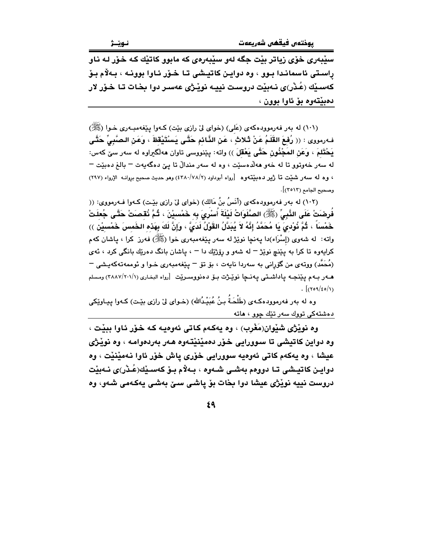سێبەرى خۆى زياتر بێت جگه لەو سێبەرەى كە مابوو كاتێك كە خۆر لـە نـاو راستی ئاسماندا بـوو ، وه دوایـن کاتیـشی تـا خـوّر ئـاوا بوونـه ، بـهلاّم بـوّ کەسىيك (عُنْر)ى نەبيْت دروست نيييە نوپْرژى عەسىر دوا بخات تا خىۆر لار دەبيتەوە بۆ ئاوا بوون ،

(١٠١) له بهر فهرموودهکهي (عَلي) (خواي ليّ رازي بيّت) کـهوا پيّغهمبـهري خـوا (کِلِيّ) فـهرمووي : (( رُفعَ القَلَمُ عَنْ ثَـلاثٍ ، عَنِ الذَّائمِ حَتَّـى يَسْتَيْقظَ ، وَعَنِ الـصَّبِيِّ حَتَّـى يَحْتَلمَ ، وَعَنِ المَجْنُونِ حَتَّى يَعْقَلَ )) واته: پێنووسی تاوان ههلگیراوه له سهر سێ کهس: له سەر خەوتور تا لە خەو ھەلدەسێت ، وە لە سەر مندالٌ تا يێ دەگەيەت – بالغ دەبێت – ، وه له سهر شنيت تا ژير دهبيّتهوه [رواه أبوداود (٢٨٠/٧٨/٢) وهو حديث صحيح بروانــه الإرواء (٢٩٧) وصحيح الجامع (٢٥١٣)].

(١٠٢) له بهر فهرموودهكهي (أَنَسُ بنُ مَالكِ) (خواي ليِّ رازي بيِّت) كـهوا فـهرمووي: (( فُرِضَتْ عَلَى النَّبِيِّ (ﷺ) الصَّلَوَاتُ لَيْلَةَ أَسْرِيَ بِهِ خَمْسيْنَ ، ثُمَّ نُقصَتْ حَتَّى جُعلَتْ خَمْساً ۚ ، ثُمَّ نُوْديَ يَا مُحَمَّدُ إِنَّهُ لاَ يُبَدَّلُ القَوْلُ لَدَىٌّ ، وَإِنَّ لَكَ بِهَذه الخَمس خَمْسيْن ﴾) واته: له شەوى (إسْرَاء)دا پەنچا نوێژ لە سەر پێغەمبەرى خوا (ﷺ) فەرز كرا ، پاشان كەم کرایهوه تا کرا به پێنچ نوێژ – له شهو و رۆژێك دا – ، پاشان بانگ دهرێك بانگی کرد ، ئهی (مُحَمَّد) ووتهى من گۆرانى بە سەردا نايەت ، بۆ تۆ <sup>—</sup> پێغەمبەرى خــوا و ئوممەتـەكەيـشى <sup>—</sup>  $\int (709/\epsilon) d\mu$ 

وه له بهر فهرموودهكـهى (طَلْحَـةُ بـنُ عُبَيْـدُالله) (خـواى ليّ رازى بيّـت) كـهوا يـيـاويّكى دەشتەكى تووك سەر تێك چوڧ ، ھاتە

وه نوێژي شێوان(مَغْرب) ، وه پهکهم کاتي ئهوهيه کـه خـۆر ئـاوا ببێت ، وه دواين کاتيشي تا سوورايي خـۆر دەمێنێتـهوه هـهر بهردەوامـه ، وه نوێـژي عيشا ، وه يهكهم كاتي ئەوەيە سوورايي خۆرى ياش خۆر ئاوا نەمێنێت ، وه دوايـن كاتيـشي تـا دووهم بهشـي شـهوه ، بـهلاّم بـوّ كهسـێك(عُـدْر)ي نـهبێت دروست نييه نويْژي عيشا دوا بخات بۆ ياشى سىّ بەشى يەكەمى شەو، وە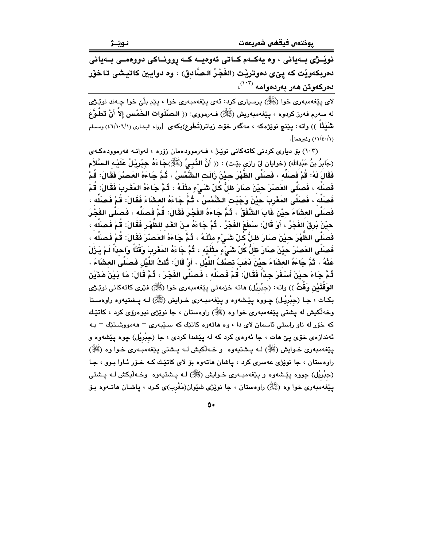نوێـژی بـهیانی ، وه یهکـهم کـاتی ئهوهیـه کـه روونـاکی دووهمـی بـهیانی دمربكهويْت كه ييْعي دموتريْت (الفَجْرُ الـصَّادق) ، وه دوايين كاتيشي تـاخوْر  $\langle ^{\left( \tau,\tau\right) }% _{\sigma}^{\left( \tau,\tau\right) }$ دەركەوتن ھەر بەردەوامە

لای پێغەمبەری خوا (ﷺ) پرسیاری کرد: ئەی پێغەمبەری خوا ، پێم بلّێ خوا چـﻪند نوێـژی له سەرم فەرز كردوه ، يێغەمبەريش (ﷺ) فـەرمووى: (( الـصَّلَوات الـخَمْس إلاّ أَنْ تَطَّوَّعَ نْتَمَيْثًاً )) واتـه: پێنچ نوێژەكه ، مەگەر خۆت زياتر(تَطَوع)بكەى [رواه البخارى (١/١٠٦/١) ومسلم (١/٤٠/١) وغيرهما].

(١٠٣) بِقِ دِيارِي كردني كاتهكاني نويْـِـرْ ، فــهرموودهمان زۆره ، لهوانـه فهرموودهكـهي (جَابِرُ بنُ عَبْدالله) (خوايان ليّ رازي بێت) : (( أَنَّ النَّبِـيَّ (ﷺ)جَاءَهُ جِبْرِيْلُ عَلَيْـه السَّلاَم فَقَالَ لَهُ: قُمْ فَصَلِّه ، فَصَلَّى الظَّهْرَ حيْنَ زَالَت الشَّمْسُ ، ثُمَّ جَاءَهُ العَصنْرَ فَقَالَ: قُمْ فَصَلِّه ، فَصَلَّى العَصْرَ حيْنَ صَارَ ظلُّ كُلّ شَـَىْءٍ مثْلَهُ ، ثُمَّ جَاءَهُ المَغْرِبَ فَقَالَ: قُمْ فَصَلِّه ، فَصَلَّى المَغْرِبَ حيْنَ وَجَبَت الشَّمْسُ ، ثُمَّ جَاءَهُ العشَاءَ فَقَالَ: قُمْ فَصَلِّه ، فَصنَلَّى العشَاءَ حيْنَ غَابَ الشُّفَقُ ، ثُمَّ جَاءَهُ الفَجْرَ فَقَالَ: قُمْ فَصنَلْه ، فَصنَلَّى الفَجْرَ حيْنَ بَرِقَ الفَجْرُ ، أَوْ قَالَ: سَطَعَ الفَجْرُ . ثُمَّ جَاءَهُ منَ الغَد للظَّهْرِ فَقَالَ: قُمْ فَصنَلُه ، فَصنَلَّى الظَّهْرَ حييْنَ صنَارَ ظلُّ كُلّ شَيْءٍ مِثْلَهُ ، ثُمَّ جَاءَهُ العَصنْرَ فَقَالَ: قُمْ فَصنَلِّه َ، فَصنَلَّى العَصنْرَ حيْنَ صنَارَ ظلُّ كُلّ شَيْءٍ مثْلَيْه ، ثُمَّ جَاءَهُ المَغْرِبَ وَقْتَاً وَاحداً لَمْ يَرْلَ عَذْهُ ، ثُمَّ جَاءَهُ العشَاءَ حيْنَ ذَهَبَ نصْفُ اللَّيْل ، أَوْ قَالَ: ثُلثُ اللَّيْل فَصَلَّى العشَاءَ ، ثُمَّ جَاءَ حيْنَ أَسْفَرَ جِدًّا فَقَالَ: قُمْ فَصَلِّه ، فَصَلَّى الفَجْرَ ، ثُمَّ قَالَ: مَا بَيْنَ هَذَيْن الوَقْتَيْنِ وَقْتٌ )) واته: (جبْرِيْل) ماته خزمهتي يێغهمبهري خوا (ﷺ) فێري كاتهكاني نوێـِژي بکـات ، جـا (جبْریْـل) چـووه پێـشهوه و پێغهمبـهري خـوايش (ﷺ) لـه پـشتيهوه راوهسـتا وخهڵکيش له پشتي پێغهمبهري خوا وه (ﷺ) راوهستان ، جا نوێژي نيوهرۆي کرد ، کاتێك که خوّر له ناو راستی ئاسمان لای دا ، وه هاتهوه کاتیّك که سـیّبهری – ههمووشـتیّك – بـه ئهندازهي خوّي يـێ هات ، جا ئهوهي کرد که له پێشدا کردي ، جا (جبْريْل) چوه پێشهوه و يێغەمبەرى خـوايش (ﷺ) لـه يـشتيەوه و خـەڵكيش لـه يـشتى يـێغەمبـەرى خـوا وه (ﷺ) راوهستان ، جا نويزي عهسري کرد ، پاشان هاتهوه بو لاي کاتيك کـه خـوّر ئـاوا بـوو ، جـا (جبْریْل) چووه یێشەوه و یێغەمبـەری خـوایش (ﷺ) لـه پـشتیەوه وخـەڵیکش لـه پـشتى يێغەمبەرى خوا وە (ﷺ) راوەستان ، جا نوێژى شێوان(مَغْرب)ى كـرد ، ياشـان ھاتــەوە بـۆ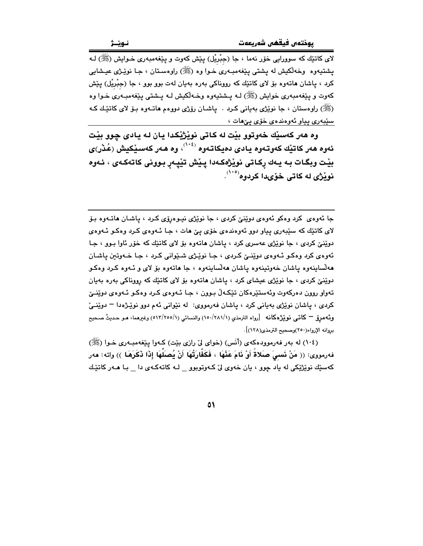لای کاتێك که سوورایی خۆر نهما ، جا (جِبْرِیْل) پێش کهوت و پێغهمبهری خـوایش (ﷺ) لـه يشتيەوه وخەلكيش لە يشتى يێغەمبەرى خـوا وه (ﷺ) راوەسـتان ، جـا نوێـژى عيـشايى کرد ، پاشان ماتەوە بۆ لاي کاتێك کە رووناکى بەرە بەيان لەت بوو بوو ، جا (جِبْرِيْل) پێش کەوت و پێغەمبەرى خواپش (ﷺ) لــه پــشتيەوه وخــهلکيش لــه پــشتى پێغەمبــەرى خــوا وه (ﷺ) راوهستان ، جا نوێژي بهياني كرد . پاشـان رۆژي دووهم هاتــهوه بــۆ لاي كاتێـك كـه سێبەرى پياو ئەوەندەي خۆي پېھات ،

وه هەر كەسێك خەوتوو بێت لە كاتى نوێژێِكدا يان لـه يادى چوو بێت ئەوە ھەر كاتيّك كەوتـەوە يـادى دەيكاتـەوە <sup>(١٠٤)</sup>، وە ھـەر كـەسـێكيش (عُـڎر)ى بێت وبگـات بـه يـهك ڕكـاتى نوێژهكـهدا پـێش تێپـهڕ بـوونى كاتهكـهى ، ئـهوه نوٽژي له کاتي خوّيدا کردوه<sup>(°``)</sup>

جا ئەوەي كرد وەكو ئەوەي دوپنى كردى ، جا نوپژى نيـوەرۆى كـرد ، ياشـان ھاتـەوە بـۆ لای کاتێك که سێبەری پیاو دوو ئەوەندەی خۆی يېّ هات ، جـا ئـەوەی كـرد وەكـو ئـەوەی دوێنێ کردی ، جا نوێژی عهسری کرد ، پاشان هاتهوه بۆ لای کاتێك که خوّر ئاوا بوو ، جا ئەوەي كرد وەكىو ئەوەي دوپنىيّ كردى ، جا نوپنژى شىيّوانى كرد ، جا خـەوتىن ياشـان هه لساينهوه ياشان خهوتينهوه ياشان هه لساينهوه ، جا هاتهوه بِوْ لاي و ئـهوه كـرد وهكـو دوێنێ کردی ، جا نوێژی عیشای کرد ، پاشان هاتهوه بۆ لای کاتێك که رووناکی بهره بهیان تەواو روون دەركەوت وئەستێرەكان تێكەڵ بىوون ، جـا ئـەوەي كـرد وەكـو ئـەوەي دوێنـێ کردی ، پاشان نوێژی بهیانی کرد ، پاشان فهرمووی: له نێوانی ئهم دوو نوێژهدا – دوێنـی وئَه مربِّ — كاتبي نويْژْهكانه [رواه الترمذي (١/٢٨١/١) والنسائي (١/٢٥٥/١) وغيرهما، هـو حـديثٌ صـحيح بروانه الإرواء(٢٥٠)وصحيح الترمذي(١٢٨)].

(١٠٤) له بهر فهرموودهكهي (أنِّس) (خواي ليِّ رازي بيِّت) كـهوا ييِّغهمبـهري خـوا (ﷺ) فهرمووى: (( مَنْ نَسمِيَ صَلاةً أَوْ نَامَ عَنْهَا ، فَكَفَّارَتُهَا أَنْ يُصلَهَا إِذَا ذَكَرَهَا )) واته: ههر کهسێك نوێڗٝێکی له یاد چوو ، یان خهوی لیّ کـهوتوبوو \_ لـه کاتهکـهی دا \_ بـا هــهر کاتێـك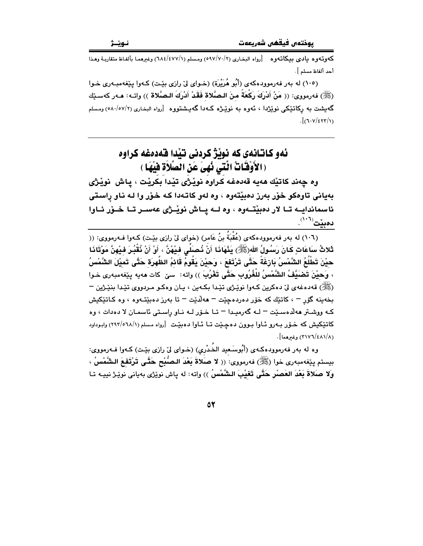كەوتەوە يادى بيكاتەوە [رواه البخارى (٧٠/٧٠/٢) ومسلم (١٨٤/٤٧٧/١) وغيرهما بألفاظ متقاربـة وهـذا أحد ألفاظ مسلم ].

(١٠٥) له بهر فهرموودهكهي (أَبُو هُرَيْرَة) (خـواي ليّ رازي بيّـت) كـهوا يـيّغهمبـهري خـوا (ﷺ) فەرمورى: (( مَنْ أَدْرِكَ رَكْعَةً مِنَ البِصَّلاة فَقَدْ أَدْرِكَ البِصَّلاة )) واتـه: هـەر كەسـێك گەيشت بە ركاتىيكى نوپژدا ، ئەوە بە نوپىژە كـەدا گەيىشتووە [رواه البخارى (٥٨٠/٥٧/٢) ومسلم  $J(\tau v/\epsilon v/\tau)$ 

## ئەو كاتانەي كە نوٽژ كردنى تٽدا قەدەغە كراوە (الأَوْقَاتُ الَّتِي نُهِيَ عَنِ الصَّلَاةِ فَيْهَا )

وه چەند كاتيْك ھەيە قەدەغە كراوه نويْژى تيْدا بكريْت ، ياش نويْژى بهیانی تاوهکو خوّر بەرز دەبیّتەوە ، وه لەو کاتـەدا کـه خـوّر وا لـه نـاو راسـتى ئاسماندایــه تــا لار دەبێتــهوه ، وه لــه یــاش نوێـژی عهســر تــا خــۆر ئــاوا  $\mathcal{L}^{(V^{\dagger})}$ دەىنت

(١٠٦) له بهر فهرموودهكهي (عُقْبَةُ بنُ عَامر) (خواي ليّ رازي بيّت) كـهوا فـهرمووي: (( ثَلاثُ سَاعَاتٍ كَانَ رَسُولُ الله(ﷺ) يَذْهَاذَا أَنْ نُصَلِّي فِيْهْنَّ ، أَوْ أَنْ نُقْبُرَ فِيْهِنَّ مَوْتَاذَا حيْنَ تَطْلُعُ الشَّمْسُ بَارْغَةً حَتَّى تَرْتَف<sub>َ</sub>عَ ، وَحيْنَ يَقُومُ قَائمُ الظَّهرَة حَتَّى تَميْلَ الشَّمْسُ ، وَحيْنَ تَصْبَيْفُ الشَّمْسُ للْغُرُوبِ حَتَّى تَعْرُبَ )) واته: سيّ كات مەبە بِيْغەمبەرى خـوا (ﷺ) قەدەغەي لىٰ دەكرين كـەوا نوێـِرْي تێدا بكـەين ، يـان وەكـو مـردووي تێدا بنێـڑين – بخەينە گۆر – ، كاتتِك كە خۆر دەردەجِيّت – ھەلّديّت – تا بەرز دەبيّتەوە ، وە كـاتێكيش کـه ووشـتر ههلّاهسـێت – لـه گهرميـدا – تـا خـۆر لـه نـاو راسـتي ئاسمـان لا دهدات ، وه کاتٽکيش که خـوّر بـهرو ئـاوا بـوون دهچـيّت تـا ئـاوا دهبيّـت [رواه مسلم (٢٩٢/٥٦٨/١) وابـوداود  $.$ (۲۱۷٦/٤٨١/٨) وغيرهما $\cdot$ 

وه له بهر فهرموودهكهي (أَبُوسَعيد الخُدْريِ) (خـواي ليّ رازي بيّـت) كـهوا فـهرمووي: بيستم بِيْغهمبهري خوا (ﷺ) فهرمووي: (( لا صلاةَ بَعْدَ البصُبْحِ حَتَّـى تَرْتَفعَ الشَّمْسُ ، ولا صَلاةَ بَعْدَ العَصْرِ حَتَّى تَعْيْبَ الشَّمْسُ )) واته: له ياش نويٚژى بهيانى نويْـژ نييـه تـا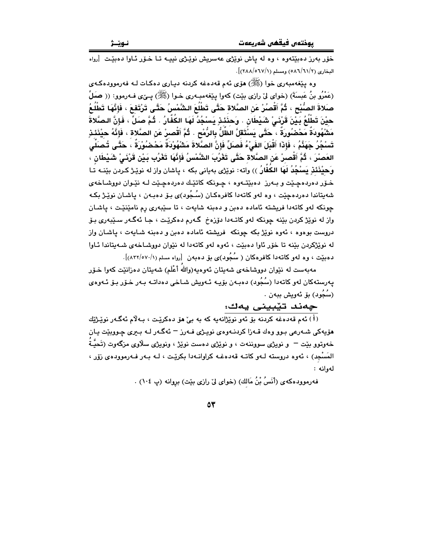خۆر بەرز دەبێتەوە ، وە لە ياش نوێژى عەسريش نوێژى نېيـە تـا خـۆر ئـاوا دەبێت [رواه البخاري (٢/٦١/٦١/٢) ومسلم (٢/٨٨/٥٦٧/١)].

وه پيّغهمبهري خوا (ﷺ) هوّي ئهم قهدهغه كردنه ديـاري دهكـات لـه فهرموودهكـهي (عَمْرُو بنُ عَبِسَةَ) (خواي ليْ رازي بيْت) كهوا ينفهمبـهري خـوا (ﷺ) يــيْ) فـهرموو: (( صَلِّ صَلاةَ الصُّبْحِ ، ثُمَّ أَقْصُرْ عَنِ الصَّلاة حَتَّى تَطْلُعَ الشَّمْسُ حَتَّى تَرْتَفعَ ، فَإِنَّهَا تَطْلُعُ حيْنَ تَطْلُعُ بَـيْنَ قَرْنَـىْ شَيْطَان . وَحدَنَـنِ يَسْجُدُ لَهَا الكُفَّارُ . ثُـمَّ صَلِّ ، فَإنَّ الصَّلاةَ مَشْهُودَةٌ مَحْصُورَةٌ ، ۚ حَتَّى يَسْتَقَلَّ الظَّلُّ بِالرُّمْحِ . ثُمَّ أَقْصرْ عَن الصَّلاة ، فَإِنَّهُ حيْنَئذِ تَسْجُرُ جَهَنَّمُ ، فَإِذَا أَقْبَلَ الفَىْٰءُ فَصلِّ فَإِنَّ الصَّلاةَ مَشْهُوْدَةٌ مَحْضُوْرَةٌ ، حَتَّـى تُصنَلْى العَصنْرَ ، ثُمَّ أَقْصـرْ عَنْ الصَّلاَّة حَتَّى تَغْرُبَ الشَّمْسُ فَإِنَّهَا تَغْرُب بَـيْنْ قَرْنَـىْ شَيْطَانْ ، وَحيْنَنَـٰذِ يَسْجُدُ لَهَا الكَفَّارُ )) واته: نويْرْي بهياني بكه ، ياشان واز له نويْـِرْ كـردن بيّنــه تـا خـۆر دەردەچـێت و بـەرز دەبێتـەوە ، چـونكە كاتێـك دەردەچـێت لـه نێـوان دووشـاخەي شەبتاندا دەردەجێت ، وە لەو كاتەدا كافرەكـان (سُـجُود)ى بـۆ دەبـەن ، ياشـان نوێـژ بكـە چونکه لهو کاتهدا فریشته ئاماده دهبن و دهبنه شایهت ، تا سێبهری رم نامێنێت ، پاشان واز له نوێژ کردن بێنه چونکه لهو کاتـهدا دۆزەخ گـهرم دەکرێت ، جـا ئهگـهر سـێبەرى بـۆ دروست بوهوه ، ئەوه نوێژ بكه چونكه فریشته ئاماده دەبن و دەبنه شايەت ، ياشان واز له نوێژکردن بێنه تا خۆر ئاوا دەبێت ، ئەوە لەو کاتەدا لە نێوان دووشاخەي شەپتاندا ئـاوا دهبیّت ، وه لهو کاتهدا کافرهکان ( سُجُود)ی بوْ دهبهن [رواه مسلم (١/٥٧٠/١).

مەبەست لە نێوان دووشاخەي شەپتان ئەوەپە(واللهُ أعْلَم) شەپتان دەزانێت كەوا خىۆر پەرستەكان لەر كاتەدا (سُجُود) دەبـەن بۆيـە ئـەويش شـاخى دەداتـە بـەر خـۆر بـۆ ئـەوەي (سُجُود) بۆ ئەويش ببەن .

#### چەند تێبينى يەك:

.<br>(i) ئەم قەدەغە كردنە بۆ ئەو نوپژانەيە كە بە بې ھۆ دەكريىت ، بـەلام ئەگـەر نوپـژتاك .<br>هۆيەكى شـەرعى بـوو وەك قـەزا كردنــەوەي نوپـژى فــەرز <sup>ـــ</sup> ئەگـەر لــە بـيرى چـووبێت يـان خەوتوو بێت <sup>—</sup> و نویژی سووننەت ، و نوێژی دەست نوێژ ، ونویژی سلاوی مزگەوت (تَحیٌّـة المَسْجِدِ) ، ئەوە دروستە لـەو كاتـە قەدەغـە كراوانـەدا بكريْـت ، لـە بـەر فـەرموودەي زۆر ، لەوانە :

فهرموودهكهي (أَنَسُ بْنُ مَالك) (خواي ليٌ رازي بيّت) بروانه (پ ١٠٤) .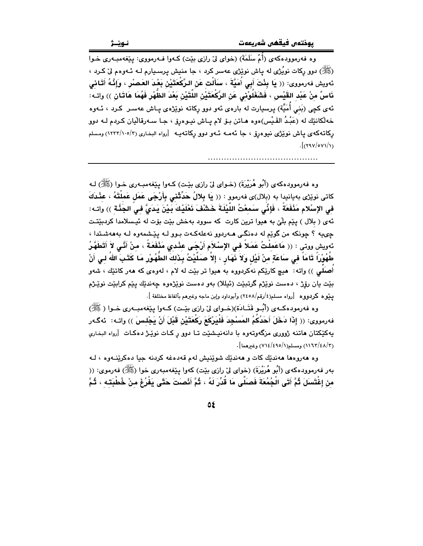وه فهرموودهکهي (أُمِّ سَلَمَةٌ) (خواي ليِّ رازي بيّت) کـهوا فـهرمووي: پيٽغهمبـهري خـوا (ﷺ) دوو رکات نوپُژي له پاش نوپُژي عهسر کرد ، جا منيش پرسـڀارم لـه ئـهوهم ليٌ کـرد ، ئەريش فەرمورى: (( يَا بِئْتَ أَبِي أَمَيَّةَ ، سَأَلْت عَنِ الرَّكْعَتَيْنِ بَعْدَ العَصِيْرِ ، وَإِنَّـهُ أَتَـانى ذَاسٌ منْ عَيْد القَيْسِ ، فَشَغَلُوْنِي عَنِ الرَّكْعَتَيْنِ اللَّتَيْنِ بَعْدَ الظَّهْرِ فَهُمَا هَاتَـان )) واتـه: ئەي كچى (بَنى أُمَيَّة) يرسيارت لە بارەي ئەو دوو ركاتە نوپْژەي پـاش عەسـر كـرد ، ئــەوە خەلكانێك لە (عَبْدُ القَـبْس)ەوە ھـاتن بـۆ لام يـاش نيـوەرۆ ، جـا سـەرقاليان كـردم لـه دوو رکاتهکهی یاش نویزی نیوهرو ، جا ئهمـه ئـهو دوو رکاتهیـه [رواه البخاری (۲/۰۰/۱۳۳/۱۰۵) ومسلم  $\frac{1}{x}$ 

وه فەرموودەكەي (أَبُو هُرَيْرَةَ) (خـواي لِيّ رازي بِيّـت) كـەوا يـيْغەمبـەرى خـوا (ﷺ) لـه كاتى نوێژى بەيانىدا بە (بلال)ى فەرموو : (( يَا بِلالُ حَدِّثْنـى بِأَرْجَى عَمَل عَملْتَهُ ، عَنْدَكَ في الإِسْلام مَنْفَعَةُ ، فَإِنِّي سَمعْتُ اللَّيْلَةَ خَشْفَ نَعْلَيْكَ بَيْنَ يَدَىُّ في الجَنَّة )) واتـه: ئهي ( بلال ) پێم بِلٽي به هيوا ترين کارت که سووڊ بهخش بێت بۆت له ئيسلامدا کردبێتت چىيە ؟ چونكە من گوێم لە دەنگى ھـەردوو نەعلەكـەت بـوو لــە پێشمەوە لــە بەھەشـتدا ، ئهويش ووتى : (( مَاعَمِلْتُ عَمَلاً فِي الإِسْلاَمِ أَرْجَى عِنْدي مَنْفَعَةً ، منْ أَنَّى لاَ أَتَطَهَّرُ طَهُوْراً تَامَاً في سَاعَةٍ منْ لَيْل وَلاَ نَهَارٍ ، إلاّ صَلَيْتُ بِذَلكَ الطَّهُوْرِ مَا كَتَبَ اللهَ لـى أنْ أَصلَلي )) واته: هيچ کارێِکم نهکردووه به هيوا تر بێت له لام ، لهوهي که ههر کاتێك ، شهو بێت يان رۆژ ، دەست نوێژم گرتبێت (ئیللا) بەو دەست نوێژەوە چەندێك پێم كرابێت نوێژم يَـنِيوه كربـووه [رواه مسلم(٤/رقم/٢٤٥٨) وأبوداود وإبن ماجه وغيرهم بألفاظ مختلفة ].

وه فەرمودەكــەي (أَبُــو قَتَــادَة)(خــواي ليّ رازي بيّــت) كــەوا يـێغەمبــەرى خــوا ( ﷺ) فهرمووى: (( إِذَا دَخَلَ أَحَدُكُمُ المَسْجِدَ فَلْيَرْكَعَ رَكْعَتَيْنِ قَبْلَ أَنْ يَجْلسَ )) واتـه: ئهگـهر پهکێکتان هاتنه ژووری مزگهوتهوه با دانهنیشێت تـا دوو ر کـات نوێـژ دهکـات [رواه البخاري (١١٦٣/٤٨/٣) ومسلم(١١٤/٤٩٥/١) وغيرهما].

وه هەروەها ھەندىك كات و ھەندىك شوينىش لەم قەدەغە كردنە چيا دەكرينىەوە ، لـە بهر فهرموودهکهی (أَبُو هُرَيْرَةَ) (خوای ليّ رازی بێت) کهوا یێغهمبهری خوا (ﷺ) فهرموی: (( من إِغْتَسَلَ ثُمَّ أَتَى الْجُمُعَةَ فَصنَلَّى مَا قُدِّرَ لَهُ ، ثُمَّ أَنْصنتَ حَتَّى يَفْرُغَ منْ خُطْبَته ، ثُمَّ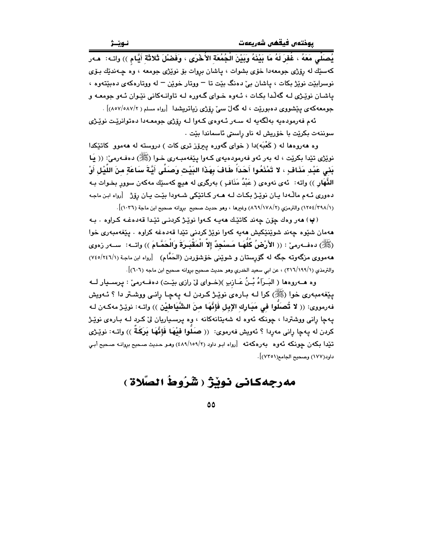يُصلِّي مَعَهُ ، غُفرَ لَهُ مَا بَيْنَهُ وَبَيْنَ الْجُمُعَة الأُخْرَى ، وَفَضْلَ ثَلاثَة أَيَّام )) واتـه: ۚ هـهر کهستك له روزي جومعهدا خوّي بشوات ، پاشان بروات بوّ نوێژي جومعه ، وه چـهندتك بـوّي نوسرابٽت نوٽِژ بکات ، پاشان بيٰ دهنگ بٽت تا – ووتار خوٽِن – له ووتارهکهي دهٻٽِتهوه ، یاشان نویزی لـه گهلّدا بکـات ، ئـهوه خـوای گـهوره لـه تاوانـهکانی نێـوان ئـهو جومعـه و جومعهکهی بنشووی دهبورنت ، له گهلٌ سیٌ روِّژی زیاتریشدا [رواه مسلم ( ٨٧/٥٨٧/٢)] .

ئهم فهرمودهيه بهلگهيه له سـهر ئـهوهي كـهوا لـه رۆژي جومعـهدا دهتوانرێت نوێـژي سوننهت بکرێت با خۆرپش له ناو راستی ئاسماندا بێت ٠

وه ههروهها له (کَعْبَه)دا ( خوای گهوره پیروز تری کات ) دروسته له ههموو کاتێکدا نويژي تێدا بکرێت ، له بهر ئهو فهرمودهيهي کـهوا پێغهمبـهري خـوا (ﷺ) دهفـهرميّ: (( يَـا بَني عَبْد مَذَافٍ ، لا تَمْنَعُوا أَحَدَاً طَافَ بِهَذَا البَيْت وَصَلَّى أَيَّةَ سَاعَةٍ منَ اللَّيْل أَوْ الذَّهَار )) واته: ئهي نهوهي ( عَبْدُ مَذَافٍ ) بهرگري له هيچ كهسێك مهكهن سوور بخـوات بـه دهوری ئـهم مالّـهدا بـان نويّـرْ بكـات لـه هـهر كـاتيّكى شـهودا بيّـت بـان روّرْ [رواه ابن ماجه (١/ ١٢٩٤)(١٢٥٤) والترمزي (٢/ ١٧٨/١٧٨) وغيرها ، وهو حديث صحيح بروانه صحيح ابن ماجة (١٠٢٦)].

(ٻ) هەر وەك چۆن چەند كاتێك هەپبە كبوا نوێژ كردنى تێدا قەدەغبە كراوە ٠ ببە ههمان شێوه چەند شوێنێکيش مەپە کەوا نوێژ کردنی تێدا قەدەغە کراوە ٠ يێغەمبەرى خوا (ﷺ) دەفــەرمى : (( الأَرْضُ كُلَّهَـا مَـسْجِدٌ إلاَّ الْمَقْسَرَةَ وَالْحَمَّـامَ )) واتــه: ســەر زەوي ههمووی مزگهوته جگه له گۆرستان و شوێنی خۆشۆردن (الحَمَّام) [رواه ابن ماجة (٧٤٥/٢٤٦/١) والترمذي (١/١٩٩//٣٦) ، عن ابي سعيد الخدري وهو حديث صحيح بروانه صحيح ابن ماجه (٦٠٦)].

وه هــهروهها ( البَـرآءُ بْـنُ عَـازِبِ )(خـواي لِيّ رازي بِيّـت) دهفـهرميّ : پرسـيار لــه يێغهمبهري خوا (ﷺ) کرا لـه بـارهي نوێـِژ کـردن لـه پـهـچـا رِانـي ووشـتر دا ؟ ئـهويش فهرمووى: (( لا تُصلُّوا في مَبَارِك الإبل فَإِنَّهَا منَ الشَّيَاطِيْن )) واتـه: نويّـِرْ مهكـهن لـه یهچا رانی ووشتردا ، چونکه ئهوه له شهیتانهکانه ، وه پرسیاریان لیّ کرد لـه بـارهی نویِّژ كردن له يهڃا راني مەردا ؟ ئەويش فەرموي: (( صَلُّوا فَيْهَا فَإِنَّهَا بَرَكَةٌ )) واتــه: نوێـژى تێدا بکهن چونکه ئهوه بهرهکهته [رواه ابو داود (۲/۰۵۹/۱) وهو حدیث صحیح بروانه صحیح أبی داود(١٧٧) وصحيح الجامع(٧٣٥١)].

# مەرجەكانى نوبْژ ( شَرُوطُ الصَّلاة )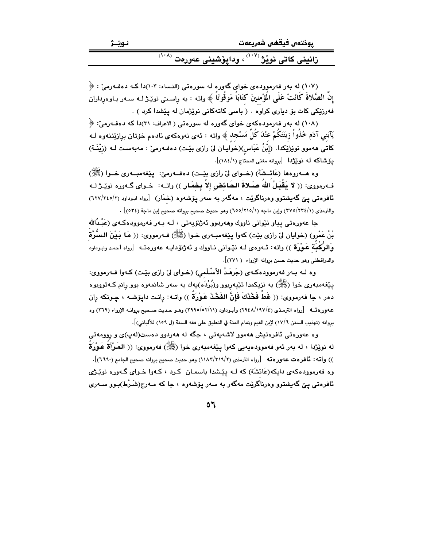| پوختەں فيقھى شەريعەت                                                |
|---------------------------------------------------------------------|
| ِ زانيني کاتي نوێژ <sup>(۱۰۷)</sup> ، ودايۆشيني عەورەت <sup>'</sup> |

(۱۰۷) له بهر فهرموودهى خواى گهوره له سورهتى (النساء: ۱۰۳)دا كـه دهفـهرمىّ : ﴿ إن الصَّلاة كَانَتْ عَلَى المؤْمنينَ كَتَابَا مَوْقُوتًا ﴾ واتـه : به راسـمتي نوێـِـژ لــه ســهر بـاوهرداران .<br>فەرزىكى كات بۆ ديارى كراوە . ( باسى كاتەكانى نوێژمان لە يێشدا كرد )

(۱۰۸) له بهر فهرمودهکهی خوای گهوره له سورهتی ( الاعراف: ۳۱)دا که دهفـهرمیّ: ﴿ يَآبَني آدَم خُلُواْ زِينَتَكُمْ عَنْدَ كُلِّ مَسْجِد ﴾ واتـه : ئـهـى نـهوهكهـى ئـادهم خۆتـان بـراِزێنـنـهوه لــه كاتى مەموو نوێژێكدا. (إِبْنُ عَبَاس)(خوايـان لىٚ رازى بێت) دەفـەرمىٚ : مەبەسـت لـه (زيْنَـة) يۆشاكه له نوێژدا [بروانه مغنى المحتاج (١٨٤/١)].

فَّرمووي: (( لا يَقْبَلُ اللهُ صَلاةَ الحَائضِ إلاّ بِحْمَارٍ )) واتـه: ۚ حْـواي گـهوره نويْـرْ لـه ئافرەتىي يېن گەيشتوو وەرناگرێت ، مەگەر بە سەر يۆشەوە (خَمَار) [رواه ابـوداود (٢/٢٤٥/٢) والترمذي (٢٢٥/٢٣٤/١) وإبن ماجه (١/٥٥/٢١٥/١) وهو حديث صحيح بروانه صحيح إبن ماجة (٥٣٤) .

جا عەورەتى پياو نێوانى ناووك وھەردوو ئەژنۆپەتى ، لـه بـەر فەرموودەكـەي (عَبْـدُالله بْنُ عَمْرِو) (خوايان ليّ رازي بيّت) كهوا يێغهمبـهري خـوا (ﷺ) فـهرمووي: (( مَـا بَـيْنَ الـسُّرَّة وَالرُّكْبَة عَوْرَة )) واته: ئـهوهى لـه نێوانى نـاووك و ئهژنۆدايـه عهورهتـه [رواه أحمد وابـوداود والدراقطني وهو حديث حسن بروانه الإرواء ( ٢٧١)].

وه لـه بـهر فهرموودهكـهى (جَرهَـدُ الأَسْلَمي) (خـواي ليِّ رازي بيِّـت) كـهوا فـهرمووي: پێڧەمبەرى خوا (ﷺ) بە نزیکمدا تێپەربوو و(بُرْدَه)پەك بە سەر شانمەوە بوو رانم كـەتووبوە دهر ، جا فهرمووى: (( غَطَ فَخْذَكَ فَإِنَّ الفَخْذَ عَوْرَةً )) واتــه: رانـت داپو٘شـه ، چـونكه ران عهورهتــه [رواه الترمذي (٤/١٩٧/١٤) وأبـوداود (٢/١١/٥/٥٢/١١) وهـو حـديث صـحيح بروانـه الإرواء (٢٦٩) وه برِوانه (تهذيب السنن ١٧/٦) لإبن القيم وتمام المنة في التعليق على فقه السنة (ل ١٥٩) للألباني)].

وه عەورەتى ئافرەتيش ھەموو لاشەيەتى ، جگە لە ھەردوو دەست(لەپ)ى و روومەتى له نوێِژدا ، له بهر ئهو فهموودهيهيي كهوا يێغهمبهري خوا (ﷺ) فهرمووي: (( المَرْأَةَ عَوْرَةَ ۖ )) واته: تأفرهت عهورهته [رواه الترمذي (٢١٩/٣١٩/٢) وهو حديث صحيح بروانه صحيح الجامع (٦٦٩٠)]. وه فهرموودهکهی دایکه(عَائشَة) که لـه پێشدا باسمـان کـرد ، کـهوا خـوای گـهوره نوێـژی ئافرەتى يې گەيشتوو وەرناگرێت مەگەر بە سەر يۆشەوە ، جا كە مـەرج(شَـرْط)بـوو سـەرى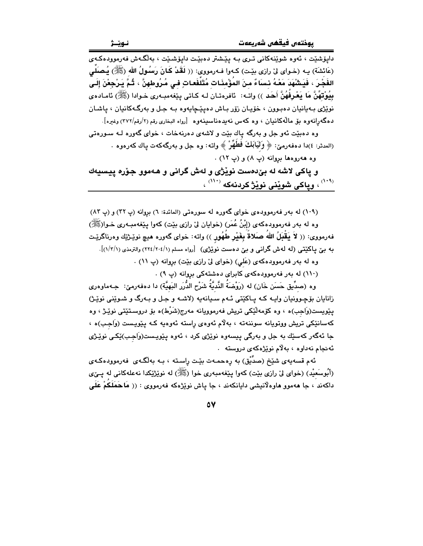داپۆشێت ، ئەوە شوێنەكانى تىرى بـە پێشتر دەبێت داپۆشێت ، بەلگـەش فەرموودەكـەى (عَائشَة) بـه (خـواى لىٰ رازى بيْـت) كـهوا فـهرمووى: (( لَقَدْ كَـانَ رَسُـولُ الله (ﷺ) يُـصَلِّـى الفَجْـرَ ، فَيَشْهَدَ مَعْـهُ نـْساءٌ مـنَ المُؤْمِنَـات مُتَلَفَعـاتِ فـى مُـرُوطهنَّ ، ثُـمَّ يَـرْجعْنَ إلَـى بِيُوْتِهُنَّ مَا يَعْرِفُهُنَّ أَحَد )) واتـه: ئافرەتـان لـه كـاتى يـێغەمبـەرى خـوادا (ﷺ) ئامـادەي نوێژي بهيانيان دهبوون ، خۆيان زۆر باش دهيێڃايهوه بـه جـل و بهرگـهكانيان ، ياشـان دهگەرانەوە بۆ مالەكانىيان ، وە كەس نەيدەناسىينەوە [رواە البخارى رقم (٢/رقم/٢٧٢) وغيرە].

وه دهبێت ئهو جل و بهرگه پاك بێت و لاشهى دهرنهخات ، خواى گهوره لـه سـورهتى (المدثر: ٤)دا دهفهرميّ: ﴿ وَثَيَابَكَ فَطَهِّرْ ﴾ واته: وه جل و بهرگهكهت ياك كهرهوه ٠

وه ههروهها بروانه (پ ٨) و (پ ١٢) .

و ياكي لاشه له بيٌدهست نويْژي و لهش گراني و هـهموو جوْره پيسيهك <sup>(</sub>۱۰۹)</sup> ، وياكى شويْنى نويْژْ كردنهكه <sup>(۱۱۰)</sup> ،

(١٠٩) له بهر فه رمووده ي خواي گهوره له سورهتي (المائدة: ٦) بروانه (پ ٣٢) و (پ ٨٣) وه له بهر فهرموودهکهي (إبْنُ عُمَرٍ) (خوايان ليٌ رازي بيّت) کهوا پيّغهمبـهري خـوارﷺ) فهرمووى: (( لاَ يَقْبَلُ اللهُ صَلاةٌ بِغَيْرٍ طُهُورٍ )) واته: خواى گهوره هيچ نوێـژێك وهرناگرێـت به بني پاکێتبي (له لهش گرانبي و بني دهست نوێژي) [رواه مسلم (٢٢٤/٢٠٤/١) والترمذي (١/٢/١)].

وه له بهر فهرموودهکهی (عَلیِ) (خوای لیٌ رازی بێت) بړوانه (پ ۱۱) .

(١١٠) له بهر فهرموودهکهی کابرای دهشتهکی بروانه (پ ٩) .

وه (صدِّيق حَسَن خَان) له (رَوْضَةُ النَّديَّةُ شَرْحِ الدُّرَرِ البَهيَّة) دا دەفەرمىٚ: جـەماوەرى زانايان بۆچوونيان وايـه كـه يـاكێتى ئـهم سـيانهيه (لاشـه و جـل و بـهرگ و شـوێنى نوێـژ) يێويست(وَاجِب)ه ، وه کۆمەڵێکى تريش فەرموويانە مەرج(شَرْط)ه بۆ دروسـتێتى نوێـژ ، وه کهسانٽکي تريش ووتويانه سوننهته ، بهلام ئەوەي راسته ئەوەبە کـه يێويـست (وَاجب)ه ، جا ئەگەر كەسێك بە جل و بەرگى پيسەوە نوێژى كرد ، ئەوە پێويـست(وَاجـب)ێكـى نوێـژى ئەنجام نەداوە ، بەلام نوێژەكەي دروستە .

ئهم قسهيهي شَيْخ (صدِّيْق) به رەحمـهت بێـت راسـته ، بـه بهلگـهي فهرموودهكـهي (أَبُوسَعيْد) (خواي ليْ رازي بيْت) كهوا ييْغهمبهري خوا (ﷺ) له نويْژِيْكدا نهعلهكاني له يـيْي داکهند ، جا ههموو هاوهلانيشي دايانکهند ، جا ياش نوێژهکه فهرمووی : (( مَاحَمَلَكُمْ عَلَى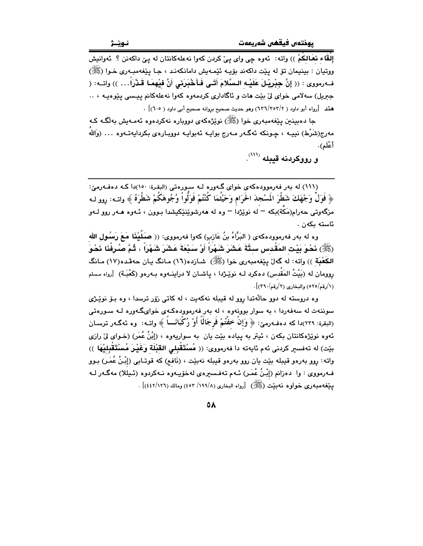إلْقًاء نعَالكُمْ )) واته: ئەوە چى واي يېْ كردن كەوا نەعلەكانتان لە يېْ داكەنن ؟ ئەوانيش ووتيان : بينيمان تۆ له پێت داکەند بۆيـه ئێمـهيش دامانکەنـد ، جـا پێغەمبـەرى خـوا (ﷺ) فــهرمووى : (( إنَّ جِبْرِيْـلَ عَلَيْـه الـسَّلامَ أَتَـى فَـأَخْبَرِني أَنَّ فيْهمَـا قَـذْرَاً… )) واتــه: ( جبریل) سهلامی خوای لیٌ بیّت هات و ناگاداری کردمهوه کهوا نهعلهکانم پیسی پیّوهیـه ، .. هتد [رواه أبو داود ( ٢/٣٥٢/٢) وهو حديث صحيح بروانه صحيح أبي داود ( ٦٠٥)] .

جا دەبينىن يێغەمبەرى خوا (ﷺ) نوێژەكەي دوويارە نەكردەوە ئەمـەيش بەلگـە كـە مەرج(شَرْط) نىيــە ، چـونكە ئەگــەر مــەرج بواپــە ئەبواپــە دوويــارەي بـكرداپـەتــەوە … (وَاللّهُ أعْلَم).

و رووكردنه قيبله (```

(١١١) له بهر فهرموودهکهي خواي گهوره لـه سورهتي (البقرة: ١٥٠)دا کـه دهفـهرميّ: ﴿ فَوَلَّ وَجْهَكَ شَطْرَ الْمَسْجِدَ الْحَرَامِ وَحَيْثُمَا كُنْتُمْ فَوَلُّواْ وُجُوهَكُمْ شَطْرَهُ ﴾ واتــه: روو لـه مزگەوتى حەرام(مَكَّة)بكە <sup>—</sup> لە نوێژدا <sup>—</sup> وە لە ھەرشوێنێكيشدا بـوون ، ئـەوە ھـەر روو لــەو ئاستە ىكەن .

وه له بهر فهرموودهكهى ( البَرَّاءُ بنُ عَازِبٍ) كهوا فهرمووى: (( صَلَيْنَا مَعَ رَسُولِ الله (ﷺ) نَحْوَ بَيْت المَقْدِس ستَّةَ عَشَرَ شَهْراً أَوْ سَنْعَةَ عَشَرَ شَهْراً ، ثُمَّ صُرِفْنَا نَحْوَ الكَعْبَة )) واته: له گەلّ بيّفەمبەرى خوا (ﷺ) شـازدە(١٦) مـانگ بـان حەڤـدە(١٧) مـانگ روومان له (بَيْتُ المَقْدس) دەكرد لـه نوێـژدا ، پاشـان لا دراينــهوه بـهرهو (كَعْبَـة) [رواه مسلم (١/رقم/٥٢٥) والبخاري (٢/رقم/٣٩٠)].

وه دروسته له دوو حالّهتدا روو له قبيله نهكهيت ، له كاتي زوّر ترسدا ، وه بـوّ نويِّـژي سوننهت له سهفهردا ، به سوار بوونهوه ، له بهر فهرموودهکهی خوایگهوره لـه سـورهتی (البقرة: ٢٣٩)دا كه دهفـهرميّ: ﴿ وَإِنْ خِفْتُمْ فَرِجَالًا أَوْ رُكِّبَانَـــاً ﴾ واتــه: وه ئـهگـهر ترسـان ئهوه نوێژهکانتان بکهن ، ئيتر به پياده بێت يان به سواريهوه ، (إبْنُ عُمَر) (خـواي ليٌ رازي بِيّت) له تەفسىر كردنى ئەم ئايەتە دا فەرمورى: (( مُسْتَقْبِلى القَبْلَة وَغَيْرَ مُسْتَقْبِلِيْهَا )) واته: روو بەرەو قيبلە بێت يان روو بەرەو قيبلە نەبێت ، (نَافم) كە قوتـابى (إِبْنُ عُمَـر) بـوو فـهرمووی : وا دەزانم (إِبْنُ عُمَـر) ئـهم تەفـسىرەی لەخۆپـەوە نـەكردوە (ئـيللا) مەگـەر لـه يَّنِغُهُمبُورِي خُواوه نَهْبِيْتِ (ﷺ) [رواه البخاري (١٩٩/٨/ ٤٥٣) ومالك (١٢٦/١٤٤٢)] .

 $\circ \lambda$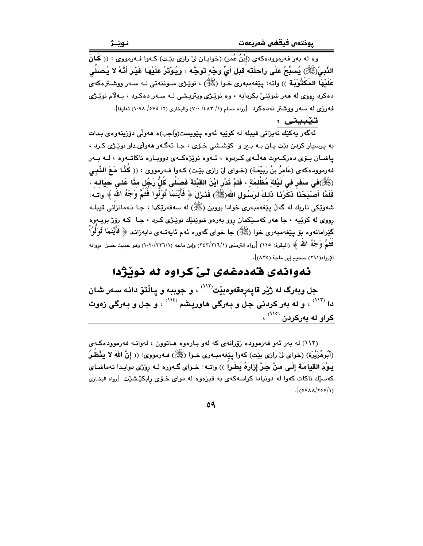وه له بهر فهرموودهکهي (إِبْنُ عُمَرٍ) (خوابـان ليّ رازي بيّـت) کـهوا فـهرمووي : (( کَانَ الذَّبِيُ(ﷺ) يُسَبِّحُ عَلَى رَاحلَتَه قَبَلَ أَيِّ وَجْهٍ تَوَجَّهَ ، وَيُوْتَرُ عَلَيْهَا غَيْرَ أَنَّهُ لا يُصَلِّى عَلَيْهَا المَكْثُوبَة )) واته: يێغهمبەرى خـوا (ﷺ) ، نوێـژى سـوننەتى لـه سـەر ووشـترەكەي دهکرد رووي له ههر شوينې بکردايه ، وه نويـژي ويتريـشي لـه سـهر دهکـرد ، بـهلام نويـژي فه دزي له سهر ووشتر نه دهكرد [رواه مسلم (١/ ٤٨٢) ١٤٠٠) والبخاري (٢/ ٥٧٥/ ١٠٩٨) تعليقا].

تێبيني :

.<br>ئەگەر يەكێك نەيزانى قيبلە لە كوێيە ئەوە پێويست(وَاجِب)ە ھەولْى دۆزينەوەى بـدات به پرسپار کردن بێت پـان بـه بـر و کۆشـشى خـۆی ، جـا ئـهگـهر ههولى،داو نوێـژى کـرد ، ياشـان بـۆي دەركــەوت ھەڭـەي كــردوه ، ئــەوە نوێژەكــەي دوويــارە ناكاتــەوە ، لــە بــەر فەرموودەكەي (عَامرُ بنُ رَبِيْعَـة) (خـواي لِيّ رازي بێت) كـەوا فـەرمووي : (( كُنَّـا مَـعَ النَّبِـي (ﷺ)في سَفَر في لَيْلَةٍ مُظْلمَةٍ ، فَلَمْ نَدْرِ أَيْنَ القَبْلَةَ فَصَلَّى كُلُّ رَجُل منَّا عَلَي حيَالـه ، فَلَمَّا أَصَّنِحْنَاً ذَكَّرْنَا ذَلِكَ لرَسُولِ الله(ﷺ) فَذَرَلَ ﴿ فَأَيْنَمَا تُوَلُّوا فَثَمَّ وَجْهُ الله ﴾ واتـه: شەوێِکى تاريك لە گەڵ يێغەمبەرى خوادا بووين (ﷺ) لە سەفەرێِکدا ، جـا نـەمانزاَنى قيبلـە .<br>رووي له کوٽيه ، جا ههر کهسٽِکمان روو بهرهو شوٽِنٽِك نوٽِـژي کـرڊ ، جـا کـه روِّژ بويـهوه گێرامانەوە بۆ پێغەمبەرى خوا (ﷺ) جا خواي گەورە ئەم ئاپەتـەي دابەزانـد ﴿ فَأَيْنَمَا تُوَلُّوْاْ فَخَمَّ وَجْهُ الله ﴾ (البقرة: ١١٥) [رواه الترمذي (٢٤٢/٢١٦/١) وإبن ماجه (١/٢٢٦/١) وهو حديث حسن بروانه الإرواء(٢٩١) صحيح إبن ماجة (٨٣٥)].

## ئەوانەي قەدەغەي ئى كراوە ئە نوبژدا

جل وبهرگ له ژێر قاپهڕەقەوەبێت<sup>٬٬۱۲</sup>٬ و جوببه و پـاڵتۆ دانـه سـەر شـان دا (۱۱۳۰) ، و له بهر کردنی جل و بـهرگی هاوریـِشم (۱<sup>۱۶)</sup> ، و جل و بـهرگی زموت <mark>کراو له ب</mark>ەرکردن <sup>(۱۱۰)</sup> ،

(١١٢) له پهر ئهو فهرمووده زوّرانهي که لهو پارهوه هاتوون ، لهوانـه فهرموودهکـهي (أَبُوهُرَيْرَة) (خواي لِيٌ رازِي بِيْتٍ) كهوا ينْغهمبـهري خـوا (ﷺ) فـهرمووي: (( إنَّ اللهَ لا يَنْظُرُ يَـوْمَ القِيامَةِ إِلَـى مِنْ جَـرَّ إِزَارَهُ بَطَـراً )) واتـه: خـواى گـهوره لـه رِوْزى دوايـدا تهماشـاى کهسێك ناکات کهوا له دونيادا کراسهکهی به فيزهوه له دوای خــوّی رابکێشێت [رواه البخاری  $\frac{1}{2}$ (0YAA/۲0Y/1)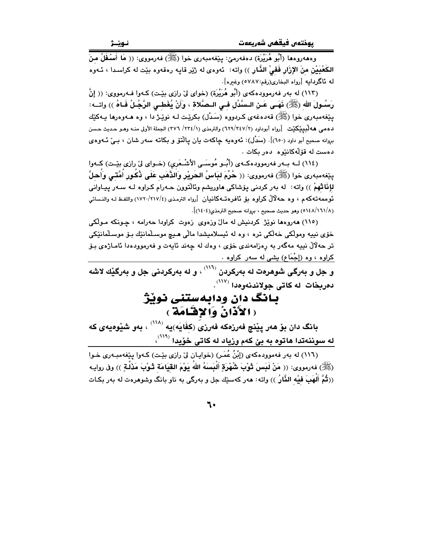وهه روهها (أَبُو هُرَيْرَة) دهفه رميّ: ينفهمبه ري خوا (ﷺ) فه رمووي: (( مَا أَسْفَلُ مِنْ الكَعْبَيْنِ منَ الإِزَارِ فَفيْ الذَّارِ )) واته: ئەوەي له رْيْر قايه رەقەوە بِيْت له كراسدا ، ئـەوە له ئاگردايه [رواه البخارى(رقم:٥٧٨٧) وغيره].

(١١٣) له بهر فهرموودهکهي (أَبُو هُرَيْرَة) (خواي ليٌ رازي بيّت) کـهوا فـهرمووي: (( إنَّ رَسُـولَ اللهِ (ﷺ) نَهَـى عَـنِ الـسَّدُلِ فِـي الـصَّلاةِ ، وَأَنْ يُغَطِـي الرَّجُـلُ فَـاهُ )) واتــه: يێغهمبهري خوا (ﷺ) قهدهغهي كردووه (سَدْل) بكرێت لـه نوێـژ دا ، وه هــهوهرها يــهكێك دهمي ههاڵبيێكێت [رواه أبوداود (٢/٣٤٧/٢) والترمذي (١/٢٣٤/ ٣٧٦) الجملة الأولى منـه وهـو حـديث حـسن بروانه صحيح أبو داود (٦٥٠)]. (سَلاُل): ئەوەبە چاكەت يان يالْتۆ و بكاتە سەر شان ، بـيِّ ئــەوەي دەست لە قۆلەكانتوە دەر بكات .

(١١٤) لــه بــهر فهرموودهكــهي (أُبُــو مُوسَــى الأشْـعَرِي) (خــواي ليّ رازي بيّــت) كــهوا يێِغەمبەرى خوا (ﷺ) فەرمووى: (( هُرِّمَ لبَاسُ الحَرِيْرِ وَالذَّهَبِ عَلَى ذُكُورِ أُمَّتَى وَأَحلَّ لإِنَّاثْهُمْ )) واته: له بهر كردني يۆشاكى هاوريشم وئالتوون حـهرام كـراوه لـه سـهر يـيـاوانى ئوممەتەكەم ، وە حەلالٌ كراوە بۆ ئافرەتـەكانيان [رواه الترمذي (٢١٧/٤/١٧٢٠) واللفظ لـه والنـسائي (١/١٦١/٨) وهو حديث صحيح ، بروانه صحيح الترمذي(١٤٠٤)].

(١١٥) هەروەھا نوێژ كردنيش له مالٌ وزەوى زەوت كراودا حەرامە ، چـونكه مـولْكى .<br>خۆي نيپه ومولکي خەلکي تره ، وه له ئيسلاميشدا مالّي هـيچ موسـلّمانێك بـۆ موسـلّمانێکي تر حهلالٌ نيپه مهگەر به رەزامەندى خۆى ، وەك له چەند ئايەت و فەرموودەدا ئامـاژەى بـۆ کراوه ، وه (إِجْمَاعِ) بِشَى له سهر کراوه .

و جل و بەرگى شوهرەت لە بەركردن <sup>‹‹۱۱</sup>٬ ، و لە بەركردنى جل و بەرگێك لاشە دەربخات لەكاتى جولاندنەوەدا <sup>(۱۱۷</sup>).

#### بانگ دان ودابهستنی نوپژ (الأَذَانُ وَالإِقْلَامَةِ)

بانگ دان بۆ ھەر پێنچ فەرزەكە فەرزىَ (كفَايَه)يە <sup>‹‹‹››</sup> ، بەو شێوەيەى كە له سوننهتدا هاتوه به بيّ كهم وزياد له كاتي خُوِّيدا (<sup>١١٩)</sup>،

(١١٦) له بهر فهموودهکهي (إِبْنُ عُمَرٍ) (خوايان ليِّ رازي بيّت) کـهوا پيّغهمبـهري خـوا (ﷺ) فەرمورى: (( مَنْ لَبَسَ تُوْبَ شُهْرَةِ أَلْبَسَهُ اللهُ يَوْمَ القِيَامَة تُـوْبَ مَذَلَّـةٍ )) وفى روايـه ((ثُمَّ أَلْهَبَ فَيْه الذَّارُ )) واته: هەر كەسێك جل و بەرگى بە ناو بانگ وشوهرەت لە بەر بكـات

٦.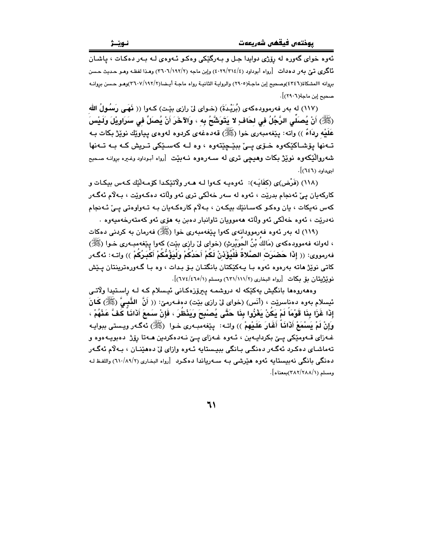ئەوە خواي گەورە لە رۆژى دوايدا جىل و بـەرگێكى وەكـو ئـەوەي لـە بـەر دەكـات ، ياشـان نَّاگري تيّ بهر دهدات [رواه أبوداود (٤/٣١٤/٤) وين ماجه (٢/١٩٢/٢) وهذا لفظه وهـو حـديث حـسن بروانه االمشكاة(٤٢٤٦)وصحيح إبن ماجـة(٢٩٠٥) والروايـة الثانيـة رواه ماجـة أيـضا(٢٦٠٧/١٩٢/٢)وهـو حـسن بروانـه صحبح إين ماجة(٢٩٠٦)].

(١١٧) له بهر فهرموودهكهي (بُرَيْدةَ) (خـواي لِيّ رازي بيّت) كـهوا (( نَهَبِي رَسُولُ الله (ﷺ) أَنْ يُصلِّي الرَّجُلُ في لحَافٍ لا يَتَوَشَّحُ به ، وَالآخَرَ أَنْ يُصلِّ في سَرَاوِيْلَ وَلَـيْسَ عَلَيْه رِدَاءٌ )) واته: يێغهمبهري خوا (ﷺ) قهدهغهي كردوه لهوهي يياوێك نوێڗْ بكات بـه تـهنها يۆشـاكێكەوه خـۆي يـې بېێـڃێتەوه ، وه لـه كەسـێكى تـريش كـه بـه تـهنها شەروالێکەوە نوێژ بکات وھیچی تری لە سـەرەوە نـەبێت [رواه أبـوداود وغیرە بروانـﻪ صـحیح ادىداود (٦٤٦)].

(١١٨) (فَرْض)ى (كفَايَـه): ئەوەبـه كـەوا لـه هـەر ولاتێكـدا كۆمـەڵێك كـەس بيكـات و کارکهيان پيّ ئهنجام بدرێت ، ئهوه له سهر خهڵکي تري ئهو ولّاته دهکـهوێت ، بـهلاّم ئهگـهر کهس نهيکات ، يان وهکو کهسانێك بيکـهن ، بـهلام کارهکـهيان بـه تـهواوهتي يـيْ ئـهنجام نهدريّت ، ئەوە خەلكى ئەو ولاتە ھەموويان تاوانبار دەبن بە ھۆي ئەو كەمتەرخەمپەوە .

(۱۱۹) له پهر ئهوه فهرموودانهي کهوا پنغهمبهري خوا (ﷺ) فهرمان به کردني دهکات ، لەوانە فەموودەكەي (مَالكَ بْنُ الحَوَيْرِثِ) (خواي لِيْ رازي بِيْت) كەوا يِيْغەمبەرى خـوا (ﷺ) فهرمووى: (( إِذَا حَصْبَرَتْ الصَّلاةُ فَلْيُؤَذِنْ لَكُمْ أَحَدُكُمْ وَلْيَؤُمُّكُمْ أَكْبَـرُكُمْ )) واتـه: ئهگـهر کاتي نوێژ ماته بهرهوه ئهوه بـا پـهکێکتان بانگتـان بـۆ بـدات ، وه بـا گـهورهترينتان پـێش نوينژيتان مِق مِكات [رواه البخاري (٦٢١/١١١/٢) ومسلم (٦٧٤/٤٦٥/١)].

وههەروهها بانگیش یەكێكە لە دروشمـه پیرۆزەكـانى ئیـسلام كـه لـه رِاسـتیدا ولاّتـى ئيسلام بەوە دەناسىريىت ، (أَنَس) (خواى لىْ رازى بيْت) دەفــەرمىن: (( أَنَّ اللَّـْبِـيَّ (ﷺ) كَـانَ إِذَا غَزَا بِنَا قَوْمَاً لَمْ يَكُنْ يَغْزُوا بِنَا حَتَّى يُصْبِحَ وَيَنْظُرَ ، فَإِنْ سَمعَ أَذَانَاً كَفَّ عَنْهُمْ ، وَإِنْ لَمْ يَسْمَعْ أَذَانَـا ۖ أَغَارَ عَلَـيْهِمْ ﴾) واتــه: يـێغهمبـهري خــوا (ﷺ) ئهگـهر ويـستي ببوايـه غـهزای قـهومێکی یـێ بکردایـهین ، ئـهوه غـهزای یـێ نـهدهکردین هـهتا رۆژ دهبویـههوه و تهماشاي دهکرد ئهگەر دەنگى بانگى بېيستايە ئـهوه وازاي ليّ دەھێنـان ، بـهلام ئەگـەر دەنگى بانگى نەبيستايە ئەوە ھۆرشى بـه سـەرياندا دەكرد [رواه البخارى (١١٠/٨٩/٢) واللفظ لـه ومسلم (٢٨٢/٢٨٨/١)بمعناه].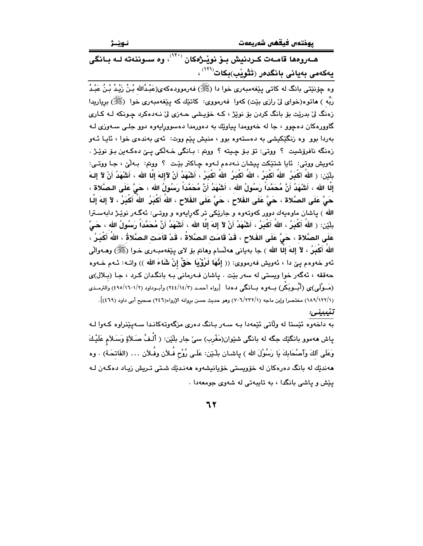يوختەں فيقھى شەريعەت

نـوێـژ

هـهروهها قامـهت كـردنيش بـوّ نويْـژْهكان <sup>(٢٠٠)</sup>، وه ســوننهته لــه بــانگى یهکهمی بهیانی بانگدهر (تَتْویْب)بکات<sup>(۱۲۱)</sup> ،

وه چۆنێتى بانگ له كاتى پێغەمبەرى خوا دا (ﷺ) فەرموودەكەي(عَبْدُالله بْنُ زَيْدُ بْنُ عَبْدُ رَبِّه ) هاتوه(خواي ليٌ رازي بيّت) کهوا فهرمووي: کاتێك که پيێفهمبهري خوا (ﷺ) برياريدا زەنگ لىٰ بدريْت بۆ بانگ كردن بۆ نويْژ ، كـه خۆيىشى حـەزى لىٰ نـەدەكرد چـونكه لـه كـارى گاوورهکان دهچوو ، جا له خەوومدا پياوێك به دەورمدا دەسوورايەوە دوو جلـى سـەوزى لـه بهردا بوو وه زنگێکیشی به دهستهوه بوو ، منیش یێم ووت: ئهی بهندهی خوا ، ئایـا ئـهو زهنگه نافرۆشيت ؟ ووتى: تۆ بۆ چيته ؟ ووتم : بانگى خـه لكى يـێ دەكـەين بـۆ نوێـژ . ئەويش ووتى: ئايا شتێكت پيشان نـﻪدەم لـﻪوە چـاكتر بێت ؟ ووتم: بـﻪلْێ ، جـا ووتـى: بلَيْن: ( اللهُ أكْبَرُ ۖ اللهُ أكْبَرُ ، اللهُ أكْبَرُ ۖ اللهُ أكْبَرُ ، أَشْهَدُ أَنْ لآَإِلهَ إِلَّا الله ، أشْهَدُ أَنْ لآَ إِلـهَ إِلَّا الله ، أَشْهَدُ أَنَّ مُحَمَّدَاً رَسُولُ الله ، أَشْهَدُ أَنَّ مُحَمَّداً رَسُولُ الله ، حَيَّ عَلَى الـصَّلاة ، حَىٌّ عَلَى الصَّلاة ، حَىٌّ عَلَى الفَلاح ، حَىٌّ عَلَى الفَلاح ، اللهُ أَكْبَرُ اللهُ أَكْبَرُ ، لآ إلهَ إلّـا الله ) پاشان ماوهپهك دوور كەوتەوە و جارێكى تر گەراپەوە و ووتـى: ئەگـەر نوێـژ دابەسـترا بِلَيْنِ: ( اللهُ أَكْبَرُ ، اللهُ أَكْبَرُ ، أَشْهَدُ أَنْ لاَ إِلهَ إِلَّا الله ، أَشْهَدُ أَنَّ مُحَمَّداً رَسُولُ الله ، حَيَّ عَلَى الصَّلاةِ ، حَيَّ عَلَى الفَلاحِ ، قَدْ قَامَتِ الصَّلاةُ ، قَدْ قامَتِ الصَّلاةُ ، اللهُ أَكْبَرُ ، اللهَ أَكْبَرُ ، لآ إلهَ إلَّا الله ) جا بهياني ههلَّسام وهاتم بق لاي ينفهمبـهري خـوا (ﷺ) وهــهوالَّى ئهو خهوهم يـيّ دا ، ئهويش فهرمووي: (( إِنَّهَا لَرُؤْيَا حَقٌّ إِنْ شَاءَ الله )) واتـه: ئـهم خـهوه حەققە ، ئەگەر خوا ويستى لە سەر بێت . ياشان فـەرمانى بـە بانگدان كـرد ، جـا (بـلال)ى (مَــوْلَى)ى (أَبُــوبَكْر) بـــهوه بــانگى دهدا [رواه أحمـد (٢/١٤/١٤) وأبــوداود (٢/١٦٠١/١٩) والترمــذى (١/١٢٢/١) مختصرا وإبن ماجه (١/٢٢٢/١) وهو حديث حسن بروانه الإرواء(٢٤٦) صحيح أبي داود (٤٦٩)]. تنيبينى:

پاش ههموو بانگێك جگه له بانگی شێوان(مَغْرب) سیٚ جار بلێن: ﴿ أَلْـفُ صَـلاَةٍ وَسَـلاَم عَلَيْـكَ وَعَلَى آلكَ وَأَصْحَابِكَ يَا رَسُوْلَ الله ) ياشـان بِلْـيْن: عَلَـى رُوْح فُـلاَن وفُـلاَن … (الفَاتحَـة) . وه مەندێك لە بانگ دەرەكان لە خۆوپستى خۆيانىشەوە مەنـدێك شـتى تـريش زيـاد دەكـەن لـە یپش و یاشی بانگدا ، به تایبهتی له شهوی جومعهدا .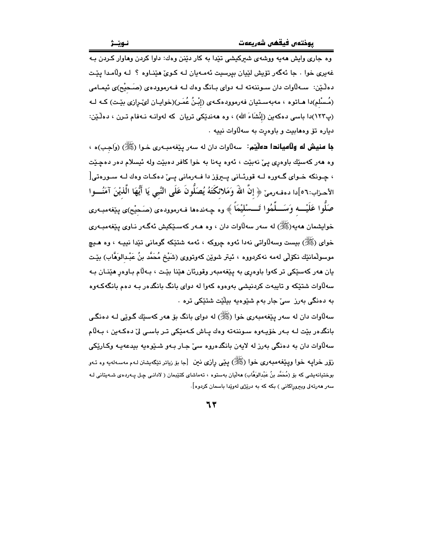وه جاري وايش ههيه ووشهي شيركيشي تێدا به كار دێنن وهك: داوا كردن وهاوار كـردن بـه غەيرى خوا . جا ئەگەر تۆپش لێڀان بيرسيت ئەمـەيان لـه كـوێ ھێنـاوه ؟ لـه وڵامـدا يێـت دهڵێن: سـهڵاوات دان سـوننهته لـه دوای بـانگ وهك لـه فـهرموودهى (صَـحيْح)ى ئيمـامى (مُـسْلم)دا هـاتوه ، مەبەسـتيان فەرموودەكـەي (إِبْـنُ عُمَـر)(خوايـان لىمىرازى بيّـت) كـه لـه (پ١٢٣)دا باسی دهکهین (إنْشَاءَ الله) ، وه ههندێکی تریان که لهوانـه نـهفام تـرن ، دهلٚێن: دياره تق وههابيت و باوهرت به سهلااوات نييه .

**جا منيش له ولآمياندا دەليّم:** سەلآوات دان لە سەر پێغەمبەرى خـوا (ﷺ) (وَاجـب)ه ، وه هەر كەسێك باوەرى يېّ نەبێت ، ئەوە يەنا بە خوا كافر دەبێت ولە ئيسلام دەر دەچێت ، چـونکه خـوای گـهوره لـه قورئـانی پــبرۆز دا فــهرمانی پــیّ دهکـات وهك لــه ســورهتی[ الأحـزاب:٦٦]دا دهفـهرميّ ﴿ إِنَّ اللَّهَ وَمَلائكَتَهُ يُصَلُّونَ عَلَى النَّبي يَا أَيُّهَا الَّذيْنَ آمَنُـــوا صَلُّوا عَلَيْــــه وَسَـــلِّمُوا تَـــسْلَيْمَاً ﴾ وه چـهندهها فـهرموودهى (صَحِيْح)ى پێغهمبـهرى خوابشمان هەبە(ﷺ) لە سەر سەلاوات دان ، وە ھـەر كەسـێكىش ئەگـەر نـاوى پـێغەمبـەرى خواي (ﷺ) بيست وسهڵاواتي نهدا ئهوه چروكه ، ئهمه شتێكه گوماني تێدا نبيـه ، وه هـيچ موسولْمانێك نكۆلْي لەمە نەكردووە ، ئيتر شوێن كەوتووى (شَيْخ مُحَمَّد بنُ عَبْـدالوَهَّاب) بێـت يان ههر کهسٽِکي تر کهوا باوهري به يێغهمبهر وقورئان هێنا بێت ، بـهڵام بـاوهر هێنـان بـه سەلاوات شتێکە و تايبەت کردنيشي بەوەوە کەوا لە دواي بانگ بانگدەر بـە دەم بانگەکـەوە به دەنگى بەرز سى جار بەم شێوەيە بېلێت شتێکى ترە ٠

سهڵاوات دان له سهر پێغهمبهري خوا (ﷺ) له دواي بانگ بۆ ههر كهسێك گـوێي لــه دهنگـي بانگدەر بێت لـﻪ بـﻪر خۆپـﻪوە سـوننـﻪتـﻪ وەك پـﺎش كـﻪمێكى تـﺮ باسـى لىٚ دەكـﻪين ، بـﻪلّام سەلاوات دان بە دەنگى بەرز لە لايەن بانگدەروە سىّ جـار بـەو شىيوەيە بېدعەيـە وكـارێكى زۆر خرايـه خوا ويـێغهمبـهري خوا (ﷺ) يـێي رازي نين [جا بۆ زياتر تێگهيشتن لـهم مهسـهلهيه وه ئـهو بوختیانەیشی کە بۆ (مُحَمَّد بنُ عَبْدالوَهَّاب) ھەلّیان بەستوە ، تەماشای کتێبمان ( لادانـی چـل پـەردەی شـەیتانی لـە سەر ھەرتەلى وبېروراكانى ) بكە كە بە درێژى لەوێدا باسمان كردوه].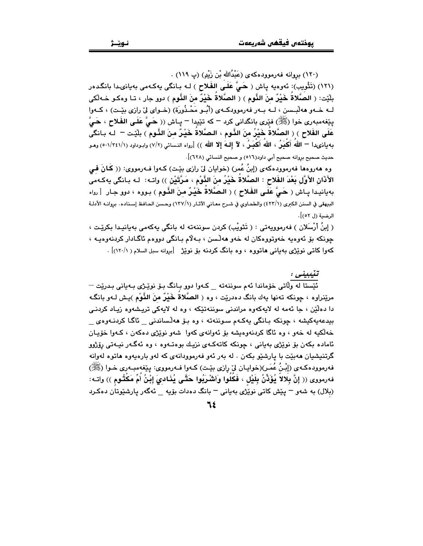(١٢٠) بروانه فەرموودەكەي (عَبْدُالله بْن زَيْدٍ) (پ ١١٩) .

(١٢١) (تَثْويب): ئەوەيە پاش ( حَيَّ عَلَى الفَلاح ) لـه بـانگى يەكـهمى بەيانى دا بانگدەر بلّيّت: ( الصَّلاةُ خَيْرٌ مِنَ النَّومِ ) ( الصَّلاةُ خَيْرٌ مِنَ النَّومِ ) دوو جار ، تـا وهكـو حـْه لْكى لـه خـهو ههلْبـسن ، لــه بــهر فهرموودكــهى (أَبُــو مَحْـذُورَة) (خــواى ليّ رازى بيّـت) ، كــهوا يێِغەمبەرى خوا (ﷺ) فێرى بانگدانى كرد – كە تێيدا – يـاش (( حَــٍّ عَلَــى الفَـلاح ، حَــٍّ عَلَى الفَلاح ) ( الصَّلاةُ خَيْرُ منَ الذَّوم ، الـصَّلاةُ خَيْرٌ منَ الذَّوم ) بلّذت = لـه بـانگى به يانىدا — اللهَ أَكْبَرُ ، اللهَ أَكْبَرُ ، لآ إلـهَ إلا الله )) [رواه النسائي (٧/٢) وابـوداود (٠١/٢٤١/١) وهـو حديث صحيح بروانه صحيح أبي داود(٥١٦) و صحيح النسائي (٦٢٨)].

وه هەروەها فەرموودەكەي (إبنُ عُمر) (خوايان ليٌ رازي بيّت) كـەوا فــەرمووي: (( كَـانَ فـي الأَذَانِ الأَوَّلِ بَعْدَ الفَلاحِ : الصَّلاةُ خَيْرُ منَ النَّوْمِ ، مَرَّتَيْنِ )) واتــه: لـه بـانگي يهكـهمي بهيانيدا يـاش ( هَـيٌّ عَلَـى الفَلاح ) ( البصَّلاةُ خَيْـرٌ منَ النَّـوم ) بـووه ، دوو جـار [رواه البيهقي في السنن الكبرى (٤٢٣/١) والطحاوي في شـرح معـاني الآثـار (١٣٧/١) وحـسن الحـافظ إسـناده. بروانـه الأدلـة الرضية (ل ٥٢)].

( إِبنُ أَرْسَلَان ) فەرموويەتى : ( تَثويْب) كردن سوننەتە لە بانگى يەكەمى بەيانىيدا بكرێت ، جونکه بۆ ئەوەيە خەوتووەکان لە خەو ھەلىسن ، بـەلام بـانگى دووەم ئاگـادار کردنەوەيـە ، کهوا کاتمی نوێژی بهیانی هاتووه ، وه بانگ کردنه بۆ نوێژ [بروانه سبل السلام ( ۱۲۰/۱)] .

ئیّستا له ولّاتی خوّماندا ئهم سوننهته \_ کـهوا دوو بـانگ بـوّ نویّـژی بـهیانی بـدریّت <sup>\_</sup> مريِّنراوه ، جونكه تەنها يەك بانگ دەدريّت ، وه ( الصَّلاةُ خَيْرٌ منَ النَّوْم )يـش لـهو بانگـه دا دهڵێن ، جا ئەمە لە لايەكەوە مراندنى سوننەتێكە ، وە لە لايەكى تريشەوە زيـاد كردنـى بيدعەيەكيشە ، چونكە بانگى يەكەم سىوننەتە ، وە بۆ ھەلساندنى \_ ئاگا كردنـەوەى \_ خەلكيە لە خەو ، وە ئاگا كردنەوەيشە بۆ ئەوانەي كەوا شەو نوپزى دەكەن ، كـەوا خۆيـان ئاماده بکەن بۆ نوێژى بەيانى ، چونکە کاتەکـەی نزیـك بوەتـەوە ، وە ئەگـەر نیـەتى رۆژوو گرتنیشیان ههبێت با یارشێو بکهن . له بهر ئهو فهرموودانهی که لهو بارهیهوه هاتوه لهوانه فهرموودهكـهي (إبْنُ عُمَـر)(خوايـان ليّ رازي بێت) كـهوا فـهرمووي: يێغهمبـهري خـوا (ﷺ) فهرمووى (( إنَّ بِلالاً يُؤَذِّنُ بِلَيْلِ ، فَكَلُوا وَأشْرِبُوا حَتَّى يُذَادىَ إِبْنُ أُمِّ مَكْثُوم )) واتـه: (بلال) به شەو – يَيْش كاتى نوپْزْي بەيانى – بانگ دەدات بۆيە \_ ئەگەر يارشێوتان دەكىرد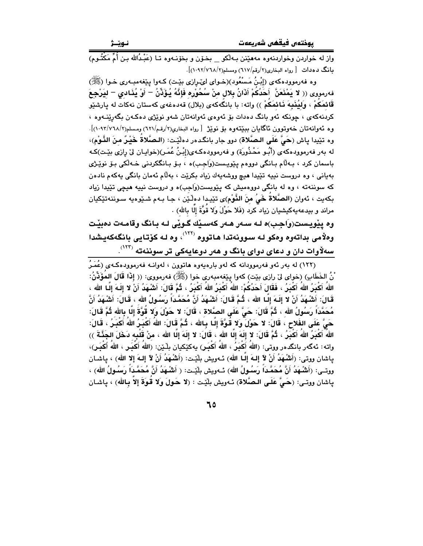بانگ دهدات [رواه البخاری(۲/رقم/۲۱۷) ومسلم(۲/۷٦۸/۲).

وه فهرموودهکهی (إِبْنُ مَسْنُعُود)(خـوای لئے رازی بیّـت) کـهوا پیّغهمبـهری خـوا (ﷺ) فەرمووى (( لا يَمْنَعَنَّ ۖ أَحَدُكُمْ أَذَانُ بِلال منْ سُحُوْرِه فَإِنَّهُ يُؤَذِّنُ = أَوْ يُذَادى = ليَرْجِعَ قَائمَكُمْ ، وَليُنَبِهَ نَائمَكُمْ )) واته: با بانگُهكهى (بلال) قهدهغهى كهستان نهكات له يارشێو کردنهکهی ، چونکه ئهو بانگ دهدات بۆ ئەوەی ئەوانەتان شەو نوێژی دەکـەن بگەرپێنــەوە ، وه ئەوانەتان خەوتوون ئاگايان بېيتتەوە بۆ نوپژ [رواه البخارى(٢/رقم/٦٢١) ومسلم(٢/١٠٩٢/٧٦٨)]. وه تنيدا ياش (حَيَّ عَلَى البصَّلاة) دور جار بانگدهر دهلّيّت: (البصَّلاةُ خَيْـرٌ منَ النَّـوْمِ)، له بهر فهرموودهکهی (أَبُـو مَحْذُورَة) و فهرموودهکـهی(إبْـنُ عُمَـر)(خوایـان لیٌ رِازی بیِّـت)کـه باسمان کرد ، بـﻪڵام بـانگي دووهم يێويـست(وَاجـب)ه ، بـۆ بـانگکردني خـﻪڵکي بـۆ نوێـژي بهياني ، وه دروست نيپه تێيدا هيچ ووشهيهك زياد بكرێت ، بهڵام ئهمان بانگي پهكهم نادهن که سوننهته ، وه له بانگی دووهمیش که پێویست(وَاجِب)ه و دروست نیپه هیچی تێیدا زیاد بكهيت ، ئەوان (الصَّلاةُ خَيُ منَ النَّوْمِ)ى تێيدا دەلٚێِن ، جـا بـهم شـێوەيه سـوننەتێكيان مراند و بيدعهيهكيشيان زياد كرد (فَلا حَوْلَ وَلا قُوَّةَ إِلَّا بِاللهِ) .

وه يڏويست(وَاجب)ه لـه سـهر هـهر کهسٽيك گـوٽي لـه بـانگ وقامـهت دهبيّت وهلامی بداتهوه وهکو لـه سـوونـهتدا هـاتووه <sup>(۱۲۲)</sup>، وه لـه کۆتـايـی بانگـهکهيـشدا سهلاوات دان و دعای دوای بانگ و ههر دوعایهکی تر سوننهته <sup>(۱۲۲</sup>).

(۱۲۲) له بهر ئهو فهرموودانه که لهو بارهیهوه هاتوون ، لهوانـه فهرموودهکـهى (عُمَـرُ ْنُ الخَطَابِ) (خواي ليّ رازي بيّت) كهوا ييّغهمبهري خوا (ﷺ) فهرمووي: (( إِذَا قَالَ المُؤَذِّنُ: اللهُ أَكْبَرُ اللهُ أَكْبَرُ ، فَقَالَ أَحَدُكُمْ: اللهُ أَكْبَرُ اللهُ أَكْبَرُ ، ثُمَّ قَالَ: أَشْهَدُ أَنْ لا إِلَـهَ إِلَـا الله ، قَـالَ: أَشْـهَدُ أَنْ لا إِلَـهَ إِلَـا الله ، ثُـمَّ قَـالَ: أَشْـهَدُ أَنَّ مُحَمَّـدَاً رَسُـولُ الله ، قَـالَ: أَشْـهَدُ أَنَّ مُحَمَّدَاً رَسُولُ الله ، ثُمَّ قَالَ: حَيَّ عَلَى الصَّلاة ، قَالَ: لا حَوْلَ وَلا قُوَّةَ إِلَّا بالله ثُمَّ قَالَ: حَىَّ عَلَى الفَلاحِ ، قَالَ: لا حَوْلَ وَلا قَوَّةَ إِلَّـا بِـالله ، ثُـمَّ قَالَ: اللهَ أَكْبَـرُ اللهَ أَكْبَـرُ ، قَالَ: اللهُ أَكْبَرُ اللهُ أَكْبَرُ ، ثُمَّ قَالَ: لا إِلَهَ إِلَّا الله ، قَالَ: لا إِلَهَ إِلَّا الله ، منْ قَلْبه دَخَلَ الجَذَّةَ ﴾) واته: ئەگەر بانگدەر ووتى: (اللهُ أَكْبَرُ ، اللهُ أَكْبَـرٍ) بِهكێكيان بِلْـێن: (اللهُ أَكْبَـر ، اللهُ أَكْبَـر)، ياشان ووتي: (أَشْهَدُ أَنْ لاَ إِلـهَ إِلَّـا اللهِ) شَهويش بِلَيْت: (أَشْهَدُ أَنْ لاَ إِلـهَ إِلا الله) ، ياشـان ووتــى: (أَشْـهَدُ أَنَّ مُحَمَّدَاً رَسُـولُ الله) ئــهويش بليّـت: ( أَشْـهَدُ أَنَّ مُحَمَّداً رَسُـولُ الله) ، ياشان ووتـى: (حَـيٌّ عَلَـى الـصَّلاة) ئـهويش بلَّيْـت : (لا حَـولَ وَلا قُـوَةَ إلاّ بِـالله) ، ياشـان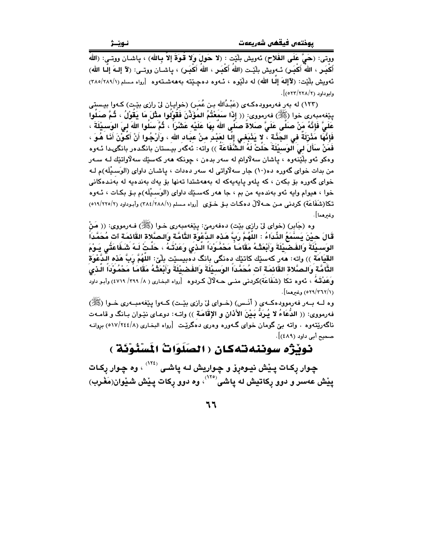ووتي: (حَيَّ عَلَى الفَلاحِ) ئەويش بِلَيْت : (لا حَولَ وَلا قُوةَ إلاّ بِـالله) ، ياشـان ووتـى: (اللهُ أَكْبَـرٍ ، اللهُ أَكْبَـرٍ) نَــهويش بِلْيِّـت (اللهُ أَكْبَـرٍ ، اللهُ أَكْبَـرٍ) ، ياشــان ووتــى: (لآ إلـهَ إلّـا الله) ئەويش بِلَيْت: (لآإلهَ إلىا الله) له دلْيُوه ، ئـهوه دەچـيْته بهههشـتهوه [رواه مـسلم (٢٨٥/٢٨٩/١)  $. [055/55A/5]$ .

(١٢٣) له بهر فهرموودهكهى (عَبْدُالله بـن عُمَـرٍ) (خوايـان ليّ رازي بيّـتٍ) كـهوا بيـستِي بِينفهمبهرى خوا (ﷺ) فهرمووى: (( إِذَا سَمِعْتُمُ المؤَذِّنَ فَقَوْلُوا مثْلَ مَا يَقَوْلُ ، ثُمَّ صَلَوا عَلَىَّ فَإِنَّهُ مَنْ صَلَّى عَلَىَّ صَلاةُ صَلَّى اللهَ بِهَا عَلَيْه عَشْرَاً ، ثُمَّ سَلُوا اللهَ ليَ الوَسـيْلَةَ ، فَإِنَّهَا مَثْرَلَةً في الجَنَّةَ ، لا يَذْبَعْى إِلَـا لعَبْدٍ منْ عبَـاد الله ، وَأَرْجُوا أَنْ أَكُوْنَ أَنَـا هُوَ ، فَمَنْ سَأَلَ لي الوَسبِيْلَةَ حَلَتْ لَهُ الْشُّفَاعَةَ )) واته: ئەگەر بیستان بانگدەر بانگىدا ئـەوە وهکو ئەو بِلْێنەوە ، ياشان سەلاّواتم لە سەر بدەن ، چونکە ھەر کەسێك سەلاّواتێك لـﻪ سـﻪر من بدات خوای گەورە دە(١٠) جار سەلاّواتى لە سەر دەدات ، ياشـان داواي (الوَسـيْلَه)م لـه خوای گەورە بۆ بكەن ، كە يلەو ياپەپەكە لە بەھەشتدا تەنھا بۆ پەك بەندەيە لە بەنىدەكانى خوا ، هيوام وايه ئهو بهندهيه من بم ، جا ههر كهسـێك داواي (الوَسـيْلَه)م بـێ بكـات ، ئـهوه تكا(شَفَاعَة) كردنى مـن حــه لْآلْ دەكـات بــۆ خــۆى [رواه مـسلم (١/٨٨//٢٨٤) وأبـوداود (٢/٢٢٥/٢٥) وغىرھما].

وه (جَابِرِ) (خواي ليّ رازي بيّت) دهفهرميّ: يـێغهمبهري خـوا (ﷺ) فــهرمووي: (( مَنْ قَالَ حيْنَ يَسْمَعُ الذِّدَاءُ : اللَّهُمَّ رَبَّ هَذه الدَّعْوَة التَّامَّة وَالـصَّلاة القَائمَة آت مُحَمَّداً الوَسـيْلَةَ وَالفَـضَيْلَةَ وَأَبْعَثُـهُ مَقَامَـاً مَحْمُـُوْدَاً الَّـذِي وَعَدْتُـهُ ، حَلّـتٌ لَـهً شَـفَاعَتُى يَـوْمَ القيَامَة )) واته: هەر كەسناك كاتناك دەنگى بانگ دەبيسنات بلّيّ: اللهُمَّ رَبِّ هَذه الدَّعْوَة التَّامَّة وَالـصَّلاة القَائمَة آت مُحَمَّداً الوَسيٰلَةَ وَالفَصْيْلَةَ وَأَبْعَثْهُ مَقَامَاً مَحْمُوْداً الّذي وَعَمْاتُمُ ، نَهوه تكَّا (شَفَاعَة)كردنى منـى حـه لَالٌ كـردوه [رواه البخـارى ( ٨/ ٢٩٩/ ٤٧١٩) وأبـو داود (٢٦٢/٢٦١/٥٢٩) وغيرهما].

وه لــه بــهر فهرموودهكــهي ( أنّــس) (خــواي ليّ رازي بيّــت) كــهوا ييّغهمبــهري خــوا (ﷺ) فهرمووى: (( الدَّعَاءُ لا يُـرِدّ بَـيْنَ الأَذَانِ و الإِقَامَـة )) واتـه: دوعـاى نيّـوان بـانگ و قامـهت ناگەرێتەوە . واتە بىّ گومان خواي گــەورە وەرى دەگرێت [رواە البخـارى (١٧/٢٤٤/٨) بروانـە صحيح أبي داود (٤٨٩)].

## نوبْرٌه سوننهتهكان ( الصَلَوَاتُ الْمَسْنُوْنَة )

چوار پکات پیش نیوهړو و چواریش لـه پاشـی <sup>(۱۲٤)</sup> ، وه چوار رکـات پِيْش عەسر و دوو ركاتيش له پاشى $^{\left(2\right)}$ ، وه دوو ركات پِيْش شَيْوان(مَغْرِب)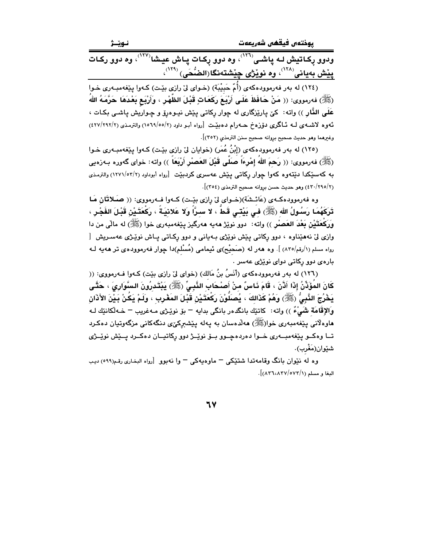يوختەں فيقھى شەريعەت

نـوێـژ

.<br>ودوو رِکاتیش لـه پاشـی<sup>(۲۲۱)</sup>، وه دوو رِکـات پـاش عیـشا<sup>(۲۷)</sup>، وه دوو رکـات پِیْش بەیانى<sup>‹‹››</sup>، وە نویْژ*ى* چِیْشتەنگا(الضُّحَى) <sup>‹‹››</sup>،

(١٢٤) له بهر فهرموودهکهي (أُمّ حَبِيْبَة) (خـواي ليّ رازي بيّـت) کـهوا پيّغهمبـهري خـوا (ﷺ) فەرمورى: (( مَنْ حَافَظَ عَلَى أَرْبَعَ رَكَعَاتٍ قَبْلَ الظَّهْرِ ، وَأَرْبَع بَعْدَهَا حَرَّمَهُ اللهُ عَلَى النَّار )) واته: کيّ پارێزگاري له چوار رکاتي پێش نيـوهرۆ و چـواريش پاشـي بکـات ، ئەوە لاشىەي لــه ئــاگرى دۆزەخ ھــەرام دەبێـت [رواه أبـو داود (٢/٥٥/٢) والترمـذى (٢/٢٩٢/٢) وغيرهما وهو حديث صحيح بروانه صحيح سنن الترمذي (٣٥٢)].

(١٢٥) له بهر فهرموودهکهي (إِبْنُ عُمَرٍ) (خوايان ليِّ رازي بيِّت) کـهوا بيِّغهمبـهري خـوا (ﷺ) فەرمورى: (( رَحمَ اللهُ إِمْرِءَاً صَلَّى قَبْلَ العَصْرِ أَرْبَعَاً )) واته: خوای گەورە بـەزەبى به کهسٽکدا دنتهوه کهوا جوار رکاتي پٽش عهسري کردبٽت [رواه أبوداود (٢/٣٧١/٥٣/٢) والترمذي (٢/٢٩٥/٢) وهو حديث حسن بروانه صحيح الترمذي (٣٥٤)].

وه فەرموودەكــەي (عَائــشَة)(خــواي ليّ رازي بێـت) كــەوا فــەرمووي: (( صَـلاتَان مَـا تَرَكَهُمَا رَسُولُ الله (ﷺ) فـى بَيْتـى قَطَّ ، لا سـرًّا وَلا عَلائيَـةٌ ، رَكْعَتَـيْنِ قَبْـلَ الفَجْـرِ ، وَرَكْعَتَيْنِ بَعْدَ العَصِبْرِ )) واته: دوو نويْژ مەيە مەرگيز يێغەمبەرى خوا (ﷺ) له مالّى من دا وازی لیٰ نههێناوه ، دوو رکاتی پێش نوێژی بـهیانی و دوو رکـاتی پـاش نوێـِژی عهسـریش [ رواه مسلم (١/رقم/٨٣٥) ]. وه ههر له (صَحيْح)ى ئيمامى (مُسْلم)دا چوار فهرموودهى تر ههيه لـه بارهي دوو رکاتي دواي نوێژي عهسر .

(١٢٦) له بهر فهرموودهكهي (أَنَسُ بنُ مَالكِ) (خواي ليّ رازي بيّت) كـهوا فـهرمووي: (( كَانَ المُؤَذِّنُ إِذَا أَذَّنَ ، قَامَ نَاسٌ منْ أَصْحَابِ النَّبِيِّ (ﷺ) يَبْتَدِرُونَ السَّوَارِيَ ، حَتَّى يَخْرُجَ النَّبِيُّ (ﷺ) وَهُمْ كَذَالكَ ، يُصَلَّوْنَ رَكْعَتَـٰيْن قَبْـلَ المَغْـربِ ، ولَـمْ يَكُنْ بَـيْنَ الأذَان وَالإِقَامَة شَيْءٌ )) واته: ۖ كاتنِك بانگدهر بانگي بدايه ¬ بۆ نوێژي مـهغريب ¬ خـهڵكاننِك لـه هاوهلاني پێغەمبەرى خوا(ﷺ) ھەلدەسان بە پەلە پێشىركىږى دنگەكانى مزگەوتيان دەكىرد ۔<br>تــا وهکــو بێغهمبــهري خــوا دهردهجــوو بــۆ نوێــژ دوو رکاتيــان دهکــرد بــێش نوێــژي شێوان(مَغْرب).

وه له نێوان بانگ وقامهتدا شتێکی – ماوهیهکی – وا نهبوو [رواه البخاری رقم(٥٩٩) دیب البغا و مسلم (٨٢٦،٨٣٧/٥٧٣/١)].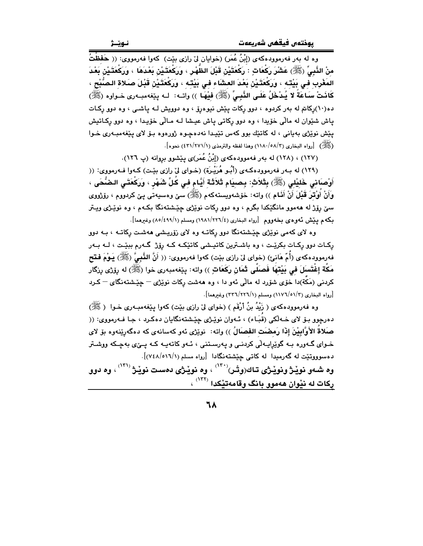وه له بهر فهرموودهکهي (إِبْنُ عُمَرٍ) (خوايان ليٌ رازي بيّت) کهوا فهرمووي: (( حَفظْتُ مِنْ الذَّبِيِّ (ﷺ) عَشْرَ رَكْعَاتٍ : رَكْعَتَيْنِ قَبْلَ الظَّهْرِ ، وَرَكْعَتَيْنِ بَعْدَهَا ، وَرَكْعَتَيْن بَعْدَ المَغْرب في بَيْته ، وَرَكْعَتَيْنْ بَعْدَ العشَاء في بَيْته ، وَرَكْعَتَيْنْ قَبْلَ صَلاة الصُّبْح ، كَانَتْ سَاعَةً لا يُدْخَلُ عَلَى النَّبِيِّ (ﷺ) فِيهَا )) واتـه: لـه پێفهمبـهرى خـواوه (ﷺ) ده(۱۰)رکاتم له بهر کردوه ، دوو رکات یێش نیوهرۆ ، وه دوویش لـه یاشـی ، وه دوو رکـات ياش شێوان له مالّي خۆيدا ، وه دوو رکاتي ياش عيشا لـه مـالّي خۆيـدا ، وه دوو رکـاتيش يێش نوێژی بهيانی ، له کاتێك بوو کهس تێيدا نهدهچوه ژورهوه بـۆ لای يێغهمبـهری خـوا (ﷺ) [رواه البخاري (٥٨/٣-١١٨٠) وهذا لفظه والترمذي (١/٢٧١/٢٤) نحوه].

(١٢٧) ، (١٢٨) له بهر فهموودهكهى (إِبْنُ عُمَر)ى پِيْشوو بِرِوانه (پ ١٢٦).

(۱۲۹) له بـهر فهرموودهكـهي (أَبُـو هُرَيْـرَة) (خـواي ليّ رازي بيّـت) كـهوا فـهرمووي: (( أَوْصَاني خَلِيْلي (ﷺ) بِتَلاَثِ: بِصِيَام تَلاَثَة أَيَّام في كُلِّ شَهْرٍ ، وَرَكْعَتَي الضُّحَى ، وَأَنْ أُوْتِرَ قَبْلَ أَنْ أَنَام )) واته: خۆشەوپستەكەم (ﷺ) سى وەسىيەتى يى كردووم ، رۆژووى سيّ رۆژ له ههموو مانگێکدا بگرم ، وه دوو رکات نوێژي چێشتهنگا بکـهم ، وه نوێـژي ويـتر بكه م يَيْش ئەوەي بخەووم [رواه البخارى (١٩٨١/٢٢٦/٤) ومسلم (٥/٤٩٩/١) وغيرهما].

وه لای کهمی نویزی چیشتهنگا دوو رکاتـه وه لای زوّریـشی ههشـت رکاتـه ، بـه دوو رکـات دوو رکـات بکرێـت ، وه باشـترین کاتیـِشی کاتێکـه کـه رۆژ گـهرم بېێـت ، لـه بـهر فه رمووده كه ي (أُمّ هَانميَّ) (خواي ليّ رازي بيّت) كه وا فه رمووي: (( أَنَّ النَّبِيَّ (ﷺ) يَـوْمَ فتتح مَكَّة إغْتَسلَ فى بَيْتهَا فَصلَّى ثَمَان رَكَعَاتٍ )) واته: بِيੱفهمبهرى خوا (ﷺ) له رِوّزى رِزگار .<br>کردنی (مَکَّة)دا خوّی شوّرد له مالّی ئهو دا › وه ههشت رکات نوی٘ژی <sup>—</sup> حِیّشتهنگای <sup>—</sup> کـرد [رواه البخاري (٢/٥١/٣٦) ومسلم (٢/٢٢٦) (٣٣٦/٢٢٦) وغيرهما].

وه فهرموودهکهي ( زَيْدُ بنُ أَرْقَم ) (خواي ليّ رازي بيّت) کهوا پيّغهمبـهري خـوا ( ﷺ) دهرجوو ٻـِو٘ لاي خـه لکي (قَبَـاء) ، ئـهوان نوێـِرْي جێـِشتهنگايان دهکـرد ، جـا فـهرمووي: (( صَلاةُ الأَوَّابِيْنَ إِذَا رَمضَتِ الفصَالُ )) واته: نوي٘ژي ئەو كەسانەي كە دەگەرێنەوە بۆ لاي .<br>خـوای گـهوره بـه گوێِرایـهڵی کردنـی و پهرسـتنی ، ئـهو کاتهیـه کـه یـی٘ی بهچـکه ووشـتر دهسوووتێت له گەرمىدا لە كاتى جِێشتەنگادا [رواه مسلم (١/١٦/٥/١٩٤٨)].

وه شـهو نوێـژ ونوێـژی تـاك(وتْـر)<sup>(۱۳۰)</sup> ، وه نوێـژی دهسـت نوێـژ <sup>(۱۳۱)</sup> ، وه دوو رکات له نیوان ههموو بانگ وقامهتیکدا <sup>(۱۳۲</sup>) ،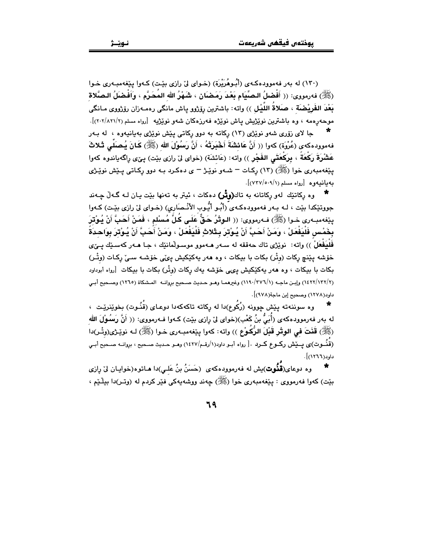(۱۳۰) له بهر فهموودهکهی (أَبُوهُرَيْرَة) (خـوای لِیّ رازی بِیّت) کـهوا پیّغهمبـهری خـوا (ﷺ) فەرمووي: (( أَفْضلُ الصِّيَام بَعْدَ رَمَضَان ، شَهْرُ الله المُحَرَّم ، وَإَفْضَلُ الصَّلاة بَعْدَ الفَرِيْضَة ، صَلاةُ اللَّيْل )) واته: باشترين رۆژوو ياش مانگي رەمـەزان رۆژووي مـانگي موحهرهمه ، وه باشترین نویزیش یاش نویژه فهرزهکان شهو نویزیه [رواه مسلم (۲/۲۰۲/۸۲۱/۲)].

جا لای زۆری شەو نوێژی (۱۳) رکاته به دوو رکاتی پێش نوێژی بەيانيەوە ، له ب4ر فهموودهكهى (عُرْوَة) كهوا (( أَنَّ عَائشَةَ أَخْبَرَتْهُ ، أَنَّ رَسُوْلَ الله (ﷺ) كَمَانَ يُـصَلِّـى ثَـلاثَ عَشْرَةَ رَكْعَةً ، بِرَكْعَتَى الفَجْرِ )) واته: (عَائشَة) (خواي ليّ رازي بيّت) يـيّ، راگه ياندوه كهوا یٽِغەمبەری خوا (ﷺ) (١٣) رکـات – شــەو نوێـِژ – ی دەکـرد بـه دوو رکـاتی پـێش نوێـژی مەمانىيەۋە [روام مسلم (٧٣٧/٥٠٩/١)].

وه رکاتێك لهو ركاتانه به تاك(وثْر) دهكات ، ئيتر به تهنها بێت پـان لـه گـهڵ چـهند جووتێکدا بێت ، لـه بـهر فهموودهکـهىَ رأبُـو أيُّـوب الأنْـصَارى) (خـواى ليِّ رازى بێـت) کـهوا ينِغهمبـهري خـوا (ﷺ) فـهرمووي: (( الـوِتْرُ حَـقٌّ عَلَـى كُلِّ مُسْلم ، فَمَنْ أَحَبَّ أَنْ يُـوْتَرَ بِخَمْس فَلْيَفْعَلْ ، وَمَنْ أَحَبَّ أَنْ يُوْترَ بِثَلاثِ فَلْيَفْعَلْ ، وَمَنْ أَحَبَّ أَنْ يُوْترَ بِوَاحدَةً فَلْيَفْعَلْ َ)) واته: نوێژي تاك حەققە لە سـەر ھـەموو موسـولْمانێك ، جـا ھـەر كەسـێك يـێي خۆشه بِيْنچ ركات (وتْر) بكات با بيكات ، وه هەر يەكێكيش يىِّي خۆشـە سـيِّ ركـات (وتْـر) بکات با بیکات ، وه هەر پەکێکیش یىپى خۆشە پەك ركات (وتْر) بكات با بیكات [رواه أبوداود (١٤٢٢/١٣٢/٢) وإبـن ماجـه (١١٩٠/٣٧٦/١) وغيرهمـا وهـو حـديث صـحيح بروانـه المـشكاة (١٢٦٥) وصـحيح أبـي داود(۱۲۷۸) وصحح اِبن ماحة(۹۷۸)].

وه سوننهته پێش چوونه (رُكُوع)دا له ركاته تاكهكهدا دوعـاى (قُنُـوت) بخوێنرێـت ، له بهر فهرموودهکهی (أُبَيُّ بنُ کَعْبِ)(خوای لِیّ رازی بیّت) کـهوا فـهرمووی: (( أَنَّ رَسُوْلَ الله (ﷺ) قَنَتَ في الوِثْرِ قَبْلَ الرُّكُوْعِ )) واته: كهوا بِيٚفهمبـهرى خـوا (ﷺ) لـه نويٚـزَى(وتْـر)دا ً (قُنُموت)ي يـــيّش ركــوع كــرد .[ رواه أبـو داود(١/رقـم/١٤٢٧) وهـو حـديث صـحيح ، بروانــه صـحيح أبـي داود(١٢٦٦)].

وه دوعای(**قَنُوت**)یش له فهرموودهکهی (حَسَنُ بنُ عَلـی)دا هـاتوه(خوابـان ليّ رازی بيّت) کەوا فەرمووى : بيێغەمبەرى خوا (ﷺ) چەند ووشەپەکى فێر کردم لە (وتـر)دا بيلْـێم ،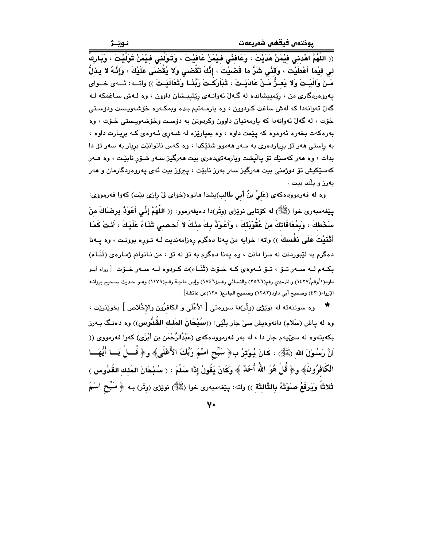(( اللَّهُمَّ اهْدنى فيْمَنْ هَدَيْتَ ، وَعَافِنْي فيْمَنْ عَافَيْتَ ، وَتَوَلَّني فيْمَنْ تَوَلَّيْتَ ، وَيَارِكْ لى فيْمَا أَعْطَيْتَ ، وَقَنْى شَرَّ مَا قَضَيْتَ ، إِنَّكَ تَقْضـى وَلا يُقْضَى عَلَيْكَ ، وَإِنَّهُ لا يَذَلُّ مَـنْ وَالَيْـتَ وَلا يَعـزُّ مَـنْ عَادَيْـتَ ، تَبَاَرَكْـتَ رَبَّنَـا وَتَعَالَيْـتَ )) واتــه: ئــهى خــواى پەروەردگارى من ، رێمييشاندە لە گەلٌ ئەوانىەي رێتييىشان داوون ، وە لـەش سـاغمكە لـە گەلّ ئەوانەدا كە لەش ساغت كىردوون ، وە يارمـەتيم بـدە ويمكـەرە خۆشەويـست ودۆسـتى خۆت ، له گەلْ ئەوانەدا كە پارمەتيان داوون وكردوتن بە دۆست وخۆشەوپپستى خـۆت ، وە بهرهکهت بخهره ئهوهوه که پێمت داوه ، وه بمپارێزه له شـهري ئـهوهي کـه بريـارت داوه ، به راستی ههر تۆ بریاردهری به سهر ههموو شتێکدا ، وه کهس ناتوانێت بریار به سهر تۆ دا بدات ، وه هەر كەسىيك تۆ يالىشت ويارمەتىدەرى بيت ھەرگىز سـەر شـۆر نابيّـت ، وە ھـەر کەسێکیش تۆ دوژمنی بیت ھەرگیز سەر بەرز نابێت ، پیرۆز بیت ئەی پەروەردگارمان و ھەر مەرز و بلكد بيت .

وه له فهرموودهكهى (عَليُ بنُ أَبي طَالب)يشدا هاتوه(خواى لىْ رِازى بيْت) كهوا فهرمووى: پێغەمبەرى خوا (ﷺ) لە كۆتايى نوێژى (وتْر)دا دەيفەرموو: (( اللَّهُمَّ إِنِّى أَعُوْذُ بِرضَاكَ منْ سَخَطكَ ، وَبِمُعَافَاتِكَ منْ عُقُوبَتِكَ ، وَأَعُوْذُ بِكَ مِنْكَ لا أَحْصِبِي ثَنَاءً عَلَيْكَ ، أَنْتَ كَمَا أَتْنَيْتَ عَلَى نَفْسكَ )) واته: خوايه من پهنا دهگرم رِهزامهنديت لـه تـورِه بوونـت ، وه پـهنا دهگرم به لێبوردنت له سزا دانت ، وه یهنا دهگرم به تۆ له تۆ ، من نـاتوانم ژمـارهى (ثَنَـاء) بِکـهم لـه سـهر تــوٚ ، تــوّ ئـهوهى کـه خـوّت (ثَنَــاء)ت کـردوه لــه سـهر خـوّت [رواه أبـو داود(١/رقم/١٤٢٧) والترمذي رقم(٣٥٦٦) والنسائي رقـم(١٧٤٦) وإبـن ماجـة رقـم(١١٧٩) وهـو حـديث صـحيح بروانـه الإرواء(٤٣٠) وصحيح أبي داود(١٢٨٢) وصحيح الجامع(١٢٨٠)عن عائشة] .

وه سوننهته له نوێژی (وتْر)دا سورەتى [ الأعْلَى وَ الكَافرُون وَالإِخْلاص ] بِخوێنرێت ، وه له ڀاش (سَلام) دانهوهيش سيّ جار بلّٽي: ((سُيْحَانَ المَلك القُدُّوس)) وه دهنـگ بـهرز بکهپتهوه له سوٽيهم جار دا ، له بهر فهرموودهکهي (عَبْدُالرَّحْمَن بن أَبْرَى) کهوا فهرمووي (( أَنَّ رَسُوْلَ اللهِ (ﷺ) ، كَانَ يُوْتِرُ بِ﴿ سَبِّحِ اسْمَ رَبِّكَ الأَعْلَى﴾ و﴿ قُــلْ يَــا أَيُّهَــا الكَافِرُونَ﴾ و﴿ قُلْ هُوَ اللَّهُ أَحَدٌ ﴾ وكَانَ يَقُولُ إِذَا سَلَّمَ : ( سُبْحَانَ المَلك القُدُّوس ) ثَلاثًا وَيَرْفَعُ صَوْتَهُ بِالثَّالثَة )) واته: بِيْغهمبهرى خوا (ﷺ) نويْزْي (وتْر) بـه ﴿ سَبِّحِ اسْمَ

7.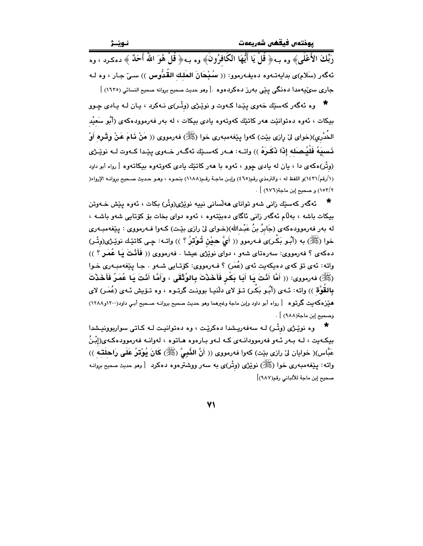رَبِّكَ الأَعْلَى﴾ وه بـه﴿ قُلْ يَا أَيُّهَا الكَافرُونَ﴾ وه بـه﴿ قُلْ هُوَ اللَّهُ أَحَدٌ ﴾ دهكـرد ، وه ئەگەر (سَلام)ى بدايەتـەوە دەيفـەرموو: (( سُيْحَانَ المَلك القُدُّوس )) سـيّ جـار ، وە لـە ۔<br>جاری سوٽيهمدا دهنگي ڀٽي بهرز دهکردهوه .[وهو حديث صحيح بروانه صحيح النسائي (١٦٣٥) ]

\* وه ئەگەر كەسێك خەوى يێدا كـەوت و نوێـژى (وتْـر)ى نـەكرد ، يـان لـە يـادى چـوو بيکات ، ئەوە دەتوانێت ھەر کاتێك كەوتەوە يادى بيكات ، لە بەر فەرموودەكەى (أَبُو سَعيْد الخُدْرِي)(خواي ليْ رازي بيّت) كەوا يـێغەمبەرى خوا (ﷺ) فەرمووى (( مَنْ فَـامَ عَـنْ وقْـرِه أَوْ نَسبِيَهُ فَلْيُصلَه إِذَا نَكَرِهُ ﴾) واتــه: هــهر كهسـێك ئهگــهر خــهوي يێـدا كــهوت لــه نوێـژي (وتْر)هکهی دا ، بان له بادی چوو ، ئهوه با ههر کاتێك بادی کهوتهوه بیکاتهوه [ رواه أبو داود (١/رقم/١٤٣١)و اللفظ له ، والترمذي رقم(٤٦٥) وإبن ماجـة رقـم(١١٨٨) بنحـوه ، وهـو حـديث صـحيح بروانـه الإرواء( ١٥٣/٢) و صحيح إبن ماجة(٩٧٦) ] .

ئەگەر كەسىيك زانى شەو تواناي ھەلسانى نىپيە نوێژى(وتْر) بكات ، ئەوە يێش خـەوتن بيکات باشه ، بهلام ئهگەر زانی ئاگای دەبێتەوە ، ئەوە دوای بخات بۆ كۆتايى شەو باشە ، له بهر فهرموودهکهی (جَابرُ بنُ عَبْدالله)(خـوای لیّ رازی بێت) کـهوا فـهرمووی : پێغهمبـهری خوا (ﷺ) به (أَبُو بَكْر)ىَ فـهرموو (( أَيَّ حيْنِ تُوْتِرُ ؟ )) واتـه: چـى كاتيْك نويْـژى(وِتْـر) دهکهی ؟ فهرمووی: سهرهتای شهو ، دوای نویژی عیشا . فهرمووی (( فَأَنْتَ يَا عُمَـرٍ ؟ )) واته: ئەي تۆ كەي دەپكەيت ئەي (عُمَر) ؟ فـەرمووي: كۆتـايى شـەو . جـا يـێغەمبـەرى خـوا (ﷺ) فەرمووى: (( أَمَّا أَنْتَ يَا أَبَا بَكْرٍ فَأَخَذْتَ بِالوُتْقَى ، وَأَمَّا أَنْتَ يَا عُمَرُ فَأَخَذْتَ بِالقُوَّة )) واته: ئـهى (أَبُـو بَكْـر) تــوّ لاى للَّنيـا بوونـت گرتـوه ، وه تـوّيش ئـهى (عُمَـر) لاى هیّزهکهیت گرتوه [رواه أبو داود وإبن ماجة وغیرهما وهو حدیث صحیح بروانـه صـحیح أبـی داود(١٢٠٠و١٢٨٨) وصحيح إبن ماجة(٩٨٨) ] .

وه نوێـژی (وتْـر) لـه سهفهریـِشدا دهکرێـت ، وه دهتوانیـت لـه کـاتی سواربوونیـِشدا بيکەيت ، لـه بـەر ئـەو فەرموودانـەى کـه لـەو بـارەوه هـاتوه ، لەوانـه فەرموودەکـەى(إِبْـنُ عَبَّاس)( خوايان لى رازى بيْت) كهوا فهرمووى (( أَنَّ النَّبِيَّ (ﷺ) كَانَ يُوْتِرُ عَلَى رَاحِلَتِهِ )) واته: پێغهمبهری خوا (ﷺ) نوێژی (وتْر)ی به سهر ووشترهوه دهکرد [وهو حدیث صحیح بروانـه صحيح إبن ماجة للألباني رقم(٩٨٧)]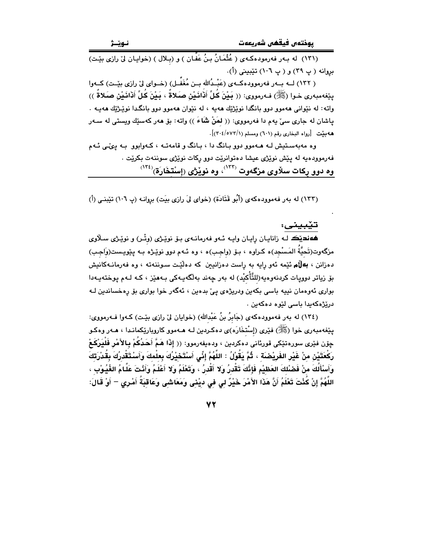(١٣١) له بهر فهرمودهكهى ( عُثْمَانُ بنُ عَفَّان ) و (بلال ) (خوايان ليِّ رازى بيِّت) بروانه (پ ٣٩) و (پ ١٠٦) تێبيني (أ).

( ١٣٢) لــه بــهر فهرموودهكــهي (عَبْـدُالله بــن مُغَفَّــل) (خــواي ليّ رازي بيّــت) كــهوا منغهميهري خوا (ﷺ) فهرمووي: (( يَبْنَ كُلِّ أَنْاَنَيْنِ صَلاةٌ ، يَبْنَ كُلِّ أَنْانَيْنِ صَلاةٌ )) واته: له نێوانی ههموو دوو بانگدا نوێژێك ههیه ، له نێوان ههموو دوو بانگدا نوێژێك ههیـه . ياشان له جاري سيِّ يهم دا فهرمووي: (( لمَنْ شَاءَ )) واته: بۆ هەر كەسێك ويستى له سـهر هه بيّت [رواه البخاري رقم (٦٠١) ومسلم (٢٠٤/٥٧٢/١)].

وه مهبهستیش لـه هـهموو دوو بـانگ دا ، بـانگ و قامهتـه ، کـهوابوو بـه یـیمّی ئـهم .<br>فهرموودهيه له پێش نوێژ*ی عی*شا دهتوانرێت دوو رکات نوێژ*ی سو*ننهت بکرێت . وه دوو رِکات سلاوی مزگەوت <sup>(۱۳۲)</sup>، وه نوێژی (إسْتخَارَة)<sup>(۱۳٤)</sup>

(١٣٣) له بهر فهموودهكهى (أَبُو قَتَادَة) (خواى ليَ رازى بيَت) بروانه (پ ١٠٦) تيّبنى (أ)

تيبينى:

ههنديڪ لـه زانايـان رايـان وايـه ئـهو فهرمانـهي بـۆ نوێـژي (وتْـر) و نوێـژي سـلاوي مزگەوت(تَحيَّةُ المَسْجِد)ه كـراوه ، بـۆ (واجـب)ه ، وه ئـهم دوو نوێـژه بـه پێویـست(وَاجـب) دەزانن ، **بەلْام ئ**ێمە ئەو رايە بە راست دەزانىيىن كە دەلێت سىوننەتە ، وە ڧەرمانـﻪكانىش بۆ زياتر دوويات كردنەوەيە(للتَّأْكيْد) لە بەر چەند بەلگەيـەكى بـەھێز ، كـە لـەم يوختەيـەدا بواری ئەوەمان نیپه باسی بکەین ودریژەی ییّ بدەین ، ئەگەر خوا بواری بۆ رەخساندین لـه دريْژەكەيدا باسى ليّوە دەكەين .

(١٣٤) له بهر فهموودهكهي (جَابِرُ بنُ عَبْدالله) (خوايان ليّ رازي بيّت) كـهوا فـهرمووي: يێغەمبەرى خوا (ﷺ) فێرى (إسْتخَارَه)ى دەكـردين لـه هــهموو كاروپارێِكمانـدا ، هــهر وەكـو ڇۆن فێرى سورەتێکى قورئانى دەكردىن ، ودەيفەرموو: (( إِذَا هَمَّ أَحَدُكُمْ **بِالأَمْرِ فَلْيَرْكَعْ** رَكْعَتَيْنِ منْ غَيْرِ الفَرِيْصْنَة ، ثُمَّ يَقُوْلُ : اللَّهُمَّ إِنِّي أَسْتَحْيْرُكَ بِعلْمكَ وَأَسْتَقْدرُكَ بِقُدْرَتكَ وَأَسْأَلُكَ منْ فَصْلُكَ العَظيْمِ فَإِنَّكَ تَقْدِرُ وَلا أَقْدِرُ ، وَتَعْلَمُ وَلا أَعْلَمُ وَأَنْتَ عَلَّامُ الغُيُوْبِ ، اللَّهُمَّ إِنْ كُنْتَ تَعْلَمُ أَنَّ هَذَا الأَمْرَ خَيْرٌ لي في ديْني وَمَعَاشَى وَعَاقبَةَ أَمْرِي – أَوْ قَالَ: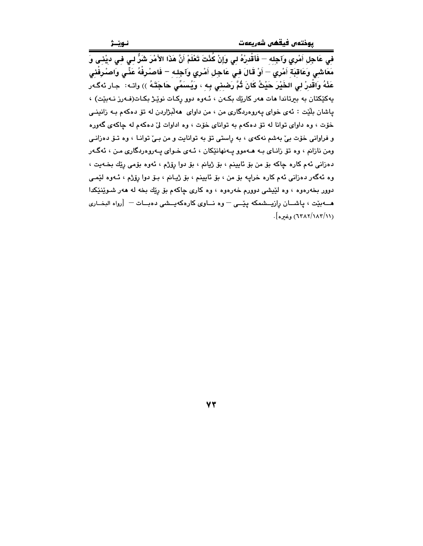.<br>فِي عَاجِلِ أَمْرِي وَآجِلِهِ – فَأقْدِرْهُ لِي وَإِنْ كُنْتَ تَعْلَمْ أَنَّ هَذَا الأَمْرَ شَرٌّ لِي فِي ديْنِي وَ مَعَاشِي وَعَاقِبَةِ أَمْرِي – أَوْ قَالَ فِي عَاجِلِ أَمْرِي وَآجِلِهِ – فَاصْرِفْهُ عَنِّي وَاصْرِفْنِي عَذْهُ وَاقْدِرْ لِي الخَيْرَ حَيْثُ كَانَ ثُمَّ رَضبِنِي بِهِ ، وَيُسَمِّي حَاجَتَهُ )) واتـه: جـار ئهگـهر يەكێكتان بە بېرتاندا ھات ھەر كارێك بكەن ، ئـەوە دوو ركـات نوێـژ بكـات(فـەرز نـەبێت) ، پاشان بلَيْت : ئەي خواي پەروەردگارى من ، من داواي هەلْبژاردن لە تۆ دەكەم بـە زانينـي خۆت ، وه داواى توانا له تۆ دەكەم بە تواناى خۆت ، وه اداوات لى دەكەم لە چاكەي گەورە و فراوانی خوّت بیّ بهشم نهکهی ، به راستی توّ به توانایت و من بـیّ توانـا ، وه تـوّ دهزانـی ومن نازانم ، وه تق زانـاي بـه هــهموو پــهنهانێکان ، ئـهي خــواي پــهروهردگاري مـن ، ئهگـهر دهزاني ئهم کاره چاکه بۆ من بۆ ئايينم ، بۆ ژيانم ، بۆ دوا رۆژم ، ئەوه بۆمى رێك بخـهيت ، وه ئهگەر دەزانى ئەم كارە خراپە بۆ من ، بۆ ئايينم ، بۆ ژيانم ، بـۆ دوا رِۆژم ، ئــەوە لَيْمـى دوور بخهرهوه ، وه لێیشی دوورم خهرهوه ، وه کاری چاکهم بۆ رێك بخه له ههر شـوێنێکدا هـــهبيّت ، ياشـــان رازيـــشمكه ييّـــى – وه نـــاوى كارهكهيــشى دهبــات – [رواه البخــارى (٦٣٨٢/١٨٢/١١) وغيره].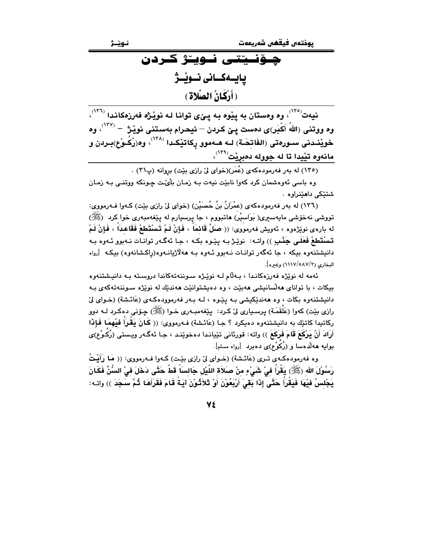يىۆنىيتتى نىويىژ كىردن بايــەكــانى نــوێــژ (أَرْكَانُ الصَّلاةِ)

نیهت<sup>(۱۲۰</sup>)، وه وهستان به ییّوه بـه یــهّی توانـا لـه نویّـژه فهرزهکانـدا <sup>(۱۲۱</sup>)، وه ووتني (اللهُ أَكْبَر)ي دهست ييّ كردن – ئيحرام بهستني نويْـِرْ: – <sup>(١٢٧)</sup>، وه خويْنـدنى سـورەتى (الفَاتِحَـة) لــه هــهموو رِكاتيْكـدا <sup>(۱۳۸)</sup>، وە(رُكُـوْع)بـردن و مانەوه تێيدا تا له جووله دەبرێت<sup>(۱۳۹</sup>ْ)،

(١٣٥) له بهر فهرمودهکهي (عُمَر)(خواي ليّ رازي بيّت) بروانه (پ٣١) .

وه باسي ئەوەشمان كرد كەوا نابيّت نيەت بـه زمـان بِلْهُٽ چـونكه ووتنـي بـه زمـان شتٽکي داهٽنراوه .

(١٣٦) له بهر فهرمودهكهي (عِمْرَانُ بنُ حُصَيْنِ) (خواي ليْ رازي بيّت) كـهوا فـهرمووي: تووشی نهخوشی مایهسیری( بَوَاسیْر) هاتبووم ، جا پرسیارم له پیْغهمبهری خوا کرد (ﷺ) له باره $\mathbf s$  نوێژهوه ، ئەويش فەرمووى: (( صَلِّ قَائمَاً ، فَإِنْ لَمْ تَسْتَطِعْ فَقَاعدَاً ، فَإِنْ لَمْ تَسْتَطِعْ فَعَلَى جَنّْبِ )) واتــه: نوێـِرْ بــه پێـوه بکـه ، جـا ئهگـهر توانــات نــهبوو ئــهوه بــه دانيشتنەوه بيكه ، جا ئەگەر توانـات نــەبوو ئــەوه بــە ھەلاژيانــەوە(راكـشانـەوە) بيكــە [رواه البخاري (٨٧/٥٨٧/٢) وغيره].

ئەمە لە نوێژە فەرزەكانىدا ، بـﻪڵام لـﻪ نوێـژە سـوننەتەكاندا دروسىتە بـﻪ دانيـشتنەوە بیکات ، با توانای هەلسانیشی هەبیّت ، وه دەپشتوانیّت هەندیّك له نویّژه سـوننـهتـهکهی بـه دانیشتنهوه بکات ، وه ههندێکیشی بـه یێوه ، لـه بـهر فهرموودهکـهی (عَائـشة) (خـوای ليّ رازي بيّت) کهوا (عَلَقَمَـة) پرسـڀاري ليّ کـرد: پـێغهمبـهري خـوا (ﷺ) چـۆنى دەکـرد لـه دوو ركاتيدا كاتێك به دانيشتنەوه دەيكرد ؟ جـا (عَائـشة) فـەرمووى: (( كَـانَ يَقْـرَأَ فَيْهِمَا فَـإِذَا أَرَادَ أَنْ يَرْكَعَ قَامَ فَرَكَعَ )) واته: قورئانی تێیانـدا دهخوێنـد ، جـا ئهگـهر ویـِستی (رُكُـوْع)ی بوايه هەلدەسا و (رُكوْع)ى دەبرد [رواه مسلم].

وه فەرمودەكـەي تـرى (عَائـشة) (خـواي ليّ رازي بێـت) كـەوا فـەرمووي: (( مَـا رَأَيْـتُ رَسُوْلَ الله (ﷺ) يَقْرَأُ في شَيْءٍ منْ صَلاَة اللَّيْل جَالسَاً قَطَّ حَتَّى دَخَلَ فيْ السُّنِّ فَكَانَ بَجْلسُ فِيْهَا فَيَقْرَأُ حَتَّى إِذَا بَقِيَ أَرْبَعُوْنَ أَوْ ثَلاَثُوْنَ آيَةً قَامَ فَقَرَأَهَا ثُمَّ سَجَدَ )) واتـه:

Vź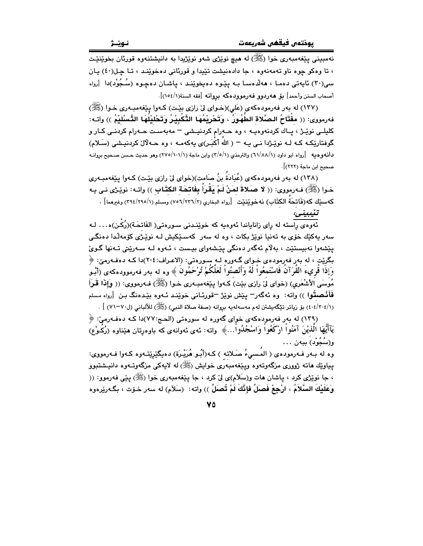نهمبيني پيغهمبهري خوا (ﷺ) له هيچ نوێژي شهو نوێژيدا به دانيشتنهوه قورئان بخوێنێت ، تا وهکو چوه ناو تهمهنهوه ، جا دادهنیشت تێیدا و قورئانی دهخوێنـد ، تـا چـل(٤٠) پـان سی(٣٠) نایەتی دەما ، ھەلدەسا بـه یێوە دەیخوێند ، یاشان دەچوە (سُـجُوْد)دا [رواه 

(١٣٧) له بهر فهرمودهکهي (عَلي)(خـواي ليّ رازي بێت) کـهوا پێغهمبـهري خـوا (ﷺ) فەرمورى: (( مفْتَاحُ الـصَّلاة الطّهُورُ ، وتَحْرِيْمُهَا التَّكْبِيْرُ وَتَحْليْلُهَا التَّسْلَيْمُ )) واتـه: کلیلـی نوێـِژ ، پـاك كردنهوهیـه ، وه حـهرام كردنیـشی – مهبهسـت حـهرام كردنـی كـار و گوفتارێِکـه کـه لـه نوێـِژدا نـی یـه – ( اللهَ أَکْبَـر)ی یهکهمـه ، وه حـهلآلٰ کردنیـشی (سَـلام) دانهوهيه [رواه ابو داود (١/٨٨/١) والترمذي (٢/٥/١) وابن ماجة (١/١٠١/١) وهو حديث حسن صحيح بروانـه صحيح ابن ماجة (٢٢٢)].

(١٣٨) له بهر فهرمودهكهي (عُبَادَةَ بنُ صَامت)(خواي ليّ رازي بيّت) كـهوا ييّغهمبـهري خـوا (ﷺ) فـﻪرمووى: (( لا صـَلاةَ لمَنْ لَمْ يَقْرَأُ بِفَاتـْحَـة الكتّاب )) واتـﻪ: نويٚـْرَى نـى يـه كهسێك كه(فَاتحَةُ الكتَابِ) نهخوێِنێت [رواه البخاري (٧/٢٦/٢٥) ومسلم (٢/٢٩٤/٢٩٥) وغيرهما].

#### تنيبينى:

.<br>ئەوەي راستە لە راي زاناياندا ئەوەبە كە خوينىدنى سـورەتى( الفَاتحَـة)(رُكْـن)ە... لـە سەر يەكێك خۆى بە تەنيا نوێژ بكات ، وە لە سەر كەسـێكيش لــە نوێـژى كۆمەڵدا دەنگـى يێشەوا نەبيستێت ، بەلاّم ئەگەر دەنگى يێشەواي بيىست ، ئـەوە لـە سـەرێتى تـەنھا گـوێ بگريّت ، له بهر فهرموده ي خـواي گـهوره لـه سـورهتي: (الاعـراف:٢٠٤)دا كـه دهفـهرميّ: ﴿ وَإِذَا قُرِيءَ القُرَآنُ فَاسْتَمعُواْ لَهُ وَأَنْصِتُواْ لَعَلَّكُمْ تُرْحَمُونَ ﴾ وه له بهر فهرموودهكهى (أبُـو مُوسَى الأَشْعَري) (خواى ليٌ رازى بيّت) كـهوا يـيّغهمبـهرى خـوا (ﷺ) فـهرمووى: (( وَإِذَا قَمْرَأَ فَأَفْصِقُوا )) واته: وه ئەگەر<sup>—</sup> يێش نوێژ <sup>—</sup>قورئـانى خوێنـد ئـهوه بێـدەنگ بـن [رواه مـسلم (٤٠٤/٣٠٤/١) بِنِ زِياتِرِ تِيْكَهِيشِتْنِ لهِم مهسهِلهِيهِ بِرِوانِهِ (صفةِ صلاةِ النبي) (ﷺ) للألباني (ل٧٠–٧١) ] .

(۱۳۹) له بهر فهرمودهکهی خوای گهوره له سورهتی (الحج:۷۷)دا کـه دهفـهرمیّ: ﴿ يَآأَيُّهَا الَّذِيْنَ آمَنُواْ ارْكَعُواْ وَاسْجُدُواْ…﴾ واته: ئەي ئەوانەي كە باوەرتان ھێناوە (رُكَـوْع) و(سُجُوْد) ببەن . . .

وه له بـهر فـهرمودهى ( المُـسيءُ صَـلاته ) كـه(أَبُـو هُرَيْـرَة) دهيگێرێِتـهوه كـهوا فـهرمووى: يپاوێك هاته ژوورى مزگەوتەوە ويێغەمبەرى خوايش (ﷺ) له لايەكى مزگەوتـەوە دانىيشتبوو ، جا نوێژي کرد ، پاشان هات و(سَلَام)ي ليٰ کرد ، جا پێغهمبهري خوا (ﷺ) پێي فهرموو: (( وَعَلَيْكَ السَّلاَمُ ، ارْجِعْ فَصلِّ فإِنَّكَ لَمْ تُصلِّ )) واته: (سَلاَم) له سهر خـوّت ، بگـهرێرهوه

**VO**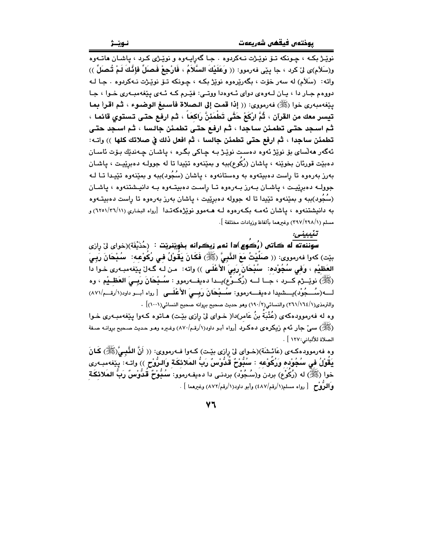نـوێـژ

نويز بکه ، چونکه تـوّ نويّـژت نـهکردوه . جـا گهرايـهوه و نويّـژی کـرد ، ياشـان هاتـهوه و(سَلاَم)ى لِنّ كرد ، جا يێي فەرموو: (( وَعَلَيْكَ السَّلاَمُ ، فَارْجِعْ فَصَلِّ فَإِذَّكَ لَمْ تُصَلِّ )) واته: (سَلَام) له سهر خوّت ، بگهرێرهوه نوێژ بکـه ، چـونکه تــوّ نوێـژت نـهکردوه . جـا لـه دووهم جار دا ، پان لــهوهي دواي ئــهوهدا ووتــي: فێـرم كــه ئــهي پێغهمبـهري خـوا ، جـا بِيّفهمبهري خوا (ﷺ) فهرموري: (( إذا قمت إلى الـصلاة فأسبغ الوضـوء ، ثم اقـرأ بما تيسر معك من القرآن ، ثُمَّ ارْكَعْ حَتَّى تَطْمَئنَّ رَاكعَا َ ، ثم ارفع حتى تستوى قائما ، ثم اسـجد حتـي تطمئن سـاجدا ، ثـم ارفـع حتـي تطمئن جالـسا ، ثـم اسـجد حتـي تطمئن ساجدا ، ثم ارفع حتى تطمئن جالسا ، ثم افعل ذلك في صلاتك كلها )) واتــه: ئەگەر مەلساي بۆ نوێژ ئەرە دەست نوێژ بـﻪ چـﺎﮐﻲ ﺑﮕﺮﻩ ، ﭘﺎﺷﺎﻥ ﭼﻪﻧﺪێﻙ ﺑﯚﺕ ﺋﺎﺳـﺎﻥ دهبيّت قورئان بخويّنه ، پاشان (رُكُوع)ببه و بميّنهوه تيّيدا تا له جوولـه دهبريّيـت ، پاشـان بهرز بهرهوه تا راست دهبیتهوه به وهستانهوه ، پاشان (سُجُود)ببه و بمێنهوه تێیـدا تـا لـه جوولـه دەبرِيْيـت ، پاشـان بـەرز بـەرەوە تـا رِاسـت دەبیتـەوە بـه دانیـشتنەوە ، پاشـان (سُجُود)ببه و بمێنەوه تێڀدا تا له جووله دەبرێڀت ، ڀاشان بەرز بەرەوە تا راست دەبيتـﻪوە به دانیشتنهوه ، یاشان ئهمـه بکـهرهوه لـه هـهموو نویْژهکهتـدا [رواه البخاری (٢٦/١١/١١) و مسلم (٢٩٧/٢٩٨/١) وغيرهما بألفاظ وزيادات مختلفة ].

#### تئىبنى:

سوننهته له کاتس (رُکوع)دا نهم زيکرانه بخويٽنريٽ $\,:\,$ دُدُيْفَة)(خواي ليّ رازي بيّت) كهوا فهرمووى: (( صَلَيْتُ مَعَ النَّبِيُّ (ﷺ) فَكَانَ يَقُوْلُ فِي رُكُوْعِه: ۖ سُبْحَانَ رَبِيَ العَظَيْمِ ، وَفي سُجُوْده: ۖ سُبْحَانَ رَبِيَ الأَعْلَى )) واته: ۚ من لـه گـهلٌ يـيْغهمبـهري خـوا دا (ﷺ) نوێِــرْم كــرد ، جــا لـــه (رُكَــوْع)يــدا دەيفـــەرموو : سُــبْحَانَ رَبِــىَ العَظــيْم ، وه لـــه(سُـــجُوْد)يــــشيدا دهيفـــه(موو: سُـــبْحَانَ رَبِسىَ الأَعْلَـــى [رواه أبــو داود(١/رقـــم/٨٧١) والترمذي(١/١٦٤/١٦٤) والنسائي(١٩٠/٢) وهو حديث صحيح بروانه صحيح النسائي(١٠٠١)] .

وه له فهرموودهکهی (عُتْبَةُ بنُ عَامر)دا( خـوای لیّ رِازی بیّـت) هـاتوه کـهوا پیّغهمبـهری خـوا (ﷺ) سمیؒ جار نَهم زیکرەی دەکىرد [رواه أبـو داود(١/رقم/٨٧٠) وغـیره وهـو حـدیث صـحیح بږوانـه صـفة الصلاة للألباني:١٢٧ ] .

وه فەرموودەكـەي (عَائـشَة)(خـواي ليْ رازي بێـت) كـەوا فـەرمووي: (( أَنَّ النَّـْبِـيَّ(ﷺ) كَـانَ يَقُوْلُ فِي سُجُوْدِهِ وَرُكُوْعِهِ : سُبُّوْحٌ قُدُّوْسٌ رَبُّ المَلائِكَةِ وَالرُّوْحِ )) واتـه: يخفهمبـهرى خوا (ﷺ) له (زُكُوْع) بردن و(سُـجُوْد) بردنـى دا دەيفـەرموو: سُـبُوْحٌ قَدُوْسٌ رَبِّ المَلائكَـة وَاللَّوْحِ [رواه مسلم(١/رقم/٤٨٧) وأبو داود(١/رقم/٨٧٢) وغيرهما ] .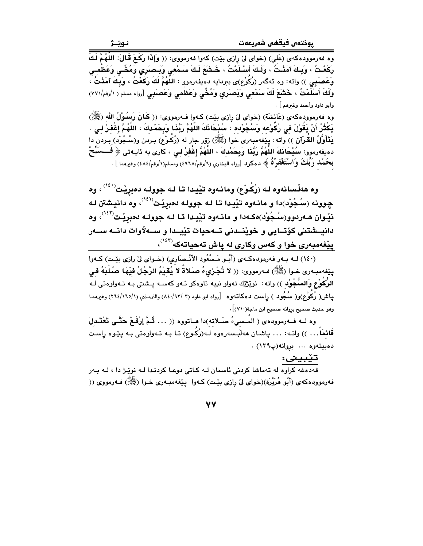وه فه رموودهکهی (عَلي) (خوای لیٌ رِازی بیّت) کهوا فه رمووی: (( وَإِذَا رَكَعَ قَالَ: اللَّهُمَّ لَكَ رَكَعْتُ ، وَبِـكَ آمَنْـتُ ، وَلَـكَ أَسْـلَمْتُ ، خَـشَعَ لَـكَ سَـمْعى وَبَـصَرَىِ وَمُخِّـى وَعَظْمـى وَعَصَبَعِي )) واته: وه ئهگەر (رُكُوْع)ى بېردايه دەيفەرموو : اللَّهُمُّ لَكَ رَكَعْتُ ، وَبِكَ آمَنْتُ ، وَلَكَ أَسْلَمْتُ ، خَشَعَ لَكَ سَمْعى وَبَصَرى وَمُخِّى وَعَظْمى وَعَصَبَى [رواه مسلم ( ١/رةم/٧٧١) وأبو داود وأحمد وغيرهم ] .

وه فەرموودەكەي (عَائشَة) (خواي ليْ رازى بيْت) كـەوا فــەرمووى: (( كَـانَ رَسُـوْلُ الله (ﷺ) يَكْثُرُ أَنْ يَقُوْلَ في رُكُوْعه وَسُجُوْده : سُبْحَاذَكَ اللَّهُمَّ رَبَّذَا وَبِحَمْدِكَ ، اللَّهُمَّ إغْفرْ لي يَتَأَوَّلُ القُرْآن ﴾) واته: يێغەمبەرى خوا (ﷺ) زۆر جار له (رُكَوْع) بـردن و(سُـجُوْد) بـردن دا دهيفهرموو: سُبْحَانَكَ اللَّهُمَّ رَبَّنَا وَبِحَمْدِكَ ، اللَّهُمَّ إِغْفَرْ لـى ، كارى به ئايـهتى ﴿ فـــسَبِّحْ بِحَمْد رَبِّكَ وَاسْتَغْفِرْهُ ﴾ دهكرد [رواه البخاري (٩/رقم/٤٩٦٨) ومسلم(١/رقم/٤٨٤) وغيرهما ] .

وه هەڵسانەوه لـه (رُكُوْع) ومانـەوه تێيدا تـا لـه جوولـه دەبرێت<sup>(۱٤۰)</sup> ، وه چوونه (سُجُوْد)دا و مانـهوه تێيدا تـا لـه جوولـه دهبرِيْت $^{\langle\Omega\rangle}$ ، وه دانيشتن لـه نێوان هـهردوو(سُـجُوْد)هکـهدا و مانـهوه تێيـدا تـا لـه جوولـه دهېږێـت<sup>(١٤٢</sup>)، وه دانيسشتني كۆتسايي و خوينسدني تسەحيات تييسدا و سسەلارات دانسە سسەر پێغهمبهری خوا و کهس وکاری له پاش تهحیاتهکه<sup>(۱٤۳)</sup>،

(١٤٠) لـه بـهر فهرمودهكـهي (أَبُـو مَـسْعُود الأَنْـصَارِي) (خـواي ليّ رازي بيّـت) كـهوا يِيّفهمبهري خـوا (ﷺ) فـهرمووي: (( لا تُجْرَىءُ صـَلاةً لا يُقَيْمُ الرَّجُلُ فَيْهَا صُلْبَهُ فـي الرُّكُوعْ وَالسُّجُوْد )) واته: نوێڗ۫ێك تەواو نييه تاوەكو ئـهو كەســه پــشتى بـه تــهواوەتى لــه ییاش( رُکُوْع)و( سُکُود ) راست دهکاتـهوه [رواه ابو داود (٣ /٩٢/ ٨٤) والترمـذي (١/١٦٥/ ٢٦٤) وغیرهمـا وهو حديث صحيح برِوانه صحيح ابن ماجة(٧١٠)] .

وه لــه فــهرموودهى ( المَــسيءُ صَــلاته)دا هــاتووه (( … شُمَّ إِرْفَـعْ حَتَّــى تَعْتَــدلَ قَائمَاً . . . )) واتـه: … پاشـان ههلبـسهرهوه لـه(رُكُـوع) تـا بـه تـهواوهتى بـه پێوه ڕاسـت دەبيتەوە ... بروانە(پ١٣٩) .

تێبينى:

۔<br>قەدەغە كراوە لە تەماشا كردنى ئاسمان لـه كـاتى دوعـا كردنـدا لـه نوێـژ دا ، لـه بـەر فه رمووده که ی (أَبُو هُرَيْرَة)(خوای ليّ رازی بێت) کـهوا ۖ بێغهمبـهری خـوا (ﷺ) فـهرمووی ((

**VV**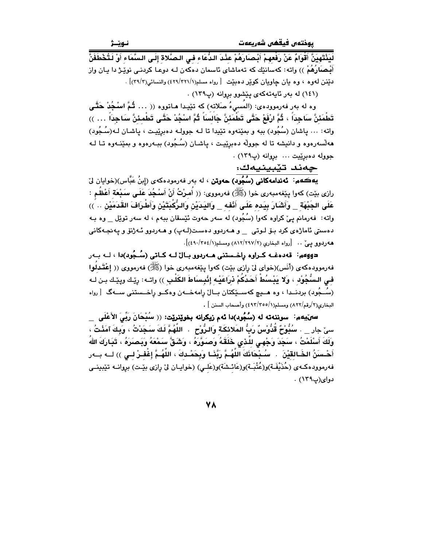يوختەں فيقھى شەريعەت

لَيَذْتَهِيَنَّ أَقْوَامٌ عَنْ رَفْعهمْ أَنْـِصَارَهُمْ عِنْـدَ الـدُّعَاء فـي الـصَّلاة إِلَـي الـسَّمَاء أَوْ لَـتُـخْطَفَنَّ أَبْـصـَارُهُمْ )) واته: كهسانێك كه تهماشاي ئاسمان دهكهن لـه دوعـا كردنـي نوێـِرْ دا يـان واز دنينن لهوه ، وه يان چاويان كويْر دهبيّت [رواه مسلم(٢٢١/٢٢١)) والنسائي(٣٩/٣)] .

(١٤١) له بهر ئايهتهكهى ييشوو بروانه (پ١٣٩) .

وه له بهر فهرموودهى: (المَسىءُ صَلاته) كه تَيْيدا هـاتووه (( … ثُمَّ اسْجُدْ حَقَّى تَطْمَئنَّ سَاجِدَاً ، ثُمَّ ارْفَعْ حَتَّى تَطْمَئنَّ جَالسَاً ثُمَّ اسْجُدْ حَتَّـى تَطْمئنَّ سَاجِدَاً … )) واته: ... ياشان (سُجُود) ببه و بمێنهوه تێيدا تا لـه جوولـه دهبرێيـت ، ياشـان لـه(سُـجُود) مهلّسهرهوه و دانیشه تا له جوولّه دهبریّیت ، پاشـان (سُـجُود) ببـهرهوه و بمیّنـهوه تـا لـه جووله دهبرييت ... بروانه (پ١٣٩) .

جەند تێبينيەك:

.<br>**بيهڪهم: ئەندامەكانى (سُبُود) حەوتن** ، له بەر فەرمودەكەي (إِبنُ عَبَّاس)(خوايان ليٌ رازى بيّت) كەوا پِيّغەمبەرى خوا (ﷺ) فەرمووى: (( أَصرْتُ أَنْ أَسْـجُدَ عَلَـى سَـبْعَة أَعْظُم : عَلَى الجَنْهَة وَأَشَارَ بِيَده عَلَى أَنْفه وَاليَدَبْنِ وَالرُّكْدَتَيْنِ وَأَطْرَافَ القَدَمَيْنِ .. )) واته: فه رمانم یئ کراوه کهوا (سُجُود) له سهر حهوت نُیٚسقان ببهم ، له سهر توێل \_ وه بـه دەستى ئاماژەي كرد بىۆ لىوتى \_\_ و ھــەردوو دەسـت(لــەپ) و ھــەردوو ئــەژنۆ و پـەنجـەكانى هه ردوو یے ٌ .. [رواه البخاری (٢/٢٩٧/٢) ومسلم(١/٤٩٠/٢٥٤)].

دووهم: قەدەغــه كـراوه رِاخـستنى هــەردوو بــالٌ لــه كــاتى (سُــجُود)دا ، لــه بــهر فەرموودەكەي (أَنَس)(خواي ليْ رازي بيْت) كەوا يێغەمبەرى خوا (ﷺ) فەرمووى (( إعْتَدِلُوا فـى الـسُّجُوْد ، وَلا يَبْسُطْ أَحَدُكُمْ نْرَاعَيْه إِنْبِسَاطَ الكَلْبِ )) واتـه: رِيّـك ويِيّـك بـن لـه (سُـجُود) بردنــدا ، وه هــيچ كهســێكتان بــالٌ رامهخــهن وهكــو راخــستنى ســهگ [رواه البخاري(٢/رقم/٨٢٢) ومسلم(٢٥٥//٣٥٥) وأصحاب السنن ] .

سهنيهم: سوننەته له (سُجُود)دا ئەم زيكرانه بخوێنرێت: (( سُبْحَانَ رَبِّيَ الأَعْلَى \_ سيّ جار \_\_ . سُنُوْحٌ قُدُّوْسٌ رَبُّ المَلائكَة وَالرُّوْحِ\_. اللَّهُمَّ لَكَ سَجَدْتُ ، وَبِكَ آمَذْتُ ، وَلَكَ أَسْلَمْتُ ، سَجَدَ وَجْهـى للَّذى خَلَقَهُ وَصَدَوَّرَهُ ، وَشَقَّ سَمْعَهُ وَيَصنَرَهُ ، تَبَارَكَ اللهُ أَهْـسَنُ الخَـالقيْنَ . سُـدْحَانَكَ اللَّهُـمَّ رَبَّنَـا وَبِحَمْـدكَ ، اللَّهُـمَّ إغْفـرْ لــى )) لــه بــهر فەرموودەكـەي (حُذَيْفَـة)و(عُتْبَـة)و(عَائـشَة)و(عَلـي) (خوايـان لىْ رِازى بيْـت) بروانــه تێبينــي دوای(پ۱۳۹) .

**VA**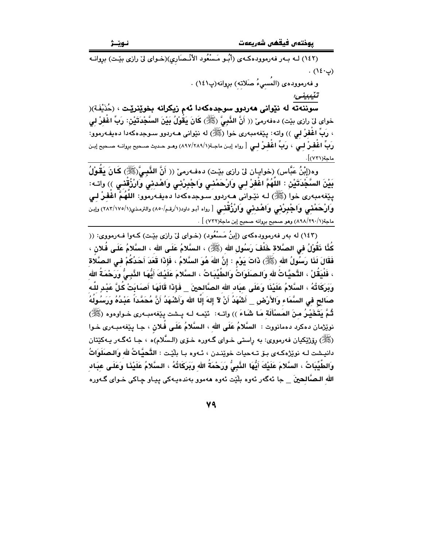(١٤٢) لـه بـهر فهرموودهكـهى (أبُـو مَـسْعُود الأنْـصَارى)(خـواى ليّ رازى بيّـت) بروانـه  $(12 \cdot 3)$ .

و فەرموودەي (المُسىءُ صَلاتە) بروانە(پ١٤١) .

سوننهته له نێوانی ههردوو سوجدهکهدا ئهم زیکرانه بخوێنرێت ، (خُذَيْفَة)( خواي لِنَ رازي بيّت) دەفەرمى (( أَنَّ الذَّبِيُّ (ﷺ) كَانَ يَقُولُ بَيْنَ السَّجْدَتَيْنِ: رَبِّ اغْفرْ لى ، رَبِّ اغْفِرْ لي )) واته: پێغەمبەرى خوا (ﷺ) له نێوانى ھـەردوو سـوجدەكەدا دەيفـەرموو: رَبِّ اغْفِرْ لِي ، رَبِّ اغْفِرْ لِي [ رواه إبـن ماجـة(١/٢٨٩/١٨٩) وهـو حـديث صـحيح بروانـه صـحيح إبـن ماجة(٧٣١)].

وه(إِبْنُ عَبَّاس) (خوابيان لِيّ رازِي بِيْت) دهفـهرميّ (( أَنَّ النَّسِيَّ(ﷺ) كَـانَ بَقُولُ بَيْنَ السَّجْدَتَيْن : اللَّهُمَّ اغْفَرْ لـى وَارْحَمْنـَى وَاجْبِرْنـَى وَاهْدنى وَارْزُقْنـَى )) واتـه: يێغەمبەرى خوا (ﷺ) لـه نێـوانى ھـەردوو سـوجدەكەدا دەيفـەرموو: اللَّهُمَّ اغْفَرْ لـى وَ**ارْحَمْنْی وَاجْبِرْنْی وَاهْدنی وَارْزُقْنْی** [رواه أبو داود(۱/رقم/۵۰۰) والترمذی(۱/۰۵/۱/۲۸۲) وإبن ماجة(١/٢٩٠/ ٨٩٨) وهو صحيح بروانه صحيح إبن ماجة(٧٣٢) ] .

(١٤٣) له بهر فهرموودهکهي (إبنُ مَسْعُود) (خـواي ليّ رازي بيّـت) کـهوا فـهرمووي: (( كُذَّا ذَقُولُ فِي الصَّلاةِ خَلْفَ رَسُول الله (ﷺ) ، السَّلامُ عَلَى الله ، السَّلامُ عَلَى فُلان ، فَقَالَ لَذَا رَسُولُ الله (ﷺ) ذَاتَ يَوْم : إِنَّ اللهَ هُوَ السَّلامُ ، فَإِذَا قَعَدَ أَحَدُكُمْ في الـصَّلاة ، فَلْيَقُلْ ، التَّحيَّاتُ لله وَالـصلَوَاتُ وَالطَّيِّبَاتُ ، الـسَّلامَ عَلَيْكَ أَيُّهَا النَّبِـىُّ وَرَحْمَةُ الله وَبَرِكَاتُهُ ، السَّلامُ عَلَيْنَا وَعَلَى عبَاد الله الصَّالحينَ \_ فَإِذَا قَالَهَا أَصَابَتْ كُلَّ عَبْدِ للّه صَالِحٍ فِي السَّمَاءِ وَالأَرْضِ \_ أَشْهَدُ أَنْ لآ إِلهَ إِلَّا الله وَأَشْهَدُ أَنَّ مُحَمَّدَاً عَبْدُهُ وَرَسُولُهُ ثُمَّ يَتَخَيْرُ منَ المَسْأَلَة مَا شَاءَ )) واتـه: ۚ ئيْمـه لـه بِـشت بِيْغهمبـهرى خـواوهوه (ﷺ) نوێڗ۬مان دەكرد دەمانووت : السَّلامُ عَلَى الله ، السَّلامُ عَلَى فَلان ، جـا پێغەمبـەرى خـوا (ﷺ) رِيَوْژَيْكيان فەرمووى: بە راستى خـواي گـەورە خـۆي (الـسَّلام)ە ، جـا ئەگـەر يـەكێتان دانيشت لـه نوێژهكـهى بـۆ تـهحيات خوێنـدن ، ئـهوه بـا بلێـت : التَّحيَّـاتُ لله وَالـصلَوَاتُ وَالطَّيِّبَاتُ ، السَّلامَ عَلَيْكَ أَيُّهَا النَّبِيُّ وَرَحْمَةُ الله وَبَرَكَاتُهُ ، السَّلامُ عَلَيْنَا وَعَلَى عِبَاد الله البصَّالحينَ \_ جا ئهگەر ئەوە بِلَّيْت ئەوە ھەموو بەندەپبەكى پپـاو چـاكى خـواي گـەورە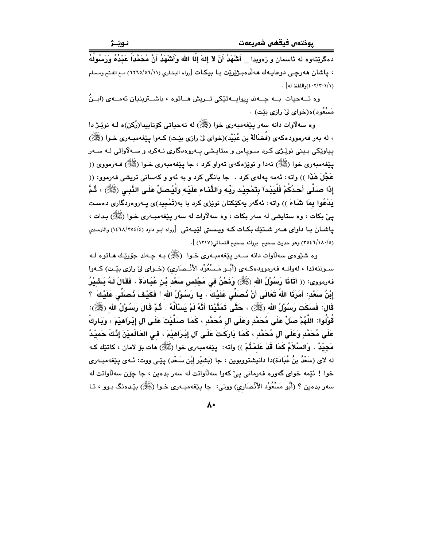دهگرێتهوه له ئاسمان و زەويدا \_ أَشْهَدُ أَنْ لاَ إِلهَ إِلَّا الله وَأَشْهَدُ أَنَّ مُحَمَّدَاً عَدْدُهُ وَرَسُولُهُ ، ياشان هەرچى دوعايـهك هەللّاهبـژێرێت بـا بيكـات [رواه البخاري (٦/١١ه/٥٦/١١) مـع الفـتح ومسلم (٤٠٢/٣٠١/١)واللفظ له] .

وه تــهحیات بــه چــهند ریوایــهتێکی تــریش هــاتوه ، باشــترینیان ئهمــهی (ابــنُ مَسْعُود)ه(خوای ليٌ رازي بنيت) .

وه سه لاوات دانه سهر پێغهمبهري خوا (ﷺ) له تهحیاتي کۆتاپیدا(رُکن)ه لـه نوێـژ دا ، له بهر فهرموودهکهي (فُضَالَةً بن عُبَيْد)(خواي ليّ رازي بيّت) کـهوا پيّغهمبـهري خـوا (ﷺ) پیاوێکی بـینی نوێـژی کـرد سـویاس و ستایـشی پـهروهدگاری نـهکرد و سـهلاّواتی لـه سـهر يێغەمبەرى خوا (ﷺ) نەدا و نوێژەكەي تەواو كرد ، جا يێغەمبەرى خـوا (ﷺ) فـەرمووى (( عَجَّلَ هَذَا )) واته: ئەمە يەلەي كرد . جا بانگى كرد و بە ئەو و كەسانى تريشى فەرموو: (( إِذَا صَبَلَّى أَحَدُكُمْ فَلْيَبْدَأ بِتَمْجِيْد رَبِّه وَالثَّذَاء عَلَيْه وَلْيُصَلِّ عَلَى الذَّبي (ﷺ) ، ثُمَّ یَدْعُوا بِمَا شَاءَ )) واته: ئەگەر پەکێکتان نوێژی کرد با بە(تَمْجِید)ی پـەروەردگاری دەسـت یے٬ بکات ، وه ستایشی له سهر بکات ، وه سهلاوات له سهر پیّغهمبـهری خـوا (ﷺ) بـدات ، یاشان با داوای هــهر شـتـێك بكـات كــه ویــسىتى لێیــهتـى [رواه ابـو داود (٤/١٤٦٨/٢٥٤) والترمـذى (٢٥٤٦/١٨٠/٥) وهو حديث صحيح بروانه صحيح النسائي(١٢١٧) ].

وه شێوهي سهڵاوات دانه سـهر پێغهمبـهري خـوا (ﷺ) بـه چـهند جۆرێـك هـاتوه لـه سـوننهتدا ، لهوانــه فهرموودهكــهى (أُبُــو مَــسْعُوْد الأنْــصَاري) (خــواي ليّ رازي بيّـت) كــهوا فەرمورى: (( أَتَانَا رَسُوْلُ الله (ﷺ) وَنَحْنُ في مَجْلس سَعْد بْنْ عُبَادَةَ ، فَقَالَ لَـهُ بَشْيْرُ إِبْنُ سَعْدٍ: أَمَرَنَا اللهُ تَعَالَى أَنْ نُصلِّى عَلَيْكَ ، يَا رَسُوْلُ الله ! فَكَيْفَ نُصلِّى عَلَيْكَ ؟ قَالَ: فَسكَتَ رَسُوْلُ الله (ﷺ) ، حَتَّى تَمَنَّيْذَا أَذَّهُ لَمْ يَسْأَلُهُ . ثُمَّ قَالَ رَسُوْلُ الله (ﷺ): قُوْلُوا: اللَّهُمَّ صَلِّ عَلَى مُحَمَّدٍ وَعَلَى آل مُحَمَّدٍ ، كَمَا صَلَّيْتَ عَلَى آل إِبْرَاهِيْمَ ، وَيَارِكْ عَلَى مُحَمَّدٍ وَعَلَى آل مُحَمَّدٍ ، كَمَا بَارَكْتَ عَلَى آلِ إِبْرَاهِيْمَ ، فِي العَالَميْنَ إِنَّكَ حَميْدٌ مَجِيْدٌ . وَالسَّلاَمُ كَمَا قَدْ عَلمْتُمْ )) واته: بِيੱغهمبهرى خوا (ﷺ) هات بۆ لامان ، كاتێك كـه له لای (سَعْدُ بنُ عُبَادَة)دا دانیشتووبوین ، جا (بَشيْر إبْن سَعْد) یێی ووت: ئـهی یێغهمبـهری خوا ! ئٽمه خواي گەورە فەرمانى يېّ كەوا سەلاواتت لە سەر بدەين ، جا چۆن سەلاواتت لە سەر بدەين ؟ (أَبُو مَسْعُوْد الأَنْصَارِي) ووتى: جا پێغەمبـەرى خـوا (ﷺ) بێدەنگ بـوو ، تـا

 $\lambda$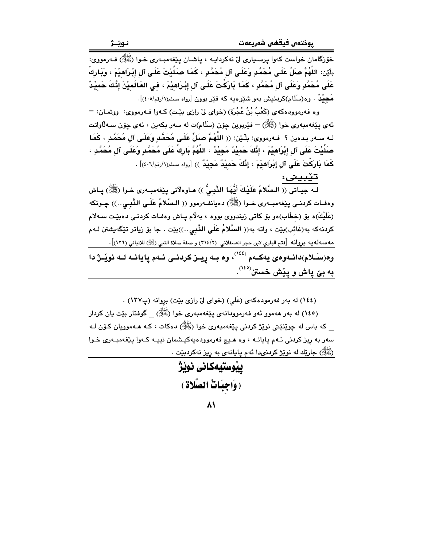خۆزگامان خواست کەوا پرسىيارى لىْ نەكرداپــە ، پاشـان پـێغەمبــەرى خـوا (ﷺ) فــەرمووى: بلَيْن: اللَّهُمَّ صلِّ عَلَى مُحَمَّدٍ وَعَلَى آل مُحَمَّدٍ ، كَمَا صَلَّيْتَ عَلَى آلِ إِبْرَاهِيْمَ ، وَبَارِك عَلَمٍ، مُحَمَّدِ وَعَلَى آل مُحَمَّدٍ ، كَمَا بَارَكْتَ عَلَى آلِ إِبْرَاهِيْمَ ، فِي العَالَمِيْنَ إِنَّكَ حَمِيْدٌ مَ**حِيْدٌ** . وە(سَلَام)كردنيش بەو شَيْوەيە كە فَيْر بوون [رواه مسلم(١/رقم/٤٠٥)].

وه فهرموودهكهي (كَعْبُ بْنُ عُجْرَة) (خواي ليّ رازي بيّت) كـهوا فـهرمووي: ووتمـان: -ئەي يێغەمبەرى خوا (ﷺ) – فێربوين چۆن (سَلَام)ت لە سەر بكەين ، ئەي چۆن سـﻪڵاواتت لـه سـهر بـدهين ؟ فـهرمووى: بلْـيّن: (( اللَّهُمَّ صَلِّ عَلَى مُحَمَّدِ وَعَلَـى آل مُحَمَّدِ ، كَمَا صَلَّيْتَ عَلَى آلِ إِبْرَاهِيْمَ ، إِنَّكَ حَمِيْدٌ مَجِيْدٌ ، اللَّهُمَّ بَارِكْ عَلَى مُحَمَّدٍ وَعَلَى آلِ مُحَمَّدٍ ، كَمَا بَارَكْتَ عَلَى آلِ إِبْرَاهِيْمَ ، إِنَّكَ حَمِيْدٌ مَجِيْدٌ )) [رواه مسلم(١/رقم/٤٠٦)] .

تێبينى:

لـه جيـاتى (( السَّلامُ عَلَيْكَ أَيُّهَا النَّبِيُّ )) هـاوهلَّانى پيّغهمبـهرى خـوا (ﷺ) پـاش وهفـات كردنــى پِيْغەمبـــەرى خــوا (ﷺ) دەيانفــەرموو (( الــسَّلامُ عَلَــى النَّبــى..)) چــونكه (عَلَيْكَ)ه بِقِ (خطَّابِ)هو بِقِ كاتبي زيندووي بووه ، بهلاّم پياش وهفـات كردنـي دهبيّـت سـهلام كردنهكه به(غَائب)بێت ، واته به(( السَّلامُ عَلَى النَّبِي..))بێت . جا بۆ رٰياتر تێگەيشتن لـهم مه سه له يه بروانه [فتح الباري لابن حجر العسقلاني (٢/٤/٢) و صفة صلاة النبي (ﷺ) للالباني (١٢٦)]. وه(سَــلام)دانــهوهى يهكــهم <sup>(١٤٤)</sup>، وه بــه ړيــز كردنــى ئــهم پايانــه لــه نويـْـر ْ دا به بيّ پاش و پێش خستن<sup>(١٤٥)</sup>.

(١٤٤) له بهر فهرمودهكهي (عَلى) (خواي ليِّ رازي بيِّت) بروانه (پ١٣٧) .

(١٤٥) له بهر ههموو ئهو فهرموودانهي يێغهمبهري خوا (ﷺ) \_ گوفتار بێت يان كردار که باس له چوێنێتي نوێژ کردني پێغهمبەری خوا (ﷺ) دەکات ، کـه هـﻪموويان کـۆن لـه سهر به ريز کردنی ئـهم يايانـه ، وه هـيچ فهرموودهيهکيـشمان نييـه کـهوا يێغهمبـهری خـوا (ﷺ) جارێك له نوێژ كردنىدا ئەم يايانەي بە ريز نەكردېيت .

> ىنوستىەكانى نوٽژ (وَاجِبَاتُ الصَّلاةِ)

> > $\lambda$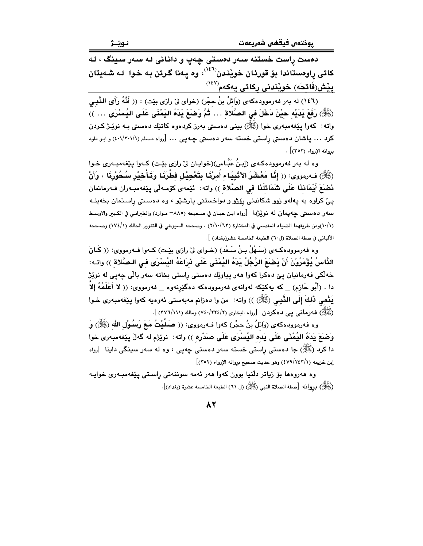دهست ړاست خستنه سهر دهستی چهپ و دانانی له سهر سینگ ، له کاتی راوهستاندا بۆ قورئان خويْندن<sup>(٢٤٦)</sup>، وه يـهنا گـرتن بـه خـوا لـه شـهيتان <u>پێش(فَاتِحَه) خوێندنی رکا</u>تی یهکهم<sup>(۱٤۷)</sup>

(١٤٦) له بهر فهرموودهكهي (وَائلُ بنُ حجْرٍ) (خواي ليّ رازي بيّت) : (( أَنَّهُ رَأَى النَّبِي (ﷺ) رَفَعَ يَدَيْه حيْنَ دَخَلَ في الصَّلاة … ثُمَّ وَضَعَ يَدَهُ اليَمْنَى عَلَى اليُسْرَى … )) واته: کەوا پێغەمبەرى خوا (ﷺ) بينى دەستى بەرز کردەوە کاتێك دەستى بـە نوێـژ کـردن کرد ... پاشان دهستی رِاستی خسته سهر دهستی چـهپی ... [رواه مسلم (۶۰۱/۳۰۱/۱) و ابـو داود بروانه الإرواء (٣٥٢) .

وه له بهر فهرموودهکـهي (إبنُ عَبَّـاس)(خوايـان ليّ رازي بيّـت) کـهوا يـێفهمبـهري خـوا (ﷺ) فـ1رمووى: (( إِنَّا مَعْشَرَ الأنْبِيَاء أَمرْنَا بِتَعْجِيْل فطْرَنَا وَتَأْخِيْر سُـحُوْرِنَا ، وَأَنْ نَصْبَعَ أَيْمَاننَا عَلَى شَمَائلَنَا فى الصَّلاة )) واته: ۚ ئيٚمهى كۆمـهڵى پيٚغهمبـهران فـهرمانمان پی کراوه به پهلهو زوو شکاندنی رِۆژو و دواخستنی پارشێو ، وه دهستی راستمان بخهینـه سهر دهستي چهپمان له نوێژدا [رواه ابن حبـان في صـحيحه (٨٨٥- مـوارد) والطبرانـي في الكـبير والاوسـط (١٠/١)ومن طريقهما الضياء المقدسي في المختارة (٢/١٠/٦٣) . وصححه السيوطي في التنوير الحالك (١٧٤/١) وصححه الألباني في صفة الصلاة (ل٦٠) الطبعة الخامسة عشر(بغداد) ].

وه فەرموودەكـەي (سَـهْلُ بِـنُ سَـعْدِ) (خـواي ليْ رازي بِيْـت) كـەوا فـەرمووي: (( كَـانَ الذَّاسُ يُؤْمَرُوْنَ أَنْ يَضنَعَ الرَّجُلُ يَدَهُ اليُمْنَى عَلَى ذراعَهُ اليُسْرَى فـى الـصَّلاة ﴾) واتـه: خەلكى فەرمانيان پێ دەكرا كەوا ھەر پياوێك دەستى راستى بخاتە سەر بالّى چەپى لە نوێژ دا . (أَبُو حَازم) \_ كه يەكێكە لەوانەي فەرموودەكە دەگێرِنەوە \_ فەرمووى: (( لا أَعْلَمُهُ إِلاَ يَنْمي ذَلِكَ إِلَى النَّبِـي (ﷺ) )) واته: من وا دهزانم مەبەستى ئەوەبە كەوا يێغەمبەرى خـوا (ﷺ) فـهـرمانـي پـي دهكردن [رواه البخاري (٢/ ٢٢٤/ ٧٤٠) ومالك (٢٧٦/١١١) ].

وه فەرموودەكەي (وَائلُ بنُ حجْرٍ) كەوا فـەرمووى: (( صَلَيْتُ مَعَ رَسُوْلِ الله (ﷺ) وَ ۖ وَضَعَ يَدَهُ اليُمْنَى عَلَى يَده اليُسْرَى عَلَى صَدْرِه )) واته: نويٚرَم له گەلّ پێغەمبەرى خوا دا کرد (ﷺ) جا دەستى راستى خستە سەر دەستى چەپى ، وە لە سەر سىنگى داينا [رواە إبن خزيمه (٤٧٩/٢٤٣/١) وهو حديث صحيح بروانه الإرواء (٣٥٢)].

وه هەروەها بۆ زياتر دلّنيا بوون كەوا ھەر ئەمە سوننەتى راستى پێغەمبـەرى خواپـە (ﷺ) بروانه [مىفة الصلاة النبي (ﷺ) (ل ٦١) الطبعة الخامسة عشرة (بغداد)].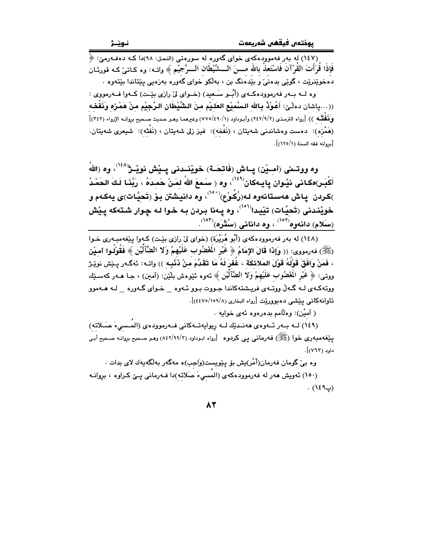.<br>(١٤٧) له بهر فهموودهکهي خواي گهوره له سورهتي (النحل: ٩٨)دا کـه دهفـهرميّ: ﴿ فَإِذَا قُرَأَتَ القَرْآنَ فَاسْتَعِذْ بِالله مــــنَ الــــشَّيْطَان الــــرَّجيْم ﴾ واتــه: وه كـاتـي كــه قورئــان دهخوێِنرێت ، گوێی بدهنیٰ و بێُدهنگ بن ، بهڵکو خوای گهوره بهزهیی یێتاندا بێتهوه .

وه لـه سهر فهرموودهكـهى (أُبُــو سَـعيد) (خــواى ليّ رازى بيّــت) كــهوا فــهرمووى : ((…ياشان دەڵێ: أَعُوْلاً بِالله السَّميْع العَلـيْم منَ الشَّيْطَانِ الـرَّجِيْم منْ هَمْرْه وَذَفْحْه وَفَقْتُتْه )) [رواه الترمذي (٢٤٢/٩/٢) وأبـوداود (١/ ٤٩٠/٤٩٠) وغيرهما وهـو حـديث صـحيح بروانـه الإرواء (٣٤٢)] (هَمْزِه): دەست وەشاندنى شەيتان ، (نَفْخە): فيز زلى شەيتان ، (نَفْثُه): شيعرى شەيتان. [بروانه فقه السنة (١٢٥/١)].

وه ووتــنى (آمِــيْن) پــاش (فَاتِحَــة) خويْنــدنى پــيْش نويْــرْ $\check{\mathcal{C}}^{(16\Lambda')}$ ، وه (اللهُ أَكْبَـر)هكـانى نيْـوان پايـهكان $^{(163)}$ ، وه ( سَـمعَ اللهُ لمَـنْ حَمـدَهُ ، رَبَّنَـا لَـكَ الحَمْـدُ )كردن ياش هەستانەوه لـە(رُكُوْع)`<sup>^٥٠)</sup>، وه دانيشتن بـۆ (تَحيَّات)ى يەكـەم و خويندنی (تَحيَّات) تێيدا<sup>(٥٠١)</sup>، وه پـهنا بـردن بـه خـوا لـه چـوار شـتهكه پـێش (سَلَام) دائەوە<sup>(۱۰۲)</sup> ، وە دائائى (سُتُّرَە)<sup>(۱۰۲)</sup>.

(١٤٨) له پهر فهرموودهکهي (أُبُو هُرَيْرَة) (خواي لِيّ رازي بِيّت) کـهوا بِيّغهمبـهري خـوا (ﷺ) فەرمورى: (( وَإِذَا قَالَ الإِمَامُ ﴿ غَيْرِ الْمُصْوُبِ عَلَيْهِمْ وَلا الضَّآلَيْنِ ﴾ فَقُوْلُوا آميْن ، فَمَنْ وَافَقَ قَوْلُهُ قَوْلَ المَلائكَة ، غُفرَ لَهُ مَا تَقَدَّمَ مَنْ ذَنْبِه )) واتـه: ئەگـەر يـێش نوێـژ ووتـي: ﴿ غَيْرِ الْمَغْضُوبِ عَلَيْهِمْ وَلا الضَّآلَيْنِ ﴾ ئەوە ئێوەش بلێن: (آمین) ، جـا ھــەر كەسـێك ووته کـهي لـه گـهـلْ ووتـهي فريــشتهکاندا جـووت بـوو ئـهوه ـــ خـواي گـهوره ـــ لــه هــهموو تاوانه كانى يَيْشى دەبووريْت [رواه البخارى (١٥٩/٥/١٥٩/٤)].

( آميْن): وهلَّامم بدهرهوه ئهي خوابه .

(١٤٩) لـه بـهر ئـهوهى ههنـديّك لـه ريوايهتـهكانى فـهرموودهى (المَـسىءَ صَـلاته) ییفهمبهری خوا (ﷺ) فهرمانی یی کردوه [رواه ابوداود (۲/۹۹/۳) وهـو صـحیح بروانـه صـحیح أبـی  $\cdot$   $\lbrack$  (۱۳۶).

وه بیّ گومان فەرمان(أَمْر)یش بۆ پێویست(وَاجِب)ه مەگەر بەلگەيەك لای بدات . (١٥٠) ئەويش ھەر لە فەرموودەكەي (المُسىءَ صَلاتە)دا فـەرمانى پـێ كـراوە ، بروانـە  $(129)$ .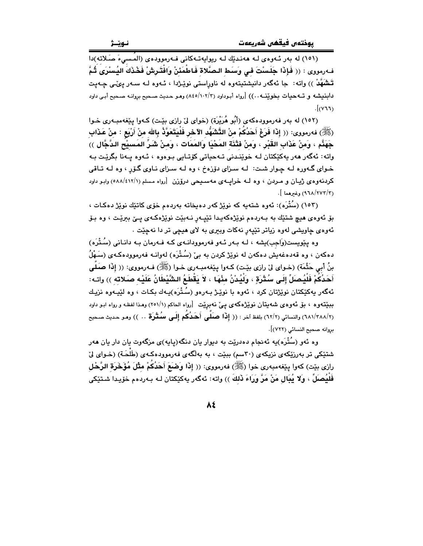(١٥١) له بهر ئـهومي لـه ههنديّك لـه ريوايهتـهكاني فـهرموودهي (المُسيءَ صَلاته)دا فهرمووى : (( فَإِذَا جَلَسْتَ في وسَط الصَّلاة فَاطْمَئَنْ وَافْتَرشْ فَخْذَكَ اليُسْرَى ثُمَّ تَشْهَّدْ )) واته: جا ئەگەر دانیشتیتەوە لە ناوراستى نوێـژدا ، ئـەوە لـە سـەر يېمّى چـەيت دابنيشه و تــهجيات بخويّنــه . . )) [رواه أبـوداود (١٠٢/٣/ ٨٤٥) وهـو حـديث صـحيح بروانـه صـحيح أبـي داود  $J(\gamma \tau)$ 

(١٥٢) له بەر فەرموودەكەي (أَبُو هُرَيْرَة) (خواي لِيْ رازِي بِيْت) كـەوا يِيْغەمبـەرى خـوا (ﷺ) فەرمورى: (( إِذَا فَرَغَ أَحَدُكُمْ مِنْ التَّشَهُّدِ الآخرِ فَلْيَتَعَوَّذُ بِاللهِ مِنْ أَرْبَع : مِنْ عَذَابِ ـِكِهَذَّم ، وَمنْ عَذَابِ القَبْرِ ، وَمنْ فَتْذَة المَحْيَا وَالمَمَات ، وَمنْ شَرِّ المَسبيْع الدَّجَّال )) .<br>واته: ئەگەر ھەر يەكێكتان لـﻪ خوێنـدنى تـﻪحياتى كۆتـايى بـوەوە ، ئـﻪوە يـﻪنا بگرێـت بـﻪ خـوای گـهوره لـه چـوار شـت: لـه سـزای دۆزهخ ، وه لـه سـزای نـاوی گـۆر ، وه لـه تـاقی کردنهوهی ژیان و مـردن ، وه لـه خرایــهی مهسـیحی درۆزن [رواه مـسلم (٥٨٨/٤١٢/١) وابـو داود  $\frac{1}{2}$ (٩٦٨/٢٧٣/٣) وغيرهما ].

(١٥٣) (سُتْرَه): ئەوە شتەيە كە نوێژ كەر دەپخاتە بەردەم خۆي كاتێك نوێژ دەكـات ، بۆ ئەوەي ھىچ شتێك بە بـەردەم نوێژەكەيـدا تێپـەرِ نـەبێت نوێژەكـەي پـێ ببرێـت ، وە بـۆ ئەوەي چاويشى لەوە زياتر تێپەر نەكات وبېرى بە لاي ھېچى تر دا نەچێت .

وه ینویست(وَاجب)یشه ، لـه بـهر ئـهو فهرموودانـهی کـه فـهرمان بـه دانـانی (سُـتْرَه) دهکەن ، وه قەدەغەيش دەکەن لە نوێژ کردن بە بیٚ (سُتْرَه) لەوانــه فەرموودەکــەی (سَـهْلُ بنُ أبي حَثْمَة) (خـواي ليّ رازي بيّـت) كـهوا پيّغهمبـهري خـوا (ﷺ) فـهرمووي: (( إِذَا صَلَّى أَحَدُكُمْ فَلْيُصَلِّ إِلَى سُتْرَةٍ ، وَلَيُدْنُ مِنْهَا ، لاَ يَقْطَعُ الشَّيْطَانُ عَلَيْه صَلاته )) واتـه: ئەگەر يەكێكتان نوێژتان كرد ، ئەوە با نوێـژ بـەرەو (سُـتْرَه)يـەك بكـات ، وە لێيـەوە نزيـك ببِيِّتهوه ، بقِ ئهوهي شهيتان نويْژهكهي ييّ نهبِريْت [رواه الحاكم (٢٥١/١) وهـذا لفظـه و رواه ابـو داود (٦٨١/٢٨٨/٢) والنسائي (٦٢/٢) بلفظ آخر : (( إِ**ذَا صَلَّى أَحَدُكُم إِلَى سُتْرَة** .. )) وهـو حـديث صـحيح بروانه صحيح النسائي (٧٢٢)].

وه ئهو (سُتْرَه)په ئهنجام دهدرێت به دیوار یان دنگه(پایه)ی مزگهوت یان دار یان ههر شتێکی تر بهرزێکهی نزیکهی (۳۰سم) ببێت ، به بهلگهی فهرموودهکهی (طَلَحَة) (خـوای لیّ رازي بيّت) كهوا پيّفهمبهري خوا (ﷺ) فهرمووي: (( إِذَا وَضَعَ أَحَدُكُمْ مثْلَ مُؤَخَرَة الرَّحْل فَلَيُصِلِّ ، وَلا يُبِال مَنْ مَرَّ وَرَاءَ ذَلكَ ﴾) واته: ئەگەر يەكێكتان لـه بـەردەم خۆيـدا شـتێكى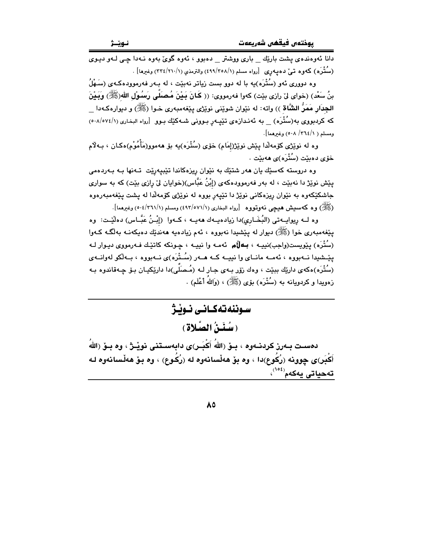دانا ئەوەندەي يشت بارێك \_ بارى ووشتر \_ دەبوو ، ئەوە گوێ بەوە نـﻪدا چـى لـﻪو ديـﻮي (سُنْتُرَه) کەوە تىيٌ دەپەرى [رواە مسلم (٤٩٩/٣٥٨/١) والترمذى (١/ ٣٢٤/٢١٠) وغىرھا].

وه دووری ئهو (سُتْرَه)بِه با له دوو بست زیاتر نهبێت ، له بـهر فهرموودهکـهی (سَـهْلُ بنُ سَعْد) (خواي ليْ رازي بِيْت) كهوا فهرمووي: (( كَانَ بَيْنَ مُصبَلِّي رَسُوْلِ اللهِ(ﷺ) وَبَيْنَ الجِدَارِ مَمَرُّ الشَّاة )) واته: له نێوان شوێني نوێژي بێغهمبهري خـوا (ﷺ) و ديوارهڪهدا که کردبووی به(سُتْرَه) \_ به ئهندازهی تێیـهر بـوونی شـهکێك بـوو [رواه البخاری (٥٠٨/٥٧٤/١). ومسلم ( ٢٦٤/١/ ٥٠٨) وغيرهما].

وه له نوێژی کۆمەلدا پێش نوێژ(إمَام) خۆی (سُتْرَه)یه بۆ هەموو(مَأْمُوْم)ەکـان ، بـﻪلاّم خۆي دەيئت (سُتْرَه)ي ھەيئت .

وه دروسته کهسێك يان ههر شتێك به نێوان ريزهکاندا تێبيهرێت تـهنها بـه بـهردهمي یێش نوێژ دا نهبێت ، له بهر فهرموودهکهی (إِبْنُ عَبَّاس)(خوایان لیّ رازی بێت) که به سواری .<br>جاشکێکهوه به نێوان ریزهکانی نوێژ *دا* تێیهر بووه له نوێژی کۆمهلّدا له پشت یێغهمبهرهوه (ﷺ) وه كه سيش هيچي نه وتووه [رواه البخاري (٤٩٢/٥٧١/١) ومسلم (١/٢٦١/١) وغيرهما].

وه لــه ريوايــهتي (البُخَــاري)دا زيادهيــهك ههيــه ، كــهوا (إِبْــنُ عَبَّــاس) دهلَيْـت: وه يێغەمبەرى خوا (ﷺ) دېيوار له يێشيدا نەبووە ، ئەم زيادەيە ھەندێك دەپكەنـﻪ بەلگـﻪ كـﻪوا (سُتْرَه) پێویست(واجب)نبیـه ، **بــهاڵم** ئهمـه وا نبیـه ، چـونکه کاتێـك فـهرمووی دیـوار لـه پێـشیدا نــهبووه ، ئهمــه مانــای وا نییــه کــه هــهر (سُــتْرَه)ی نــهبووه ، بــهلّکو لهوانــهی (سُتْرَه)هکەي دارێك بېێت ، وهك زۆر بـەي جـار لـه (مُـصَلّى)دا دارێکیـان بـۆ چـەقاندوه بـه زهوبدا و کردومانه به (سُتْرَه) یوّی (ﷺ) ، (وَاللّٰهُ أَعْلَم) .

سوننەتەكـانـى نـوڵـژ (سُنَنُ الصَّلاة)

دهسـت بــهرز كردنــهوه ، بــوّ (اللّهُ أَكْبَــر)ى دابـهســتنـى نويْــرْ ، وه بــوّ (اللّهُ أَكْبَرِ کِي چوونه (رُكُوع)دا ، وه بِقْ هەڵسانەوه له (رُكُوع) ، وه بِقْ هەڵسانەوه لـه تەحياتى يەكەم<sup>‹^^</sup>›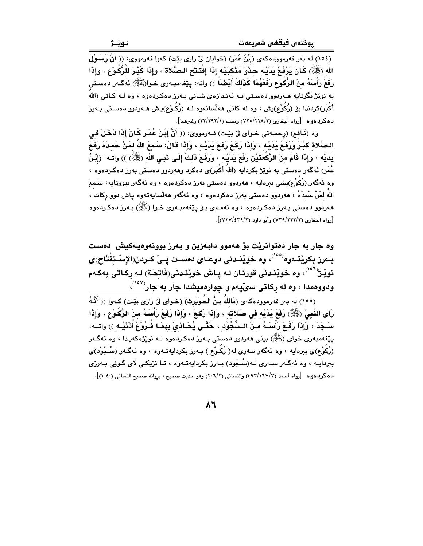(١٥٤) له بەر فەرموودەكەي (إِبْنُ عُمَرٍ) (خوايان لِيٌ رازِي بِيّت) كەوا فەرمووى: (( أَنَّ رَسُوْلَ َ الله (ﷺ) كَانَ يَرْفَعُ يَدَيْهِ حِدْوَ مَنْكبَيْه إِذَا إِفْتَتَحَ الصَّلاة ، وَإِذَا كَبَّرَ للْرُكُوْع ، وَإِذَا رَفَعَ رَأْسَهُ منَ الرُّكُوْعِ رَفَعَهُمَا كَذَلِكَ أَيْضَاً ﴾) واته: يێغهمبـهري خـوا(ﷺ) ئهگـهر دهسـتي به نوێژ بگرتابه هــهردوو دهسـتـي بــه ئـهنـدازهي شــانـي بــهرز دهكـردهوه ، وه لــه كـاتـي (اللهُ أَكْبَر)كردندا بۆ (زُكُوْع)بش ، وه له كاتى مەلسانەوه لـه (زُكُوْع)بـش مـەردوو دەسـتى بـەرز دهكردهوه [رواه البخاري (٢/ ٢١٨/٢) ومسلم (١/ ٢٢/٢٩٢) وغيرهما].

وه (نَـافم) (رحمـهتي خـواي ليّ بيّـت) فـهرمووي: (( أَنَّ إِبْنَ عُمَـر كَـانَ إِذَا دَخَلَ فـي الصَّلاة كَبَّرَ وَرَفَعَ بَدَيْه ، وَإِذَا رَكَعَ رَفَعَ بَدَيْه ، وَإِذَا قَالَ: سَمعَ اللهُ لمَنْ حَمدَهُ رَفَعَ يَدَيْه ، وَإِذَا قَامَ منَ الرَّكْعَتَيْنِ رَفَعَ يَدَيْـه ، وَرَفَعَ ذَلـكَ إِلَـى ذَبـى الله  $(\overline{\mathbb{R}})$  )) واتـه: (إِبْنُ عُمَر) ئەگەر دەستى بە نوێژ بكردايە (اللهُ أكْبَر)ى دەكرد وھەردوو دەستى بەرز دەكـردەوە › وه ئەگەر (رُكُوْع)بشى بىردايە ، ھەردوڧ دەستى بەرز دەكردەوە ، وە ئەگەر بيووتايە: سَـمعَ اللهُ لمَنْ حَمدَهُ ، هەردوو دەستى بەرز دەكردەوە ، وە ئەگەر ھەلسابەتەوە ياش دوو ركات ، هەردوو دەستى بـەرز دەكـردەوە ، وە ئەمـەي بـۆ يـێغەمبـەرى خـوا (ﷺ) بـەرز دەكـردەو.ە [رواه البخاري (٢٢٢/٢٢) وأبو داود (٢/٢٢٧/٤٣٩)].

وه جار به جار دمتوانريْت بوّ ههموو دابـهزين و بـهرز بوونـهوميـهكيش دمست بــهرز بكريْتــهوه<sup>(٥٥٥)</sup>، وه خويْنــدنى دوعــاي دەسـت يــيْ كــردن(الإسْـتفْتَاح)ي نويْـژ<sup>(٥٠٦)</sup>، وه خويْندني قورئـان لـه يـاش خويْنـدني(فَاتحَـة) لـه ركـاتي يهكـهم ودووهمدا ، وه له رکاتی سیّیهم و چوارهمیشدا جار به جار<sup>(۱۰۷</sup>۰)

(١٥٥) له بهر فهرموودهكهي (مَاللهُ بنُ الحُوَيْرِث) (خـواي ليّ رازي بيّـت) كـهوا (( أَفَّهُ رَأَى النَّبِيَّ (ﷺ) رَفَعَ يَدَيْه في صلاته ، وإِذَا رَكَعَ ، وَإِذَا رَفَعَ رَأْسَهُ منَ الرُّكُوْع ، وإذَا سَـجَدَ ، وَّإِذَا رَفَـعَ رَأْسَـهُ مَـنَّ الـسُّجُوَّدِ ، خَتَّـى يُحَـاذَيَ بِهِمَـا فُـرُوْعَ أُدْنَيْـهِ )) واتــه: يێغەمبەرى خواي (ﷺ) بينى ھەردوو دەستى بـەرز دەكـردەوە لــە نوێژەكەيـدا ، وە ئەگــەر (رُکُوْع)ی ببردایه ، وه ئهگەر سەری لە( رُکُوْع ) بـەرز بکردایەتـەوە ، وە ئەگـەر (سُـجُوْد)ی ببردايـه ، وه ئهگـهر سـهري لـه(سُـجُود) بـهرز بكردايهتـهوه ، تـا نزيكـي لاي گـوێي بـهرزي دهكردهوه [رواه أحمد (٤٩٢/١٦٧/٢) والنسائي (٢٠٦/٢) وهو حديث صحيح ، بروانه صحيح النسائي (١٠٤٠)].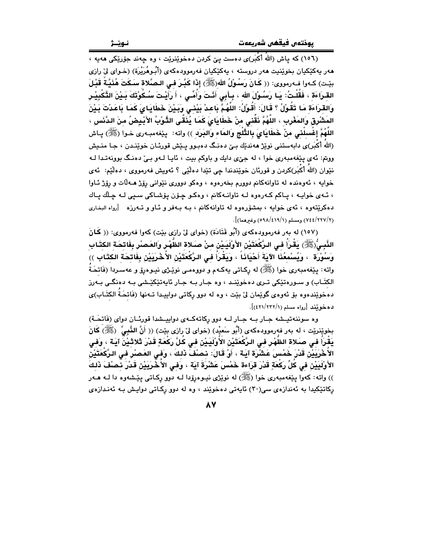(١٥٦) که ياش (اللهُ أكْبَر)ى دەست يێ کردن دەخوێنرێت ، وه چەند جۆرێکى ھەيە ، هەر پەكێكيان بخوێنيت ھەر دروستە ، پەكێكيان فەرموودەكەي (أُبوهُرَيْرة) (خـواي لِيْ رازي بيّت) كـهوا فـهرمووي: (( كَـانَ رَسُـوْلُ الله(ﷺ) إِذَا كَبِّـرَ فـي الـصَّلاة سَـكَتَ هُذَيَّـةٌ قَبْـلَ القـرَاءَة ، فَقُلْـتُ: يَـا رَسُـوْلَ الله ، بِـأَبِي أَنْـتَ وَأُمِّـي ، أَ رَأَيْـتَ سُـكُوْتَكَ بَـيْنَ التَّكْبِيْـر وَالْقَرَاءَةَ مَا تَقُوْلُ ۚ؟ قَالَ: أَقُوْلُ: اللَّهُمَّ بَاعِدْ بَيْنِيٍّ وَبَيْنَ خَطَايَايَ كَمَا بَاعَدْتَ بَـيْنَ المَشْرِقِ وَالمَغْرِبِ ، اللَّهُمَّ نَقْنـٰى منْ خَطَايَاىَ كَمَا يُنَقَّى الدُّوْبُ الأَبْـيِضُ منَ الدَّنَس ، اللَّهُمَّ إِغْسِلْنِي مِنْ خَطَايَايَ بِالتَّلْجِ وَالمَاء وَالبَرَدِ ﴾) واته: يێغهمبـهري خـوا (ﷺ) يـاش (اللهُ أكْبَر)ي دابهستني نوێژ هەندێك بێ دەنىگ دەبىوو پىێش قورئـان خوێنـدن ، جـا منـیش ووبتم: ئەي يېغەمبەرى خوا ، لە جىّ دايك و باوكم بيت ، ئايا لــهو بـيّ دەنىگ بوونەتـدا لــه نێوان (اللهَ أكْبَر)كردن و قورئان خوێندندا چی تێدا دهڵێی ؟ ئەویش فەرمووی ، دەڵێم: ئەی خوايه ، ئەوەندە لە تاوانەكانم دوورم بخەرەوە ، وەكو دوورى نێوانى رۆژ ھـﻪلات و رۆژ ئـاوا ، ئەي خواپە ، پاكم كەرەوە لە تاوانىەكانم ، وەكىو چۆن پۆشاكى سىپى لـە چلّك پـاك دهکریتهوه ، ئهی خوایه ، بمشوّرهوه له تاوانهکانم ، بـه بـهفر و ئـاو و تـهرزه [رواه البخاری (٧٤٤/٢٢٧/٢) ومسلم (٥٩٨/٤١٩/١) وغيرهما)].

(١٥٧) له بهر فهرموودهكهي (أَبُو قَتَادَة) (خواي ليّ رازي بيّت) كهوا فهرمووي: (( كَمانَ النَّبِيُّ(ﷺ) يَقْرَأُ في الرَّكْعَتَيْنِ الأَوْلَيَـيْنِ منْ صَلاة الظَّهْرِ وَالعَصْرِ بِفَاتحَة الكتّابِ وَسُوْرَة ۚ ، وَيُسْمعُنَا الآيَةَ أَحْيَانَاً ، وَيَقْرَأُ في الرَّكْعَتَيْنِ الأُخْرَيَيْنِ بِفَاتحَة الكتَابِ ﴾) واته: پێغهمبەری خوا (ﷺ) له رکباتی پهکـهم و دووهمـی نوێـژی نیـوهرۆ و عهسـردا (فَاتحَـةٌ الکتَـاب) و سـورهتێکی تـری دهخوێنـد ، وه جـار بـه جـار ئايهتێکێـشی بـه دهنگـی بـهرز دهخوێِندهوه بۆ ئەوەي گوێِمان ليْ بێت ، وه له دوو ركاتى دواپيدا تـهنها (فَاتحَـةُ الكتَـابِ)ى ده خويند [رواه مسلم (١/٢٣٢/١)].

وه سوننهتيـشه جـار بـه جـار لـه دوو ركاتهكـهى دواپيـشدا قورئـان دواى (فَاتحَـة) بخوێنرێت ، له بهر فهرموودهکهی (أَبُو سَعيْد) (خوای ليّ رازی بێت) (( أَنَّ النَّبِيَّ ۚ (ﷺ) كَانَ يَقْرَأُ فـى صـَلاة الظّهْر فـى الرَّكْعَتَيْنِ الأُولَيَـيْنِ فـى كَلَّ رَكْعَةٍ قَدْرَ ثَلاثَـيْنَ آيَـة ، وَفـى الأُخْرَيَيْنَ قَدْرَ خَمْسَ عَشْرَة آيَة ، أَوْ قَالَ: نصْفَ ذَلكَ ، وَفِي العَصْرِ فِي الرَّكْعَتَيْنِ الأَوْلَيَيْنِ في كُلِّ رَكْعَةٍ قَدْرَ قرَاءة خَمْسَ عَشْرَةَ آيَة ، وَفي الأُخْرِيَيْنِ قَدْرَ نَصْفَ ذَلكَ )) واته: کهوا پێغهمبهري خوا (ﷺ) له نوێژي نيـوهږۆدا لــه دوو رِکـاتي پێـشهوه دا لــه هــهر رِکاتێکیدا به ئهندازهی سی(۳۰) ئایەتی دەخوێند ، وه له دوو رِکاتی دواپش بـه ئەنـدازەی

**AV**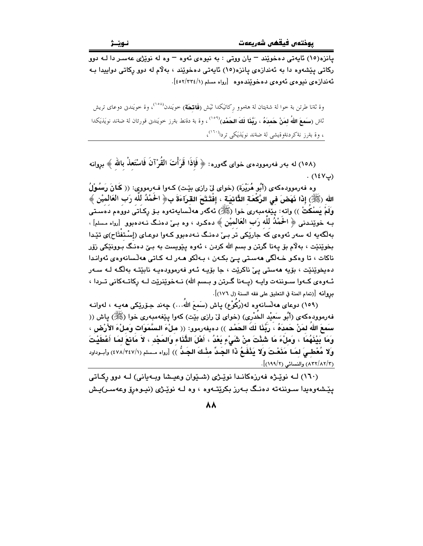پانزه(١٥) ئايەتى دەخوێند – يان ووتى : بە نيوەى ئەوە – وە لە نوێژى عەسىر دا لـه دوو رکاتي پێشەوه دا بە ئەندازەي يانزە(١٥) ئايەتى دەخوێند ، بەلام لە دور رکاتى دواپيدا بـه ئەندازەي نيوەي ئەوەي دەخوێندەوە [رواە مسلم (١/٢٣٤/١].

وة ثةنا طرتن بة خوا لة شةيتان لة هةموو ركاتيَكدا ثيش (**فَاتِحَة**) حويَندن<sup>(١٥٨)</sup>، وة خويَندن دوعاى تريش ثاش (**سَمعَ اللهُ لمَنْ حَمدَهُ ، رَبَّنَا لَكَ الحَمْدِ**)<sup>(٥٩٩)</sup> وة بة دةنط بةرز حويَندن قورئان لة ضةند نويَذيكدا ، وة بةرز نةكردنةوةيشي لة ضةند نويَذيَكي تردا<sup>(۱٦٠)</sup>،

(١٥٨) له بهر فهرموودهى خواى گەورە: ﴿ فَإِذَا قَرَأْتَ القُرْآنَ فَاسْتَعِلْہ بالله ﴾ بروانه  $(12V)$ .

وه فهرموودهکهی (أَبُو هُرَيْرَة) (خوای ليّ رازی بێت) کـهوا فـهرمووی: (( کَـانَ رَسُـوْلُ الله (ﷺ) إِذَا نَهَضَ في الرَّكْعَة الثَّانِيَة ، إِفْتَتَحَ القرآءَةَ بِ﴿ الْحَمْدُ لَلَّهِ رَبِ الْعَالميْن ﴾ وَلَمْ يَسْكُتْ )) واته: يێغەمبەرى خوا (ﷺ) ئەگەر ھەلّسايەتەوە بىۆ ركـاتى دوۋەم دەسىتى بـه خوینندنی ﴿ الْحَمْلُهُ لَلَّه رَبِّ الْعَالَمِيْنِ ﴾ دهکرد ، وه بـیٌ دهنـگ نـهدهبوو [رواه مـسلم] ، بهلگهبه له سهر ئهوهي که جارێکي تر بيّ دهنگ نـهدهبوو کـهوا دوعـاي (إسْـتفتَاح)ي تێدا بخوێنێت ، بهلام بۆ پەنا گرتن و بسم الله کردن ، ئەوە يێويست بە بـێ دەنـگ بـوونێکى زۆر ناکات ، تا وهکو خـهالگي ههسـتي يـِيّ بکـهن ، بـهالّکو هـهر لـه کـاتي ههالسانهوهي ئهوانـدا دەپخوێنێت ، بۆيە ھەستى يې ناكرێت ، جا بۆيـە ئـەو فەرموودەيـە نابێتـە بەلٚگـە لـە سـەر ئــهوهي كــهوا ســوننهت وايــه (يــهنا گــرتن و بــسم الله) نــهخوێنرێت لــه ركاتــهكاني تــردا ، بروانه [(تمام المنة في التعليق على فقه السنة (ل ١٧٦)].

(١٥٩) دوعای هەلسانەوه لە(رُكُوْع) پاش (سَمعَ اللهُ…) چەند جۆرێِكى هەپـه ، لەوانـه فهرموودهكهي (أَبُو سَعيْد الخَدْري) (خواي ليّ رازي بيّت) كهوا يـيّغهمبهري خوا (ﷺ) ياش (( سَمِعَ اللهُ لمَنْ حَمدَهُ ، رَبُّذَا لَكَ الحَمْد )) دەيفەرمور: (( ملْءَ السَّمَوَات وَملْءَ الأَرْض ، وَمَا بَيْنَهُمَا ، وَمِلْءَ مَا شَئْتَ مِنْ شَيْءٍ بَعْدُ ، أَهْلَ التَّنَاءِ وَالمَجْدِ ، لاَ مَانعَ لِمَا أغطَيْتَ وَلَا مُعْطَـىَ لَمَـا مَنَعْتَ وَلَا يَنْفَعُ ذَا الجَـدِّ مثْـكَ الجَـدُّ )) [رواه مـسلم (٤٧٨/٢٤٧/١) وأبـوداود (٨٣٢/٨٢/٢) والنسائي (١٩٩/٢)].

(۱٦۰) لـه نوێـژه فهرزهکانـدا نوێـژی (شـێوان وعیـشا وبـهیانی) لـه دوو رِکـاتی پێشەوەيدا سىوننەتە دەنىگ بـەرز بكرێتـەوە ، وە لـە نوێـژى (نيـوەرۆ وعەسـر)يـش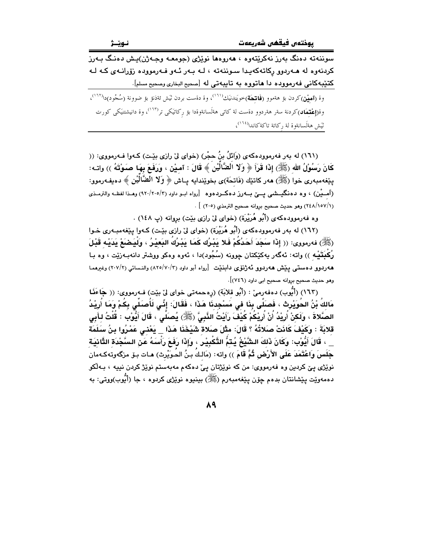سوننهته دهنگ بهرز نهکرێتهوه ، ههروهها نوێژی (جومعـه وجـهژن)يش دهنـگ بـهرز کردنهوه له هـهردوو رکاتهکهیدا سـوننهته ، لـه بـهر ئـهو فـهرمووده زۆرانـهى کـه لـه كتێبهكانى فهرمووده دا هاتووه به تايبهتى له [صحيح البخارى وصحيح مسلم].

وة (**آميْن**)كردن بؤ هةموو (**فَاتِحَة**)خويَندنيَك<sup>(١٦١)</sup>، وة دةست بردن ثَيش ئةذنؤ بؤ ضوونة (سُجُود)دا<sup>(١٦٢</sup>)، وة(**إِعْتِمَاد**)كردنة سةر هةردوو دةست لة كات<sub>ى</sub> هةلَسانةوةدا بؤ ركاتيَكى تر<sup>(١٦٣)</sup>، وة دانيشتنيَكى كورت تَيَشْ هةَلَسانةوة لة ركاتة تاكةكاندا<sup>(١٦٤)</sup>،

(١٦١) له بهر فهرموودهكهي (وَائلُ بنُ حجْرٍ) (خواي ليّ رازي بيّت) كـهوا فـهرمووي: (( كَانَ رَسُوْلُ الله (ﷺ) إِذَا قَرَأَ ۞ وَلا الْضَّالِّيْنَ ﴾ قَالَ : آمـيْن ، وَرَفَعَ بِهَـا صَـوْتَهُ )) واتـه: ينغهمبەرى خوا (ﷺ) مەر كاتێك (فَاتحَة)ى بخوێندايە يـاش ﴿ وَلا الْضَّالِّيْنِ ﴾ دەيفەرموو: (آمــيْن) ، وه دهنگيــشي يــيّ بــهرز دهكــردهوه [رواه ابــو داود (٢٠/٢٠٥/٢) وهــذا لفظــه والترمــذي (٢٤٨/١٥٧/١) وهو حديث صحيح بروانه صحيح الترمذي (٢٠٥) ] .

وه فه رموودهکهي (أَبُو هُرَيْرَة) (خواي ليّ رازي بيّت) بروانه (پ ١٤٨) .

(١٦٢) له بهر فهرموودهکهي (أَبُو هُرَيْرَة) (خواي ليّ رازي بيّت) کـهوا پيّغهمبـهري خـوا (ﷺ) فەرمورى: (( إِذَا سَجَدَ أَحَدُكُمْ فَلا بَشْرُك كَمَا بَشْرُكُ النَعشُرُ ، وَلْيَصْبَعْ بَدَبْه قَشْلَ رُكْدَتَيْـه )) واتـه: ئـهگـهر بـهكێكتان جوونه (سُجُود)دا ، ئـهوه وهكو ووشتر دانـهبـهـرێت ، وه بــا هەردوو دەستى يېش ھەردوو ئەژنۆى دابنێت [رواه أبو داود (٢/٧٠/٢) والنـسائى (٢/٧/٢) وغىرھمـا وهو حديث صحيح بروانه صحيح ابي داود (٧٤٦)].

(١٦٣) (أَبُوبِ) دەفەرمى :: (أَبُو قلابَةٍ) (رەحمەتى خواي لِي بِيّتٍ) فـەرمووى: (( جَاءَنَا مَالكُ بْنُ الحُوَيْرِتْ ، فَصَلَّى بِذَا في مَسْجِدنَا هَذَا ، فَقَالَ: إنِّي لَأُصَلِّي بِكُمْ وَمَا أُرِيْدُ الصَّلاةَ ، وَلَكِنْ أُرِيْدُ أَنْ أُرِيْكُمْ كُيْفَ رَأَيْتُ النَّبِيَّ (ﷺ) يُصَلِّي ، قَالَ أَيُّوْب : قُلْتُ لـأبي قلابَةَ : وَكَيْفَ كَانَتْ صَلاتُهُ ؟ قَالَ: مثْلَ صَلاة شَيْخَذَا هَذَا \_ يَعْنِي عَمْرُوا بِنُ سَلَمَة \_ ، قَالَ أَيُّوْب: وَكَانَ ذَلكَ الشَّيْخُ يُـتَمُّ التَّكْبِيْرِ ، وَإِذَا رَفَعَ رَأْسَهُ عَنِ السَّجْدَة الثَّانيَة ـِجَلَسَ وَاعْتَمَدَ عَلَى الأَرْضِ ثُمَّ قَامَ )) واته: (مَالـكُ بـنُ الحُـوَيْرِث) هـات بـۆ مزگەوتەكـەمان .<br>نوێژي يێ کردين وه فهرمووي: من که نوێژتان ييّ دهکهم مهبهستم نوێژ کردن نييه ، بـهڵکو دهمەويت پيشانتان بدەم چۆن پيغەمبەرم (ﷺ) بينيوه نوپژي كردوه ، جا (أَبُوب)ووتى: بە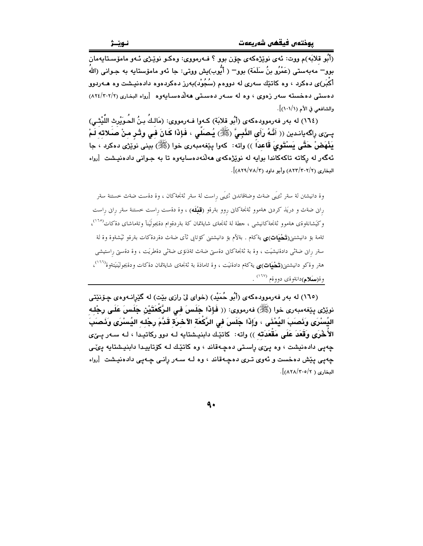.<br>(اَٻُو قلابَه)م ووت: ئهي نوٽِژهکهي جِون ٻوو ؟ فـهرمووي: وهکـو نوٽِـژي ئـهو ماموّسـتايهمان بوو – مەبەستى (عَمْرُو بنُ سَلَمَة) بوو – ( أَبُوب)يش ووتى: جا ئەو مامۆستايە بە جـوانى (اللهُ أكْبَر)ى دەكرد ، وه كاتێك سەرى لە دووەم (سُجُوْد)بەرز دەكردەوە دادەنپىشت وە ھـﻪردوو دهستی دهخسته سهر زهوی ، وه له سهر دهستی ههلاهسایهوه [رواه البخاری (٢٠٢/٢٠٢) والشافعي في الأم (١٠١/١)].

(١٦٤) له بەر فەرموودەكەي (أَبُو قلابَة) كـەوا فـەرمووى: (مَالـكُ بـنُ الحُـوَيْرِث اللَّيْتْـي) بِـيِّي رِاكَه يانـدين (( أَنَّـهُ رَأَى النَّبِـيَّ (ﷺ) يُـصَلِّـى ، فَإِذَا كَـانَ فـى وتْـر مـنْ صَـلاته لَـمْ بَذْهَضْ حَتَّى بَسْتَوِيَ قَاعِداً )) واته: كەوا يێغەمبەرى خوا (ﷺ) بينى نوێژى دەكرد ، جا .<br>ئەگەر لە ركاتە تاكەكاندا بوايە لە نوێژەكە*ى ھ*ەڵئەدەسايەوە تا بە جـوانى دا*د*ەنيـشت [رواە البخاري (٢/٣٠٢/٢/٢) وأبو داود (٨٢٩/٧٨/٢)].

وة دانيشتن لة سةر ثريَمي ضةث وضةقاندنى ثريَمي راست لة سةر ثةنجةكان ، وة دةست ضةث خستنة سةر راین ضةث و دریَذ کردنی هةموو ثةنجةکانی روو بةرةو (**قَبْلَه**) ، وة دةست راست خستنة سةر راین راست وكَيشانةوةي هةموو ثةنجةكانيشي ، جطة لة ثةنجةي شايةتمان كة بةردةوام دةيجولَينآ وتةماشاي دةكات<sup>(١٦٥)</sup>، ئةمة بؤ دانيشتنى(**تَـُحْيَات)ى** يةكةم . بةلآم بؤ دانيشتنى كؤتايى ثآى ضةث دةردةكات بةرةو ثَيَشةوة وة لة سةر رانى ضةثى دادةنيشيَت ، وة بة ثةنجةكانى دةستى ضةث ئةذنؤى ضةثى دةطريَت ، وة دةستى راستيشى هةر وةكو دانيشتنى(**تَـَـثْـيَات**)**ى** يةكةم دادةنيَت ، وة ئاماذة بة ثةنجةى شايةتمان دةكات ودةيجوليَنيَتةوة<sup>(٢٦٦)</sup>، وة(سكلم)دانةوةي دووةم <sup>(١٦٧)</sup> .

(١٦٥) له بهر فهرموودهکهي (أَبُو حُمَيْد) (خواي ليّ رازي بيّت) له گَيْرانـهوهي چـۆنێتي نويْژْي پِيْغەمبەرى خوا (ﷺ) فەرمووى: (( فَإِذَا جَلَسَ فِي الرَّكَعَتَيْنِ جَلَسَ عَلَى رِجْلِهِ اليُسْرَى وَنَصَبَ اليُمْنَى ، وَإِذَا جَلَسَ في الرُّكَعَة الآخرَة قَدَّمَ رِجْله اليُسْرَى وَنَصَبَ الأَخْرَى وَقَعَدَ عَلَى مَقْعَدَتَه )) واته: كاتنيك دابنيشتايه لـه دوو ركاتيـدا ، لـه سـهـر پــێى چەپى دادەنيشت ، وە پىّى راستى دەچەقاند ، وە كاتێك لـه كۆتاييدا دابنيشتايە پىّى چەپى پێش دەخست و ئەوى تىرى دەچەقاند ، وە لـە سـەر ڕانـى چـەپى دادەنيـشت [رواە البخارى ( ٨٢٨/٢٠٥/٢)].

9.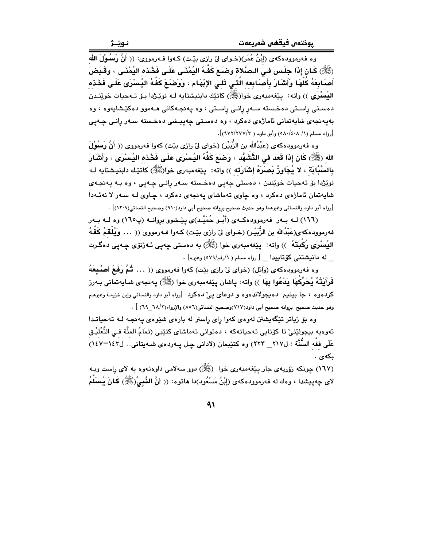وه فه رمووده كه ي (إِبْنُ عُمَر)(خـواي لِّى رازي بيِّت) كـهوا فـه رمووي: (( أَنَّ رَسُوْلَ الله (ﷺ) كَـانَ إِذَا جَلَـسَ فـى الـصَّلاة وَصْـَعَ كَفَّـهُ اليُمْنَـى عَلَـى فَخْـذه اليُمْنَـى ، وَقَـبَضَ أَصَابِعَهُ كُلُّهَا وَأَشْارَ بِأَصَابِعه الَّتـى تَلـى الإِبْهَام ، وَوَضَعَ كَفَّهُ اليُسْرَى عَلَى فَخْذه اليُسْرَى )) واته: ۖ يێغەمبەرى خوا(ﷺ) كاتێك دابنيشتايه لـه نوێـژدا بـۆ تـهحيات خوێنـدن دهستی راستی دهخسته سـهر رانـی راسـتی ، وه پهنجـهکانی هـهموو دهکێـشاپهوه ، وه بەيەنجەي شايەتمانى ئاماژەي دەكرد ، وە دەستى چەيپشى دەخستە سـەر رانـى چـەيى [رواه مسلم (١/ ٥٨٠/٤٠٨) وأمو داود ( ٩/٢٧٧/٢٧٧)].

وه فەرموودەكەي (عَبْدُالله بن الزُّبَيْر) (خواي ليّ رازي بيّت) كەو! فەرمووي (( أَنَّ رَسُوْلَ الله (ﷺ) كَانَ إِذَا قَعَدَ في التَّشَهُّد ، وَصَبَعَ كَفَّهُ اليُسْرَى عَلَـى فَحْدَه اليُسْرَى ، وَأَشَارَ بِالسَّبَّابَةِ ، لا يُجَاوِزُ بَصَرَهُ إِشَارَتِهِ )) واته: پێغهمبهری خوا(ﷺ) کاتێك دابنيـشتايه لـه .<br>نويژدا بۆ تەحيات خويندن ، دەستى چەيى دەخستە سەر رانى چەيى ، وە بـە پەنچەي شابهتمان ئاماژهي دهکرد ، وه چاوي تهماشاي پهنجهي دهکرد ، چاوي لـه سـهر لا نهئـهدا |<br>[رواه أبو داود والنسائي وغيرهما وهو حديث صحيح بروانه صحيح أبي داود(٩١٠) وصحيح النسائي(٢٠٩)] .

(١٦٦) لـه بـهر فهرموودهكـهي (أَبُـو حُمَيْـد)ي بِيِّـشوو بروانـه (پ١٦٥) وه لـه بـهر فەرموودەكەي(عَبْدُالله بن الزُّبَيْـر) (خـواي ليّ رازي بێـت) كـەوا فـەرمووي (( . . . وَيُلْقَمُ كَفُّهُ اليُسبْرَى رُكْبِتَهُ ۚ )) واته: ۖ يێفهمبهري خوا (ﷺ) به دهستي ڇهيي ئـهژنوّي ڇـهيي دهگـرت له دانیشتنی کۆتابیدا [رواه مسلم ( ۱/رقم/٥٧٩) وغیره] .

وه فهرموودهکهي (وَائل) (خواي ليّ رازي بيّت) کهوا فهرمووي (( . . . ثُمَّ رَفَعَ أصْبِعَهُ فَرَأَيْتُهُ يُحَرِّكَهَا يَدْعُوا بِهَا ﴾) واته: ياشان يێفەمبەرى خوا (ﷺ) يەنجەي شـايەتمانى بـەرز کردهوه ، جا بينيم دهيجولاندهوه و دوعای يئ دهکرد [رواه أبو داود والنسائي وإبن خزيمة وغيرهم وهو حديث صحيح بروانه صحيح أبي داود(٢١٧)وصحيح النسائي(٥٦) والإرواء(٦٨/ ٦٩) ] .

وه بۆ زياتر تێگەيشتن لەرەي كەوا راي راستر لە بارەي شێوەي پەنچە لـە تەجياتـدا ئەوەيە بيجولێنىٰ تا كۆتايى تەحياتەكە ، دەتوانى تەماشاى كتێبى (تَمَامُ المنَّة فـي التَّعْليْـق عَلَى فقْه السُّنَّة : ل٢١٧\_ ٢٢٣) وه كتيْبمان (لاداني چـل پــهردهى شــهيتاني.. ل١٤٣-١٤٧) ىكەي .

(١٦٧) چونکه زۆربەي جار يێغەمبەرى خوا(ﷺ) دوو سەلامى داوەتەوە بە لاي راست وبـه لاى چەپيشدا ، وەك لە فەرموودەكەى (إِبْنُ مَسْعُود)دا ھاتوە: (( أَنَّ النَّبْيَّ(ﷺ) كَـانَ يُـسَلِّمُ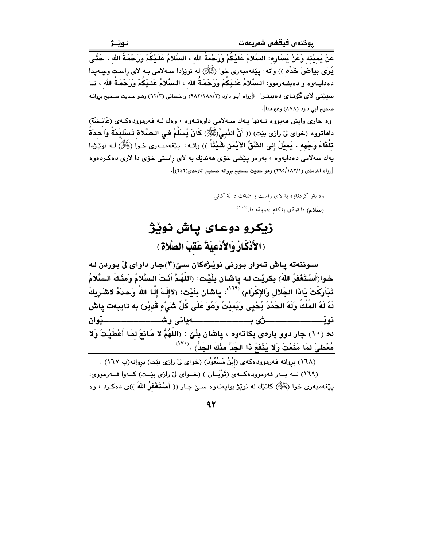يُرِي بَيَاضَ خَدِّه )) واته: يێغهمبهري خوا (ﷺ) له نوێڗدا سـهلامي بـه لاي راسـت وڃـهـيدا دەدايـەوە و دەيفـەرموو: الـسَّلامُ عَلَـيْكُمْ وَرَحْمَـةُ الله ، الـسَّلامُ عَلَـيْكُمْ وَرَحْمَـةُ الله ، تـا سييِّتي لاي گۆنـاي دەبينـرا ﴿رواه أبـو داود (٢/٢٨٨/٢) والنـسائي (٦٢/٣) وهـو حـديث صـحيح بروانـه صحبح أبي داود (٨٧٨) وغيرهما].

وه جاری وایش ههبووه تـهنها پـهك سـهلامی داوهتـهوه ، وهك لـه فهرموودهكـهي (عَائـشَة) داماتووه (خواى لى رازى بيْت) (( أَنَّ النَّبِيَّ(ﷺ) كَانَ يُسَلِّمُ فِي الصَّلاةِ تَسْلِيْمَةً وَاحدَةً تلْقَاءَ وَجْهِه ، بَميْلُ إِلَى الشَّقِّ الأَيْمَنِ شَيْئًا ۖ )) واتــه: - يێغهمبـهري خـوا (ﷺ) لـه نوێـژدا .<br>پهك سهلامي دهدايهوه ، بهرهو پێشي خۆي هەندێك به لاي راستي خۆي دا لاري دەكـردەوه [رواه الترمذي (١٨٢/١/ ٢٩٥) وهو حديث صحيح بروانه صحيح الترمذي(٢٤٢)].

> وة بةر كردنةوة بة لاي راست و ضةث دا لة كاتي (**سَلام)** دانةوةي ية كةم ءدووةم دا. <sup>(١٦٨)</sup>

# زيكرو دوعـاي يـاش نويْژ ( الأَذْكَارُ وَالأَدْعِيَةُ عَقَبَ الصَّلاةِ )

سوننهته ياش تهواو بووني نويْژهكان سيّ(٢)جار داواي ليّ بوردن لـه خـوا(أَسْتَغْفِرُ اللهَ) بِكرِيْت لـه ياشان بِلْيْت: (اللَّهُمَّ أَنْتَ الـسَّلامُ وَمِنْكَ الـسَّلامُ تَبَارَكْتَ يَاذَا الجَلال وَالإكْرَامِ)  $^{\langle\mathcal{M}\rangle}$ ، ياشان بِلْيْت: (لاإِلَـهَ إِلَـا اللهُ وَحْدَهُ لاشَـرِيْكَ لَهُ لَهُ المُلْكُ وَلَهُ الحَمْدُ يُحْيِى وَيُمِيْتُ وَهُوَ عَلَى كُلِّ شَيْءٍ قَدِيْرٍ) به تايبهت پاش ده (١٠) جار دوو بارەي بكاتەوە ، ياشان بِلْيٌ : (اللَّهُمَّ لا مَانعَ لمَا أَعْطَيْتَ وَلا مُعْطِيَ لِمَا مَنَعْتَ وَلَا يَنْفَعُ ذَا الجَدِّ مِنْكَ الجَدُّ) ،<sup>(٧٠</sup>′

(١٦٨) بروانه فهرموودهكهي (إِبْنُ مَسْعُوْدٍ) (خواي ليّ رازي بيّت) بروانه(پ ١٦٧) . (١٦٩) لـه بــهر فهرموودهكــهى (تُوْبَــان ) (خــواى لي رازى بيّـت) كــهوا فــهرمووى: يێغەمبەرى خوا (ﷺ) كاتێك لە نوێژ بواپەتەوە سىێ جـار (( أَسْتَغْفَرُ اللّهَ ))ى دەكـرد ، وە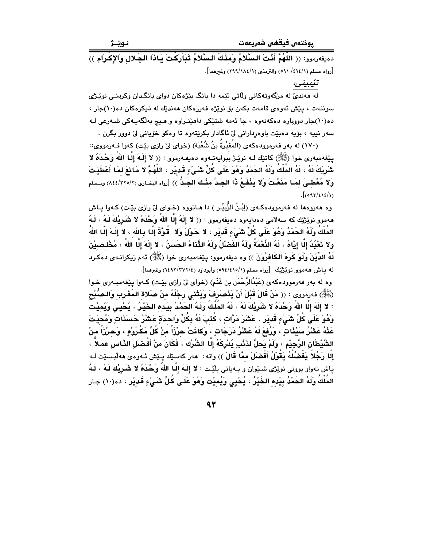دميفهرمور: (( اللَّهُمَّ أَنْتَ السَّلامُ ومَنْكَ السَّلامُ تَبَارَكْتَ بَاذَا الجَلالِ والإكْرَامِ )) [رواه مسلم (١/٤١٤/ ٥٩١) والترمذي (١/١٨٤/١٩٩) وغيرهما].

تٽيبيني:

له هەنديٰ له مزگەوتەكانى ولاتى ئێمە دا بانگ بێژەكان دواي بانگدان وكردنـي نوێـژي سوننهت ، پێش ئەوەي قامەت بكەن بۆ نوێژە فەرزەكان ھەندێك لە ذيكرەكان دە(١٠)جار ، ده(۱۰)جار دووباره دهکهنهوه ، جا ئهمه شتێکی داهێنـراوه و هـیچ بهڵگهیـهکی شـهرعی لـه سەر نىيە ، بۆيە دەبێت باوەردارانى لىٰ ئاگادار بكرێتەوە تا وەكو خۆيانى لىٰ دوور بگرن .

(١٧٠) له بهر فهرموودهكهي (المُغيْرَةُ بنُ شُعْبَةٍ) (خواي ليٌ رازي بيّت) كهوا فـهرمووي:: يێغەمبەرى خوا (ﷺ) كاتێك لـه نوێـژ بېواپەتـەوه دەپفـەرموو : (( لا إِلَـهَ إِلَّـا اللهُ وَحْدَهُ لا شَرِيْكَ لَهُ ، لَهُ المُلْكُ وَلَهُ الحَمْدُ وَهُوَ عَلَى كُلِّ شَيْءٍ قَدِيْرٍ ، اللَّهُمَّ لا مَائعَ لمَا أغطَيْتَ ولا مُعْطـىَ لمَـا مَنَعْتَ وَلا بَنْفَـمُ ذَا الجَـدِّ مثْـكَ الجَـدُّ )) [رواه البخـاري (٢٢٥/٢/ ٨٤٤) ومـسلم  $. [097/\epsilon\epsilon/\epsilon)$ 

وه هەروەها له فەرموودەكـەي (إِبْنُ الزُّبَيْـر ) دا هـاتووه (خـواي ليّ رازي بێت) كـەوا پـاش هەمور نوێژێك كە سەلامى دەدابەرە دەيفەرمور : (( لا إلَهُ إلَّا اللهُ وَحْدَهُ لا شَـَرِيْكَ لَـهُ ، لَـهُ المُلْكُ وَلَهُ الحَمْدُ وَهُوَ عَلَى كُلِّ شَيْءٍ قَديْرٍ ، لا حَـوْلَ وَلا \_قُوَّةَ إِلَّـا بِـالله ، لا إلَـهَ إِلَّـا اللهُ وَلا نَعْبُدُ إِلَّا إِنَّاهُ ، لَهُ النِّعْمَةُ وَلَهُ الغَضْلُ وَلَهُ الثَّنَاءُ الحَسَنُ ، لا إِلَهَ إلَّا اللهُ ، مُخْلصيْنَ لَهُ الدِّيْنَ وَلَوْ كَرِهَ الكَافْرُوْنَ )) وه ديفهرموو: يێغهمبهري خوا (ﷺ) ئهم زيكرانـهي دهكـرد له بياش ههموو نوێژێك [رواه مسلم (١/٥/١٥/٥٩٤) وأبوداود (٤/٢٧٢/٢٧٢) وغيرهما].

وه له بهر فهرموودهکهي (عَبْدُالرَّحْمَنِ بنِ غَنْمِ) (خواي ليِّ رازي بِيِّت) کـهوا پيِّغهمبـهري خـوا (ﷺ) فەرمووى : (( مَنْ قَالَ قَبْلَ أَنْ يَنْصَرِفَ وَيَتْنى رِجْلَهُ منْ صَلاة المَغْرب وَالصُّبْحِ : لا إِلَهَ إِلَّا اللهُ وَحْدَهُ لا شَرِيْكَ لَهُ ، لَهُ المُلْكُ وَلَـهُ الحَمْدُ بِيَـده الخَيْـرُ ، يُحْيـى وَيُميْت وَهُوَ عَلَى كُلِّ شَيْءٍ قَدِيْرٍ . عَشْرَ مَرَّاتٍ ، كُتَبَ لَهُ بِكُلِّ وَاحِدَةٍ عَشْرُ حَسَنَاتٍ وَمُحيَتْ عَذْهُ عَشْرُ سَيْئَاتٍ ، وَرُفعَ لَهُ عَشْرُ دَرَجَاتٍ ، وكَانَتْ حرْزَاً منْ كُلِّ مَكْرُوْهِ ، وَحرْزَاً منْ الشَّيْطَانِ الرَّجِيْمِ ، ولَمْ يَحلَّ لذَنْبِ يُدْرِكَهُ إلَّا الشِّرْك ، فَكَانَ منْ أَفْضَلِ الذَّاس عَمَلاً ، إِلَّا رَجُلاً يَفْضُلُهُ يَقُوْلُ أَفْضَلَ ممَّا قَالَ )) واته: هەر كەسێك يـێش ئـەوەي ھەلْبـسێت لـه پاش تەواو بوونى نوێژى شىێوان و بـەيانى بلێت : لا إِلَـهَ إِلَـا اللهُ وَحْدَهُ لا شَـَرِيْكَ لَـهُ ، لَـهُ المُلْكُ وَلَهُ الحَمْدُ بِيَده الخَيْرُ ، يُحْيِي وَيُميْت وَهُوَ عَلَى كُلِّ شَيْءٍ قَديْرٍ ، ده(١٠) جار

 $\mathbf{A} \mathbf{r}$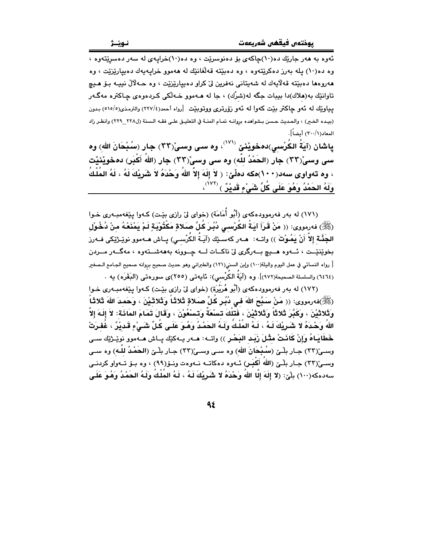ئهوه به ههر جاريّك ده(۱۰)جاكهي بۆ دەنوسريّت ، وه ده(۱۰)خرابيهي له سهر دەسريّتەوه ، وه ده(۱۰) يله بهرز دهکرێتهوه ، وه دهبێته قهڵغانێك له ههموو خرايهيهك دهييارێزێت ، وه هەروەما دەبێتە قەلايەك لە شەبتانى نەفرين لىٌ كراو دەبيارێزێت ، وە ھـﻪلاڵ نىيـﻪ بـۆ ھـيچ تاوانٽِك به(هلاك)دا بيبات جگه له(شرُك) ، جا له هــهموو خــهلُكي كـردهوهي چـاكتره مهگـهر يپاوێك له ئەو جاكتر بێت كەوا لە ئەو زۆرترى ووتوبێت [رواه أحمد(٢٢٧/٤) والترمذي(٥١٥/٥) بدون (بيده الخبر) ، والحديث حسن بـشواهده بروانـه تمـام المنــة في التعليــق علــى فقـه الـسنة (ل٢٢٨ - ٢٢٩) وانظـر زاد المعاد(١/٣٠٠) أيضاً].

پاشان (آيَةُ الكُرْسيِ)دهخويْنيْ <sup>(٧٧١)</sup>، وه سـی وسـیْ(٣٣) جار (سُبْحَانَ اللهِ) وه سي وسيٌ(٣٢) جار (الحَمْدُ للّه) وه سي وسيٌ(٣٣) جار (اللهُ أَكْبَر) دهخويْنيْت ، وه تەواوى سەد(١٠٠)مكە دەلێ: ﴿ لاَ إِلَهَ إِلاَّ اللهُ وَحْدَهُ لاَ شَرِيْكَ لَهُ ، لَهُ المُلْكُ وَلَهُ الحَمْدُ وَهُوَ عَلَى كُلِّ شَيْءٍ قَديْرٌ ﴾ <sup>(٧٢٢)</sup>،

(١٧١) له بهر فهرموودهكهي (أَبُو أَمَامَة) (خواي ليّ رازي بيّت) كـهوا ييّغهمبـهري خـوا (ﷺ) فەرمورى: (( مَنْ قَرَأَ آيَـةُ الكُرْسـى دُبُـرَ كَلِّ صَـلاةٍ مَكْتُوْبَـةٍ لَـمْ يَمْنَعْـهُ منْ دُخُـوْل الجَنَّـة إِلاّ أَنْ يَمُـوْتَ ﴾) واتــه: هــهر كهسـێك (آيـَـةُ الكَرْسـى) پــاش هــهموو نوێـژێكى فــهرز بخوێنێت ، ئـــهوه هـــيچ بــهرگرى ليّ ناكــات لـــه چــوونه بهههشــتهوه ، مهگــهر مـــردن [ رواه النسائي في عمل اليوم واليلة(١٠٠) وإبن السني(١٢١) والطبراني وهو حديث صحيح بروانه صحيح الجـامع الـصغير (٦٤٦٤) والسلسلة الصحيحة(٩٧٢)]. وه (آيَةُ الكُرْسي): نَايِهتي (٢٥٥)ي سورهتي (البَقَرَه) يه ٠

(١٧٢) له بهر فهرموودهكهي (أَبُو هُرَيْرَة) (خواي ليّ رازي بيّت) كـهوا يـيّغهمبـهري خـوا (ﷺ)فەرمورى: (( مَنْ سَبَّحَ اللّهَ فِي دُبُرٍ كَلِّ صَلاةٍ ثَلاثًا وَثَلاثَيْنَ ، وَحَمِدَ اللّهَ ثَلاثًا وَثَلاثَيْنَ ، وَكَبَّرَ ثَلاثًا وَثَلاثَيْنَ ، فَتلْكَ تسْعُةً وَتسْعُوْنَ ، وَقَالَ تَمَامَ المَائَة: لاَ إلهَ إلاّ اللهُ وَحْدَهُ لا شَرِيْكَ لَـهُ ، لَـهُ المُلْـكُ وَلَـهُ الحَمْـدُ وَهُـوَ عَلَـى كُـلِّ شَـَيْءٍ قَـدِيْرٌ ، غُفِـرَتْ خَطَايَاهُ وَإِنْ كَانَتْ مثْلَ زَبَد البَحْرِ )) واتــه: هــهر بــهكيّك بــاش هــهموو نويْـرْيّك ســى وسـیّ(٣٣) جـار بلّـیّ (سـُـبْحَانَ الله) وه سـی وسـیّ(٣٣) جـار بلّـیّ (الحَمْـدُ للّـه) وه سـی وســیّ(٣٣) جــار بلّــیّ (اللّه أَكَـبَـر) ئــهوه دهكاتــه نــهوهت ونــوّ(٩٩) ، وه بــوّ تــهواو كردنــى سەدەكە(١٠٠) بِلَّىٰ: (لا إِلَهَ إِلَّا اللهَ وَحْدَهُ لا شَرِيْكَ لَـهُ ، لَـهُ المَلَكَ وَلَـهُ الحَمْدُ وَهُوَ عَلَـى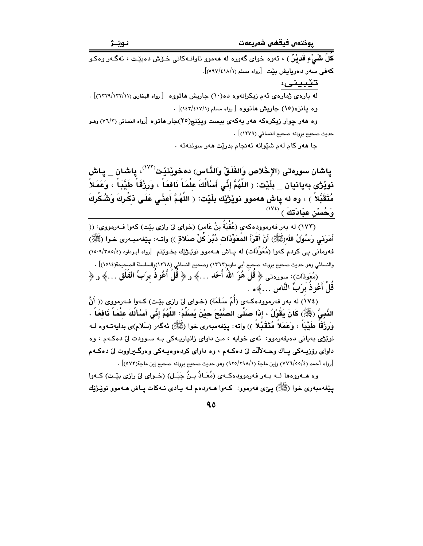کُلِّ شَيْءٍ قَديْنٌ ) ، ئەوە خواي گەورە لە ھەموو تاوانـەكانى خـۆش دەبێت ، ئەگـەر وەكـو کهفی سهر دهریایش بیّت [رواه مسلم (١٨/١/٥٩٧)].

تێبيني: له ماردې ژماردې په د زيکرانهوه ده(١٠) حاريش هاتووه [رواه البخاري (١٢٢١/١٣٢/١)] . وه بانزه(١٥) جاريش هاتووه [رواه مسلم (١٤١٧/١) .

وه ههر چوار زیکرهکه ههر یهکهی بیست ویننج(٢٥)جار هاتوه [رواه النسائی (٧٦/٣) وهـو حديث صحيح بروانه صحيح النسائي (١٢٧٩)] .

جا مەر كام لەم شێوانە ئەنجام بدرێت مەر سوننەتە ٠

ياشان سورەتى (الإخْلاص وَالفَلَقْ وَالنَّاس) دەخوێنێت<sup>(٧٧٢)</sup>، ياشان \_ ياش نويْژْي بەيانيان \_ بِلْيْت: ﴿ اللَّهُمَّ إِنِّي أَسْأَلُكَ عِلْمَاً نَافَعَاً ، وَرِزْقَاً طَيَّبَاً ، وَعَمَلاً مُتَقَبَّلاً ) ، وه له ياش ههموو نويْژيْك بلْيْت: ﴿ اللَّهُمَّ أَعِنِّي عَلَى ذِكْرِكَ وَشُكْرِكَ  $\mathcal{O}^{(\mathsf{V} \mathbf{\ell})}$ وَحُسْنْ عِبَادَتَكَ  $\mathbf{0}$ 

(١٧٣) له بهر فهرموودهكهي (عُقْبَةٌ بنُ عَامر) (خواي ليّ رازي بيّت) كهوا فـهرمووي: (( أَمَرِنِي رَسُوْلُ الله(ﷺ) أَنْ أَقْرَأَ المُعَوِّذَات دُبُرَ كُلِّ صَلاةٍ )) واتـه: يێفهمبـهرى خـوا (ﷺ) فه رمانی پی کردم کهوا (مُعَوِّذَات) له پـاش هــهموو نوێـژێك بـخـوێنم [رواه أبـوداود (٢٨٥/٢٨٥/٤). والنسائي وهو حديث صحيح بروانه صحيحٍ أبي داود(٦٣٦٣) وصحيح النسائي (١٢٦٨)والسلسلة الصحيحة(١٥١٤)] . (مُعَوذَات): سورهتي ﴿ قُلْ هُوَ اللَّهُ أَحَدَ …﴾ و ﴿ قُلْ أَعُوذُ بِرَبِّ الفَلَقِ …﴾ و ﴿ قل أعُوذ برَبِّ النَّاسِ …﴾ه .

(١٧٤) له بهر فهرموودهكهى (أُمّ سَلَمَة) (خواى ليّ رازى بيّت) كـهوا فـهرمووى (( أَنَّ النَّبِيَّ (ﷺ) كَانَ يَقُوْلُ ، إِذَا صَلَّى الصُّبْحَ حِيْنَ يُسَلِّمُ: اللَّهُمَّ إِنِّي أَسْأَلُكَ عِلْمَاً نَافعَاً ، وَرِزْقَاً طَيِّبَاً ، وَعَمَلاً مُتَقَبَّلاً )) واته: بِيّفهمبهري خوا (ﷺ) ئهگهر (سَلام)ي بدايهتـهوه لـه نوێژي بهياني دهيفهرموو: ئهي خوايه ، مـن داواي زانياريـهکي بـه سـوودت ليٰ دهکـهم ، وه داوای رۆزيــهکی پــاك وحــه لألّت ليّ دهكـهم ، وه داوای كردهوهيــهکی وهرگــيراووت ليّ دهكـهم [رواه أحمد (٤/٧٧٦/٥٥) وإبن ماجة (١/٢٩٨/١٩٨) وهو حديث صحيح بروانه صحيح إبن ماجة(٥٧٣)] .

وه هــهروهها لــه بــهر فهرموودهكـهي (مُعَـادُ بــنُ جَبَــل) (خــواي ليّ رازي بيّـت) كــهوا يێغەمبەرى خوا (ﷺ) يـێي فەرموو: كـەوا ھــەردەم لــه يـادى نــەكات يــاش ھــەموو نوێـژێك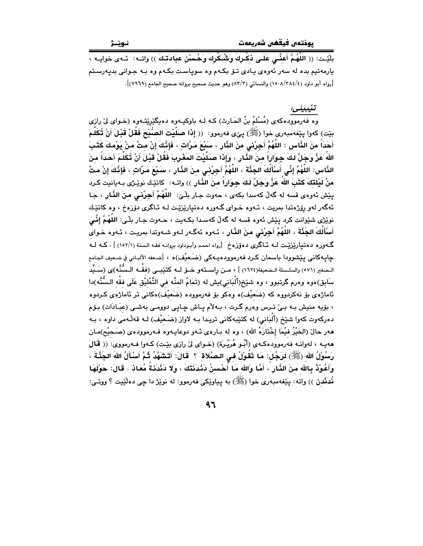بِلَيْت: (( اللَّهُمَّ أَعَفِّي عَلَـى ذكْرِكَ وَشُـكْرِكَ وَحُـسْنْ عِبَادَتِكَ )) واتــه: ئــهى خوايــه ، پارمەتيم بده له سەر ئەوەي يادى تىۆ بكـەم وە سوياست بكـەم وە بـە جـوانى بديەرسـتم [رواه أبو داود (٤/٣٨٤/٤) والنسائي (٥٢/٢) وهو حديث صحيح بروانه صحيح الجامع (٧٩٦٩)].

#### تٽيبيني:

.<br>وه فه رمووده که ی (مُسْلَمُ بنُ الحَـارث) کـه لـه باوکیـهوه دهیگێڕێتـهوه (خـوای لیٚ رازی بيّت) كەوا يـيّغەمبەرى خوا (ﷺ) يـيّى فەرموو: (( إِذَا صَلَّيْتَ الصُّبْحَ فَقُلْ قَبْلَ أَنْ تُكَلِّمَ أَحَدَاً منَ النَّاس : اللَّهُمَّ أَجِرْني منَ الذَّارِ ، سَبْعَ مَرَّاتٍ ، فَإِنَّكَ إِنْ متَّ منْ يَوْمكَ كَثَبَ اللهُ عَزَّ وَجَلَّ لَكَ جواراً منَ الذَّارِ ، وَإِذَا صَلَّيْتَ المَغْرِبَ فَقُلْ قَبْلَ أَنْ تُكَلِّمَ أَحَداً منَ الذَّاس: اللَّهُمَّ إِنِّي أَسْأَلُكَ الجَنَّةَ ، اللَّهُمَّ أَجِرْنِي منَ الذَّارِ ، سَبْعَ مَرَّاتٍ ، فَإِنَّكَ إنْ متَّ منْ لَيْلَتَكَ كَتَبَ اللهُ عَنَّ وَجَلَّ لَكَ جِوَارَاً منَ الذَّارِ )) واتـه: كاتيْك نويْـرْى بـهيانيت كـرد يێش ئەوەي قسە لە گەڵ كەسدا بكەي ، جەوت جـار بِلْـيِّ: اللَّهُمَّ أَجِرْنْـي منَ النَّـار ، جـا ئەگەر لەو رۆژەتدا بمريت ، ئـەوە خـواي گـەورە دەتيارێزێت لـە ئـاگرى دۆزەخ ، وە كاتێك نويزي شيوانت کرد پيش ئەوە قسه له گەلّ کەسىدا بکـەيت ، جـەوت جـار بلّـي: اللّـهُـمَّ إِنِّـي أَسْأَلُكَ الجَنَّةَ ، اللَّهُمَّ أجِرْني منَ النَّارِ ، ئـهوه ئهگـهر لـهو شـهوتدا بمريـت ، ئـهوه خـواي گــهوره دهتيارێزێـت لــه ئــاگرى دهۆزهخ [رواه احمد وأبـوداود بروانــه فقـه الــسنة (١٥٢/١) ] ، كــه لــه جايهكاني ينشوودا باسمان كرد فهرموودهيهكي (ضَعيْف)ه ، [ضعفه الألباني في ضعيف الجامع الـصغير (٥٧١) والسلـسلة الـضعيفة(١٦٢٤) ] ، مــن راســتـهو ـضـق لــه كتتيبــى (فقــه الـسُّنَّه)ى (سَــيِّد سَابِق)ەوە وەرم گرتبوو ، وە شێخ(أَلْبَانى)بِش له (تَمَامُ المنَّه فى التَّعْليْق عَلَى فقْه الـسُّنَّه)دا ئاماژەي بۆ نەكردووە كە (ضَعيْف)ە وەكو بۆ فەرموودە (ضَعيْف)ەكانى تر ئاماژەي كـردوە ، بۆيە منيش بـه بـيٰ تـرس وەرم گـرت ، بـهلاّم يـاش چـايـي دوومـي بەشـي (عبَـادَات) بـۆم دەركەوت كەوا شێخ (أَلْبَانى) لە كتێبەكانى تريـدا بـە لاواز (ضَعيْف) لـە قەڵـەمى داوە ، بـە ههر حالٌ (الخَيْرُ فيْمَا إخْتَارَهُ الله) ، وه له بـارهى ئـهو دوعايـهوه فـهرموودهى (صَـحيْح)مـان ههيـه ، لهوانـه فهرموودهكـهى (أَبُـو هُرَيْـرَة) (خـواى ليّ رازى بيّـت) كـهوا فـهرمووى: (( قَـالَ رَسُوْلُ الله (ﷺ) لرَجُل: مَا تَقُوْلُ في الـصَّلاة ۚ ۚ قَالَ: أَتَشَهَّدُ ثُمَّ أَسْأَلُ اللهَ الجَذَّةَ ، وَأَعُوْذُ بِالله منَ الذَّارِ ۚ، أَمَّا وَالله مَا أُحْسنُ دَئْدَنَتَكَ ، وَلا دَئْدَنَـةُ مُعَاذ . قَالَ: حَوْلَهَا نُدَنْدن )) واته: پێغەمبەرى خوا (ﷺ) به پياوێکى فەرموو: له نوێڑ دا چى دەڵێڀت ؟ ووتـى: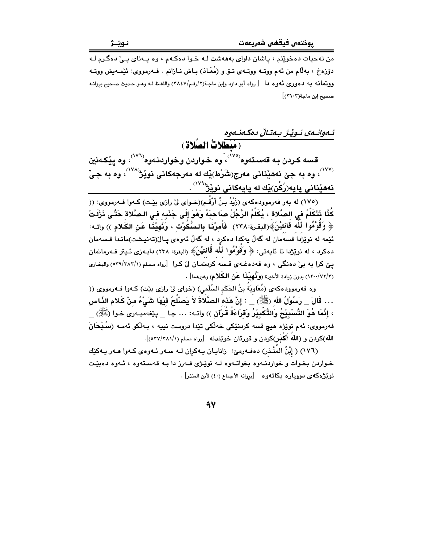من تهجيات دهخويٽم ، پاشان داواي بهههشت لـه خـوا دهكـهم ، وه پـهناي پـيّ دهگـرم لـه دۆزەخ ، بەللّام من ئەم ووتــه ووتــەي تــۆ و (مُعَـان) بـاش نــازانم . فــەرمووي: ئێمـەيش ووتــه ووبتمانه به دهوري نُهوه دا [رواه أبو داود وإبن ماجة(٢/رقم/٢٨٤٧) واللفظ لـه وهـو حديث صـحيح بروانـه صحبح إين ماجة(٣١٠٣)].

ئـهوانـهي نـوٽيـژ بـهتـالْ دهكـهنـهوه (مُبْطَلاتٌ الصَّلاة) قسه کردن به قەستەوه<sup>(۷۰)</sup>، وه خواردن وخواردنـهوه<sup>(۷۷)</sup>، وه يێکـهنين .<br>(<sup>۱۷۷)</sup>، وه به جێ نههێنانی مەرج(شَرْط)ێك له مەرجەكانی نوێژ<sup>(۱۷۸)</sup>، وه به جیّ <u>نەھێنانى پايە(رُكْن)ێ</u>ك لە پايەكانى نوێژ<sup>(۷۷</sup>ْ) .

(١٧٥) له بهر فهرموودهکهي (زَيْدُ بنُ أَرْقُـم)(خـواي ليّ رازي بێت) کـهوا فـهرمووي: (( كُنَّا نَتَكَلَّمُ فِي الصَّلاةِ ، يُكَلِّمُ الرَّجُلُ صـَاحـبَهُ وَهُوَ إِلَى جَنْبِهِ فـي الـصَّلاةِ حَتَّـى نَزَلَتْ ﴿ وَقُوْمُوا لَلَّه قَانتيْنَ﴾(البقرة:٢٣٨) ۖ فَأُمرْنَـا بالسُّكُوْت ، وَنُهيْنَـا عَن الكَـلام )) واتـه: ئێمه له نوێژدا قسهُمان له گەڵ پەكدا دەكرد ، له گەڵ ئەوەي پـال(تەنپىشت)مانىدا قـسەمان دەكرد ، لە نوێژدا تا ئايەتى: ﴿ وَقَوْمُوا لَلَّه قَانْتِيْنَ﴾ (البقرة: ٢٣٨) دابـەزى ئـيتر فـەرمانمان یے کرا به بی دهنگی ، وه قهدهغـهی قـسه کردنمـان لی کـرا [رواه مـسلم (٥٢٩/٢٨٢/١) والبخـاری (٢/٧٢/٢) بدون زيادة الأخيرة (وكُهيْفًا عَنْ الكَلامِ) وغيرهما] .

وه فهرموودهکهی (مُعَاوِيَةُ بنُ الحَکَم السَّلَمي) (خوای لی زازی بێت) کـهوا فــهرمووی (( … قَالَ \_ رَسُوْلُ الله (ﷺ) \_ : إِنَّ هَذه الصَّلَاةَ لاَ يَصنُلُحُ فَيْهَا شَيْءٌ منْ كَـلام الذَّاس ، إِنَّمَا هُوَ التَّسْبِيْحُ وَالتَّكْبِيْرُ وَقَرَاءَةُ قُرْآن )) واتـه: … جـا \_ يێِغهمبـهري خـوا (ﷺ) \_ فەرمووي: ئەم نوێژە ھىچ قسە كردنێكى خەلكى تێدا دروست نىيە ، بـەلكو ئەمـە (سُـبْحَانَ الله)كردن و (الله أَكْسَر)كردن و قورِئان خويندنه [رواه مسلم (٢٨١/١/٥٣٧)].

(١٧٦) ( إِيْنُ المُنْـذر) دەفـەرمىّ: زانايـان يـەكران لـه سـەر ئـەوەي كـەوا ھـەر يـەكێك خواردن بخوات و خواردنهوه بخواتهوه له نویکی فهرز دا به قهستهوه ، ئهوه دهییت نويْژەكەي دوويارە بكاتەوە [بروانە الأجماع (٤٠) لأبن المنذر] .

۹V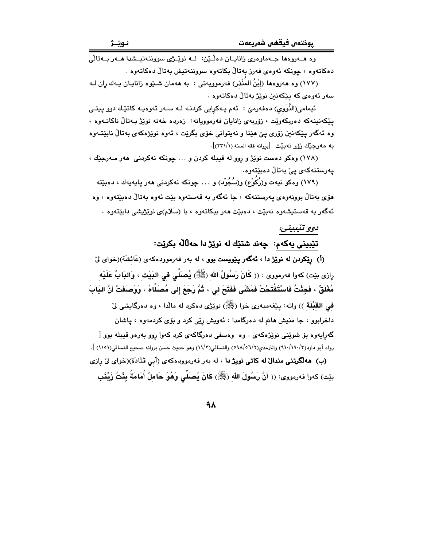وه هــهروهها جــهماوهري زانايــان دهلـّـێن: لــه نوێـِـژي سووننهتيـشدا هــهر بــهتالّي دەكاتەوە ، چونكە ئەوەي فەرز بەتالْ بكاتەوە سووننەتيش بەتالْ دەكاتەوە .

(١٧٧) وه هەروەها (إِبْنُ المَنْذر) فەرموويەتى : بە هەمان شـێوە زانايـان پـەك ران لـه سەر ئەوەي كە يێكەنىن نوێژ بەتالْ دەكاتەوە .

ئيمامي(النَّوَوِي) دەڧەرمێ : ئەم يـەكرايى كردنــه لــه ســەر ئەوەيــە كاتێـك دوو يـيتــى يێِكەنينەكە دەربكەوێت ، زۆربەي زانايان فەرموويانە: زەردە خەنە نوێژ بەتالْ ناكاتـەوە ، وه ئەگەر پێکەنین زۆرى پێ هێنا و نەيتوانى خۆي بگرێت ، ئەوە نوێژەکەي بەتالْ نابێتـﻪوە به مەرجێك زۆر نەبێت [بروانه فقه السنة (٢٣١/١)].

(١٧٨) وهكو دهست نويْژ و روو له قيبله كردن و ... چونكه نهكردنى ههر مـهرجيّك ، يەرستنەكەي يېْ بەتالْ دەبێتەوە.

(١٧٩) وهكو نيهت و(رُكُوْع) و(سُجُوْد) و . . . چونكه نهكردني ههر يايهيهك ، دهبێته هۆي بەتالٌ بوونەوەي پەرستنەكە ، جا ئەگەر بە قەستەوە بێت ئەوە بەتالٌ دەبێتەوە ، وە ئەگەر بە قەستىشەوە نەبێت ، دەبێت ھەر بېكاتەوە ، با (سَلام)ى نوێژپشى دابێتەوە .

### دوو تٽيبيني: تێبینی یهکهم: چەند شتێك له نوێژ دا حەلّالْه بكرێت:

(أ) **رێِکردن له نوێژ دا ، ئەگەر يێويست بوو** ، له بەر فەرموودەکەی (عَائشَة)(خوای لێ رِازِي بِيّتِ) كهوا فهرمووي : (( كَانَ رَسُولُ الله (ﷺ) يُصلِّي في البَيْت ، وَالبَابُ عَلَيْه مُغْلَقٌ ، فَجِئْتُ فَاسْتَقْتَحْتُ فَمَشْى فَفَتَحَ لى ، ثُمَّ رَجَعَ إلَى مُصَلَّاهُ ، وَوَصَفَتْ أَنَّ البَابَ فمي القَبْلَة )) واته: بِيَغْهُمبهري خوا (ﷺ) نويَرْي دهكرد له مالَّذا ، وه دهرگايشي ليّ داخرابوو ، جا منیش هاتم له دهرگامدا ، ئەویش رێی کرد و بۆی کردمەوە ، یاشان گەراپەوە بۆ شوينى نويزەكەي . وە وەسفى دەرگاكەي كرد كەوا روڧ بەرەڧ قىيلە بوڧ [ رواه أبو داود(٣/١٩٠/١٩٠) والترمذي(٥٦/٢/٥٩٨) والنسائي(١١/٣) وهو حديث حسن بروانه صحيح النسائي(١١٥١) ]. (ب) ههالگوتنی مندال له کاتی نویژ دا ، له بهر فهرموودهکهی (أبی قَتَادَة)(خوای لیٌ رازی

بيّت) كەوا فەرمووى: (( أَنَّ رَسُولَ الله (ﷺ) كَانَ يُصنَّى وَهُوَ حَاملٌ أُمَامَةُ بِئْتُ زَيْنَبِ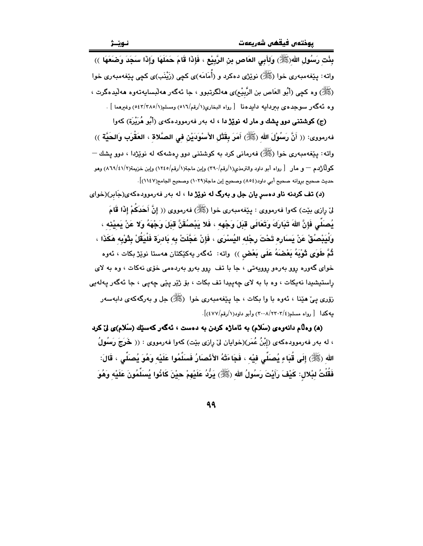بِئْت رَسُول اللهِ(ﷺ) وَلـأَبِي العَاص بِن الرَّبِيْعِ ، فَإِذَا قَامَ حَمَلَهَا وَإِذَا سَجَدَ وَضَعَهَا ﴾) واته: پێغهمبەری خوا (ﷺ) نوێژی دەکرد و (أُمَامَه)ی کچی (زَیْنَب)ی کچی پێغهمبەری خوا (ﷺ) وه كچي (أَبُو العَاص بن الرَّبِيْع)ي ههاڵگرتبوو ، جا ئهگەر هەلبسايەتەوه هەلّیدەگرت ، وه ئەگەر سوجدەي بېردايە دايدەنا [رواه البخارى(١/رقم/٥١٦) ومسلم(١/٥٤٢/٢٨٥) وغيرهما ] .

(ج) **کوشتنی دوو پشك و مار له نوێژ دا** ، له بهر فهرموودهک*هی* (أَبُو هُرَيْرَة) كهوا فەرمورى: (( أَنَّ رَسُوْلَ الله (ﷺ) أَمَرَ بِقَتْل الأَسْوَدَيْن في الصَّلاة ، العَقْرَب وَالحَيَّة )) واته: پێغهمبەری خوا (ﷺ) فەرمانی کرد بە کوشتنی دوو رەشەکە لە نوێژدا ، دوو پشك — كولِّاژْدِم — و مار [رواه أبو داود والترمذي(١/رقم/٢٩٠) وابن ماجة(١/رقم/١٢٤٥) وابن خزيمة(٢/٤١/١٦) وهو حديث صحيح بروانه صحيح أبي داود(٨٥٤) وصحيح إبن ماجة(١٠٢٩) وصحيح الجامع(١١٤٧)].

(د) **تف کردنه ناو دهسر یان جل و بهرگ له نویزژ دا** ، له بهر فهرموودهکهی(جَابر)(خوای لىٰ رِازِي بيّت) كەوا فەرمووى : پيٚفەمبەرى خوا (ﷺ) فەرمووى (( إنَّ أَحَدَكُمْ إِذَا قَامَ يُصنِّي فَإِنَّ اللهَ تَدَارَكَ وَتَعَالَى قِدَلَ وَجْهِه ، فَلا يَدْصُقَنَّ قِدَلَ وَجْهَهُ وَلا عَنْ بَميْذه ، وَلْيَبْصُقْ عَنْ يَسَارِهِ تَحْتَ رِجْله اليُسْرَى ، فَإِنْ عَجَّلَتْ به بَادرَة فَلْيَقُلْ بِثَوْبِه هَكَذَا ، ثُمَّ طَوَى ثَوْبَهُ بَعْضَهُ عَلَى بَعْضٍ )) واته: ئەگەر يەكێكتان ھەستا نوێژ بكات ، ئەوە خوای گهوره روو بهرهو روویهتی ، جا با تف روو بهرو بهردهمی خوّی نهکات ، وه به لای راستيشيدا نەيكات ، وه با بە لاى چەپيدا تف بكات ، بۆ ژێر يێي چەپى ، جا ئەگەر پەلەيى زۆرى يې هێنا ، ئەوە با وا بكات ، جا يێغەمبەرى خوا (ﷺ) جل و بەرگەكەي دابەسەر بيهكدا [رواه مسلم(٢٢٠٢/٢٣٠٣) وأبو داود(١/رقم/٤٧٧)].

(۵) وهلّام دانهوهي (سَلام) به ئاماژه كردن به دهست ، ئهگهر كهسێك (سَلام)ي ليّ كرد ، له بهر فهرموودهکهی (إِبْنُ عُمَر)(خوایان لیٌ رازی بیّت) کهوا فهرمووی : (( خَرَجَ رَسُولُ الله (ﷺ) إِلَى قُبَاءِ يُصنِّي فيْه ، فَجَاءَتْهُ الأَنْصنَارُ فَسَلَّمُوا عَلَيْه وَهُوَ يُصنِّي ، قَالَ: فَقُلْتُ لبْلال: كَيْفَ رَأَيْتَ رَسُولُ الله (ﷺ) يَرُّدُ عَلَيْهِمْ حيْنَ كَانُوا يُسَلِّمُونَ عَلَيْه وَهُوَ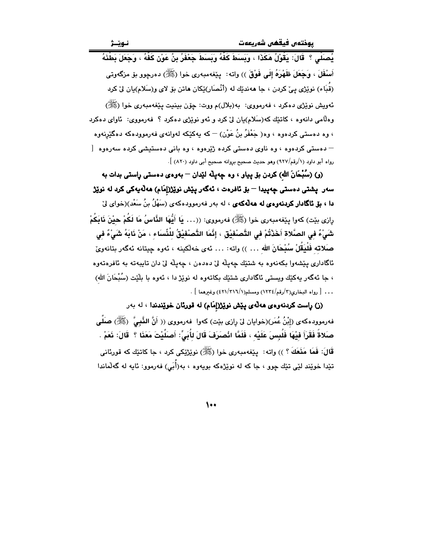يُصَلِّي ؟ ۚ قَالَ: يَقُوْلُ هَكَذَا ، وَبَسَطَ كَفَّهُ وَبَسَطَ جَعْفَرُ بِنُ عَوْنِ كَفَّهُ ، وَجَعَلَ بَطْذَهُ أَسْفَلَ ، وَجَعَلَ ظَهْرَهُ إِلَى فَوْقَ )) واته: ۖ يێغهمبهري خوا (ﷺ) دهرچوو بۆ مزگەوتى (قُبَاء) نوێژي ييّ کردن ، جا هەندێك له (أنْصَار)ێِکان هاتن بۆ لاي و(سَلام)يان ليّ کرد ئەويش نوێژي دەكرد ، ڧەرمووي: بە(بلال)م ووت: چۆن بېنىت يێغەمبەرى خوا (ﷺ) وهلّامي دانهوه ، کاتێك که(سَلام)يان ليّ کرد و ئهو نوێژي دهکرد ؟ فهرمووي: ئاواي دهکرد ، وه دهستی کردهوه ، وه( جَعْفَرُ بنُ عَوْن) — که پهکێکه لهوانهی فهرموودهکه دهگێرنهوه — دەستى كردەوە › وە ناوى دەستى كردە ژېرەوە › وە يانى دەستىشى كردە سەرەوە [ رواه أبو داود (١/رقم/٩٢٧) وهو حديث صحيح بروانه صحيح أبي داود (٨٢٠) ].

(و) (سُبْحَانَ الله) كردن بۆ پياو ، وه چەپلّە لێدان — بەوەي دەستى رِاستى بدات بە سەر يشتى دەستى چەپيدا — بۆ ئافرەت ، ئەگەر يێش نوێژ(إمَام) ھەڵەپەكى كرد لە نوێژ **دا ، بق ثاگادار کردنهوهی له ههآلهکهی** ، له بهر فهرموودهکهی (سَهْلُ بنُ سَعْد)(خوای لِیّ رازي بيّت) كهوا ييّغهمبهري خوا (ﷺ) فهرمووي: ((… يَا أَيُّهَا الذَّاسُ مَا لَكُمْ حيْنَ نَابَكُمْ شَىْءٌ في الصَّلاة أَخَذْتُمْ في التَّصنْفيْق ، إنَّمَا التَّصنْفيْقُ للْذِّسَاء ، مَنْ نَابَهُ شَيْءٌ في صَلاته فَلْيَقُلْ سُبْحَانَ الله … )) واته: … ئهى خهلّكينه ، ئهوه چيتانه ئهگهر بتانهويّ ئاگاداري پێشەوا بكەنەوە بە شتێك چەپلە لىٰ دەدەن ، چەپلە لىٰ دان تايبەتە بە ئافرەتەوە ، جا ئەگەر يەكێك ويستى ئاگادارى شتێك بكاتەوە لە نوێژ دا ، ئەوە با بلێت (سُبْحَانَ الله) . . . [ رواه البخاري(٣/رقم/١٢٢٤) ومسلم(٢١٦//٣١٦) وغيرهما ] .

(ز) راست كردنهوهى هه لهى پيش نويز(إمام) له قورئان خويندندا ، له بهر فهرموودهکهی (إِبْنُ عُمَر)(خوایان لیٰ رازی بێت) کهوا فهرمووی (( أَنَّ النَّبِیَّ ۚ (ﷺ) صَلَّـى صَلاةً فَقَرَأَ فِيْهَا فَلُبِسَ عَلَيْهِ ، فَلَمَّا انْصَرَفَ قَالَ لأُبَىٍّ: أَصَلَّيْتَ مَعَنَا ؟ ۖ قَالَ: نَعَمْ قَالَ: فَمَا مَنَعَكَ ؟ )) واته: بيّغهمبهري خوا (ﷺ) نويزيّيكي كرد ، جا كاتيّك كه قورئاني تێدا خوێند لێی تێك چوو ، جا كه له نوێژهكه بويهوه ، به(أُبَى) فهرموو: ئايه له گهڵماندا

 $\bullet\bullet$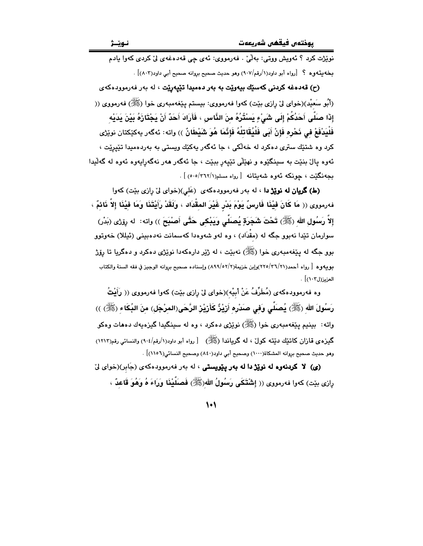نوێڗ۬ت کرد ؟ ئەويش ووتى: بەلْيْ . فەرمووى: ئەي چى قەدەغەي لىْ كردى كەوا يادم بِخْه بِنّه وه ؟ [رواه أبو داود(١/رقم/٩٠٧) وهو حديث صحيح بروانه صحيح أبي داود(٨٠٣)] .

(ح) قەدەغە كردنى كەسىيك بيەوپت بە بەر دەمىدا تىيپەرپت ، لە بەر فەرموودەكەي (أَبُو سَعِيْد)(خواي ليٌ رازي بيّت) کهوا فهرمووي: بيستم يَيْغهمبهري خوا (ﷺ) فهرمووي (( إِذَا صَلَّى أَحَدُكُمْ إِلَى شَيْءٍ يَسْتُرُهُ مِنَ الذَّاسِ ، فَأَرَادَ أَحَدٌ أَنْ يَجْتَازَهُ بَيْنَ يَدَيْه فَلْيَدْفَعْ في نَحْرِه فَإِنْ أَبَى فَلْيُقَاتِلْهُ فَإِنَّمَا هُوَ شَيْطَانٌ )) واته: ئەگەر يەكێكتان نوێڑى کرد وه شتێك سترى دهکرد له خهڵکي ، جا ئهگهر پهکێك ويستي به بهردهميدا تێيرێت ، ئەوە يالٌ بنێت بە سينگێوە و نهێڵي تێيەر ببێت ، جا ئەگەر ھەر نەگەرايەوە ئەوە لە گەلٚيدا بجەنگێت ، جونكە ئەوە شەبتانە [رواه مسلم(٢٦٢/١-٥٠٥)] .

(ط) گریان له نویز دا ، له بهر فهرموودهکهی (عَلی)(خوای لیّ رازی بیّت) کهوا فهرمووى (( مَا كَانَ فِيْنَا فَارِسٌ يَوْمَ بَدْرٍ غَيْرَ المقْدَاد ، وَلَقَدْ رَأَيْتَنَا وَمَا فِيْنَا إلاَّ نَائمٌ ، إِلاَّ رَسُولِ الله (ﷺ) تَحْتَ شَجَرَةٍ يُصلَى وَيَبْكي حَتَّى أَصْبَحَ )) واته: له رِوْرَى (بَدْرِ) سوارمان تێدا نهبوو جگه له (مقدَاد) ، وه لهو شهوهدا کهسمانت نهدهبینی (ئیللا) خهوتوو بوو جگه له پێغهمبهري خوا (ﷺ) نهبێت ، له ژێر دارهکهدا نوێژي دهکرد و دهگريا تا رۆژ بويهو ه [ رواه أحمد(٢٦/٢٦)(براين خزيمة(٢/٥٢/٢) راسناده صحبح بروانه الوجيز في فقه السنة والكتاب العزيز(ل١٠٣)] .

وه فەرموودەكەي (مُطَرِّفُ عَنْ أَبِيْه)(خواي لِیْ رازی بیِّت) كەوا فەرمووی (( رَأَيْتُ رَسُولَ الله (ﷺ) يُصَلِّي وَفي صَدْرِه أَرْيْزٌ كَأَرْيْرْ الرَّحَى(المرْجَل) منَ البُكَاء (ﷺ) )) واته: بينيم يێغەمبەرى خوا (ﷺ) نوێژى دەكرد ، وه له سينگيدا گيزەيەك دەھات وەكو گیزه ی قازان کاتتیك دنیته کول ، له گریاندا (ﷺ) [رواه أبو داود(۱/رقم/۹۰۶) والنسائی رقم(۱۲۱۲) وهو حديث صحيح بروانه المشكاة(١٠٠٠) وصحيح أبي داود(٨٤٠) وصحيح النسائي(١١٥٦)] .

(ی) لا كردنهوه له نويز دا له بهر ييويستى ، له بهر فهرموودهكهى (جَابر)(خواى ليّ رِازِي بيّت) كهوا فهرمووي (( إِشْتَكَى رَسُولُ الله(ﷺ) فَصَلَّيْنَا وَرَاءَ هُ وَهُوَ قَاعدٌ ،

 $\vee$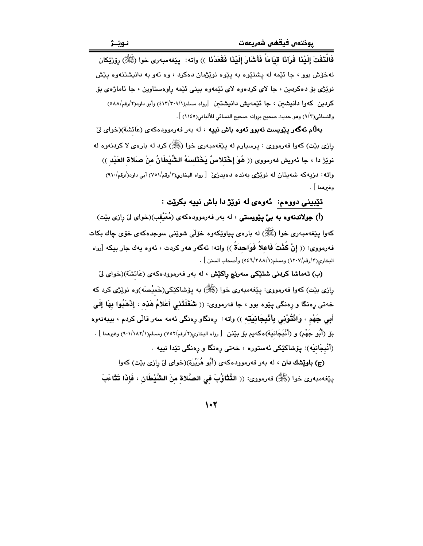فَالْتَفَتَ إِلَيْنَا فَرَآنَا قِيَامَاً فَأَشَارَ إِلَيْنَا فَقَعَدْنَا ﴾) واته: يێغهمبهري خوا (ﷺ) رۆرْێِكان نهخوش بوو ، جا ئێمه له پشتێوه به پێوه نوێژمان دهکرد ، وه ئهو به دانیشتنهوه پێش نوپُژي بۆ دەكردىن ، جا لاي كردەوە لاي ئێمەوە بىنى ئێمە راوەستاوين ، جا ئاماژەي بۆ كردين كەوا دانىشىن ، جا ئۆمەيش دانىشتىن [رواه مسلم(٢٠٩/١/١٣٠١) وأبو داود(٢/رقم/٥٨٨) والنسائي(٣/٣) وهو حديث صحيح بروانه صحيح النسائي للألباني(١١٤٥) ].

بهلام **ئەگەر يێوپست نەبور ئەرە باش نييە** ، لە بەر فەرموردەكەي (عَائشَة)(خواي لِيّ ږازی بێت) کهوا فهرمووی : پرسیارم له پێغهمبهری خوا (ﷺ) کرد له بارهی لا کردنهوه له نويِّرْ دا ، جا ئەويش فەرمووى (( هُوَ إِخْتلاسٌ يَخْتَلسَهُ الشِّيْطَانُ منْ صَلاة العَبْد )) واته: دزیهکه شهیتان له نویزی بهنده دهیدزی [ رواه البخاری(۲/رقم/۷۵۱) أبر داود(/رقم/۹۱۰) وغيرهما ] .

### تێبینی دووهم: کهوهی له نوێژ دا باش نییه بکرێت :

(أ) **جولاندنهوه به بيّ پێويستي** ، له بهر فهرموودهکهي (مُعَيْقب)(خواي ليّ رازي بێت) کهوا پێغهمبهري خوا (ﷺ) له بارهي پياوێکهوه خۆلی شوێنی سوجدهکهي خۆی چاك بکات فهرمووي: (( إِنْ كُنْتَ فَاعِلاً فَوَاحِدَةً )) وإنه: ئهگهر ههر كردت ، ئهوه بهك جار بيكه [رواه البخاري(٣/رقم/١٢٠٧) ومسلم(٢/٢٨٨/١) وأصحاب السنن ] .

(ب) تهماشا کردنی شتنیکی سهرنج رِلکیش ، له بهر فهرموودهکهی (عَائشَة)(خوای لیٌ رازي بێت) کهوا فهرمووي: پێغهمبهري خوا (ﷺ) به پۆشاکێکي(خَميْصَه)وه نوێژي کرد که خەتى رِەنگا و رِەنگى پێوە بوو ، جا فەرمووى: (( شَغَلَتْنِي أَعْلامُ هَذِه ، إِنْهَبُوا بِهَا إِلَى أَبِي جَهْم ، وَائْتُوْنِي بِأَنْبِجَانِيَتِهِ )) واته: ڕەنگاو ڕەنگى ئەمە سەر قالْى كردم ، بيبەنەوە بلِّ (أَبُو جَهْم) و (أَنْبَجَانيَة)ەكەيم بلّ بيْنن [رواه البخاري(٢/رقم/٧٥٢) ومسلم(١/١٨٢/١) وغيرهما ]. (أَنْبِجَانيَه): يۆشاكێكى ئەستورە ، خەتى رەنگا و رەنگى تێدا نييە .

(ج) **باوێشك دان** ، له بهر فهرموودهكهى (أَبُو هُرَيْرَة)(خواى ليٌ رازى بيّت) كهوا ينِغەمبەرى خوا (ﷺ) فەرمورى: (( التَّتْأَوُّبَ في الصَّلاة منَ الشَّيْطَان ، فَإِذَا تَتْأَءَبَ

 $1.7$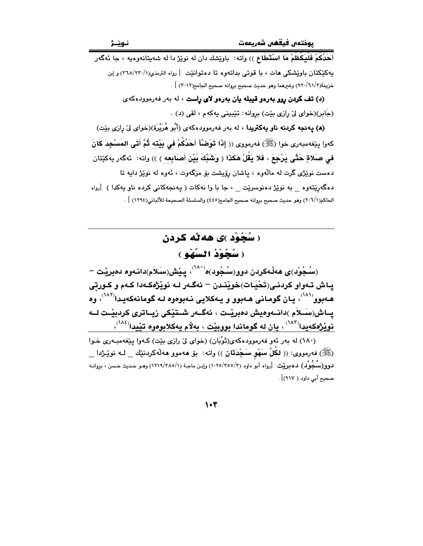أَحَدُكُمْ فَلْيَكْظُمْ مَا اسْتَطَاع )) واته: باويشك دان له نويزْ دا له شهيتانهوهيه ، جا ئهگەر يهكێكتان باوێشكي هات ، با قوتي بداتهوه تا دهتوانێت [رواه الترمذي(٢٦٨/٢٣٠/١) و إبن خزيمة(٢/٦١/٦٢) وغيرهما وهو حديث صحيح بروانه صحيح الجامع(٢٠١٢) ] .

> (د) <mark>تف کردن روو بهرهو قیبله یان بهرهو لای راست</mark> ، له بهر فهرموودهکهی (جَابِرِ)(خوای ليّ رازي بێت) بروانه: تێبینی پهکهم ، لقی (د) .

(**۵) پهنجه کردنه ناو یهکتریدا** ، له بهر فهرموودهکهی (أَبُو هُرَیْرَة)(خوای لیٌ رِازی بیِّت) كهوا بِيّغهمبهري خوا (ﷺ) فهرمووي (( إِذَا تَوَضَّأَ أَحَدُكُمْ في بَيْتَه ثُمَّ أَتَى المَسْجِدَ كَانَ في صَلاةٍ حَتَّى يَرْجِعَ ، فَلا يَقُلْ هَكَذَا ( وَشَبَّكَ بَيْنَ أَصَابِعه ) )) واته: ئەگەر يەكێتان دهست نوێژي گرت له مالّهوه ، پاشان رۆپشت بۆ مزگهوت ، ئهوه له نوێژ داپه تا دهگهریّتهوه به نویّژ دهنوسریّت ، جا با وا نهکات ( پهنجهکانی کرده ناو پهکدا ) اِرواه الحاكم(٢٠٦/١) وهو حديث صحيح بروانه صحيح الجامع(٤٤٥) والسلسلة الصحيحة للألباني(١٢٩٤) ] .

# ( سُجُوْد )ي هه ٽه کردن ( سُحُوْدُ السَّهْو )

(سُـجُوْد)ى ھەڵەكردن دوو(سُـجُود)ە<sup>(۸۸۰)</sup>، يـێش(سَـلاَم)دانـەوە دەبرێت <sup>\_</sup> يـاش تـهواو كردنـى(تَحْيَـات)خويْنـدن – ئەگـەر لـه نويْژەكـهدا كـهم و كـورتى هـهبوو<sup>(۸۸۱</sup>)، يـان گومـاني هـهبوو و يـهكلايي نـهبوهوه لـه گومانهكهيـدا<sup>(۸۲</sup>)، وه يـاش(سَــلاَم )دانــهوهيش دەبرێـت ، ئەگــهر شــتێكى زيــاترى كردىێـت لــه  $\mathfrak{t}_\mathbf{2}$ نوٽژهکه $\mathfrak{t}^{(\mathcal{M}^\mathcal{K})}$ ، يان له گوماندا پوويٽت ، پهلام پهکلاپوموم تٽيدا $\mathfrak{t}^{(\mathcal{M}^\mathcal{K})}$ ،

(١٨٠) له بهر ئهو فهرموودهكهى(ثَوْبَان) (خواى ليّ رازى بيّت) كـهوا ييّغهمبـهرى خـوا (ﷺ) فەرمووى: (( لكُلِّ سَهْو سَجْدَتَان )) واتە: بۆ ھەموو ھەلەكردنێك \_ لــه نوێـِژدا \_ لـ3وو(سُكِوْل) لـ3مِرِيْت  $\left[\frac{1}{100}\right]$ واد (٢/٢٥/٢٥٧/٢) وإبـن ماجـة (١/١٢١٨/٢٨٥) وهـو حـديث حـسن ، بروانــه صحيح أبي داود ( ٩١٧)].

1.3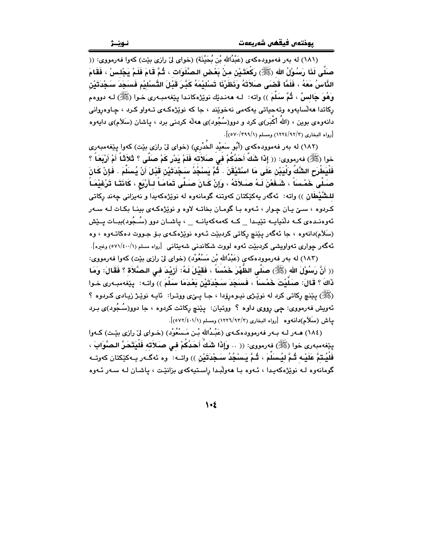(١٨١) له بهر فهموودهكهي (عَبْدُالله بْن بُحَيْنَة) (خواي ليّ رازي بيّت) كهوا فهرمووي: (( صَلَى لَذَا رَسُوْلُ الله (ﷺ) رَكَعَتَـيْنِ منْ بَعْـض الـصَّلَوَات ، ثُـمَّ قَامَ فَلَمْ يَجْلس ْ ، فَقَامَ الذَّاسُ مَعَهُ ، فَلَمَّا قَضَى صَلاَتَهُ وَنَظَرْنَا تَسْليْمَهُ كَبَّرَ قَبْلَ التَّسْليْم فَسَجَدَ سَجْدَتَيْن وَهُوَ جَالسٌ ، ثُمَّ سَلَّمَ )) واته: لـه ههنديّك نويّژهكانـدا پيّغهمبـهري خـوا (ﷺ) لـه دووهم رِکاتدا ههڵسايهوه وتهحياتي پهکهمي نهخوێند ، جا که نوێژهکـهي تـهواو کـرد ، چـاوهږواني دانهوهي بوين ، (الله أكْبَر)ى كرد و دوو(سُجُود)ى ههڵه كردنى برد ، ياشان (سَلَام)ى دايهوه [رواه البخاري (٩٢/٢/ ١٢٢٤) ومسلم (٧٠/٢٩٩/١)].

(١٨٢) له بهر فهموودهكهي (أَبُو سَعيْد الخَدْرِي) (خواي ليّ رازي بيّت) كهوا ينفهمبهري خوا (ﷺ) فەرمورى: (( إِذَا شَكَ َّأَحَدُكُمْ في صَلاَته فَلَمْ يَدْرٍ كَمْ صَلَّى ؟ ثَلاَثَكُ أَمْ أَرْبَعَـاً ؟ فَلْيَطْرَحِ الشَّكَّ وَلْيَبْنِ عَلَى مَا اسْتَيْقَنَ . ثُمَّ يَسْجُدُ سَجْدَتَيْنِ قَبْلَ أَنْ يُسلَمَ . فَإنْ كَانَ صَلَّى خَمْسَاً ، شَـفَعْنَ لَـهُ صَـلاَتَهُ ، وَإِنْ كَـانَ صَـلَّى تَمَامَـاً لـأَرْبَع ، كَانَتَـا تَرْغيْمَـاً للـشُّيْطَان )) واته: ئەگەر يەكێكتان كەوتنە گومانەوە لە نوێژەكەيدا و نەيزانى چەند ركاتى کردوه ، سـێ یـان چـوار ، ئـهوه بـا گومـان بخاتـه لاوه و نوێژهکـهى بينـا بکـات لـه سـهر ئەوەنىدەى كــه دلّنيايــه تێيىدا \_ كــه كەمەكەيانــه \_ ، ياشــان دوو (سُــجُود)ببــات يــێش (سَلَام)دانهوه ، جا ئەگەر يێنچ ركاتى كردېێت ئـهوه نوێژەكـهى بـۆ جـووت دەكاتـهوه ، وه ئەگەر چوارى تەواويشىي كردىبيىت ئەوە لووت شكاندنىي شەيتانىي [رواه مسلم (٧١/٤٠٠/١) وغيرە].

(١٨٣) له بهر فهرموودهكهي (عَبْدُالله بْن مَسْعُوْد) (خواي ليّ رازي بيّت) كهوا فهرمووي: (( أَنَّ رَسُوْلَ الله (ﷺ) صَلَّى الظَّهْرَ خَمْسَاً ، فَقَيْلَ لَـهُ: أَرْيْدَ فـى الـصَّلاَة ؟ فَقَالَ: وَمَا ذَاكَ ؟ قَالَ: صَلَّيْتَ خَمْسَاً ، فَسَجَدَ سَجْدَتَيْنَ بَعْدَمَا سَلَّمَ )) واتـه: پێفەمبـەرى خـوا (ﷺ) پێنچ رکاتي کرد له نوێـڑي نيـوهرۆدا ، جـا پـێي ووتـرا: ئايـه نوێـِـڑ زيـادي کـردوه ؟ ئەويش فەرمووى: چى رووى داوە ؟ ووتيان: يێنچ ركاتت كردوە ، جا دوو(سُـجُود)ى بـرد ياش (سَلَأَم)دانه وه [رواه البخاري (١٢/٩٣/٣)) ومسلم (٥٧٢/٤٠١/١)].

(١٨٤) هــهر لــه بـهر فهرموودهكـهى (عَبْـدُالله بْـن مَـسْعُوْد) (خـواي ليّ رازي بيّـت) كـهوا ينِغەمبەرى خوا (ﷺ) فەرمووى: (( .. وَإِذَا شَكَ أَحَدُكُمْ في صَلاَته فَلَيَتَحَرُّ الصَّوَابَ ، فَلَيُـتمَّ عَلَيْـه ثُـمَّ ليُـسلَمَ ، ثُـمَّ يَـسْجُدُ سَـجْدَتَيْنِ )) واتــه: وه ئهگــهر بــهكێكتان كهوتــه گومانەوه لـه نوێژهکەيدا ، ئـەوه بـا ھەولْبـدا راسـتيەکەي بزانێت ، ياشـان لـه سـەر ئـەوه

 $\lambda$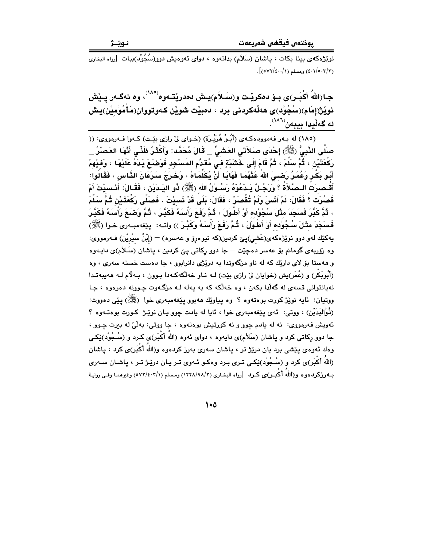.<br>نوێۣژەكەي بېينا بكات ، پاشان (سَلاَم) بداتـەوە ، دواي ئـەوەيش دوو(سُنُجُوْد)ببات [رواه البخاري  $\left[ \frac{1}{(0 \text{V} \text{V}/\epsilon \cdot \cdot / \text{V})} \frac{1}{(2 \text{V} \cdot \epsilon \cdot \cdot / \epsilon \cdot \epsilon \cdot \cdot / \epsilon \cdot \epsilon)} \right]$ .

جـا(اللهُ أَكْبَـر)ي بــوْ دەكريْـت و(سَــلاَم)يــش دەدريْتــەوە<sup>(^^\</sup>، وە ئەگــەر يــيٚش نويْژ(إمَام)(سُجُوْد)ي هەڵەكردنى برد ، دەبيْت شويْن كەوتووان(مَأْمُوْمِيْن)يش له گەڵيدا بيبەن<sup>(</sub>۸۸)</sup>.

(١٨٥) له بهر فهموودهكهى (أَبُوْ هُرَيْرة) (خواى ليّ رازى بيّت) كـهوا فـهرمووى: (( صَلَّى النَّبِيُّ (ﷺ) إِحْدَى صَلاَتَى العَشْيِّ \_ قَالَ مُحَمَّد: وَأَكْثَرُ ظَنِّي أَنَّهَا العَصْرُ \_ رَكْعَتَيْنَ ، ثُمَّ سَلَّمَ ، ثُمَّ قَامَ إِلَى خَشَبَةٍ فِي مُقَدَّمِ المَسْجِدِ فَوَضَعَ يَدَهُ عَلَيْهَا ، وَفِيْهِمْ أَبُو بَكْرٍ وَعُمَرُ رَضـيَ اللهُ عَذْهُمَا فَهَابَـا أَنْ يُكَلِّمَاهُ ، وَخَرَجَ سَرَعَانَ الذَّاس ، فَقَالُوا: أَقُـصرَتُ الـصَّلاَةُ ؟ وَرَجُـلٌ يَـدْعُوْهُ رَسُـوْلُ الله (ﷺ) ذُو اليَـدَيْنِ ، فَقَـالَ: أَنَـسيْتَ أَمْ قَصُرَت ؟ فَقَالَ: لَمْ أَنْسَ وَلَمْ تُقْصَرْ ، فَقَالَ: بَلَى قَدْ نَسيْتَ . فَصَلَّى رَكْعَتَـٰيْن ثُـمَّ سَلَّمَ › ثُمَّ كَبَّرَ فَسَجَدَ مثْلَ سُجُوْده أَوْ أَطْوَلَ › ثُمَّ رَفَعَ رَأْسَهُ فَكَبَّرَ › ثُمَّ وَضَعَ رَأْسَهُ فَكَبَّرَ فَسنَجَدَ مثْلَ سُجُوْده أَوْ أَطْوَلَ ، ثُمَّ رَفَعَ رَأْسَهُ وَكَبَّرَ )) واتـه: ۚ يێفهمبـهري خـوا (ﷺ) یهکێك لهو دوو نوێژەکەی(عَشی)یێ کردین(که نیوەرۆ و عەسرە) — (إِبْنُ سیْریْن) فــهرمووی: وه زۆربەی گومانم بۆ عەسر دەچێت – جا دوو ركاتى يى كردىن ، ياشان (سَلاَم)ى دايـەوە و ههستا بۆ لای داریّك كه له ناو مزگهوتدا به دریْژی دانرابوو ، جا دهست خسته سهری ، وه (أَبُوبَكْرٍ) و (عُمَر)يش (خوايان ليّ رازي بيّت) لـه نـاو خه لكهكـهدا بـوون ، بـهلاّم لـه ههيبهتـدا نهپانتوانی قسهی له گهلّدا بکهن ، وه خهلکه که به پهله لـه مزگـهوت چـوونه دهرهوه ، جـا ووتيان: ئايه نوێژ کورت بوهتەوه ؟ وه يياوێك هەبوو يێغەمبەرى خوا (ﷺ) يێي دەووت: (ذُوْالِيَدَيْنِ) ، ووتى: ئەي يێغەمبەرى خوا ، ئايا لە يادت چوو يـان نوێـِژ كـورت بوەتــەوە ؟ ئهويش فهرمووي: نه له يادم چوو و نه كورتيش بوهتهوه ، جا ووتي: بهلّيٰ له بيرت چـوو ، جا دوو رکاتی کرد و پاشان (سَلاَم)ی دایهوه ، دوای ئهوه (اللهُ أَکْبَر)ی کـرد و (سُـجُوْد)ێِکـی وهك ئەوەي يَيْشى برد يان درێژ تر ، ياشان سەرى بەرز كردەوە و(اللهُ أَكْبَر)ى كرد ، ياشان (اللهُ أكْبَر)ى كرد و (سُـجُوْد)ێِكـي تـرى بـرد وهكـو ئـهوى تـر بـان درێـژ تـر ، ياشـان سـهرى بـه(زكردهوه و(اللهُ أَكْبَـر)ى كـرد [رواه البخـارى (٢/ ٩٨/١٢٨) ومـسلم (٥٧٣/٤٠٣/١) وغيرهمـا وفـي روايـة

 $\bullet\bullet$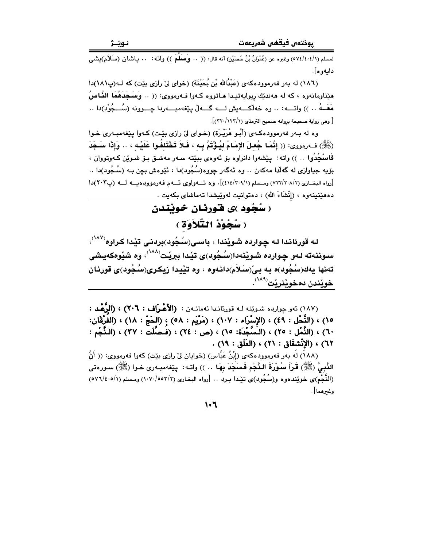لمسلم (٤٠٤/١/٥٧٤) وغيره عن (عُمْرَانُ بْنُ حُصَيْنِ) أنه قال: (( ٠. وَسَلَّمَ )) وإنّه: ٠. بِإشان (سَلاَم)بِشي دايەو ھ].

(١٨٦) له بهر فهرموودهكهي (عَبْدُالله بْنِ بُحَيْنَة) (خواي لِيّ رازي بيّت) كه لـه(پ١٨١)دا هێناومانهوه ، که له ههندێك ريوايهتيدا هـاتووه کـهوا فـهرمووي: (( .. وَسَـجَدَهُمَا النَّـاسُ مَعَــهُ .. )) واتــــه: .. وه خهلُكــــهيش لــــه گــــهلٌ بيّخهمبــــهردا چــــوونه (سُــــجُوْد)دا .. [ وهي رواية صحيحة بروانه صحيح الترمذي (٢٢٠/١٢٢/١)].

وه له ٻهر فهرمووڊهڪهي (اُٻُو هُرَيْرة) (خواي ليّ رازي بيّت) ڪهوا پيّغهمبـهري خـوا (ﷺ) ف1رمووي: (( إِنَّمَا جُعلَ الإِمَامُ لِيُؤْتَمَّ بِهِ ، فَلاَ تَخْتَلِفُوا عَلَيْهِ ، .. وَإِذَا سَجَدَ فَاسْجُدُوا … )) واته: بيِيْشەوا دانراوه بِوْ ئەوەي بِبِيْته سـەر مەشىق بِـوْ شـوِيْن كـەوتووان ، بۆيە جياوازى لە گەلدا مەكەن .. وە ئەگەر جووە(سُجُود)دا ، ئێوەش بچن بـە (سُـجُود)دا .. .<br>[رواه البخباري (٢٠٨/٢٠٨) ومسلم (٤١٤/٣٠٩/١)]. وه تبهواوي ئبهم فهوموودهب لبه (ب٢٠٣)دا دەھێنىنەوە ، (إنْشَاءَ الله) ، دەتوانىت لەوێپشدا تەماشاي بكەيت .

> ( سُجُود )ي فوريان خونندن ( سُحُوْدُ النَّلاَوَةِ )

لـه قورئانـدا لـه چـوارده شـوێندا ، باسـی(سُـجُود)بردنـی تێدا کـراوه<sup>(۱۸۷</sup>′، سوننهته لـهو چوارده شـوێنهدا(سُـجُود)ی تێدا ببرێت $^{(\lambda\Lambda)}$ ، وه شێوهکهیشی تەنھا يەك(سُجُود)ە بـه بـي'(سَـلاَم)دانـهوه ، وه تێيـدا زيكـرى(سُـجُود)ى قورئـان خويندن دەخوينرنت<sup>(۱۸۹</sup>).

(١٨٧) ئەو چواردە شىوپنە لــه قورئانـدا ئەمانــەن : (الأَعْـرَاف : ٢٠٦) ، (الرَّعْـد : ١٥) ، (النَّحْل : ٤٩) ، (الإِسْرَاء : ١٠٧) ، (مَرْيَم : ٥٨) ؛ (الحَجّ : ١٨) ، (الفُرْقَان: ٦٠) ، (النُّمْل : ٢٥) ، (الـَسُّجْدَة: ١٥) ، (ص : ٢٤) ، (فَـصُلِّتَ : ٣٧) ، (النُّجْم : ٦٢) ، (الإِنْشِقَاق : ٢١) ، (العَلَق : ١٩) .

(١٨٨) لَه بهر فهرموودهكهى (إِبْنُ عَبَّاس) (خوايان ليْ رازي بيّت) كهوا فهرمووي: (( أَنَّ النَّبِيُّ (ﷺ) قَرَأَ سُوْرَةَ النَّجْمِ فَسَجَدَ بِهَا … )) واتـه: يێفهمبـهري خـوا (ﷺ) سـورەتى (النُّجْم)ي خويندهوه و(سُجُود)ي تيّدا بـرد .. [رواه البخاري (٢/٥٥٢/٢) ومسلم (٥/٤٠٥/١) (٥٧٦/٤٠٥) وغىرھما].

 $1.7$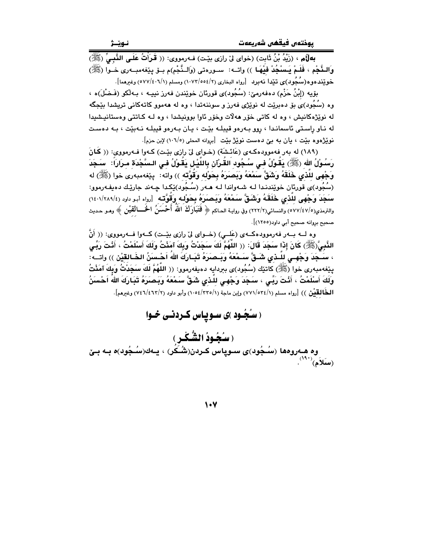بِهِلْأُم ، (زَيْدُ بْنُ ثَابِت) (خواي لِيّ رازِي بِيّت) فـهرمووي: (( قَـرَأْتُ عَلَـى النَّسِيِّ (ﷺ) وَالـنَّجْمِ ، فَلَـمْ يَـسْجُدْ فَيْهَـا )) واتــه: سـورەتى (وَالـنَّجْم)م بـوْ يێفەمبـەرى خـوا (ﷺ) خوێنده.وه(سُجُود)ی تێدا نهبرد [رواه البخاری (٢/٥٥٤/٢) ومسلم (١٠٧١/٤٠٦) وغیرهما].

بۆيە (إِبْنُ حَزْم) دەڧەرمىؒ: (سُجُود)ى قورئان خوێندن ڧەرز نىپيە ، بـەڵكو (فَـضْلَ)ە ، وه (سُجُود)یَ بۆ دەبرێت له نوێژی فەرز و سوننەتدا ، وه له هەموو کاتەکانی تریشدا بێجگه له نوێِژهکانیش ، وه له کاتی خوّر ههلات وخوّر ئاوا بوونیشدا ، وه لـه کـاتتی وهستانیـشیدا له ناو راستی ئاسماندا ، روو بـهرهو قبیلـه بێت ، پـان بـهرهو قبیلـه نـهبێت ، بـه دهست نوێژەوە بێت ، يان به بێ دەست نوێژ بێت [بروانه المحلي (١٠٦/٥) لإبن حزم].

(١٨٩) له بهر فهموودهكهي (عَائشَة) (خـواي ليّ رازي بيّـت) كـهوا فـهرمووي: (( كَانَ رَسُولُ الله (ﷺ) يَقُولُ في سُجُود القُرْآن بِاللَّيْلِ يَقُولُ في السَّجْدَة مرَارَاً: ۚ سَجَدَ وَجْهِي لِلَّذِي خَلَقَهُ وَشَقٌّ سَمْعَهُ وَبَصَرَهُ بِحَوْلِه وَقَوَّتْه )) واته: ۖ يێفهمبهري خوا (ﷺ) له (سُجُود)ی قورِئان خوێِندنـدا لـه شـهواندا لـه هـهر (سُـجُود)ێِکـدا چـهند جارێـك دهيفـهرموو: سَجَدَ وَجْهِي لِلَّذِي خَلَقَهُ وَشَقَّ سَمْعَهُ وَيَصَرَهُ بِحَوْلِه وَقَوَّتْه ۚ [رواه أبو داود (٢٤٠١/٢٨٩/٤) والترمذي(٥/٧/٤٧/٥) والنسائي(٢٢٢/٢) وفي روايـة الـحاكم ﴿ فَتَبَـاًوكَ اللَّهُ أَحْسَنُ الْحَـــالْقَيْن ﴾ وهـو حـديث صحيح بروانه صحيح أبي داود(١٢٥٥)].

وه لـــه بـــهر فهرموودهكــهى (عَلـــى) (خـــواى لىّ رازى بيّــت) كـــهوا فـــهرمووى: (( أَنَّ الذَّبِيَّ(ﷺ) كَانَ إِذَا سَجَدَ قَالَ: (( اللَّهُمَّ لَكَ سَجَدْتُ وَبِكَ آمَنْتُ وَلَكَ أَسْلَمْتُ ، أَنْتَ رَبِّي ، سَـجَدَ وَجْهـى للّـذى شَـقَّ سَـمْعَهُ وَبَـصرَهُ تَبَـارَكَ اللهَ اَحْـسنَنُ الخَـالقيْن )) واتــه: ينِغهمبهري خوا (ﷺ) كاتنِك (سُجُود)ي ببردايه دهيفهرموو: (( اللَّهُمَّ لَكَ سَجَدْتُ وَبِكَ آمَنْتُ وَلَكَ أَسْلَمْتُ ، أَنْتَ رَبِّي ، سَجَدَ وَجْهِي لِلَّذِي شَقٌّ سَمْعَهُ وَبَصَرَهُ تَبَارَكَ اللهُ اَحْسَنُ الْمُعَالِمُيْنِ )) [رواه مسلم (٧٧١/٥٣٤/١) وإبن ماجة (١٠٥٤/٢٣٥/١) وأبو داود (٧٤٦/٤٦٢/٢) وغيرهم].

( سنُجُـود )ی سـویاس کـردنـی خـوا

(سُجُودُ الشُّكْرِ) وه هـهروهها (سُـجُود)ي سـوياس كـردن(شُـكُر) ، يـهك(سُـجُود)ه بـه بـێ  $\mathbf{u}^{(\mathsf{A}^{\mathsf{A}})}$ (سَلاَم)

 $\vee$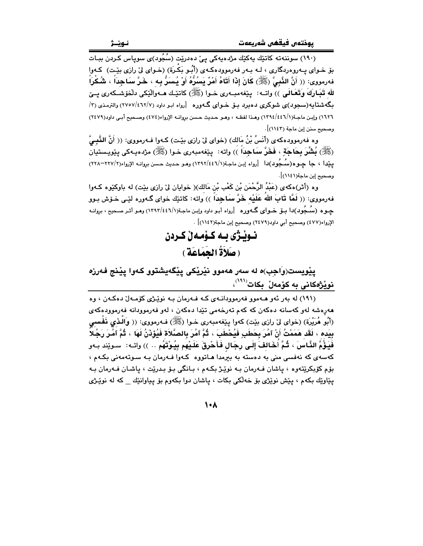.<br>(۱۹۰) سوننەتە كاتێك پەكێك مژدەپەكى يېّ دەدرێت (سُجُود)ى سوياس كـردن بيـات بۆ خـواي پــهروهردگاري ، لـه بـهر فهرموودهكـهي (أَبُـو بَكْـرَة) (خـواي ليّ رازي بێـت) كـهوا فهرمووى: (( أَنَّ النَّبِيَّ (ﷺ) كَانَ إِذَا أَتَاهُ أَمْرٌ يَسُرُّهُ أَوْ يُسَرُّ بِه ، خَرَّ سَاجِداً ، شُكْراً لله تَبَـارَكَ وَتَعَـالَـى ﴾) واتــه: يێغهمبــهري خــوا (ﷺ) كاتێـك هــهوالێكي دلْخو٘شــكهري يــيّ بگهشتایه(سجود)ی شوکری دهبرد بـۆ خـوای گـهوره [رواه ابـو داود (۲۷/٤٦٢/٧) والترمـذی (۳/ ١٦٢٦) وإبن ماجة(١/١٣٩٤/٤٤٦) وهذا لفظه ، وهـو حـديث حـسن بروانـه الإرواء(٤٧٤) وصـحيح أبـي داود(٢٤٧٩) وصحيح سنن إين ماجة (١١٤٣)].

وه فهرموودهكهى (أَنَسُ بْنُ مَالك) (خواي لِيّ رازي بيّـت) كـهوا فـهرمووي: (( أَنَّ النَّبِـيَّ (ﷺ) بُشِّرَ بِحَاجَةٍ ، فَخَرَّ سَاجِداً )) واته: ۖ يێغهمبهري خـوا (ﷺ) مژدهيـهكي يێويـستيان يێدا ، جا چـوه(سُـجُود)دا [رواه إبـن ماجـة(١/١٣٩٢/٤٤٦) وهـو حـديث حـسن بروانـه الإرواء(٢/٢٧-٢٢٨) وصحيح إبن ماجة(١١٤١)].

وه (أَثْر)هكهي (عَبْدُ الرَّحْمَن بْن كَعْب بْن مَالك)( خوايان ليْ رازي بيْت) له باوكيْوه كـهوا فهرمووي: (( لَمَّا قَابَ اللَّهُ عَلَيْه خَرَّ سَاجِدَاً )) واته: كاتبَك خواي گـهوره لبّـي خـوّش بـوو جـوه (سُـجُود)دا بــۆ خــوای گــهوره [رواه أبـو داود وإبـن ماجـة(١٣٩٣/٤٤٦/١) وهـو أثـر صـحيح ، بڕوانــه الإرواء(٤٧٧) وصحيح أبي داود(٢٤٧٩) وصحيح إبن ماجة(١١٤٢)] .

> نبوٽڙي به ڪومهڻ ڪردن (صَلاَةُ الجَمَاعَةِ )

يێويست(وَاجِب)ه له سەر ھەموو نێرێکی يێگەيشتوو کەوا يێنج فەرزە نوێژەكانى بە كۆمەلٚ بكات<sup>(^^')</sup>،

(١٩١) له بهر ئهو هـهموو فهرموودانـهى كـه فـهرمان بـه نويِّـژى كۆمـهلٌ دهكـهن ، وه هەرەشە لەو كەسانە دەكەن كە كەم تەرخەمى تێدا دەكەن ، لەو فەرموودانە فەرموودەكەي (أَبُو هُرَيْرَةٍ) (خواي ليْ رازي بيْتٍ) كهوا يبْغهمبهري خـوا (ﷺ) فـهرمووي: (( وَالَـٰفِي فَفَـٰسـِي بِيَده ، لَقَد هَمَمْتُ أَنْ آمُرَ بِحَطَبِ فَيُحْطَبَ ، ثُمَّ آمُرَ بِالصَّلاَة فَيُؤذَنُ لَهَا ، ثُمَّ آمُرَ رَجُلاً فَيَؤُمُّ النَّاسَ ، ثُمَّ أَخَالفَ إِلَى رِجَالٍ فَأَحْرِقَ عَلَيْهِم بِيُوْتَهُم .. )) واتـه: ۚ سـوێند بـهو کهسهی که نهفسی منی به دهسته به بیرمدا هـاتووه کـهوا فـهرمان بـه سـوتهمهنی بکـهم ، بۆم كۆبكريتەوە ، ياشان فـەرمان بـە نوپْـژ بكـهم ، بـانگى بـۆ بـدريْت ، ياشـان فـەرمان بـه پێاوێك بكهم ، پێش نوێڗؠي بۆ خەڵكى بكات ، پاشان دوا بكەوم بۆ پياوانێك كە لە نوێـِرْي

 $\lambda \cdot \lambda$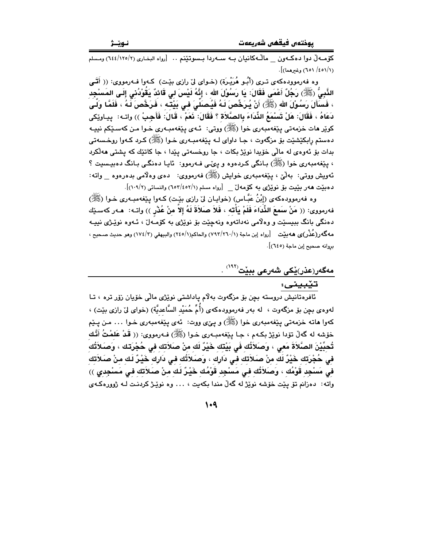كۆمـەلٌ دو! دەكـەون \_ ماڭـەكانيان بــه ســەردا بــسوتێنم .. [رواه البخـارى (١٢٥/٢/٢) ومـسلم (١/٤٥١/ ٦٥١) وغيرهما)].

وه فهرموودهکهی تـری (أَبُـو هُرَيْـرَة) (خـوای لیْ رازی بیْـت) کـهوا فـهرمووی: (( أَتَـَى الذَّبِيُّ (ﷺ) رَجُلٌ أَعْمَى فَقَالَ: يَا رَسُوْلَ الله ، إِنَّهُ لَيْسَ لي قَائِدٌ يَقُوْدُني إِلَي المَسْجِد ، فَسَأَلَ رَسُوْلَ الله (ﷺ) أَنْ يُرَخِّصَ لَهُ فَيُصَلِّيَ في بَيْتَه ، فَرَخُّصَ لَهُ ، فَلَمَّا وَلَى دَعَاهُ ، فَقَالَ: هَلْ تَسْمَعُ الذِّدَاءَ بِالصَّلاَة ؟ فَقَالَ: نَعَمْ ، قَالَ: فَأَجِبْ )) واتـه: پيـاوێكى کوێر مات خزمەتى يێغەمبەرى خوا (ﷺ) ووتى: ئـهى يێغەمبـەرى خـوا مـن كەسـێكم نييـه دهستم رابکێشێت بۆ مزگەوت ، جـا داواي لـه پێغەمبـەرى خـوا (ﷺ) کـرد کـەوا روخـسەتى بدات بِقِ ئەوەي لە مالّى خۆيدا نوێژ بكات ، جا روخسەتى يێدا ، جا كاتێك كە يشتى ھەلّكرد ، پێغەمبەرى خوا (ﷺ) بـانگى كـردەوە و پـىٽـى فــەرموو: ئاپـا دەنگـى بـانگ دەبپـسيت ؟ ئەويش ووتى: بەلىٚ ، بېيغەمبەرى خواپش (ﷺ) فەرمووى: دەي وەلامى بدەرەوە واتە: دەبيّت ھەر بيّيت بۆ نويْژى بە كۆمەلّ \_ [رواه مسلم (٥٢/٤٥٢/١) والنسائى (١٠٩/٢)].

وه فەرموودەكەي (إِبْنُ عَبَّـاس) (خوايـان لِّيْ رازِي بِيْـت) كـەوا يِيْغەمبـەرى خـوا (ﷺ) فهرمووى: (( مَنْ سَمعَ الثِّدَاءَ فَلَمْ يَأْتِهِ ، فَلاَ صَلاَةَ لَهُ إِلاّ مِنْ عُذْرٍ )) واتـه: هـهر كهسـێك دهنگي بانگ ببيسێت و وهڵامي نهداتهوه ونهچێت بۆ نوێژي به کۆمـُهڵ ، ئـهوه نوێـژي نيپـه مه گەر(عُذْر)ى ھەبێت [رواه إبن ماجة (١/٧٩٢/٢٦٠) والحاكم(١/٢٤٥) والبيهقى (٢/١٧٤) وهو حديث صـحيح ، بروانه صحيح إبن ماجة (٦٤٥)].

## <u>مەگەر(عذر)يْ</u>كى شەرعى ببيّت<sup>(١٩٢)</sup> تێبينى:

ئافرەتانيش دروستە بچن بۆ مزگەوت بەلام پاداشتى نوپْژى مالى خۆيان زۆر ترە ، تـا لهوهي بچن بۆ مزگهوت ، له بهر فهرموودهكهي (أُمِّ حُمَيْد السَّاعديَّة) (خواي ليْ رازي بێت) ، کهوا هاته خزمهتي پێغهمبهري خوا (ﷺ) و پێي ووت: ئهي پێغهمبهري خـوا … مـن پـێم خۆشه له گەلّ تۆدا نوێژ بکـهم ، جـا يێغەمبـەرى خـوا (ﷺ) فـهرمووى: (( قَدْ عَلَمْتُ أَنَّك تُحبِّيْنَ الصَّلاَةَ مَعى ، وَصَلاَتُك فَى بَيْتك خَيْرٌ لَك منْ صَلاَتك فى حُجْرَتك ، وَصَلاَتُك فِي حُجْرَتِك خَيْرٌ لَك مِنْ صَلاَتِك فِي دَارِك ، وَصَلاَتُك فِي دَارِك خَيْرٌ لَك مِنْ صَلاَتِكِ في مَسْجِد قَوْمُك ، وَصَلاَتُك في مَسْجِد قَوْمُك خَيْرٌ لَك منْ صَلاَتك في مَسْجِدي )) واته: دەزانم تۆ يێت خۆشە نوێژ لە گەڵ مندا بكەيت ، … وە نوێـژ كردنـت لــه ژوورەكـەي

 $1.9$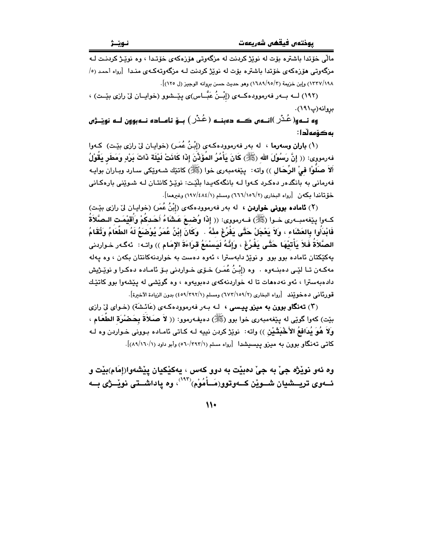.<br>مالّی خۆتدا باشتره یۆت له نوٽژ کردنت له مزگهوتی هۆزەکەی خۆتىدا › وه نوٽیژ کردنیت لـه مزگەوتى ھۆزەكەي خۆتدا باشترە بۆت لە نوێژ كردنت لـه مزگەوتەكـەي منـدا [رواه أحمد (٥/ ١٣٢٧/١٩٨) وإبن خزيمة (٣/٥/٩٥/٣) وهو حديث حسن بروانه الوجيز (ل ١٢٥)].

(١٩٢) لــه بــهر فهرموودهكــهي (إِبْـنُ عَبَّــاس)ي بِيْــشوو (خوابــان ليّ رازي بِيْــت) ، بروانه (پ١٩١).

۔ ''<br>وہ نےو( عُـُـرْ )انےوں کے دوبنے ( عُـُـرْ ) بــوّ نامــادہ نــوبوون لــو نویــْـژوں بەكۆمەلّدا :

(١) باران وسهرما ، له بهر فهرموودهكـهي (إِبْنُ عُمَـرٍ) (خوابـان ليّ رازي بيّـت) كـهوا فەرمورى: (( إِنَّ رَسُوْلَ الله (ﷺ) كَانَ يَأْمُرُ المُؤَذِّنَ إِذَا كَانَتْ لَيْلَة ذَاتَ بَرْدِ وَمَطَر يَقُوْلُ أَلاَ صَلُّوْا فيْ الرِّحَالِ )) واته: يێغەمبەرى خوا (ﷺ) كاتێك شـﻪوێكى سـارد وبـاران بوايـﻪ .<br>فهرماني په پانگدور دوکرد کووا لـه پانگوکهپيدا پلٽت: نوٽڻ کانتيان لـه شيوٽني پاروکياني خۆتاندا یکەن [رواه البخاری (۲/ ۱۵٦/ ٦٦٦) ومسلم (۱/ ۱۹۷/ ۱۹۷) وغیرهما].

(۲) **ئاماده بوونی خواردن ،** له بهر فهرموودهکهی (إِبْنُ عُمَر) (خوابیان لِیّ رازی بِیّت) كــهوا بيّذهمبــهري خـوا (ﷺ) فــهرمووي: (( إِذَا وُضبعَ عَـشَاءُ أَحَـدكُمْ وَأَقَيْمَت الـصَّلَاةُ فَابْدَأُوا بِالعَشَاءِ ، وَلاَ يَعْجَلْ حَتَّى يَفْرُغَ مِنْهُ . ۚ وَكَانَ إِبْنُ عُمَرُ يُوْصْبَعُ لَهُ الطَّعَامُ وَتُقَامُ الصَّلاَةُ فَلاَ بَأْتَيْهَا حَتَّى بَفْرُغَ ، وَإِنَّهُ لَيَسْمَعُ قَرَاءَةَ الإِمَامِ )) واتـه: ئهگـهر خـواردني بهکێکتان ئاماده بوو بوو و نوێژ دابهسترا ، ئەوە دەست بە خواردنەکانتان بکەن ، وە پەلە مەكـەن تـا لێـى دەبنــەوە ٠ وە (إِبْـنُ عُمَـر) خـۆى خـواردنى بـۆ ئامـادە دەكـرا و نوێـژيش داده به سترا ، ئه و نه دههات تا له خواردنه که ی ده بوده ، وه گوئشی له منشه وا بوو کاتئـك قورناني دەخوێند [رواه البخارى (٢/١٥٩/٢) ومسلم (١/٣٩٢/٢٥) بدون الزيادة الأخبرة].

(۳) **تهنگاو بوون به میزو بیسی** ، لـه بـهر فهرموودهکهی (عَائشَة) (خـوای ليّ رازی بيّت) كهوا گويّي له بيّيْغهمبهري خوا بوو (ﷺ) دهيفهرموو: (( لاَ صَلاَةَ بِحَضْرَةِ الطَّعَامِ ، ولَا هُوَ بُدَافعُ الأَخْبَثَيْنِ )) واته: نوي٘ژ كردن نبيه لـه كـاتي ئامـاده بـووني خـواردن وه لـه کاتبی تهنگاو بوون به میزو بیسیشدا [رواه مسلم (۲۹۲/۱/۳۹۲) وأبو داود (۱/۰۲/۱۸)].

وه ئهو نوێژه جيٰ به جيٰ دهبێت به دوو کهس ، پهکێکيان پێشهوا(إمَام)بێت و ئــهوي تريـــشيان شــوێن كــهوتوو(مَــأَمُوْم)(١٩٣)، وه ياداشــتي نوێـــژي بــه

 $\mathcal{W}$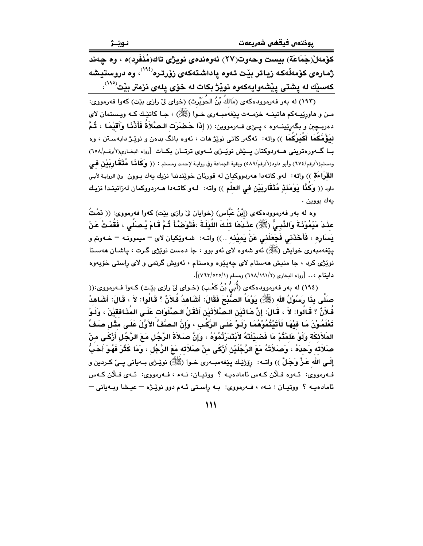كۆمەل(جَمَاعَة) بيست وحەوت(٢٧) ئەوەندەي نويژى تاك(مُنْفَرد)ە ، وە چەند ژمارەي كۆمەڵەك زياتر بێت ئەوە ياداشتەكەي زۆرترە<sup>(١٩٤)</sup>، وە دروستيشە كەسێك لە پشتى پێشەوايەكەوە نوێژ بكات لە خۆى يلەى نزمتر بێت<sup>(١٩٥)</sup>،

(١٩٣) له بهر فهرموودهكهي (مَاللهُ بْنُ الحُوَيْرِثِ) (خواي ليٌ رازي بيّت) كهوا فهرمووي: مـن و هاورێپـهکم هاتينــه خزمــهت پێغهمبــهري خــوا (ﷺ) ، جـا کاتێـك کـه ويـستمان لاي دهربـڃين و بگهرێينـهوه ، ڀـێي فـهرمووين: (( إِذَا حَكْمَرَت الـصَّلاَةَ فَأَذَّنَـا وَأَقيْمَـا ، ثُمَّ ليَؤُمَّكُمَا أَكْبَرُكُمَا ﴾) واته: ئهگەر كاتى نوێژ مات ، ئەوە بانگ بدەن و نوێژ دابەسىتن ، وە بِسا گەورەترىنى ھــەردوكتان يــێش نوێـزى ئــەوى ترتــان بكـات [رواه البخـارى(٢/رقـم/٢٥٨) ومسلم(١/رقم/٦٧٤) وأبو داود(١/رقم/٥٨٩) وبقية الجماعة وفي روايـة لإحمـد ومـسلم : (( وكِكَافَـا هُـتَـقَـاربِيَيْن فحي القرَاءَة )) واته: لهو كاتهدا ههردووكيان له قورئان خويندندا نزيك يهك بـوون وفي الروايـة لأبـي داود (( وَكَنَّا يَوْمَئَذٍ مُتَقَارِبَيْنِ في العلْم )) واته: لـهو كاتـهدا هـهردووكمان لهزانينـدا نزيـك يەك بووين .

وه له بهر فهرموودهكهى (إِبْنُ عَبَّاس) (خوايان ليٌ رازي بيّت) كهوا فهرمووي: (( نَمْتُ ُ عِنْدَ مَيْمُوْنَـةَ وَالنَّبِـيُّ (ﷺ) عِنْدَهَا تِلْكَ اللَّيْلَـةَ ،فَتَوَضَّأَ ثُمَّ قَامَ يُـصَلِّي ، فَقُمْتُ عَنْ يَسَارِه ، فَأَخَذَني فَجَعَلَني عَنْ يَميْنه ..)) واتـه: شـهوێِكيان لاي – ميموونـه – خـهوتم و يٽغهمبهري خوايش (ﷺ) ئهو شهوه لاي ئهو بوو ، جا دهست نوێژي گـرت ، پاشـان ههسـتا .<br>نویژی کرد ، جا منیش ههستام لای چهینوه وهستام ، ئهویش گرتمی و لای راستی خۆیەوه داينام ... [رواه البخاري (٢/١٩١/١٩١) ومسلم (٧/٢٢/٥٢٥)].

(١٩٤) له بهر فهرموودهکهي (أُبَيُّ بْنُ كَعْبِ) (خـواي ليْ رازي بيْت) كـهوا فـهرمووي:(( صَلَّى بِذَا رَسُوْلُ الله (ﷺ) يَوْمَأُ الصُّبْحَ فَقَالَ: أَشَاهدُ فُلاَنٌ ؟ قَالُوا: لاَ ، قَالَ: أشَاهدٌ فُلاَنٌ ؟ قَـالُوا: لاَ ، قَـالَ: إنَّ هَـاتَيْنِ الـصَّلاَتَيْنِ أَتْقَلُ الـصّلَوَات عَلَـى المُذَافقيْنَ ، ولَـوْ تَعْلَمُوْنَ مَا فَيْهَا لَأَتَيْتُمُوْهُمَا وَلَـوْ عَلَـى الرَّكْبِ ، وَإِنَّ الـصَّفَّ الأَوَّلَ عَلَـى مثْل صَفّ المَلاَئكَة وَلَوْ عَلمْتُمْ مَا فَضيْلَتَهُ لاَبْتَدَرْتُمُوْهُ ، وَإِنَّ صَلاَةَ الرَّجُل مَعَ الرَّجُل أزْكَى منْ صَلاَته وَحدَهُ ، وَصَلاَتَهُ مَعَ الرَّجُلَيْنِ أَزْكَى منْ صَلاَته مَعَ الرَّجُل ، وَمَا كَثُرَ فَهُوَ أَحَبُّ إِلَـى اللهِ عَـزٌّ وَجَلَّ )) واتــه: ڕۆڑێـك پێغهمبـهرى خــوا (ﷺ) نوێـڑى بــهيانى پــێ كــردين و فەرمووى: ئەوە فىلان كەس ئامادەپە ؟ ووتپان: نـەء ، فـەرمووى: ئـەي فىلان كـەس ئامادهيـه ؟ ووتيـان : نـهء ، فـهرمووى: بـه راسـتى ئـهم دوو نويْـژه - عيـشا ويـهيانى -

 $\mathcal{W}$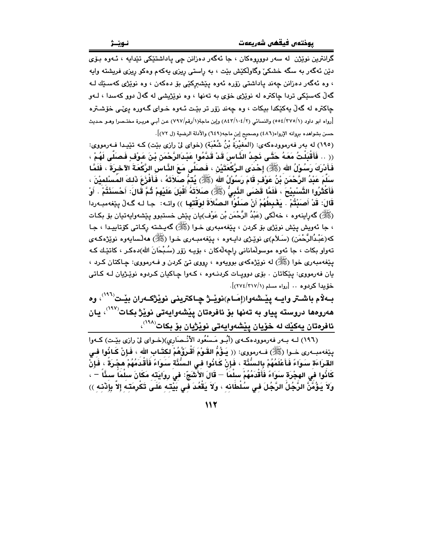گرانترين نوێژن له سهر دووروهکان ، جا ئهگهر دهزانن چي پاداشتٽيکي تٽدايه ، ئـهوه بـۆي دێن ئەگەر بە سگە خشكىّ وگاوڵكێش بێت ، بە راِستى رِيزى يەكەم وەكو رِيزى فريشتە وايە ، وه ئەگەر دەزانن چەند ياداشتى زۆرە ئەوە يێشىركێى بۆ دەكەن ، وە نوێژى كەسێك ك گەلّ كەسێكى تردا جاكترە لە نوێژى خۆي بە تەنھا ، وە نوێژیشى لە گەلّ دوو كەسدا ، لـەو جاکتره له گەلّ بِهکێکدا بیکات ، وه چەند زۆر تر بێت ئـهوه خـواي گـهوره بـِيِّـي خۆشـتره [رواه ابو داود (٥٥٤/٢٧٥/١) والنسائي (١٤٢/١٠٤/٢) وإبن ماجة(١/رقم/٧٩٧) عن أبـي هريـرة مختـصرا وهـو حـديث حسن بشواهده برِوانه الإرواء(٤٨٦) وصحيح إبن ماجه(٦٤٩) والأدلة الرضية (ل ٧٢)].

(١٩٥) له بهر فهرموودهكهي: (المَغيْرَةُ بْنُ شُعْبَةٍ) (خواي لِيّ رازي بيّت) كـه تبيّـدا فـهرمووي: (( .. فَأَقْبَلْتُ مَعَهُ حَتَّـى نَجِدُ النَّـاسَ قَدْ قَدَّمُوا عَبْـدَالرَّحْمَنْ بْنَ عَوْفٍ فَصَلَّى لَهُمْ ، فَأَدْرَكَ رَسُوْلُ الله (ﷺ) إِحْدَى الرَّكْعَتَيْن ، فَصنَلَّى مَعَ النَّاس الرَّكْعَةَ الآخرَةَ ، فَلَمَّا سَلَّمَ عَبْدُ الرَّحْمَنِ بْنُ عَوْفٍ قَامَ رَسُوْلُ الله (ﷺ) يُتَمُّ صَلاَتَهُ ، فَأَفْزَعَ ذَلكَ المُسْلميْنَ ، فَأَكْثَرُوا التَّسْبِيْحَ ، فَلَمَّا قَضـَى النَّبِيُّ (ﷺ) صَلاَتَهُ أَقْبَلَ عَلَيْهِمْ ثُمَّ قَالَ: أَحْسَنْتُمْ . أَوْ قَالَ: قَدْ أَصَبْتُمْ . يَغْبِطَهُمْ أَنْ صَلُّوا الصَّلاَةَ لوَقْتَها ﴾) واتـه: جـا لـه گـهڵ بِيّغهمبـهردا (ﷺ) گەراينەوە ، خەلكى (عَبْدُ الرَّحْمَن بْن عَوْف)يان پێش خستبوو پێشەوايەتيان بۆ بكـات ، جا ئەويش يێش نوێژي بۆ كردن ، يێغەمبەري خـوا (ﷺ) گەيـشتە ركـاتى كۆتاييـدا ، جـا كە(عَبْدُالرَّحْمَن) (سَـلاَم)ي نوێـژي داڀـهوه ، پێغهمبـهري خـوا (ﷺ) ههڵـساڀهوه نوێژهکـهي تەواو بكات ، جا ئەوە موسولْمانانى راجەلْەكان ، بۆيـە زۆر (سُـبْحَانَ الله)دەكـر ، كاتێـك كـه يێغەمبەرى خوا (ﷺ) لە نوێژەكەي بوويەوە ، رووي تێ كردن و فـەرمووي: چـاكتان كـرد ، يان فهرمووی: پێکاتان . بۆی دووپات کردنـهوه ، کـهوا چـاکيان کـردوه نوێـژيان لـه کـاتى خۆبدا كردوم .. [رواه مسلم (٢١٧//٢١٧)].

بـهلام باشــتر وايــه پِيْــشهوا(إِمَــام)نويْــژ چــاكتريني نويْژكــهران بيْــت<sup>(٢٩٦)</sup>، وه هەروەھا دروسته يياو به تەنها بۆ ئافرەتان يێشەوايەتى نوێژ بكات<sup>(١٩٧</sup>)، يان ئافرەتان يەكێك لە خۆيان پێشەوايەتى نوێژيان بۆ بكات<sup>(^^۱)</sup>،

(١٩٦) لـه بـهر فهرموودهكـهي (أَبُـو مَـسْعُود الأَنْـصَاري)(خـواي ليّ رازي بيّـت) كـهوا بِيِّفهمبـهري خـوا (ﷺ) فــهرمووي: (( يَـؤُمُّ القَـوْمَ أَقْـرَؤُهُمْ لكتَـاب الله ، فَـإِنْ كَـائُوا فـي القرَاءَة سَوَاءً فَأَعْلَمُهُمْ بِالسُّنَّة ، فَإِنْ كَانُوا فِي السُّنَّةِ سَوَاءً فَأَقْدَمُهُمْ مِجْرَةَ ، فَإِنْ كَانُوا في الهجْرَة سَوَاءً فَأَقْدَمُهُمْ سلْمَاً — قَالَ الأَشَعِّ: في روايَته مَكَانَ سلْمَاً سخَّاً — ، ولاَ يَؤُمَّنَّ الرَّجُلُ الرَّجُلَ في سُلْطَانه ، ولاَ يَقْعُدَ في بَيْته عَلَى تَكْرِمَته إلاّ بإِنْنه ﴾)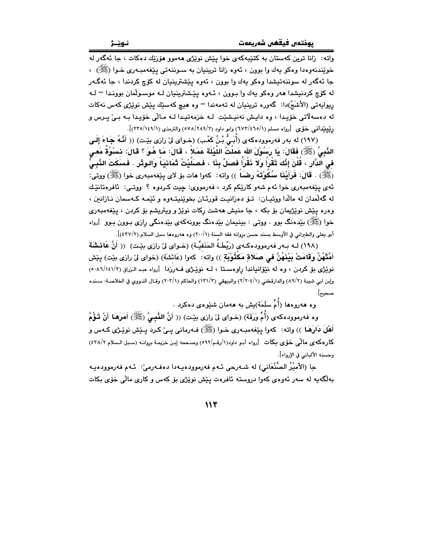.<br>واته: زانا ترين کهستان به کتێبهکهي خوا پێش نوێژي ههموو هۆزێك دهکات ، جا ئهگهر له خويندنهوهدا وهکو پهك وا بوون ، ئەوه زانا ترينيان به سـوننـهتي پـێغهمبـهري خـوا (ﷺ) ، جا ئهگەر له سوننەتيشدا وەكو يەك وا بوون ، ئەوە يێشترينيان له كۆچ كردندا ، جا ئەگەر له کۆچ کردنیشدا هەر وەکو يەك وا بوون ، ئـهوه يێشترينيان لـه موسـولّمان بوونـدا <sup>ـــ</sup> لـه ريوايەتى (الأشَجّ)دا: گەورە ترينيان لە تەمەندا – وە ھىچ كەسێك يێش نوێژى كەس نەكات له دەسەلاتى خۆيدا ، وە دايش نەنيشێت لـه خزمەتيدا لـه مـالّى خۆيدا بـه بـىٰ پـرس و رِینِیپندانسی خَوْی [رواه مسلم (۱/٥/٤٦٥/١) وابو داود (٢/٢٨٩/٢٨٩) والترمذی (١/٢٢٥/١٤٩)].

(١٩٧) له بهر فهرموودهكهى (أُبَيُّ بْنُ كَعْبٍ) (خواى ليِّ رازى بيِّت) (( أَنَّهُ جَاءَ إِلَى الذَّبِيِّ (ﷺ) فَقَالَ: يَا رَسُوْلَ الله عَمِلْتُ اللَّيْلَةَ عَمَلاً ، قَالَ: مَا هُوَ ؟ قَالَ: ذِسْوُةٌ مَعِي فى الدَّارِ ، قُلْنَ إِنَّكَ تَقْرَأُ وَلاَ نَقْرَأَ فَصَلِّ بِذَا ، فَصَلِّيْتُ ثَمَانِيَا وَالـوتْرِ . فَسَكَتَ الذَّبـىُّ (ﷺ) . قَالَ: فَرَأَيْنَا سُكُوْتَهُ رِضَاً )) واته: كهوا مات بوّ لاي بيّفهمبهري خوا (ﷺ) ووتي: ئەي يێغەمبەرى خوا ئەم شەو كارێكم كرد ، فەرمووى: چيت كـردوه ؟ ووتـى: ئافرەتانێك له گهلّمدان له مالّدا ووتيـان: تــوّ دهزانيـت قورئـان بخويّنيتـهوه و ئێمـه كـهسمان نـازانـن ، وهره يَيْش نوێژيمان بۆ بكه ، جا منيش هەشت ركات نوێژ و ويتريشم بۆ كردن ، يێغەمبەرى خوا (ﷺ) بندهنگ بوو . ووتـي : بـيـنـيمان بندهنگ بوونهکهي بندهنگي رازي بـوون بـوو [رواه أبو يعلي والطبراني في الأوسط بسند حسن بروانه فقه السنة (٢٠٠/١) وه هەروەها سبل السلام (٤٣٧/٢)].

(١٩٨) لـه بـ٥ر فهرموودهكـ٥ي (رَيْطَـةُ الحَنَفيَّـة) (خـواي ليْ رازي بيِّـت) (( أَنَّ عَائِشَةَ أَمَّتْهُنَّ وَقَامَتْ بَيْنَهُنَّ في صَلاَةِ مَكْتُوبْهِ ۖ )) واته: ۖ كهوا (عَائشَة) (خواي ليّ رازي بيّت) ييّش نوێژی بۆکردن ، وه له نێۆانیاندا راوهستا ، لـه نوێژی فـهرزدا [رواه عبد الـزراق (١/١٤١/٢-٥٠٨) وإبن ابي شيبة (٨٩/٢) والدارقطني (٢/٢٠٤/١) والبيهقي (١٣١/٣) والحاكم (٢٠٣/١) وقـال النـووي في الخلاصـة: سـنده صحيح] .

وه ههروهها (أُمِّ سَلَمَة) ش به ههمان شِيْوهي دهكرد .

وه فەرموودەكەي (أُمِّ وَرَقَة) (خـواي لِيْ رازي بِيْـت) (( أَنَّ النَّبِـيَّ (ﷺ) أَهَرَهَـا أَنْ تَـؤُمَّ أَهْلَ دَارَهَـا ﴾) واته: کهوا پێغهمبـهري خـوا (ﷺ) فـهرماني پـيّ کـرد پـێش نوێـِژي کـهس و كارهكهي مالّمي خوّى بكات [رواه أبو داود(١/رقم/٥٩٢) وصححه إبن خزيمة بروانه (سبل السلام ٤٣٨/٢) وحسنه الألباني في الإرواء].

جا (الأميْرُ الصَّنْعَاني) له شـهرحي ئـهم فهرموودهيـهدا دهفـهرميّ: ئـهم فهرموودهيـه بەلگەيە لە سەر ئەوەي كەوا دروستە ئافرەت يێش نوێژى بۆ كەس و كارى مالّى خۆي بكات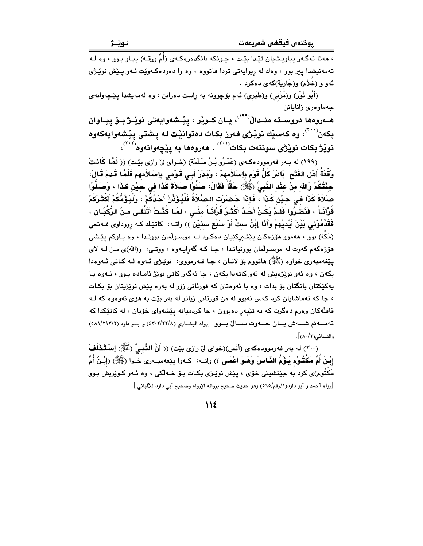، مەتا ئەگـەر يياويـشيان تێـدا بێـت ، چـونكە بانگدەرەكـەي (أُمٍّ وَرَقَـة) ييـاو بـوو ، وه لـە تهمهنيشدا پير بوو ، وهك له ريوايهتي تردا هاتووه ، وه وا دهردهكهويّت ئـهو پـيش نويّـژي ئهو و (غَلاَم) و(جَارِيَة)كهى دەكرد .

(أَبُو ثَوْرٍ) و(مُزَنى) و(طَبَرى) ئـهم بۆچوونه بـه راست دەزانن ، وه لـهمهيشدا يـێـﭽهوانـهى جەماۋەرى زانابانن .

هــهروهها دروســته منـدالْ<sup>(۱۹۹)</sup>، يــان كــوێر ، پێـشەوايەتى نوێـژ بــۆ پيــاوان بِكەن```)، وه كەسێك نوێژى فەرز بِكات دەتوانێت لـه يـشتى يێشەوايەكەوه <mark>نویْژ بکات نویْژی سوننهت بکات<sup>(۲۰۱</sup>ٌ) ، هەروەها بە پیچەوانەوە<sup>(۲۰۲</sup>ٌ)،<br>(۱۹۹) له بەر فەرموودەکەی (عَمْرُو بْنُ سَلَمَة) (خـوای لیّ رازی بیّـت) (( لَ**مَّا کَانَتْ)**</mark>

وَقْعَةُ أَهْلِ الفَتْحِ ۚ بَادَرَ كُلُّ قَوْمِ بِإِسْلاَمهِمْ ، وَبَدَرَ أَبِـى قَوْمى بِإِسْلاَمهِمْ فَلَمَّا قَدمَ قَالَ: جِئْتُكُمْ وَالله منْ عِنْد النَّبِيِّ (ﷺ) حَقًّا فَقَالَ: صَلُّوْا صَلاَةَ كَذَا في حيْن كَذَا ، وَصَلُّوْا صَلاَةَ كَذَا فـي حيْنِ كَذَا ، فَإِذَا حَصْرَتِ الصَّلاَةُ فَلْيُؤَذِّنْ أَحَدُكُمْ ، وَلْيَؤُمُّكُمْ أَكْثَرَكُمْ قُرْآنَـاً ، فَذَهَـٰرُوا فَلَـمْ يَكُـنْ أَحَـٰدٌ أَكْثَـرُ قُرْآَنَـاً مئّـى ، لمَـا كُنْـتُ أَتَلَّقَـى مـنَ الرُّكْبَـان ، فَقَدَّمُوْنِي بَيْنَ أَيْدِيْهِمْ وَأَنَا إِبْنُ ستِّ أَوْ سَنِّع سنيْن )) واتـه: كاتێك كـه رووداوي فـه-تحي (مَكَّة) بوو ، ههموو هۆزەكان يێشىركێيان دەكرد لـه موسـولْمان بوونـدا ، وه بـاوكم يێشى هۆزەكەم كەوت لە موسىولّمان بوونيانىدا ، جا كىه گەراپىەوە ، ووتىي: ورالله)ى مىن لىه لاى پٽغهمبهري خواوه (ﷺ) هاتووم ٻو لاتـان ، جـا فـهرمووي: نوٽِـژي ئـهوه لـه کـاتي ئـهوهدا بکەن ، وه ئەو نوێژەيش لە ئەو کاتەدا بکەن ، جا ئەگەر کاتى نوێژ ئامـادە بـوو ، ئـەوە بـا پهکێکتان بانگتان بۆ بدات ، وه با ئەوەتان کە قورئانى زۆر لە بەرە پێش نوێژپتان بۆ بکـات ، جا که تهماشایان کرد کهس نهبوو له من قورئانی زیاتر له بهر بێت به هۆی ئهوهوه که لـه قافلُهکان وهرم دهگرت که به تێپهر دهېوون ، جا کردميانه پێشهواي خۆپان ، له کاتێکدا که ته مسه نم شسه ش يسان حسهوت سسالٌ بسوو [رواه البضارى (٤٣٠٢/٢٢/٨) و اب و داود (٥٨١/٢٩٢/٢) والنسائي(٨٠/٢)].

(٢٠٠) له بهر فهرموودهكهي (أنَس)(خواي ليٌ رازي بيّت) (( أَنَّ النَّبِيَّ (ﷺ) إِسْتَخْلَفَ إِبْنَ أُمِّ مَكْتُوْمٍ يَـؤُمُّ النَّـاسَ وَهُـوَ أَعْمَـى )) واتــه: كــهوا بِينفهمبــهري خـوا (ﷺ) (إِبْـنُ أُمِّ مَکْتُوم)ی کرد به جێنشینی خۆی ، بێش نوێـژی بکـات بـۆ خـهڵکی ، وه ئـهو کـوێِریش بـوو [رواه أحمد و أبو داود(١/رقم/٥٩٥) وهو حديث صحيح بروانه الإرواء وصحيح أبي داود للألباني ].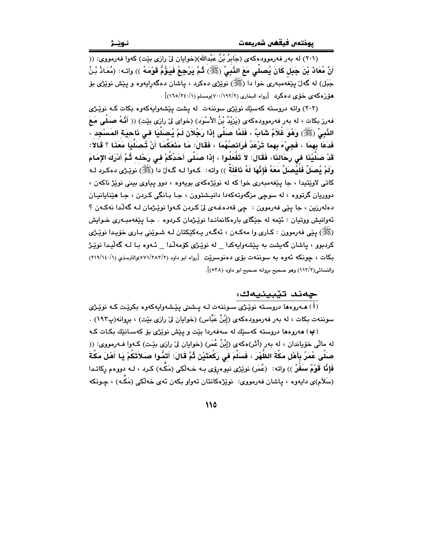.<br>(۲۰۱) له بهر فهرموودهکهي (جَابِرُ بْنُ عَبْدالله)(خوايان ليّ رازي بيّت) کهوا فهرمووي: (( أَنَّ مُعَاذَ بْنَ جَبَل كَانَ يُصَلِّي مَعَ النَّبِيِّ (ﷺ) ثُمَّ يَرْجِعُ فَيَؤُمُّ قَوْمَهُ )) واتـه: (مُعَاذُ بْنُ جَبَل) له گەل پێغەمبەرى خوا دا (ﷺ) نوێژى دەكرد ، پاشان دەگەراپەوە و پێش نوێژى بۆ هۆزەكەي خۆي دەكرد [رواه الىخارى (٧٠/١٩٢/٢)ومسلم (٢٤٠/١٦٥/٢٤)] .

(٢٠٢) واته دروسته كهسێك نوێژي سوننهت له پشت پێشهواپهكهوه بكات كـه نوێـژي فهرز بكات ، له بهر فهرموودهكهى (يَرْيْدُ بْنُ الأَسْوَد) (خواى ليّ رازى بيّت) (( أَنَّـهُ صَلَّـى مَعَ النَّبِيِّ (ﷺ) وَهُوَ غُلاَمٌ شَابٌ ، فَلَمَّا صَلَّى إِذَا رَجُلاَنِ لَمْ يُصَلِّيَا في نَاحيَة المَسْجِد ، فَدَعَا بِهِمَا ، فَجِيْءَ بِهِمَا تَرْعَدُ فَرَائصُهُمَا ، فَقَالَ: مَا مَنَعَكُمَا أَنْ تُصَلِّيَا مَعَذَا ؟ قَالاً: قَدْ صَلَّيْنَا في رِحَالنَا، فَقَالَ: لاَ تَفْعَلُوا ، إِذَا صَلَّى أَحَدُكُمْ في رَحْله ثُمَّ أَدْرَكَ الإمَامَ ولَمْ يُصلِّ فَلْيُصلِّ مَعَهُ فَإِنَّهَا لَهُ نَافلَةٌ )) واته: كـهوا لـه گـهارّ دا (ﷺ) نويّـرْي دهكـرد لـه کاتي لاويٽنيدا ، جا پيغهمبوري خوا که له نويژهکهي بويهوه ، دوو پياوي بيني نويژ ناکهن ، دووريان گرتووه ، له سوچي مزگەوتەكەدا دانپشتوون ، جـا بـانگي كـردن ، جـا هێنايانيـان دهلهرزين ، جا ڀٽِي فهرموون : چي قهدهغـهي ليٰ کردن کـهوا نوٽِـژمان لـه گهلُـدا نهڪهن ؟ ئهوانيش ووتيان : ئێمه له جێگای بارهکانماندا نوێـژمان کـردوه . جـا پێغهمبـهری خـوایش (ﷺ) پٽي فهرموون : کـاري وا مهکـهن ، ئهگـهر پـهکٽِکتان لـه شـوٽِني بـاري خوّيـدا نوٽِـژي کردبوو ، پاشان گەيشت بە يێشەواپەکدا لە نوێـژى کۆمەڵـدا ئـەوە بـا لــە گەڵيـدا نوێـژ بکات ، چونکه ئەوە بە سوننەت بۆی دەنوسىريىت [رواه ابو داود (٥٧١/٢٨٣/٢)والترمـذى (١/١٩/١٤٠) والنسائي(٢/١١٢) وهو صحيح بروانه صحيح ابو داود (٥٣٨)].

<mark>چهند تێبینیدک</mark>ک:<br>(i) مەروەما دروستە نوێژی سوننەت لـه پـشتی پێشەواپەکەوە بکرێت کـه نوێژ*ی* سوننهت بکات ، له بهر فهرموودهکهي (إِبْنُ عَبَّاس) (خوايان ليّ رازي بێت) ، بروانه(پ١٩٢) . (پ) هەروەما دروسته كەسىيك لە سەفەردا بيّت و ييّش نوپژى بۆ كەسـانتيك بكـات كـه له مالِّي خوّياندان ، له بهر (أَثَر)هكهي (إِبْنُ عُمَرٍ) (خوايان ليّ رازي بيّـت) كـهوا فـهرمووي: (( صنَلَّى عُمَرُ بِأَهْلِ مَكَّةَ الظَّهْرَ ، فَسَلَّمَ فَي رَكْعَتَيْنِ ثُمَّ قَالَ: أَتَمُّوا صَلاَتَكُمْ بَا أَهْلَ مَكَّةَ فَإِنَّا قَوْمٌ سَفْرٌ )) واته: (عُمَر) نوێڑی نیوهرۆی بـه خـهڵکی (مَکّـه) کـرد ، لـه دووهم رکاتـدا (سَلَام)ي دايەوە ، پاشان فەرمووى: نوێژەكانتان تەواو بكەن ئەي خەلكى (مَكَّە) ، چـونكە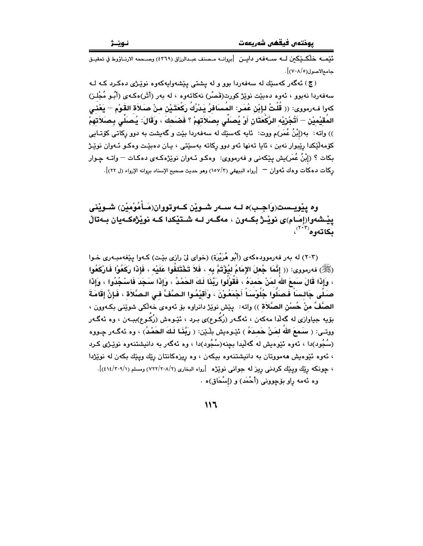.<br>تُيْمــه خَلْكــيْكمن لــه ســـهفهر دايــن [بروانــه مــمـنف عبــدالرزاق (٤٣٦٩) وصــحمه الارنــاؤوط في تحقيـق حامع الاصول(٧٠٨/٥)].

(ج) ئەگەر كەسىيك لە سەڧەردا بور و لە يشتى يېشەواپەكەرە نوپىژى دەكرد كـه لـە سەفەردا نەبور ، ئەرە دەبێت نوێژ كورت(قَصْر) نەكاتەرە ، لە بەر (أَثَر)ەكەي (أَبُو مُجْلـز) كهوا فـهرمووى: (( قُلْتُ لـإِبْنْ عُمَـر: المُسنَافرُ يَـدْرُكُ رَكْعَتَـيْنْ مـنْ صـَلاَة القَوْمِ — يَعْنـي المُقيْميْنِ — أَتُجْرَيْه الرَّكْعَتَانِ أَوْ يُصلِّى بِصلاَتهمْ ؟ فَصْحكَ ، وَقَالَ: يُصلِّى بِصلاَتهمْ )) واته: به(إِبْنُ عُمَر)م ووت: ئابِه كهسێك له سهفهردا بێت و گهبِشت به دوو ركاتي كۆتـابي کۆمەلٌکِکدا رێبوار نەبن ، ئايا تەنھا ئەو دوو رکاتە بەسێتى ، يـان دەبێت وەکـو ئـەوان نوێـژ بکات ؟ (إِبْنُ عُمَر)يش بِيٚکەنى و فەرمووى: وەکـو ئـەوان نوێژەکـەي دەکـات — واتـە چـوار ركات دهكات وهك ئهوان — [رواه البيهقي (١٥٧/٢) وهو حديث صحيح الإسناد بروانه الإرواء (ل ٢٢)].

وه پێویـست(وَاجـب)ه لــه ســهر شـوێن کــهوتووان(مَـأَمُوْميْن) شــوێني يٽشەوا(إمَـام)ي نوٽِـژ بِڪـەون ، مەگـەر لـه شـتێکدا کـه نوٽِژەکـەبان بـەتالْ بكاتەوە```،

(٢٠٣) له بهر فهرموودهکهي (أَبُو هُرَيْرَة) (خواي ليّ رازي بيّت) کـهوا يـيّغهمبـهري خـوا (ﷺ) فەرمورى: (( إِنَّمَا جُعلَ الإِمَامُ لِيُؤْتَمَّ بِهِ ، فَلاَ تَخْتَلِفُوا عَلَيْهِ ، فَإِذَا رَكَعُوْا فَارْكَعُوا ، وَإِذَا قَالَ سَمعَ اللهُ لمَنْ حَمدَهُ ، فَقُولُوا رَبَّنَا لَكَ الحَمْدُ ، وَإِذَا سَجَدَ فَاسْجُدُوا ، وَإِذَا صَلَّى جَالسَاً فَصَلُّوا جُلُوْسَـاً أَجْمَعُوْنَ ، وَأَقَيْمُوا الـصَّفَّ فـى الـصَّلاَة ، فَإِنَّ إقَامَةَ الصَّفِّ منْ حُسنْنِ الصَّلاَة )) واته: ينيش نويْرْ دانراوه بوّ ئهوهي خهالّكي شويّني بكـهوون ، بۆيە جياوازى لە گەلدا مەكەن ، ئەگـەر (رُكُـوع)ى بـرد ، ئێـوەش (رُكُـوع)ببـەن ، وە ئەگـەر ووتـي: ( سَـمعَ اللهُ لمَـنْ حَمـدَهُ ) ئێـوهيش بِلْـێن: ( رَبَّفَـا لَـكَ الحَمْـدُ) ، وه ئهگـهر چـووه (سُجُود)دا ، ئەوە ئێوەيش لە گەڵيدا بچنە(سُجُود)دا ، وە ئەگەر بە دانيشتنەوە نوێـژى كـرد ، ئەوە ئێوەيش ھەمووتان بە دانيشتنەوە بېكەن ، وە ريزەكانتان رێك ويێك بكەن لە نوێژدا ، جونكه ريّك ويَّك كردني ريز له جواني نويْژه [رواه البخاري (٢/٢٠٨/٢) ومسلم (٤١٤/٢٠٩/١)]. وه ئهمه راو بۆچوونى (أَحْمَد) و (إِسْحَاق)ه .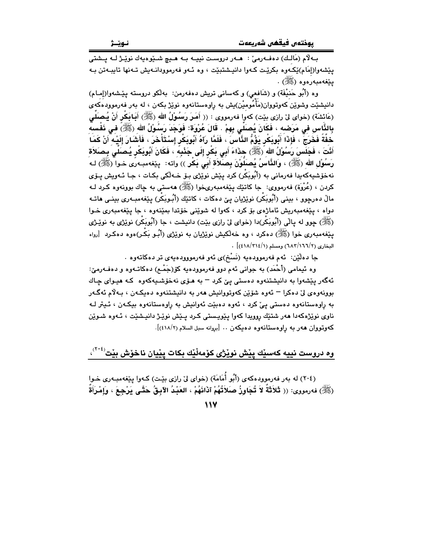بـه لاّم (مَالـك) دەفــەرمىؒ : هــەر دروسـت نييــه بــه هــيـ۾ شــێوەيەك نوێـژ لــه يــشتى يێشەوا(إمَام)ێِکەوە بِکرێت کـەوا دانپـشتبێت ، وە ئـەو فەرموودانـەيش تـەنھا تايبـەتن بـە **پێغەمبەرەوە (ﷺ)** .

وه (أَبُو حَنيْفَة) و (شَافعي) و كهساني تريش دهفهرمن: بهلكو دروسته يێشهوا(إمـام) دانیشێت وشوێن کەوتووان(مَأْمُومیْن)یش بە راوەستانەوە نوێژ بکەن ، لە بەر فەرموودەکەی (عَائشَة) (خواى لى رازى بيْت) كەوا فەرمووى : (( أَمَرَ رَسُوْلُ الله (ﷺ) أَبَـابَكْر أَنْ يُـصَلَـى بِالذَّاس في مَرَصْه ، فَكَانَ يُصَلِّي بِهِمْ . قَالَ عُرْوَة: فَوَجَدَ رَسُوْلُ الله (ﷺ) في ذَفْسه خِفَةَ فَخَرَجَ ، فَإِذَا أَبُوبَكِّرٍ يَؤُمُّ النَّاسَ ، فَلَمَّا رَآهُ أَبُوبَكِّرٍ إِسْتَأْخَرَ ، فَأَشَارَ إلَيْه آَنْ كَمَا أَنْتَ ، فَجَلَسَ رَسُوْلُ الله ﴿ﷺ) حدْاءَ أَبِي بَكُر إِلَى جَنْبِهِ ، فَكَانَ أَبُوبَكُر يُصنَلَى بصنَلاَة رَسُوْلِ الله (ﷺ) ، وَالذَّاسُ يُصَلَّوْنَ بِصَلاَة أَبَى بِكْرٍ )) واته: ۚ ييْغهمبهرِي خـوا (ﷺ) كه نەخۆشپەكەيدا فەرمانى بە (أَبُوبَكُر) كرد يێش نوێژى بـۆ خـەڵكى بكـات ، جـا ئـەويش يـۆي كردن ، (عُرْوَة) فەرمووى: جا كاتێك پێغەمبەرىخوا (ﷺ) ھەستى بە چاك بوونەوە كـرد ك مالٌ دەرچوو ، بينى (أَبُوبَكْر) نوێژيان يێ دەكات ، كاتێك (أَبُـوبَكْر) يێغەمبـەرى بينـى ھاتـە دواه ، پێغهمبهريش ئاماژهي بۆكرد ، كهوا له شوێنى خۆتدا بمێنهوه ، جا پێغهمبەرى خـوا (ﷺ) چوو له پالی (أَبُوبَكر)دا (خوای ليّ رازي بێت) دانيشت ، جا (أَبُوبَكر) نوێژي به نوێـژي يێغەمبەرى خوا (ﷺ) دەكرد ، وە خەلكىش نوێژيان بە نوێژى (أَبُـو بَكْـر)ەوە دەكـرد [رواە البخاري (٦٨٢/١٦٦/٢) ومسلم (٤١٨/٢١٤/١)] .

جا دەلێن: ئەم ڧەرموودەيە (نَسْخ)ى ئەو ڧەرمووودەيەى تر دەكاتەوە .

وه ئیمامی (أَحْمَد) به جوانی ئهم دوو فهرموودهیه کۆ(جَمْـع) دهکاتـهوه و دهفـهرمیّ: ئهگەر يێشەوا بە دانيشتنەوە دەستى يێ کرد – بە ھۆى نەخۆشىيەكەوە كـه ھيـواى چـاك بوونهوهي ليٌ دهکرا – ئەوە شۆێن کەوتووانيش ھەر بە دانيشتنەوە دەيكـەن ، بـﻪلام ئەگـەر به راوهستانهوه دهستی ییّ کرد ، ئەوه دەبێت ئەوانیش به راوهستانەوه بیکەن ، ئیتر لـه ناوي نوێژهکهدا ههر شتێك روويدا کهوا پێويستي کـرد پـێش نوێـژ دانپـشێت ، ئـهوه شـوێن كەوتووان ھەر بە راوەستانەوە دەيكەن .. [بروانە سبل السلام (٤١٨/٢)].

وه دروست نييه كەسێك پێش نوێژی كۆمەڵێك بكات يێيان ناخۆش بێت<sup>(۲۰٤)</sup>،

(٢٠٤) له بهر فهرموودهکهي (أَبُو أُمَامَة) (خواي ليّ رازي بيّت) کـهوا يـيّغهمبـهري خـوا (ﷺ) فەرمورى: (( تْلاَتْةٌ لاَ تُجَاوِزُ صَلاَتُهُمْ آذَانَهُمْ ، العَبْدُ الآبِقُ حَتَّـى يَرْجِعَ ، وَإِمْرَأَةٌ

 $\frac{1}{4}$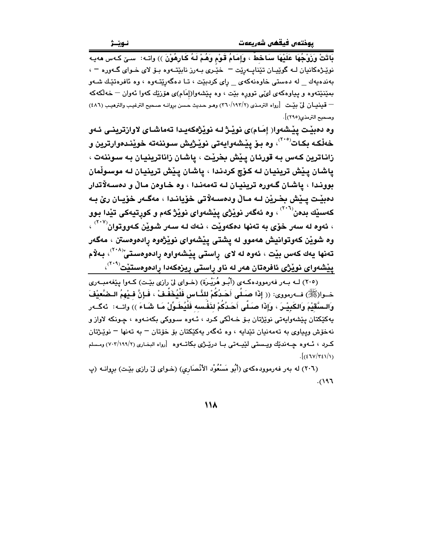بَاتَتْ وَزَوْجُهَا عَلَيْهَا سَاخَطٌ ، وَإِمَامُ قَوْمِ وَهُمْ لَهُ كَارِهُوْنَ )) واتـه: سـێ كـهس مهيـه نوێـِرْهکانيان لـه گوێيـان تێنايـهرێت – خێُـرى بـهرز نابێتـهوه بـۆ لاى خـواى گـهوره – ، بهندهیهك \_ له دهستی خاوهنهكهی \_ رِای كردبیّت ، تـا دهگهرِیّتـهوه ، وه ئافرهتیّـك شـهو بمێنێتەوه و پیاوەکەی لىێى تووره بێت ، وه پێشەوا(إمَام)ى ھۆزێك كەوا ئەوان — خەلكەكە = قينيان ليٌ بيّت [رواه الترمذي (٢٦٠/١٩٢/٢) وهو حديث حسن بروانه صحيح الترغيب والترهيب (٤٨٦) وصحيح الترمذي(٢٩٥)].

وه دهبيّت پيّشهوا( إِمَام)ي نويّـژ لـه نويّژهکهيـدا تهماشـاي لاوازترينـي ئـهو خەلْكـه بكـات<sup>(۲۰۵)</sup>، وە بىۆ پێشەوايەتى نوێژيش سىوننەتە خوێنىدەوارترين و زاناترين كـهس بـه قورئان يـيْش بخريْت ، ياشان زاناترينيان بـه سـوننهت ، ياشان پيش ترينيان له کوچ کردندا ، ياشان پيش ترينيان له موسولْمان بووندا ، ياشان گـهوره ترينيـان لـه تهمهنـدا ، وه خـاوهن مـالٌ و دهسـهلاتدار دەبێت پـێش بخـرێن لــه مـاڵ ودەســەلاتى خۆيانـدا ، مەگـەر خۆيـان رێ بـه کهسێك بدهن<sup>(۲۰٦)</sup> ، وه ئهگەر نوێژ*ی* پِێشەوای نوێژ کهم و کوڕتیەکی تێدا بوو ، ئەوە لە سەر خۆي بە تەنھا دەكەويْت ، نـەك لـە سـەر شـويْن كـەووتوان<sup>(۲۰۷)</sup> ، وه شوێن کەوتوانيش ھەموو لە يشتى يێشەواي نوێژەوە رادەوەستن ، مەگەر تەنھا يەك كەس بێت ، ئەوە لە لاى ڕاستى پێشەواوە رادەوەستىٚ<sup>‹‹</sup> ` ْ<sup>›</sup>، بەلام  $\mathcal{L}^{(Y,1)}$ پیشهوای نویژی ئافرهتان ههر له ناو راستی ریزهکهدا رادهوهستیّت

(٢٠٥) لـه بـهر فهرموودهكـهي (أَبُـو هُرَيْـرَةِ) (خـواي ليّ رازي بيّـت) كـهوا پيّغهمبـهري خــوا(ﷺ) فــه(مووى: (( إِذَا صَـلَّى أَحَـدُكُمْ لِلنَّـاسِ فَلْيُخَفِّـفْ ، فَـإِنَّ فِـيْهِمُ الـضَّعِيْفَ وَالـسَّقَيْمَ وَالكَبِيْـرَ ، وَإِذَا صَـلَّى أَحَـدُكُمْ لذَفْـسه فَلْيُطَـوِّلْ مَـا شَـاءَ )) واتــه: ئهگــهر پهکٽکتان پێشەواپەتى نوێژتان بىۆ خـﻪلکى كـرد ، ئـﻪوە سـووكى بكەنـﻪوە ، چـونكە لاواز و نهخۆش ويپاوى به تەمەنيان تێدايە ، وه ئەگەر پەكێكتان بۆ خۆتان <sup>—</sup> بە تەنھا <sup>—</sup> نوێـژتان كرد ، ئـــهوه چــهنديّك ويـــستي ليّيــهتي بــا دريّــرّي بكاتــهوه [رواه البخـاري (٧٠٣/١٩٩/٢) ومـسلم  $\frac{1}{2}$  $\frac{1}{2}$ 

(٢٠٦) له بهر فهرموودهکهي (أَبُو مَسْعُوْد الأنْصَاري) (خـواي ليٌ رازي بيّـت) برِوانــه (پ  $5(197)$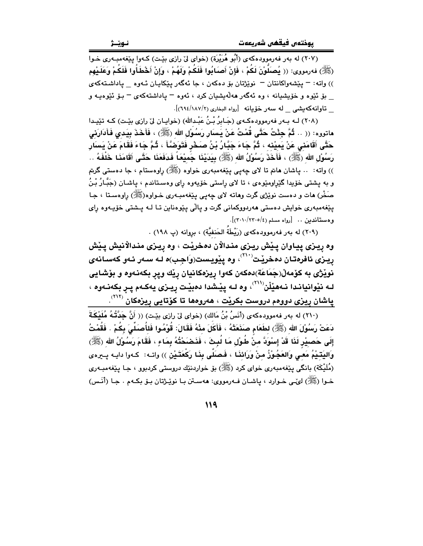.<br>(۲۰۷) له بهر فهرموودهکهی (أَبُو هُرَيْرَة) (خوای لِیْ رازی بێت) کـهوا پێغهمبـهری خـوا (ﷺ) فەرمورى: (( يُصلُّوْنَ لَكُمْ ، فَإِنْ أَصلَابُوا فَلَكُمْ وَلَهُمْ ، وَإِنْ أَخْطَأُوا فَلَكُمْ وَعَلَيْهِم )) واته: – پێشەواكانتان – نوێژتان بۆ دەكەن ، جا ئەگەر پێكاپـان ئـەوە \_ پاداشـتەكەي يۆ ئۆوە و خۆيشيانە ، وە ئەگەر ھەلەيشيان كرد ، ئەوە – پاداشتەكەي – يۆ ئۆوەپ و تاوانهكەيشى لە سەر خۆيانە [رواه البخارى (١٨٧/١٨٢)].

(۲۰۸) لـه بـهر فهرموودهكـهي (جَـابرُ بْـنُ عَبْـدالله) (خوابـان ليّ رازي بِيّـت) كـه تێيـدا ماتووه: (( .. ثُمَّ جِئْتُ حَتَّى قُمْتُ عَنْ بِسَارِ رَسُوْلِ الله (ﷺ) ، فَأَخَذَ بِيَدِي فَأَدَارَنِي حَتَّى أَقَامَنى عَنْ يَمِيْنه ، ثُمَّ جَاءَ جَبَّارُ بْنُ صَحْرٍ فَتَوَضَّأَ ، ثُمَّ جَاءَ فَقَامَ عَنْ يَسَار رَسُوْلِ الله (ﷺ) ، فَأَخَذَ رَسُوْلُ الله (ﷺ) بِيَدَيْذَا جَمَيْعَاً فَدَفَعَذَا حَتَّـى أَقَامَذَا خَلْفَهُ .. )) واته: .. پاشان هانم تا لای چەپی پێغەمبەری خواوه (ﷺ) راوەستام ، جا دەستى گرتم و به پشتې خۆيدا گێراومێوهي ، تا لاي راستې خۆپەوه راي وهسـتاندم ، پاشـان (جَبَّـارُ بْـنُ صَخْر) هات و دهست نوێژي گرت وهاته لاي چهيي پێغهمبـهري خـواوه(ﷺ) راوهسـتا ، جـا يێغەمبەرى خواپش دەستى ھەردووكمانى گرت و پالْي پێوەناپن تـا لــه پــشتى خۆپــەوە راي وهستاندين .. [رواه مسلم (٢٢٠١٠/٢٣٠٥)].

(۲۰۹) له بەر فەرموودەكەي (رَيْطَةُ الحَنفيَّة) ، بروانە (پ ۱۹۸) .

وه ريـزي پيـاوان پـيْش ريـزي منـدالاْن دهخريْت ، وه رِيـزي منـدالاْنيش پـيْش ريىزى ئافرەتـان دەخريىت<sup>‹‹››</sup>› وە پێويـست(وَاجِب)ە لـه سـەر ئـەو كەسـانە*ى* نوێۣژی به کۆمەڵ(جَمَاعَة)دەکەن کەوا ڕیزەکانیان ڕێك وپړ بکەنـەوە و بۆشـايى لـه نێوانيانـدا نـهفێڵن````، وه لـه يێـشدا دەبێت ريـزى يەكـهم يـر بكەنـەوه ، پاشان رِيزی دوومم دروست بکرێت ، هەرومها تا کۆتايى رِيزمکان <sup>(۲۱۲)</sup>.

(٢١٠) له بهر فهموودهكهي (أَنَسُ بْنُ مَالكِ) (خواي لِيّ رازِي بِيّتِ) (( أَنَّ جَدَّتُهُ مُلَيْكَةَ دَعَتْ رَسُوْلَ الله (ﷺ) لطَعَام صَنَعَتْهُ ، فَأَكَلَ مِنْهُ فَقَالَ: قُوْمُوا فَلأُصَلِّيَ بِكُمْ . فَقُمْتُ إِلَى حَصبِيْرِ لَذَا قَدْ إِسْوَدَّ منْ طُوْلِ مَا لُبِثَ ، فَذَهْـَحْتُدُّهُ بِمَاءٍ ، فَقَامَ رَسُوْلُ الله (ﷺ) وَاليَتَيْمُ مَعـَى وَالعَجُـوْزُ منْ وَرَائنَـا ، فَـصَلَّى بِنَـا رَكْعَتَـيْن )) واتــه: كــهوا دايــه پــيرهى (مُلَيْكَة) بانگی پێغەمبەری خوای کرد (ﷺ) بۆ خواردنێك دروستی کردبوو ، جـا پێغەمبـەری خـوا (ﷺ) لهُنـي خـوارد ، ڀاشـان فـهرمووي: ههسـتن بـا نوێـِژتان بـو٘ بكـهم . جـا (أَنَـس)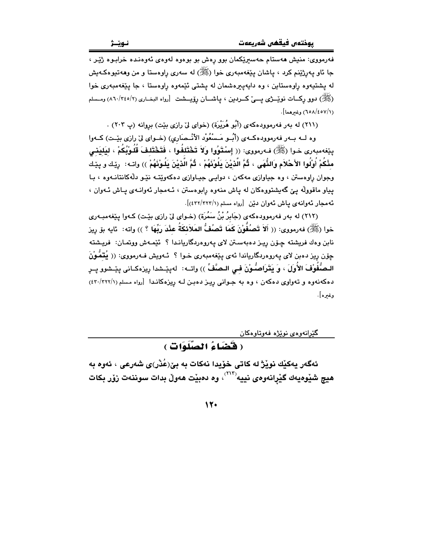فەرمووى: منيش ھەستام حەسىرێكمان بوو رەش بو بوەوە لەوەي ئەوەنىدە خرابىوە ژێر ، جا ئاو پەرژێنم كرد ، پاشان پێغەمبەرى خوا (ﷺ) لە سەرى راوەستا و من وھەتپوەكەيش له پشتپهوه راوهستاين ، وه دايهپيرهشمان له پشتی ئێمهوه راوهستا ، جا پێغهمبهری خوا (ﷺ) دوو رکسات نویسڑی پسی کسردین ، پاشسان رۆیسشت [رواه البخــاری (٨٦٠/٣٤٥/٢) ومــسلم (١/٦٥٨/٤٥٧) وغيرهما].

(٢١١) له بهر فهرموودهکهي (أَبُو هُرَيْرَة) (خواي ليّ رازي بيّت) بروانه (پ ٢٠٣) .

وه لــه بــهر فهرموودهكــهي (أُبـُـو مَـسْعُوْد الأنْــصَارِي) (خــواي ليّ رازي بيّـت) كــهوا يِيّفهمبهري خـوا (ﷺ) فـه(مووى: (( إسْتَوُوا وَلاَ تَخْتَلفُوا ، فَتَخْتَلفَ قُلُوبُكُمْ ، ليَليَني مثْكُمْ أَوْلُوا الأَحْلاَم وَالنُّهَى ، ثُمَّ الَّذيْنَ يَلُوْنَهُمْ ، ثُمَّ الَّذيْنَ يَلُونَهُمْ )) واتـه: اريك و ييّك وجوان راوهستن ، وه جیاوازی مهکهن ، دوایی جیاوازی دهکهویته نیو دلّهکانتانـهوه ، بـا یپاو ماقووله ییّ گهیشتووهکان له یاش منهوه رابوهستن ، ئـهمجار ئهوانـهى پـاش ئـهوان ، ئهمجار ئەوانەي ياش ئەوان دێن [رواه مسلم (٤٣٢/٢٢٢/١)].

(٢١٢) له بهر فهرموودهکهي (جَابِرُ بْنُ سَمُرَة) (خـواي لِيّ رازي بيّـت) کـهوا بيٽغهمبـهري خوا (ﷺ) فەرمورى: (( أَلاَ تَصُفُّوْنَ كَمَا تَصُفُّ المَلاَئكَةُ عِنْدَ رَبِّهَا ؟ )) واته: ئايه بۆ ريز نابن وهك فريشته چـۆن ريـز دەبەسـتن لاي پـەروەردگاريانـدا ؟ ئَيْمـەش ووتمـان: فريـشتـه جِوْنِ رِيزِ دِهِينِ لاي پهروهِربِگارِياندا ئَهِيَ بِيَغْهُمِبِهِرِي خَـوا ؟ ئـهويش فـهرمووي: (( يُتمَّوْنَ الـصُّفُونْفَ الأُوَلَ ، وَ يَتّرَاصُّوْنَ فـى الـصَّفِّ ّ)) واتــه: لهيـيّــشدا رِيزهكـانى پيّــشوو پــرِ دهکهنهوه و تهواوی دهکهن ، وه به جوانی ریز دهبن له ریزهکاندا [رواه مسلم (٢٢٢/٢٢٢) وغىرە].

گێرانهوهي نوێژه فهوتاوهکان

(فَقَضَاءُ الصَّلَوَاتِ )

ئەگەر بەكێك نوێژ لە كاتى خۆيدا نەكات بە بىٰ(عُدْر)ى شەرعى ، ئەوە بە هيچ شێوهيهك گێرانهوهي نييه $^{\rm (11)}$ ، وه دهبێت ههوڵ بدات سوننهت زۆر بكات

12.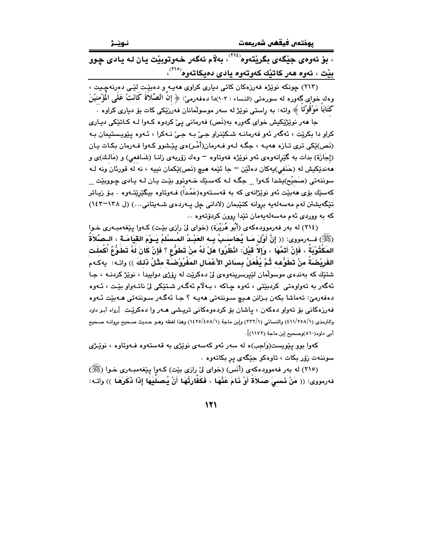نـوێـژ

، بۆ ئەوەي جێِگەي بگرێتەوە<sup>‹٬۲۱۶</sup>› بەلام ئەگەر خەوتوبێت يان لـە يادى چوو بِيْت ، ئەوە ھەر كاتێِك كەوتەوە بادى دەبكاتەوە<sup>(۲۱۰</sup>)،

(۲۱۳) چونکه نوێژه فەرزەکان کاتى ديارى کراوى ھەيـە ٍو دەبێِت لِٽـى دەِرنەچِـيت ، وهك خواي گەورە لە سورەتى (النـساء : ١٠٢)دا دەفـەرمىّ: ﴿ إِنَّ الْصَّلَاةِ كَانَتْ عَلَى المُؤْمِنِيْنَ کَتَابَا مَوْقَوْتًا ﴾ واته: به راستي نوێژ له سهر موسولْمانان فهرزێکي کات بۆ ديارى کراوه ٠

جا هەر نوێژێکیش خوای گەورە بە(نَص) فەرمانی ییٚ کردوه کـەوا لـه کـاتێکی دیـاری کراو دا بکريٽ ، ئهگەر ئەو فەرمانــه شـکێنراو جـێ بـه جـێ نـهکرا ، ئـهوه يێويـستيمان بـه (نَص)ێِکی تری تازہ ههیه ، جگه لـهو فـهرمان(أَمْـر)هی پێشوو کـهوا فـهرمان بکـات یـان (إجَازَة) بدات به گَيْرانهوهي ئهو نوپُژه فهوتاوه – وهك زۆربهي زانـا (شَـافعي) و (مَالـك)ي و ههندێِکيش له (حَنَفي)يهکان دهڵێن – جا ئێمه هيچ (نَص)ێکمان نيپه ، نه له قورئان ونه لـه سوننهتي (صَحيْح)پشدا کـهوا \_ جگـه لـه کهسـێك خـهوتوو بێـت پـان لـه پـادي چـووبێت \_ کەسێك بۆی ھەبێت ئەو نوێژانەی کە بە قەسـتەوە(عَمْداً) فــەوتاوە بیگێرێتــەوە . بـۆ زیـاتر تێگەيشتن لەم مەسەلەيە بروانە كتێبمان (لادانى چل پەردەي شـەيتانى...) (ل ١٢٨–١٤٢) كه به ووردى ئهم مەسەلەيەمان تێدا روون كردۆتەوه ..

(٢١٤) له بهر فهرموودهکهي (أَبُو هُرَيْرَة) (خواي ليّ رازي بيّت) کـهوا يـيّغهمبـهري خـوا (ﷺ) فــه(مووى: (( إِنَّ أَوَّلَ مَـا يُحَاسَـبُ بِـه العَبْـدُ المُـسلْمُ يَـوْمَ القِيَامَـة ، الـصَّلاَةُ المَكْثُوْبَةُ ، فَإِنْ أَتَمَّهَا ، وَإِلاَّ قَيْلَ: انْظَرُوا هَلْ لَهُ منْ تَطَوُّعِ ؟ فَإِنْ كَانَ لَهُ تَطَوُّعُ أَكْملَت الفَرِيْضَةُ مِنْ تَطَوُّعِه ثُمَّ يُفْعَلُ بِسَائِرِ الأَعْمَالِ المَفْرُوْضَيَّة مِثْلُ ذَلِكَ ﴾) واتـه: \_يهكـهم شتيّك كه بهندهى موسولّمان لێيرسرينهوهى ليّ دهكريّت له روّزى دواپيدا ، نويّژ كردنـه ، جـا ئەگەر بە تەواۋەتى كردېيتى ، ئەۋە چاكە ، بەلام ئەگەر شتيكى لىٰ ناتـەواۋ بيّت ، ئـەۋە دەفەرمىؒ: تەماشا بكەن بىزانن ھىچ سىوننەتى ھەپـە ؟ جـا ئەگـەر سىوننەتى ھـەبێت ئـەوە فهرزهکانی بۆ تەواو دەکەن ، پاشان بۆ کردەوەکانی تریشی ھـەر وا دەکرێت  $[$ رواە أبـو داود والترمذي (٤١١/٢٥٨/١) والنسائي (٢٣٢/١) وإبن ماجة (١٤٢٥/٤٥٨/١) وهذا لفظه وهـو حـديث صـحيح بروانـه صـحيح أبي داود(٨١٠)وصحيح إبن ماجة (١١٧٢)].

کهوا بوو پێویست(وَاجِب)ه له سهر ئهو کهسهی نوێژی به قهستهوه فـهوتاوه ، نوێـژی سوننهت زۆر بکات ، تاوهکو جێِگهی پر بکاتهوه .

(٢١٥) له بهر فهموودهکهي (أَنَس) (خواي ليّ رازي بيّت) کـهوا پيّغهمبـهري خـوا (ﷺ) فهرمووى: (( مَنْ نَسمِيَ صَلاَةَ أَوْ نَامَ عَذْهَا ، فَكَفَّارَتُهَا أَنْ يُصلَلِيَهَا إِذَا ذَكَرَهَا )) واتـه: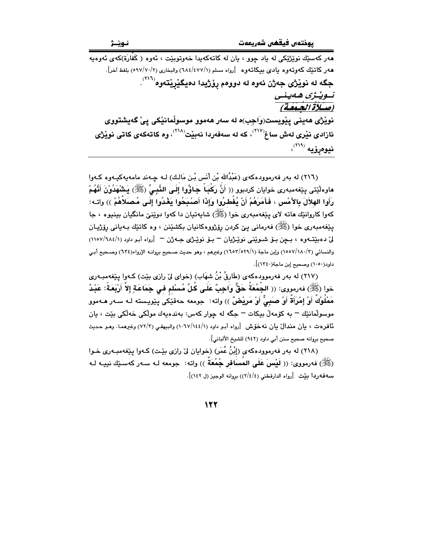.<br>هەر كەسىيك نوپژيكى لە ياد چوق ، يان لە كاتەكەيدا خەوتوپيت ، ئەوە ( كَفَارَة)كەي ئەومبە ههر كاتنيك كەوتەوە يادى بېيكاتەوە [رواه مسلم (٦٨٤/٤٧٧/١) والبخارى (٥٩٧/٧٠/٢) بلفظ آخر]. جگه له نوێژی جهژن ئهوه له دوومم رو٘ژيدا دميگێرێتهوه<sup>(۲۱٦)</sup>. تسویدژی ههینسی<br>(صلاة الجمعقة) نویْژی هەینی پیْویست(وَاجِب)ه له سەر هەموو موسولْمانیْکی پیْ گەیشتووی ئازادی نێری لەش ساغ<sup>(۲۱۷)</sup>، کە لە سەفەردا نەبێت<sup>(۲۱۸)</sup>، وە کاتەکەی کاتی نوێژی نيوەړۆيە (۲۱۹)،

(٢١٦) له بهر فهرموودهكهي (عَبْدُالله بْن أنَس بْـن مَالـك) لـه چـهند مامهيهكيـهوه كـهوا ماوهلّيّتى يێغەمبەرى خوايان كردبوو (( أَنَّ رَكْبَاً جَاؤُوا إِلَى النَّبِيِّ (ﷺ) يَشْهَدُوْنَ أَنَّهُمْ رَأَوا الهلاَلَ بِالأَمْسِ ، فَأَمَرَهُمْ أَنْ يُفْطِرُوا وَإِذَا أَصْبَحُوا يَغْدُوا إِلَـى مُصَلاَّهُمْ )) واتـه: کهوا کاروانٽِك هاته لاي پيٽغهمبهري خوا (ﷺ) شاپهتيان دا کهوا دوێنێ مانگيان بينيوه ، جا يێغەمبەرى خوا (ﷺ) ڧەرمانى يې كردن رۆژووەكانيان بكشێنن ، وە كاتێك بـەيانى رۆژپـان ليّ دهبيّتهوه ، بـڃن بــوّ شــويّني نويّــژيان – بــوّ نويّــژي جــه ژن – [رواه أبـو داود (١١٥٧/٦٨٤/١) والنسائي (١٥٥٧/١٨٠/٣) وإبن ماجة (١٦٥٣/٥٢٩/١) وغيرهم ، وهو حديث صـحيح بروانــه الإرواء(٦٣٤) وصـحيح أبـي داود(١٠٥٠) وصحيح إين ماحة(١٣٤٠)].

(٢١٧) له بهر فهرموودهکهي (طَارقُ بْنُ شهَابِ) (خواي ليّ رازي بێت) کـهوا پێغهمبـهري خوا (ﷺ) فەرمورى: (( الجُمُعَةُ حَقٌّ وَاجِبٌ عَلَى كُلِّ مُسْلم فى جَمَاعَةٍ إِلاَّ أَرْبَعَةً: عَبْدٌ مَمْلُوْكٌ أَوْ إِمْرَأَةٌ أَوْ صَبِيٌّ أَوْ مَرِيْضٌ )) واته: جومعه حهقێکی پێویسته لـه سـهر هـهموو موسولمانێك – به كۆمەلْ بيكات – جگه له چوار كەس: بەندەپەك مولْكى خەلْكى بێت ، يان ئافرەت ، يان مندالٌ يان نەخۆش [رواه أبـو داود (١/١٤٤/١٠٦٧) والبيهقـي (٢/٣) وغيرهمـا. وهـو حـديث صحيح بروانه صحيح سنن أبي داود (٩٤٢) للشيخ الألباني].

(٢١٨) له بهر فهرموودهكهي (إبْنُ عُمَرٍ) (خوايان ليِّ رازي بيِّت) كـهوا ييِّغهمبـهري خـوا (ﷺ) فەرمورى: (( لَيْسَ عَلَى المُسَافَرِ جُمُعَةٌ )) واته: جومعه لـه سـەر كەسـێك نييـه لـه سه فه ردا بيّت [رواه الدارقطني (٢/٤/٤)) بروانه الوجيز (ل ١٤٢)].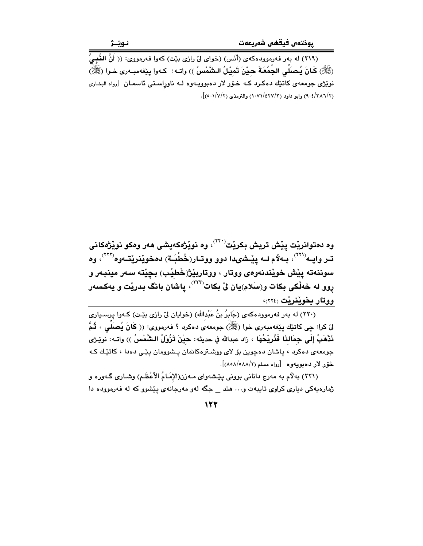(٢١٩) له بهر فهرموودهكهي (أَنَس) (خواي ليّ رازي بيّت) كهوا فهرمووي: (( أَنَّ النَّبِيَّ (ﷺ) كَانَ يُصلِّي الجُمُعَةَ حيْنَ تَميْلُ الشَّمْسُ )) واتـه: كـهوا ينذه مبـهري خـوا (ﷺ) نوێژی جومعهی کاتێك دهكرد كـه خـۆر لار دهبوویـهوه لـه ناوراسـتی ئاسمـان [رواه البخاری (٩٠٤/٢٨٦/٢) وابو داود (٢٧/٤٢٧/٣) والترمذي (٥٠١/٧/٢)].

وه دهتوانريْت پيْش تريش بكريْت<sup>٬٬٬٬</sup>٬ وه نويْژهكهيشى هەر ومكو نويْژهكانى تـر وايـه'````، بـهلام لـه يێـشىدا دوو ووتـار(خُطْبَـة) دەخوێنرێتـهوه'````، وه سوننهته يِيْش خويْندنهوهي ووتار ، ووتاربِيْژْ(خَطِيْبِ) بِـڃِيْته سهر مينبـهر و روو له خەڵكى بكات و(سَلام)يان لىْ بكات<sup>(۲۲۲)</sup>، پاشان بانگ بدريْت و يەكسەر ووتار بخوينريت (٢٢٤)،

(٢٢٠) له بهر فهرموودهکهي (جَابِرُ بنُ عَبْدالله) (خوايان ليٌ رازي بيّت) کـهوا پرسـڀاري لىٰ كرا: چي كاتێك پێغەمبەرى خوا (ﷺ) جومعەي دەكرد ؟ فەرمووى: (( كَانَ يُصلِّي ، ثُمَّ نَدْهَبُ إِلَى جِمَالنَا فَذُرِيْحُهَا ، زاد عبدالله في حديثه: حيْنَ تَزُوْلُ الشَّمْسُ )) واتـه: نويّـرْى جومعهی دهکرد ، پاشان دهچوین بۆ لای ووشترهکانمان پشوومان پێی دهدا ، کاتێك كه خۆر لار دەبويەوە [رواه مسلم (٨/٨٨/١٨٥٨)].

(۲۲۱) بهلام به مەرج دانانى بوونى يَيْشەواي مـەزن(الإمَـامُ الأَعْظَمِ) وشـارى گـەورە و ژمارهیهکی دیاری کراوی تایبهت و… هتد \_ جگه لهو مهرجانهی ییشوو که له فهرمووده دا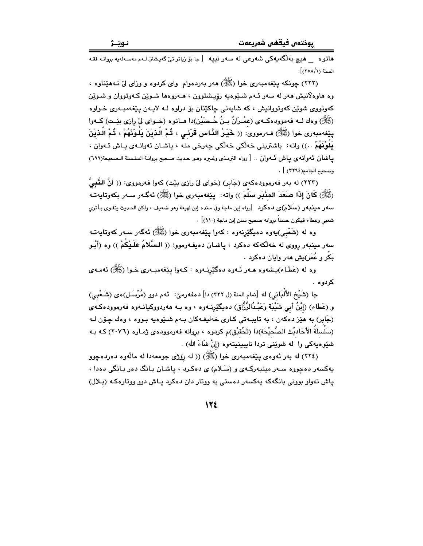هاتوه هيچ بەلگەيەكى شەرعى لە سەر نييە [جا بۆ زياتر تى٘ گەيشتن لـەم مەسـەلەيە بروانـە فقـە السنة (١/ ٢٥٨)].

(۲۲۲) چونکه بینفهمبهری خوا (ﷺ) ههر بهردهوام وای کردوه و وزای لیّ نـههنناوه ، وه هاوهلانيش هەر لە سەر ئـهم شـێوەپە رۆپىشتوون ، ھـﻪروەھا شـوێن كـﻪوټووان و شـوێن کەوتووى شويْن کەوتوۋانيش ، کە شايەتى چاکێتان بۆ دراوە لـە لايـەن يێغەمبـەرى خـواوە (ﷺ) وهك لــه فهموودهكــهى (عمْـرَانُ بـنُ حُــصَيْن)دا هــاتوه (خــواى ليّ رازى بيّـت) كــهوا بِيّفهمبهري خوا (ﷺ) فـهرمووي: (( خَيْرُ الذَّاسِ قَرْنـي ، ثُـمَّ الّـذيْنَ يَلُـوْنَهُمْ ، ثُمَّ الّـذيْنَ بِلُونَهُمْ ..)) واته: باشترینی خەلکی خەلکی چەرخی منه ، پاشـان ئەوانـەی پـاش ئـەوان ، ياشان ئەوانەي ياش ئـەوان .. [ رواه الترمذي وغيره وهـو حديث صـحيح بروانـة السلـسلة الـصحيحة(٦٩٩) وصحيح الجامع(٢٢٩٤) ] .

(٢٢٣) له بهر فهرموودهکهي (جَابِر) (خواي ليّ رازي بِيّت) کهوا فهرمووي: (( أَنَّ النَّفيَّ (ﷺ) كَانَ إِذَا صَعَدَ المِنْبَرِ سَلَّمَ )) واته: پێغهمبهري خوا (ﷺ) ئهگـهر سـهر بكهوتايهتـه سهور مينبهو (سلَّلام)ي دهكرد [رواه إبن ماجة وفي سنده إبن لهيعة وهو ضعيف ، ولكن الحديث يتقوى بـأثري شعبي وعطاء فيكون حسناً بروانه صحيح سنن إبن ماجة (٩١٠)] .

وه له (شَعْبيِ)يهوه دهيگێرِنهوه : کهوا پێغهمبهری خوا (ﷺ) ئهگهر سـهر کهوتايهتـه سەر مينبەر پووى لە خەلكەكە دەكرد ، پاشـان دەيفـەرموو: (( الـسَّلامُ عَلَـيْكُمْ )) وە (أَبُـو بَکُر و عُمَر)بِش هەر وايان دەكرد .

وه له (عَطَاء)پشەوە ھـەر ئـەوە دەگێرنـەوە : كـەوا يێغەمبـەرى خـوا (ﷺ) ئەمـەي کدوه .

جا (شَيْخ الأُلْبَاني) له [تمام المنة (ل ٣٢٢) دا] دهفهرميّ: ئهم دوو (مُرْسَـل)هى (شَـعْبِي) و (عَطَاء) (إِبْنُ أَبِي شَيْبَة وَعَبْدُالرَّزَّاق) دەيگێرنـﻪوە ، وە بـﻪ ھەردووكيانـﻪوە فەرموودەكـﻪي (جَابِر) به هێز دهکهن ، به تايپـهتي کـاري خهليفـهکان بـهم شـێوهيه بـووه ، وهك چـۆن لـه (سَلْسلَةُ الأَحَاديْث الصَّحيْحَة)دا (تَحْقيْق)م كردوه ، بروانه فهرموودهى ژمـاره (٢٠٧٦) كـه بـه شێوهيەكى وا له شوێنى تردا نايبينيتەوە (إنْ شَاءَ الله) .

(٢٢٤) له بهر ئەوەي يێغەمبەرى خوا (ﷺ) (( له رۆژى جومعەدا له مالّەوە دەردەجوو بهکسهر دهچووه سـهر مینبهرکـهی و (سَـلام) ی دهکـرد ، یاشـان بـانگ دهر بـانگی دهدا ، یاش تهواو بوونی بانگهکه یهکسهر دهستی به ووتار دان دهکرد یاش دوو ووتارهکه (بلال)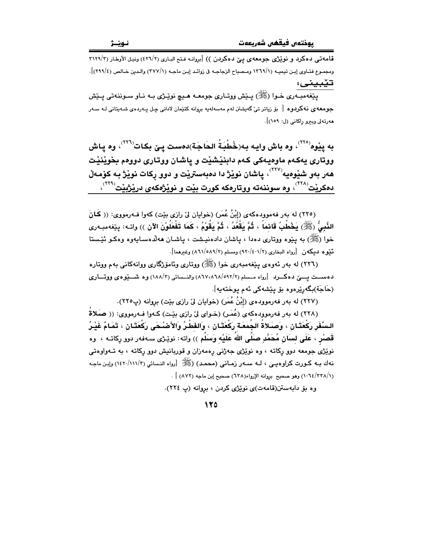قامهتی دهکرد و نویزژی جومعهی ییّ دهکردن )) [بروانه فتح الباری (٤٢٦/٢) ونیل الأوطار (٣١٢٩/٣ ومجموع فتـاوى إبـن تيميـه (١٢٦٩/١ ومـصباح الزجاجـه في زوائـد إبـن ماجـه (١/٢٧٧) والـدين خـالص (٢٩٩/٤)]. تێبيني:

ينغهمب ري خوا (ﷺ) پيٽش ووتياري جومعيه هيچ نوٽيڙي په نياو سوننه تي پيٽش ۔<br>جومعه ی نه کردوه [ بۆ زیاتر تی٘ گەیشتن لەم مەسەلەپە بروانە کتێمان لادانی چـل پـەردەی شـەپتانی لـه سـەر هەرتەلى وبېرو راكانى (ل: ١٥٩)].

به يِبْوه<sup>(٢٢٥)</sup>، وه باش وايـه بـه(خُطْبَةُ الحَاجَة)دهست يـێ بكـات<sup>(٣٢٦)</sup>، وه يـاش ووتاري پهکهم ماوهيهکي کهم دابنٽشٽت و پاشان ووتاري دوومم بخوٽنٽت هەر بەو شێوەيە`````، ياشان نوێژ دا دەبەسترێت و دوو ركات نوێژ بـه كۆمـەڵ دهکریّت<sup>(۲۲۸)</sup>، وه سوننهته ووتارهکه کورت بیّت و نویّژ*هکهی* دریّژبیّت<sup>(۲۲۹)</sup>،

(٢٢٥) له بهر فهموودهكهي (إِبْنُ عُمَرٍ) (خوايان ليٌ رازي بيّت) كهوا فــهرمووي: (( كَـانَ النَّبِيُّ (ﷺ) يَخْطُبُ قَائمَاً ، ثُمَّ يَقْعُدُ ، ثُمَّ يَقُوْمُ ، كَمَا تَفْعَلُوْنَ الآن )) واتـه: يێغەمبـەرى خوا (ﷺ) به پێوه ووتاري دهدا ، پاشان دادهنيشت ، پاشـان ههڵدهسـايهوه وهكـو ئَێستا ئَيْوه ديكەن [رواه البخارى (٤٠١/٢) (٩٢٠/٤٠١) ومسلم (٨٦١/٥٨٩/٢) وغيرهما].

(٢٢٦) له بهر ئەوەي يێغەمبەرى خوا (ﷺ) ووتارى وئامۆژگارى ووانەكانى بەم ووتارە دهســت يــــێ دهكــــرد [رواه مـــسلم (٨٦٧،٨٦٨/٥٩٢/٢) والنــسائي (١٨٨/٣) وه شـــــێوهي ووتــــاري (حَاجَة)بگەرێِرەوە بۆ يێشەكى ئەم پوختەپە].

(٢٢٧) له بهر فهرموودهي (إِبْنُ عُمَرٍ) (خوايان ليٌ رازي بيّت) بروانه (پ٢٢٥).

(۲۲۸) له بهر فهرموودهکهی (عُمَر) (خـوای لیٌ رازی بیّـت) کـهوا فـهرمووی: (( صَلاةٌ السَّفَرِ رَكْعَتَـانِ ، وَصـَـلاةَ الجَمعَـة رَكْعَتَـان ، وَالفَطْـرُ وَالأَصْـْحَى رَكْعَتَـان ، تَمَامٌ غَيْـرُ قَصِبْر ، عَلَى لِسَانٍ مُحَمَّدٍ صَلَّى اللهَ عَلَيْهِ وَسَلَّم )) واته: نويْـژى سـهفهر دوو رِكاتـه ، وه نونیژی جومعه دوو رِکاته ، وه نونیژی جهژنی رِهمهزان و قوربانیش دوو رِکاته ، به تــهواوهتی نهك بـه كـورت كراوهيـي ، لـه سـهر زمـاني (محمـد) (ﷺ [رواه النـسائي (١١١/٣/١١٤٢) وإبـن ماجـه (١/ ١٠٦٤/٢٣٨) وهو صحيح بروانه الإرواء(٦٣٨) صحيح إبن ماجه (٨٧٢) ] .

وه بو دابهستن(قامهت)ی نویژی کردن ، بروانه (پ ٢٢٤).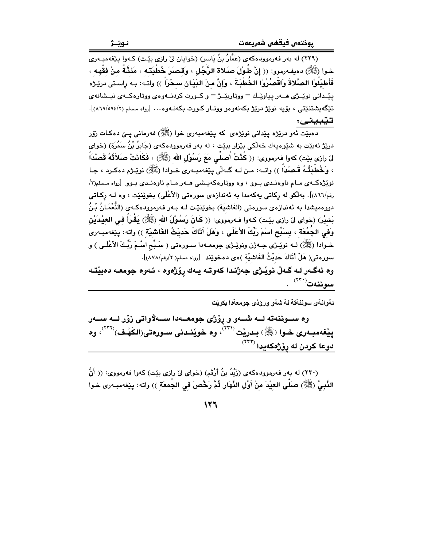.<br>(۲۲۹) له بهر فهرموودهکهی (عَمَّارُ بنُ يَاسر) (خوايان ليّ رازی بێت) کـهوا پێغهمبـهری خـوا (ﷺ) دەيفـەرموو: (( إنَّ طُـوْلَ صَـلاة الرَّجُل ، وَقصَرَ خُطْبَتـه ، مَئنَّـةٌ منْ فقْهـه ، فَأَطيْلُوْا الصَّلاةَ وَاقْصُرُوْا الخُطْبَةَ ، وَإِنَّ مِنَ البَيَانِ سبحْرَاً )) واتـه: بـه رِاسـتى دريّـرْه يٽيداني نوٽيڙي هيور بياوٽيك – ووتاريٽيڙ – و ڪيورت کردنيهوهي ووتارهڪهي نيسشانهي تێڰەيشتنێتى ، بۆيە نوێژ درێژ بكەنەوەو ووتـار كـورت بكەنــەوە… [رواه مـسلم (٩٤/١٩/٨٩٤/٢)]. تێبينى:

دهبنيت ئەو دريزدە يېدانى نويزدى كە يېنغەمبەرى خوا (ﷺ) فەرمانى يــێ دەكـات زۆر درێڗ۫ نەبێت بە شێوەپەك خەڵكى بێزار بېێت ، لە بەر فەرموودەكەي (جَابِرُ بْنُ سَمُرَة) (خواي لىٰ رازى بيّت) كەوا فەرمووى: (( كُنْتُ أُصلَّى مَعَ رَسُوْلِ الله (ﷺ) ، فَكَانَتْ صَلَاتُهُ قَصلْداً ، وَخُطْبَتُـهُ قَصِنْداً ﴾) واتــه: مـن لــه گــهائي بِيّغهمبــهوي خــوادا (ﷺ) نويّـرهم دهكـرد ، جـا نویژه که ی مام ناوهندی بوو ، وه ووتارهکهیشی هه ر مام ناوهندی بوو [رواه مسلم(۲/ رقم/٨٦٦)]. بەلكو لە ركاتى يەكەمدا بە ئەندازەي سورەتى (الأعْلَى) بخوێنێت ، وە لـﻪ ركـاتى دووهميشدا به ئەندازەي سورەتى (الغَاشيَة) بخوێنێت لـه بـهر فەرموودەكـهى (النُّعْمَـانُ بْـنُ بَشْيْرٍ) (خواي لِيّ رازِي بِيّت) كـهوا فـهرمووي: (( كَـانَ رَسُوْلُ الله (ﷺ) يَقْرَأُ في العيْدَيْن وَفي الجُمُعَة ، بِسَبِّح اسْمَ رَبِّكَ الأَعْلَى ، وَهَلْ أَتَاكَ حَديْثُ الغَاشَيْة )) واته: ييْغەمبەرى خـوادا (ﷺ) لــه نوێـِـژِي جــه ژن ونوێـِرْي جومعــهدا ســورهتي ( سَـبِّح اسْـمَ رَبِّـكَ الأعْلَـي ) و سورهتي( هَلْ أَتَاكَ حَديْثُ الغَاشْيَة )هي دهخويّند [رواه مسلم( ٢/رقم/٨٧٨)].

وه ئەگـەر لــه گـەڵ نوێـژى جەژنـدا كەوتـە يــەك رۆژەوه ، ئـەوە جومعــه دەبێتــه سوننەت (<sup>٢٣٠)</sup>.

ئةوانةي سوننةتة لة شةو ورؤذي جومعةدا بكريَت

وه ســوننهته لــه شــهو و رۆژى جومعــهدا ســهلاواتى زۆر لــه ســهر ييْغەمبەرى خىوا (ﷺ) بىدريْت (٣٢) ، وە خويْنىدنى سىورەتى(الكَهْف)(٣٢) ، وە دوعا کردن له روّژهکهیدا <sup>(۲۳۲)</sup>

(٢٣٠) له بهر فهرموودهکهي (زَيْدُ بنُ أَرْقَمَ) (خواي ليْ رازي بيّت) کهوا فهرمووي: (( أَنَّ النَّبِيَّ (ﷺ) صَلَّى العيْدَ منْ أَوَّلِ النَّهَارِ ثُمَّ رَخَّصَ فِي الجَمعَةِ )) واته: پێغهمبـهرى خـوا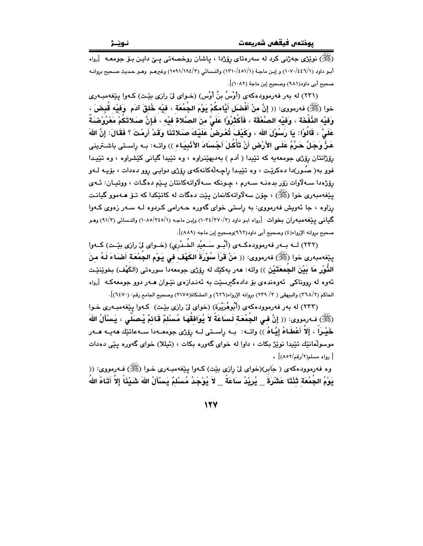(ﷺ) نوێژی جەژنی کرد له سەرەتای رۆژدا ، پاشان روخصەتی پـێ داپـن بـۆ جومعـه [رواه أبو داود (١/١٤٤٦/١) و إبن ماجة (١/١٤٥١/١) والنسائي (٢/١٩٤/٢) وغيرهـم وهـو حديث صـحيح بروانـه صحيح أبي داود(٩٨١) وصحيح إبن ماجة (١٠٨٢)].

(۲۳۱) له پهر فهرموودهکهي (اُوسُ بنُ اُوس) (خواي ليّ رازي بٽت) کـهوا بِنفهمبـهري خوا (ﷺ) فەرمورى: (( إِنَّ مِنْ أَفْضَلَ أَبَّامكُمْ بَوْمَ الجُمُعَة ، فَيْه خُلقَ آلاَم ۚ وَفَيْه قُنضَ ، وَفيْه النَّفْخَة ، وَفيْه الصَّعْقَة ، فَأَكْثَرُوْا عَلَىَّ منَ الصَّلاة فيْه ، فَإِنَّ صَلاتَكُمْ مَعْرُوْصْدَةُ عَلَىَّ ، قَالُوْا: يَا رَسُوْلَ الله ، وَكَيْفَ تُعْرَضُ عَلَيْكَ صَلاتَذَا وَقَدْ أَرِمْتَ ؟ فَقَالَ: إِنَّ اللهَ عَزٌّ وَجَلٌّ حَرَّمُ عَلَى الأَرْضِ أَنْ تَأْكُلَ أَجْسَادَ الأَنْبِيَاء )) واتـه: بـه راسـتى باشـترينى رۆژانتان رۆژى جومعەيە كە تێيدا ( آدم ) بەديھێنراوە ، وە تێيدا گيانى كێشراوە ، وە تێيـدا فوو به( صُور)دا دهکريّـت ، وه تێيـدا راڃـهڵهکانهکهي رۆژي دوايـي روو دهدات ، بۆيـه لــهو رۆژەدا سەلاوات زۆر بدەنــه ســەرم ، چـونكه ســەلاواتـهكانتان يــنم دەگـات ، ووتيـان: ئــهى يێغەمبەرى خوا (ﷺ) ، چۆن سەلاواتەكانمان يێت دەگات لە كاتێكدا كە تـۆ ھـﻪموو گيانـت رزاوه ، جا ئەويش فەرمووى: بە راستى خواى گەورە حـەرامى كـردوه لـه سـەر زەوى كـەوا گیانی بیپّغهمبهران بخوات [رواه ابو داود (۲/ ۲۷۰/۳) واین ماجه (۱/ ۲٤٥/٢٤٥) والنسائی (۹۱/۳) وهو صحبح بروانه الإرواء(٤) وصحبح أبي داود(٩٦٢)وصحبح إبن ماجه (٨٨٩)].

(۲۳۲) لــه بــهر فهرموودهكــهي (أبُــو سَــعيْد الخُــدْرِي) (خــواي ليّ رازي بِيّـت) كــهوا ينِغهمبهري خوا (ﷺ) فهرمووي: (( مَنْ قَرَأَ سُوْرِةَ الكَهْف في يَوْم الجُمْعَة أَصْبَاءَ لَـهُ منَ الذُّوْرِ مَا بَيْنَ الجَمعَتَيْنِ ﴾) واته: هەر يەكێك لە رۆژى جومعەدا سورەتى (الكَهْف) بخوێنێت ئهوه له رووناکي لهوهندهي يۆ دادهگرسٽت په ئهندازهي نٽوان هـهر دوو جومعهڪه آرواه الحاكم (٢٦٨/٢) والبيهقي ( ٢/ ٢٣٩) بروانه الإرواء(٦٢٦) و المشكاة(٢١٧٥) وصحيح الجامع رقم: (٦٤٧٠)].

(۲۳۲) له بهر فهرموودهکهی (أُبُوهُرَيْرَة) (خوای ليّ رازي بِيّت) کـهوا پيّغهمبـهري خـوا (ﷺ) فـه(مووى: (( إِنَّ فـِي الـجُمُعَـة لَـسَاعَةً لاَ يُوَافَقُهَـا مُسْلَمٌ قَـائمٌ يُـصَلِّي ، يَسْأَلُ اللهَ خَيْـراً ، إَلاَّ أَعْطَـاهُ إِيَّـاهُ )) واتــه: بــه راســتى لــه رۆِرْى جومعــهدا ســهعاتێك هەپــه هــهر موسولْمانێك تێيدا نوێژ بکات ، داوا له خواى گەورە بکات ، (ئيللا) خواى گەورە پێى دەدات  $\cdot$  (۸۰۲/رقم/۲) .

وه فهرموودهکهي ( جَابر)(خواي ليّ رازي بيّت) کـهوا پيّغهمبـهري خـوا (ﷺ) فـهرمووي: (( يَوْمُ الجُمُعَة ثَنْتَا عَشْرَةُ \_ يُرِيْدُ سَاعَةً \_ لاَ يُوْجَدُ مُسْلمٌ يَسْأَلُ اللهَ شَيْئًا إلاَّ أَتَـاهُ اللهُ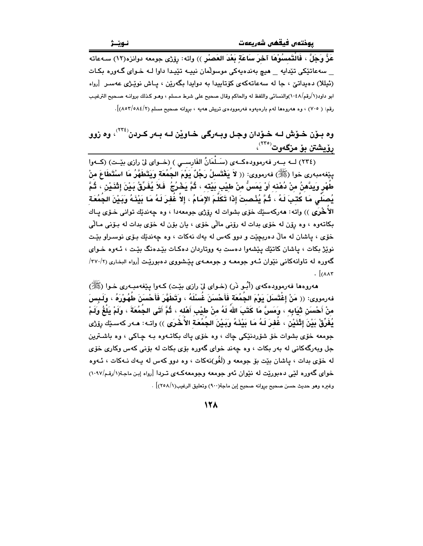عَزَّ وَجَلَّ ، فَالْتَمسُوْهَا آخرَ سَاعَةٍ بَعْدَ العَصرْرِ )) واته: رِوْزِي جومعه دوانزه(١٢) سـهءاته \_ سەعاتێکى تێداپە \_ ھیچ بەندەپەکى موسولّمان نیپـە تێپـدا داوا لـە خـواي گـەورە بكـات (ئيللا) دەيداتىؒ ، جا لە سەعاتەكەي كۆتاپيدا بە دوايدا بگەرێن ، پاش نوێژى عەسىر [رواە ابو داود(١/رقم/١٠٤٨)والنسائي واللفظ له والحاكم وقال صحيح على شرط مسلم ، وهـو كـذلك بروانـه صـحيح الترغيب رقم: ( ٧٠٥) ، وه هەروەها لهم بارەيەوە فەرموودەي تريش هەيە ، بروانه صحيح مسلم (٨٥٢/٥٨٤/٢).

## وه بـوّن خـوّش لـه خـوّدان وجـل وبـهرگي خـاويّن لـه بـهر كـردن<sup>(۲۲۶)</sup>، وه زوو رۆيشتن بۆ مزگەوت<sup>(۲۲٥)</sup>،

۔<br>(٢٣٤) لــه بــهر فهرموودهكــهى (سَــلْمَانُ الفَارســي ) (خــواى ليّ رازى بيّــت) (كــهوا يبْغەمبەرى خوا (ﷺ) فەرمووي: (( لاَ يَغْتَسلُ رَجُلٌ يَوْمَ الجُمُعَة وَيَتَطَهَّرُ مَا اسْتَطَاعَ منْ طُهْرِ وَبِدَّهنُ منْ دُهْنه أَوْ بَمَسُّ منْ طيْبِ بَيْتَه ، ثُمَّ بَحْرُجُ ۖ فَلاَ يُفَرِّقُ بَيْنَ إثْنَيْن ، ثُمَّ يُصلِّي مَا كُتبَ لَهُ ، ثُمَّ يُذْصتَ إِذَا تَكَلَّمَ الإِمَامُ ، إِلاَّ غُفرَ لَهُ مَا بَيْنَهُ وَبَيْنَ الجُمُعَة الأَخْرَى )) واته: هەركەسێك خۆي بشوات له رۆژى جومعەدا ، وه چەندێك توانى خـۆي پـاك بکاتهوه ، وه روّن له خوّي بدات له روّني مالّي خوّي ، پان بوّن له خوّي بدات له بـوّني مـالّي خۆی ، پاشان له مالْ دەرېچێت و دوو کەس لە پەك نەكات ، وە چەندێك بىۆی نوسىراو بێت نويز بکات ، پاشان کاتێك پێشەوا دەست بە ووتاردان دەكات بێدەنگ بێت ، ئـەوە خـواي گەورە لە تاوانەكانى نێوان ئـەو جومعـه و جومعـهى يێشووى دەبورێت [رواه البخارى (٢٧٠/٢/  $\lceil ( \lambda \lambda)^{\mathsf{T}} \rceil$ 

ههروهها فهرموودهکهي (أُبُـو ذَر) (خـواي ليّ رازي بِيّـت) کـهوا بِيّغهمبـهري خـوا (ﷺ) فەرمووى: (( مَنْ إِغْتَسَلَ يَوْمَ الجُمُعَة فَأَحْسَنَ غُسْلَهُ ، وَتَطَهَّرَ فَأَحْسَنَ طُهُوْرَهُ ، وَلَـبِسَ منْ أَحْسَنَ ثَيَابِه ، وَمَسَّ مَا كَتَبَ اللهُ لَهُ منْ طيْبِ أَهْلِه ، ثُمَّ أَتَى الجُمُعَةَ ، وَلَمْ بَلْغُ وَلَمْ يُفَرِّقْ بَيْنَ إِثْنَيْنِ ، غَفرَ لَـهُ مَا بَيْنَـهُ وَبَـيْنَ الجُمُعَـة الأَخْرَى )) واتـه: هـهر كهسـێك رۆژى جومعه خوّي بشوات خوّ شوّردنٽِکي جاك ، وه خوّي پاك بكاتـهوه بـه چـاکي ، وه باشـترين ۔<br>جل ویهرگهکانی له بهر بکات ، وه چهند خوای گهوره بۆی بکات له بۆنی کهس وکاری خۆی له خۆی بدات ، پاشان بێت بۆ جومعه و (لَغُو)نهکات ، وه دوو کهس له پـهك نـهکات ، ئـهوه خوای گهوره لێی دهبورێت له نێوان ئهو جومعه وجومعهکـهی تـردا [رواه إبن ماجـة(١/رقـم/١٠٩٧) وغيره وهو حديث حسن صحيح بروانه صحيح إبن ماجة(٩٠٠) وتعليق الرغيب(١/٢٥٨)] .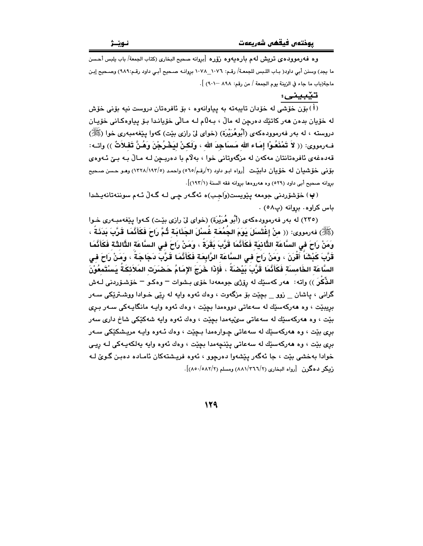وه فهرموودهى تريش لهم بارهيهوه رؤره [بروانه صحيح البخاري (كتاب الجمعة/ باب يلبس أحسن ما يجد) وسنن أبي داود( بـاب اللـبس للجمعـة/ رقـم: ١٠٧٦\_١٠٧٨ بروانـه صـحيح أبـي داود رقـم:٩٨٩) وصـحيح إبـن ماجة(باب ما جاء في الزينة يوم الجمعة / من رقم: ٨٩٨ -٩٠١) ].

تێبينى:

.<br>(i) بۆن خۆشى لە خۆدان تايپەتە بە پياوانەوە ، بۆ ئافرەتان دروست نيە بۆنى خۆش له خۆيان بدەن ھەر كاتێك دەرچن لە مالْ ، بـﻪلّام لـﻪ مـالّى خۆيانـدا بـۆ يياوەكـانى خۆيـان دروسته ، له بهر فهرموودهکهي (أُبُوهُرَيْرة) (خواي ليّ رازي بِيّت) کهوا بِيّغهمبهري خوا (ﷺ) فـهرمووي: (( لاَ تَمْنَعُوْا إِمَاء الله مَساَجِدَ الله ، وَلَكِنْ لِيَخْرُجْنَ وَهُنَّ تَفْلاَتٌ )) واتـه: قەدەغەي ئافرەتانتان مەكەن لە مزگەوتانى خوا ، بەلام با دەريـچن لـە مـالْ بـە بـێ ئـەوەي بۆنى خۆشىيان لە خۆيان دابِيّت [رواە ابـو داود (٢/رقـم/٥٦٥) واحمد (٥/١٩٢/١٩٣/٥) وهـو حـسن صـحيح بروانه صحيح أبي داود (٥٢٩) وه ههروهها بروانه فقه السنة (١٩٣/١)].

(پ) خۆشۆردنى جومعە يێويست(وَاجِبِ)ە ئەگەر چى لـە گـەلْ ئـەم سوننەتانەيشدا باس كراوه. بروانه (پ٥٨).

(٢٣٥) له بهر فهرموودهکهي (أَبُو هُرَيْرَة) (خواي ليّ رازي بيّت) کـهوا پيّغهمبـهري خـوا (ﷺ) فەرمورى: (( منْ إغْتَسلَ بَوَمَ الجُمُعَة غُسلَ الجَذَابَة تُمَّ رَاحَ فَكَأَنَّمَا قَرَّبَ بَدَنَةً ، ومَنْ رَاحَ في السَّاعَة الثَّانيَة فَكَأَنَّمَا قَرَّبَ بَقَرَةً ، وَمَنْ رَاحَ في السَّاعَة الثَّالثَة فَكَأَنَّمَا قَرَّبَ كَبْشَاً أَقْرَنَ ، وَمَنْ رَاحَ في السَّاعَة الرَّابِعَة فَكَأَنَّمَا قَرَّبَ دَجَاجَةً ، وَمَنْ رَاحَ في السَّاعَة الخَامسَة فَكَأَنَّمَا قَرَّبَ بَيْضَةً ، فَإِذَا خَرَجَ الإِمَامُ حَصْرَت المَلاَئكَةُ بَسْتَمعُوْنَ الدُّكْرَ )) واته: هەر كەسێك لە رۆژى جومعەدا خۆى بـشوات – وەكـو – خۆشـۆردنـ، لــەش گراني ، پاشان \_ زوو \_ بچێت بۆ مزگەوت ، وهك ئەوه وايە لە رێي خـوادا ووشـترێكي ســەر بريبێت ، وه هەركەسێك له سەعاتى دووەمدا بچێت ، وەك ئەوە واپـه مانگاپـەكى سـەر بـرى بێت ، وه هەركەسێك لە سەعاتى سۆێپەمدا بچێت ، وەك ئەوە واپە شەكێكى شاخ دارى سەر بري بێت ، وه هەركەسێك لە سەعاتى چـوارەمدا بـچێت ، وەك ئـەوە واپـە مريـشكێكى سـەر بری بێت ، وه هەرکەسێك لە سەعاتى يێنچەمدا بچێت ، وەك ئەوە وايە يەلكەيـەكى لـﻪ ريـى خوادا بهخشي بيّت ، جا ئهگەر پێشەوا دەرچوق ، ئەوە فريىشتەكان ئامـادە دەبـن گـوێ لـه زمکر دهگرن [رواه البخاری (۸۸۱/۳٦٦/۲) ومسلم (۸۵۰/۰۸۲/۲)].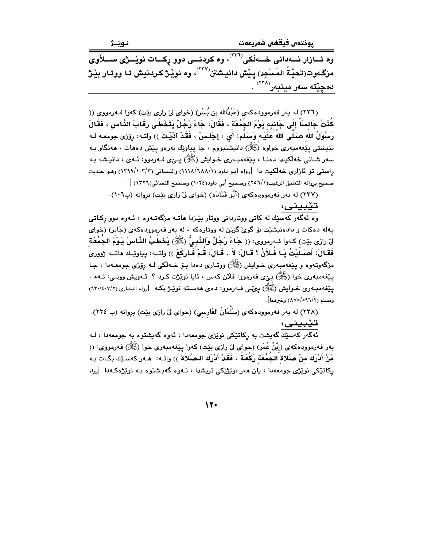يوختەں فيقھى شەريعەت

وه ئسازار نسهدانی خسهڵکی<sup>(۳۲۱)</sup>، وه کردنسی دوو رکسات نویسژی سسلاْوی مزگـهوت(تَحيَّةُ المَسْجِد) يـنش دانيـشتن $^{\langle \Upsilon\Upsilon\vee \rangle}$ ، وه نويْـژ كـردنيش تـا ووتـار بيْـژ دە<u>چێتە س</u>ەر مينبەر<sup>‹۲۴۸</sup>›

(٢٣٦) له بهر فهرموودهکهي (عَبْدُالله بن بُسْرٍ) (خواي ليٌ رازي بيّت) کهوا فــهرمووي (( كُنْتُ جَالسَاً إِلَى جَانبِه يَوْمَ الجُمُعَةَ ، فَقَالَ: جَاءَ رَجُلٌ يَتَخَطَّى رِقَابَ النَّاسِ ، فَقَالَ رَسُوْلُ الله صَلَّى اللهُ عَلَيْه وَسَلَّم: أَى ، إِجْلِسْ ، فَقَدْ آذَيْتَ )) واتـه: روْرْى جومعـه لـه تنيشتي يَيْغەمبەرى خواوە (ﷺ) دانيشتبووم ، جا پياوێك بەرەو يَيْش دەھات ، ھەنگاو بـﻪ سەر شانى خەلكىدا دەنـا ، يێغەمبـەرى خـواپش (ﷺ) يــِێى فـەرموو: ئـەي ، دانيـشە بـە راستي تۆ ئازارى خەلكىت دا [رواه أبـو داود (١/ ١١٨٨/١٨٨) والنـسائى (١٢٩٩/١٠٢/٢) وهـو حـديث صحيح بروانه التعليق الرغيب(١/٢٥٦) وصحيح أبي داود(١٠٢٤) وصحيح النسائي(١٣٢٦) ].

(۲۳۷) له بهر فهرموودهکهی (أَبُو قَتَادَه) (خوای لِیٌ رازی بیّت) بروانه (پ۱۰۱).

تێبينى:

.<br>وه ئەگەر كەسىيْك لە كاتى ووتاردانى ووتار بيْـژدا ھاتــە مزگەتــەوە ، ئــەوە دوو رِكــاتى .<br>پهله دهکات و دادهنیشید بو گوئ گرتن له ووتارهکه ، له بهر فهرموودهکهی (جَابر) (خوای لِنَ رازِي بِيّتِ) كـهوا فـهرمووي: (( جَاءَ رَجُلٌ وَالنَّبِيُّ (ﷺ) يَخْطُبُ النَّاسَ يَوْمَ الجَمُعَة فَقَـالَ: أَصـَـلَيْتُ يَـا فَـلاَنُ ؟ قَـالَ: لاَ . قَـالَ: قَـمْ فَـارْكَعْ )) واتــه: بِياويْـك ماتــه ژوورى مزگەوتەوە و پێغەمبەرى خـواپش (ﷺ) ووتـارى دەدا بـۆ خـەلكى لـە رۆژى جومعـەدا ، جـا يێغەمبەرى خوا (ﷺ) يېږى فەرموو: فلان كەس ، ئايا نوێژت كىرد ؟ ئـەويش ووتـى: نــەء . یپنغهمبـهوری خــوایش (ﷺ) یــیمـّـی فــهورموو: ده ی ههســتـه نویـّـیـژ بـکـه [رواه البخـاری (٢/٤٠٧/٢) ومسلم (٨٧٥/٥٩٦/٢) وغيرهما].

(٢٣٨) له بهر فهرموودهكهى (سَلَمَانُ الفَارسي) (خواى ليّ رازى بيّت) بروانه (پ ٢٣٤).

<mark>تـنیْـدِـیـنــی:</mark><br>ئەگەر كەسىیك گەيشت بە رِكاتىیكى نویْژى جومعەدا ، ئەوە گەيشتوە بە جومعەدا ، لــە<br>مىلىشىشىشى كىلىشت بە رِكاتىیىكى نویژى بهر فهرموودهكهي (إِبْنُ عُمَرٍ) (خواي ليّ رازي بيّت) كهوا يـێغهمبهري خوا (ﷺ) فهرمووي: (( مَنْ أَدْرِكَ منْ صَلاة الجَمُعَة رَكْعَةً ، فَقَدْ أَدْرِكَ الصَّلاَة )) واتــه: هــهر كهسـێك بگـات بـه رکاتێکی نوێژی جومعهدا ، بان ههر نوێژێکی تریشدا ، ئـهوه گهیـشتوه بـه نوێژهکـهدا [رواه

13.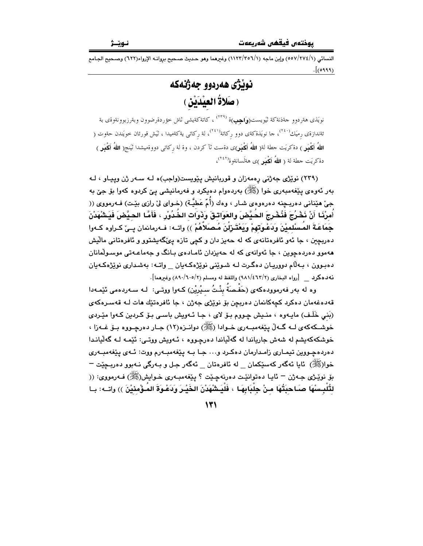النسائم. (١/٧٧٤/١٥٥٧) وإبن ماجه (١/١٢٣/٣٥٦) وغيرهما وهو حديث صـحيح بروانــه الإرواء(٦٢٢) وصـحيح الجـامع  $\cdot$  (*۱۹۹۹*)

نويْژَى هەردوو جەژنەكە (صَلاةُ العِيْدَيْنِ )

نويَذى هةردوو جةذنةكة ثيَويست(**وَاجِب**)ة <sup>(٢٣٩)</sup> ، كاتةكةيشى ثاش خؤردةرضوون وبةرزبوونةوةى بة ئةندازةى رميَك<sup>(۲٤</sup>۰)، حا نويَذةكةى دوو ركاتة<sup>(۲٤۱)</sup>، لة ركات<sub>ى</sub> يةكةميدا ، ثيَشْ قورئان خويَندن حةوت ( **اللهُ أكْبَرِ** ) دةكريَت حطة لة( **اللهُ أكْبَرِ**)ى دةست ثآ كردن ، وة لة ركاتي دووةميشدا ثيَنج( **اللهُ أكْبَر**ِ ) دةكريَت حطة لة ( اللهُ أَكْمِيل)ى هةلَسانةوة<sup>(٢٤٢)</sup>،

(۲۳۹) نویژی جهژنی رهمهزان و قوربانیش پیویست(واجب)ه لـه سـهر ژن وییـاو ، لـه بهر ئەوەي يێغەمبەرى خوا (ﷺ) بەردەوام دەيكرد و فەرمانيشى يێ كردوە كەوا بۆ جێ بە جيّ هێناني دهربـڃنه دهرهوهي شـار ، وهك (أَمّ عَطيَّـة) (خـواي ليّ رازي بێـت) فــهرمووي (( أَمرْنَـا أَنْ نَخْرُجَ فَنُخْرِجَ الحَيَّضَ والعَوَاتـقَ وَذَوَات الخُدُورْ ، فَأَمَّا الحيَّضَ فَيَشْهَدْنَ جَمَاعَـةَ المَـسْلميْنَ وَدَعْـوَتهمْ وَيَعْتَـرْلَنَ مُـصَلَاهُمْ )) واتــه: فــه رمانمان بــيّ كـراوه كــهوا دهربچين ، جا ئەو ئافرەتانەي كە لە حەيز دان و كچى تازە يىڭگەيشتوو و ئافرەتانى مالّيش ههموو دهردهچوین ، جا ئەوانەی کە لە حەیزدان ئامـادەی بـانگ و جەماعـەتى موسـولْمانان دهېبوين ، بـﻪڵام دووريـان دهگـرت لـﻪ شـوێني نوێژهکـﻪيان \_\_ واتـﻪ: بهشـداري نوێژهکـﻪيان نه ده كرد [رواه البخاري (٢/٤٦٢/٢) واللفظ له ومسلم (٢/٥٠/٦٠٥) وغيرهما].

وه له بهر فهرموودهکهی (حَفْصَةُ بِنْتُ سيْرِيْن) کـهوا ووتـى: لـه سـهردهمى ئێمـهدا قەدەغەمان دەكرد كچەكانمان دەربچن بۆ نوێژى جەژن ، جا ئافرەتێك ھات لـﻪ قەسـرەكەي (بَنِي خَلَفٍ) مايـهوه ، منـيش چـووم بـوّ لاي ، جـا ئـهويش باسـي بـوّ كـردين كـهوا ميّـردي خوشــکهکهی لــه گــهڵ بِيّغهمبــهري خــوادا (ﷺ) دوانــزه(١٢) جــار دهرچــووه بــوّ غــهزا ، خوشکهکهیشم له شهش جاریاندا له گهڵپاندا دهرچووه ، ئـهویش ووتـی: ئێمـه لـه گهڵیانـدا دهردهچـووين تيمـاري زامـدارمان دهكـرد و... جـا بـه پێغهمبـهرم ووت: ئـهي پێغهمبـهري خوا(ﷺ) ئايا ئەگەر كەسێكمان \_ لە ئافرەتان \_ ئەگەر جىل و بـەرگى نـەبوو دەربـچێت <sup>\_</sup> بۆ نوێژى جـﻪژن – ئايـا دەتوانێت دەرنەچێت ؟ پێغەمبـﻪرى خـﻮايش(ﷺ) فـﻪرمووى: (( لتُّلْبِسْهَا صَـاحبَتُهَا مـنْ جِلْبَابِهَـا ، فَلْيَشْهَدْنَ الخَيْـرَ وَدَعْـوَةَ المَـؤْمِنيْنَ )) واتــه: بـا

 $\mathcal{N}$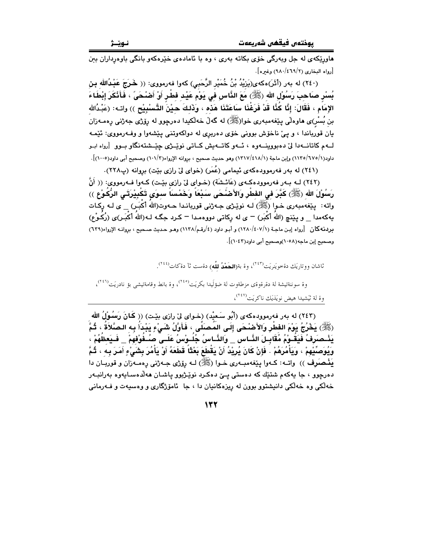.<br>هاورێکەي لە جل ويەرگى خۆي بکاتە بەرى ، وه با ئامادەي خێرەکەو بانگى باوەرداران بىن [رواه البخاري (٤٦٩/٢) (٩٨٠) وغيره].

(٢٤٠) له بهر (أَثْرَ)هكهى(يَرْيْدُ بْنُ خُمَيْرِ الرَّحَبِي) كهوا فهرمووى: (( خَرَجَ عَبْدُالله بِن بُسْر صَاحبَ رَسُوْلِ الله (ﷺ) مَعَ الذَّاسِ في يَوْم عَيْد فطْرٍ أَوْ أَصْحَىً ، فَأَنْكَرَ إِبْطَاءَ الإِمَام ، فَقَالَ: إِنَّا كُنَّا قَدْ فَرَغْنَا سَاعَتَنَا هَذَّه ، وَذَلكَ حَيْنَ التَّسْبِيْح )) وات : (عَبْدُالله بن بُسْر)ى هاوەلْي پێغەمبەرى خوا(ﷺ) له گەلّ خەلّكيدا دەرچوو له رۆژى جەژنى رەمـەزان يان قورياندا ، و يئ ناخۆش بوونې خۆي دەريرې له دولکەوتنې پێشەوا و وفــەرمووي: ئێمـه ۔<br>لسهم کاتانسەدا لیٰ دەبووينسەوە ، ئسەو کاتسەيش کساتى نوێئرى چێسشتەنگاو بسوو (روام ابىو داود(١/١٢٥/٦٧٥) وإبن ماجة (١/١٢١٧/٤١٨) وهو حديث صحيح ، بروانه الإرواء(١٠١/٣) وصحيح أبي داود(١٠٠٥)].

(٢٤١) له بهر فهرموودهکهي ئيمامي (عُمَر) (خواي ليّ رازي بيّت) بروانه (پ٢٢٨).

(٢٤٢) لـه بـهر فهرموودهكـهي (عَائـشَة) (خـواي ليّ رازي بيّـت) كـهوا فـهرمووي: (( أَنَّ رَسُوْلَ الله (ﷺ) كَبَّرَ في الفَطْرِ والأَصْنَحَى سَبْعَاً وَخَمْساَ سوءَى تَكْبِيْرَتَى الرُّكَوْعِ ﴾) واته: پێغهمبهری خـوا (ﷺ) لـه نوێـژی جـه ژنی قوربانـدا حـهوت(الله أكْبَـرٍ) \_ ی لـه رِكـات بِهِ كه مدا \_ و بِيَنج (اللهُ أَكْبَر) = ي له ركاتي دوږه مدا = كـرد جِگـه لـه(اللهُ أَكْبَـر)ى (رُكُـوْع) بردنه كان [رواه إبن ماجة (١٢٨٠/٤٠٧/١) و أبو داود (٤/رقم/١١٣٨) وهو حديث صحيح ، بروانـه الإرواء(٦٢٩) وصحيح إبن ماجه(١٠٥٨)وصحيح أبي داود(١٠٤٣)].

ثاشان ووتاريَك دةخويَنريَت<sup>(٢٤٣)</sup>، وة بة(**الحَمْدُ للَّه**) دةست ثآ دةكات<sup>(٢٤٤)</sup>.

وة سوننةتيشة لة دةرةوةي مزطةوت لة ضؤلَيدا بكريَت(٢٤٥)، وة بانط وقامةتيشي بؤ نادريَت(٢٤٦)، وة لة تُيشيدا هيض نويَذيَك ناكريَت<sup>(٢٤٧</sup>)،

(٢٤٣) له بهر فهرمووده كه ي (أَبُو سَعيْد) (خـواي ليّ رازي بيّـت) (( كَانَ رَسُوْلُ الله (ﷺ) يَخْرُجُ يَوْمَ الفِطْرِ وَالأَصْنْحَى إِلَى المَصنَّى ، فَأَوَّلُ شَىْءٍ يَبْدَأُ بِه الصَّلاَةُ ، ثُمَّ يَشْـصَرَفُ فَيَقُـوْمُ مُقَابِـلَ النَّـاس \_ وَالنَّـاسُ جُلُـوْسُ عَلَـى صُـفُوْفَهِمْ \_ فَـيَعظُهُمْ ، وَيُوَصِّيْهِمْ ، وَيَأْمُرَهُمْ . فَإِنْ كَانَ يُرِيْدُ أَنْ يَقْطَعَ بَعْثَاً قَطَعَهُ أَوْ يَأْمُرَ بِشَىْءٍ أَمَرَ بِهَ ، ثُمَّ يَذْهِمَوْف )) واتــه: كــهوا پێغهمبــهري خــوا (ﷺ) لــه رِيْرْي جــهژني رِهمــهزان و قوربــان دا دهرچوو ، جا پهکهم شتێك که دهستي يـێ دهکرد نوێژبوو پاشـان ههلاهسـايهوه بهرانبـهر خه لکی وه خه لکی دانیشتوو بوون له ریزهکانیان دا ، جا ئامۆژگاری و وهسیهت و فــهرمانی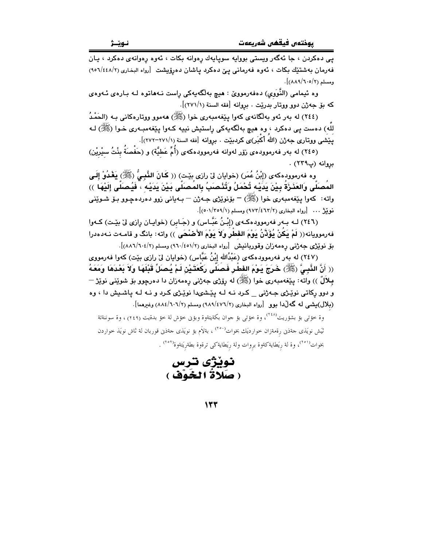پی دهکردن ، جا ئهگهر ویستی بووایه سویایهك رهوانه بكات ، ئهوه رهوانهی دهکرد ، يـان فه رمان به شتیّك بكات ، ئەوە فەرمانى يى دەكرد ياشان دەرۆپشت [رواه البخارى (١/٤٤٨/٢٥٩) ومسلم (٢/٥/٦٠٥)].

وه ئیمامی (النَّوَوی) دەفەرمووێ : هیچ بەلگەیەکی راست نـﻪهاتوه لـﻪ بـارەی ئـﻪوەی كه بق جه ژن دوو ووتار بدرييت . بروانه [فقه السنة (٢٧١/١)].

(٢٤٤) له بهر ئهو بهلگانهي كهوا پێغهمبهري خوا (ﷺ) ههموو ووتارهكاني بـه (الحَمْدُ للَّه) دهست یی دهکرد ، وه هیچ بهلَّگهیهکی راستیش نییه کـهوا یێغهمبـهری خـوا (ﷺ) لـه يَيْشَى ووتارى جەژن (اللهُ أَكْبَر)ى كردبێت . بروانه [فقه السنة (٢٧١/١-٢٧٢)].

مروانه (پ۲۲۹) .

وه فەرموودِهكەى (إِبْنُ عُمَرٍ) (خوايان لى رازى بيْت) (( كَانَ النَّبِيُّ (ﷺ) يَغْدُوْ إِلَـى المَصَلَّى وَالعَذَرْةَ بِيْنَ يَدَيْه تُحْمَلُ وَتُنْصَبِّ بِالمَصَلَّى بَيْنَ يَدَيْه ، فَيُصَلَّى إلَيْهَا ﴾) واته : کهوا پێغهمبهری خوا (ﷺ) – بۆنوێژی جـهژن – بـهیانی زوو دهردهچـوو بـۆ شـوێنـی نوينيژ ... [رواه البخارى (٢/٢٦٢/٢) ومسلم (١/٢٥٩/١)].

(٢٤٦) لــه بــهر فهرموودهكـهى (إِبْـنُ عَبَّــاس) و (جَـابر) (خوايـان رِازي ليّ بيّـت) كـهوا فەرموويانە(( لَمْ بِكُنْ يُؤَذَّنُ بَوْمَ الفطْرِ وَلاَ بَوْمَ الأَصْحَى )) واته: بانگ و قامـهت نـهدهدرا بلِ نوێژی جهژنمی رِهمهزان وقوربانیش [رواه البخاری (۶/٬۵۱/ ۹٦۰) ومسلم (۶/۰۶/۲۸۸)].

(٢٤٧) له بهر فهرموودهکهي (عَبْدُالله إِبْنُ عَبَّاس) (خوايان ليٌ رازي بيّت) کهوا فهرمووي (( أَنَّ النَّبِيَّ (ﷺ) خَرَجَ يَوْمَ الفطْرِ فَصَلَّى رَكْعَتَيْنِ لَمْ يُصلِّ قَبْلَهَا وَلاَ بَعْدَهَا وَمَعَهُ بِيلَالٌ )) واته: پێفهمبهري خوا (ﷺ) له رۆژي جهژنې رهمهزان دا دهرچوو بۆ شوێني نوێژ — و دوو رِکاتی نوێ<mark>ژی ج</mark>هژنی \_ کرد نـه لـه پێشىدا نوێژی کـرد و نـه لـه پاشـیش دا ، وه (بلال)بیشی له گەلٌدا بوو [رواه البخاری (٤٧٦/٢) (٩٨٩) ومسلم (١٠٦/٤/٦٠٦) وغیرهما].

وة خؤتي بؤ بشؤريت<sup>(٢٤٨)</sup>، وة خؤتي بؤ جوان بكةيتةوة وبؤين خؤش لة خؤ بدةيت (٢٤٩) ، وة سوننةتة ثیَش نویَذی حمَّذین رقمةزان خواردیَك بخوات<sup>(۲۰۰</sup>۰) ، بةلاَم بؤ نویَذی حمَّذین قوربان لة ثاش نویَذ خواردن بخوات<sup>(°0</sup>′)، وة لة ريَطايةكةوة بروات ولة ريَطايةكي ترةوة بطةريَتةوة<sup>(°0</sup>′) .

نوٽڙي ندس ( صَلاةُ الْخَوْفْ )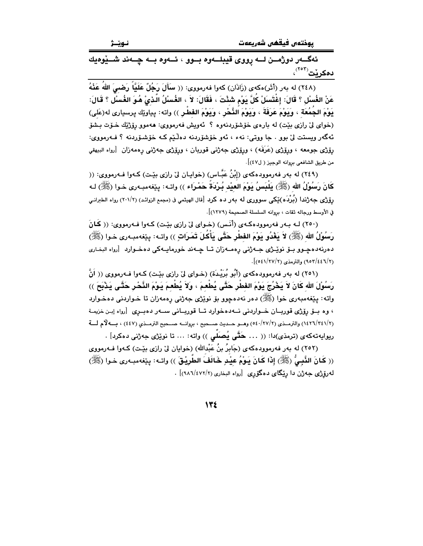ئەگــەر دوژمـــن لـــە رووى قيبلـــەوە بـــوو ، ئـــەوە بـــە چـــەند شـــێوەيك **دەكرنت<sup>(۲۰۲)</sup>،** 

(٢٤٨) له بهر (أَثَر)هكهى (زَادَان) كهوا فهرمووى: (( **سَأَلَ رَجُلٌ عَلَيّْاً رَضـىَ اللهُ عَنْهُ** عَنْ الغُسْلِ ؟ قَالَ: إِغْتَسَلْ كُلَّ يَوْم شَئْتَ ، فَقَالَ: لاَ ، الغُسْلُ الَّـذيْ هُوَ الغُسْلَ ؟ قَالَ: يَوْمَ الجُمُعَةِ ، وَيَوْمَ عَرَفَةَ ، وَيَوْمَ النَّحْرِ ، وَيَوْمَ الفَطْرِ )) واته: پياوێك پرسيارى له(عَلى) (خوای ليّ رازې بێت) له بارهي خۆشۆردنهوه ؟ ئهويش فهرمووي: ههموو رۆژێك خــۆت بـشۆ ئهگەر ويستت ليّ بوو . جا ووتى: نهء ، ئەو خۆشۆردنه دەلّىي كـه خۆشىۆردنه ؟ فـەرمووى: رۆژى جومعه ، ورۆژى (عَرَفَه) ، ورۆژى جەژنى قوربان ، ورۆژى جەژنى رەمەزان [رواه البيهقى من طريق الشافعي بروانه الوجيز ( ل٤٧)].

(٢٤٩) له بهر فهرموودهکهي (إِبْنُ عَبَّـاس) (خوابـان ليّ رازي بِيّـت) کـهوا فـهرمووي: (( كَانَ رَسُوْلُ الله (ﷺ) بِلْيَسِنُ بَوْمَ العَيْدِ بُـرْبَةٌ حَمْـرَاء )) واتـه: بِـيْغهمبـهري خـوا (ﷺ) لـه رۆژى جەژندا (بُرْدَه)ێِكى سوورى لە بەر دە كرد [قال الهيثمى ڧ (مجمع الزوائد) (٢٠١/٢) رواه الطبرانى في الأوسط ورحاله ثقات ، بروانه السلسلة الصحيحة (١٢٧٩)].

(۲۵۰) لـه بـهر فهرموودهكـهي (أنَّس) (خـواي ليِّ رازي بيِّت) كـهوا فـهرمووي: (( كَانَ رَسُوْلُ الله (ﷺ) لاَ يَغْدُو يَوْمَ الفَطْرِ حَتَّى يَأْكُلَ تَمَرَاتٍ )) واتـه: يـێفهمبـهري خـوا (ﷺ) دهرنهدهچـوو بــۆ نوپــژی جــهژنی رهمــهزان تــا چــهند خورمايــهکی دهخــوارد - [رواه البخـاری (٩٥٣/٤٤٦/٢) والترمذي (٢٧/٢٧/٢)].

(٢٥١) له بهر فهرموودهکهي (أَبُو بُرَيْدَة) (خـواي ليّ رازي بيّـت) کـهوا فـهرمووي (( اَنَّ رَسُوْلَ الله كَانَ لاَ يَخْرُجَ يَوْمَ الفَطْرِ حَتَّى يُطْعِمَ ، وَلاَ يُطْعِمَ يَوْمَ النَّحْرِ حَتَّى يَذْبَحَ )) واته: پێغەمبەرى خوا (ﷺ) دەر نەدەچوو بۆ نوێژى جەژنى رەمەزان تا خـواردنى دەخـوارد ، وه سوِّ روِّژی قوریــان خــواردنی نــهدهخوارد تــا قوریــانی ســهر دهبــری [رواه إیـن خزیمـة (١٤٢٦/٢٤١/٢) والترمــذي (٥٤٠/٢٧/٢) وهــو حــديث صــحيح ، بروانــه صــحيح الترمــذي (٤٤٧) ، بــه لأم لـــة ريوايەتەكەي (ترمذي)دا: (( ... حَتَّى بُصلِّي )) واتە: ... تا نوێژي جەژنى دەكرد] .

(٢٥٢) له بهر فهرموودهکهی (جَابرُ بنُ عَبْدالله) (خوایان لیٌ رازی بیّـت) کـهوا فــهرمووی (( كَانَ النَّسِيُّ (ﷺ) إِذَا كَانَ بَوْمُ عِيْدِ خَالَفَ الطَّرِيْقَ )) واتـه: بِيّغهمبـهري خـوا (ﷺ) له رۆژى جەژن دا ريگاى دەگۆرى [رواه البخارى (٢/٤٧٢/٢)] .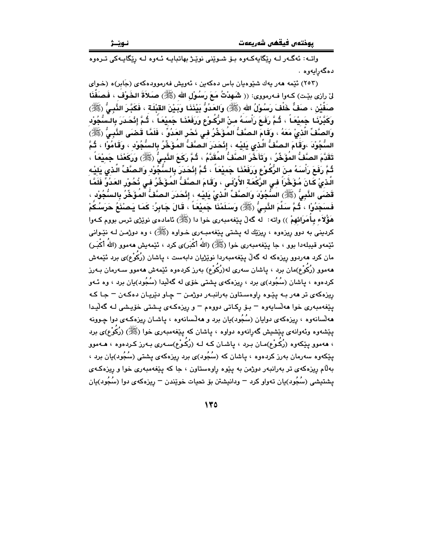نـوێـژ

واتـه: ئەگـەر لـه رێگايەكـەوە بـۆ شـوێنى نوێـژ بهاتبايـه ئـەوە لـه رێگايـەكى تـرەوە دەگەرايەوە .

(۲۵۳) ئنمه ههر يهك شنوهيان باس دهكهين ، ئهويش فهرموودهكهى (جَابِر)ه (خـواى لىٰ رازي بيّت) كـهوا فـهرمووي: (( شَـهدْتُ مَـعَ رَسُـوْلِ الله (ﷺ) صَـلاَةَ الخَـوْف ، فَصَفَّذَا صَفَّيْنِ ، صَفٌّ خَلْفَ رَسُوْلُ الله (ﷺ) وَالعَدُوُّ بَيْنَذَا وَبَيْنَ القَنْلَة ، فَكَبَّرَ الذُّنبِيُّ (ﷺ) وكَبَّرْنَـا جَميْعَـاً ، ثُـمَّ رَفَعَ رَأْسَـهُ مـنْ الرُّكُـوْعِ وَرَفَعْنَـا جَميْعَـاً ، ثُـمَّ إنْحَـدَرَ بالـسُّجُوْد وَالصَّفِّ الَّذيْ مَعَهُ ، وَقَامَ الـصَّفْ المُؤَخِّرُ فـى نَحْرِ العَدُوِّ ، فَلَمَّا قَضَى النَّبِيُّ (ﷺ) السُّجُوْدَ ،وَقَامَ البِصَّفُّ الَّذِي بَلِيْهِ ، إِنْجَدَرَ البِصَّفُّ المُؤَخِّرُ بِالسُّجُوْدِ ، وَقَامُوْا ، ثُمَّ تَقَدَّمَ الصَّفُّ المُؤَخِّرُ ، وَتَأَخَّرَ الصَّفُّ المُقَدَّمُ ، ثُمَّ رَكَعَ النَّبِيُّ (ﷺ) وَرَكَعْنَا جَمِيْعَاً ، ثُمَّ رَفَعَ رَأْسَهُ مِنَ الرُّكُوْعِ وَرَفَعْنَا جَمِيْعَاً ، ثُمَّ إِنْحَدَرَ بِالسُّجُوْدِ وَالصَّفِّ الَّذي يَليْه الَّذىٰ كَانَ مُؤَخَّرَاً في الرَّكْعَة الأُوْلَى ، وَقَامَ الصَّفُّ المُؤَخِّرُ في نُحُورِ العَدُوِّ فَلَمَّا قَصْبَى النَّبِيُّ (ﷺ) السُّجُوْدَ وَالصَّفِّ الَّذىْ يَليْه ، إِنْحَدَرَ الصَّفْ المُؤَخِّرُ بِالسُّجُوْد ، فَسنَجَدُوْا ، ثُمَّ سَلَّمَ النَّبِيُّ (ﷺ) وَسَلَمْنَا جَمِيْعَاً ، قَالَ جَابِرُ: كَمَا يَصنْنَعُ حَرَسُكُمْ هَؤُلاَء بِأُمَرَائِهِمْ )) واته: له گەلْ يێغەمبەرى خوا دا (ﷺ) ئامادەي نوێژى ترس بووم كـەوا کردینی به دوو ریزهوه ، ریزێك له یشتی یێغهمبـهری خــواوه (ﷺ) ، وه دوژمــن لــه نێــوانی ئێمەو قىيلەدا بوٯ ، جا يێغەمبەرى خوا (ﷺ) (اللهُ أكْبَر)ى كرد ، ئێمەيش ھەموٯ (اللهُ أكْبَـر) مان کرد هەردوو ریزەکە لە گەڵ يێغەمبەردا نوێژيان دابەست ، ياشان (رُکُوْع)ى برد ئێمەش هەموو (رُكُوْع)مان برد ، پاشان سەرى لە(رُكُوْع) بەرز كردەوە ئێمەش ھەموو سـەرمان بـەرز کردهوه ، پاشان (سُجُود)ی برد ، ریزهکهی پشتی خوّی له گهڵیدا (سُجُود)یان برد ، وه سُهو ريزهکهي تر ههر بـه يێوه راوهسـتاون بهرانبـهر دوژمـن – چـاو دێريـان دهکـهن – جـا کـه يٽغەمبەرى خوا ھەلسايەوە – بۆ ركـاتى دووەم – و ريزەكـەي يـشتى خۆيـشى لـە گەليـدا ههلسانهوه ، ريزهکهي دوايان (سُجُود)يان برد و ههلسانهوه ، ياشـان ريزهکـهي دوا چـوونه يێشەوە وئەوانەي يێشیش گەرانەوە دواوە ، ياشان كە يێغەمبەرى خوا (ﷺ) (رُكُوْع)ى برد ، هەموو پێکەوه (رُکُوْع)مـان بـرد ، پاشـان کـه لـه (رُکُوْع)سـەرى بـەرز کـردەوە ، هــەموو یێِکەوە سەرمان بەرز کردەوە ، پاشان کە (سُجُود)ی برد ریزەکەی پشتی (سُجُود)بان برد ، بهلّام ریزهکهی تر بهرانبهر دوژمن به پێوه راوهستاون ، جا که پێغهمبهری خوا و ریزهکهی یشتیشی (سُجُود)یان تەواو کرد – ودانیشتن بۆ تحیات خوێندن – ریزەکەی دوا (سُجُود)یان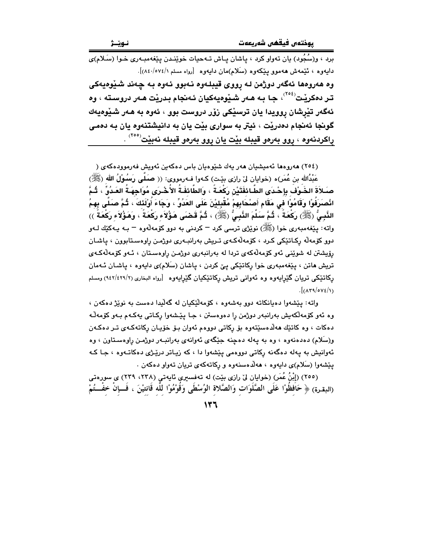برد ، و(سُجُود) يان تەواو كرد ، ياشان يـاش تــەحيات خوێنـدن يێغەمبـەرى خـوا (سَـلام)ى دايەوە ، ئَيْمەش ھەموو يْيْكەوە (سَلام)مان دايەوە [رواە مسلم ٨٤٠/٥٧٤/١). وه هەروەها ئەگەر دوژمن لـه ړووى قيبلـەوە نـەبوو ئـەوە بـه چـەند شـێوەيەكى تـر دەكرێت<sup>(۲۰٤</sup>ْ)، جـا بـه هـەر شـێوەيەكيان ئـەنجام بـدرێت هـەر دروسـتـه ، وه ئەگەر تێرشان روويدا يان ترسێکی زۆر دروست بوو ، ئەوە بە ھەر شێوەيەك گونجا ئەنجام دەدريْت ، ئيتر به سوارى بيْت يان به دانيشتنەوه يان بـه دەمى راكردنەوە ، روو بەرەو قيبلە بێت يان روو بەرەو قيبلە نەبێت<sup>(°°</sup>′) .

(٢٥٤) هەروەها ئەميشيان ھەر يەك شێوەيان باس دەكەين ئەويش فەرموودەكەي ( عَبْدُالله بن عُمَر)ه (خوايان ليّ رازي بيّت) كـهوا فـهرمووي: (( صَلَّى رَسُوْلُ الله (ﷺ) صـَـلاَةَ الخَـوْفَ بإِحْـدَى الطَّـائفَتَيْنِ رَكْعَـةً ، وَالطَّائفَـةُ الأُخْـرَى مُوَاجهَـةُ العَـدُوِّ ، ثُـمَّ انْصِرَفَوْا وَقَامُوْا في مَقَام أَصِنْحَابِهِمْ مُقْبِلِيْنَ عَلَى العَدُوِّ ، وَجَاءَ أَوْلَئَكَ ، ثُمَّ صَلَّى بِهِمُ الذَّبِيُّ (ﷺ) رَكْعَةً ، ثُمَّ سَلَّمَ النَّبِيُّ (ﷺ) ، ثُمَّ قَضَى هَؤُلاَء رَكْعَةً ، وَهَؤُلاَء رَكْعَةً )) واته : پێغهمبەرى خوا (ﷺ) نوێژي ترسي كرد – كردني به دوو كۆمەلّەوه – بـه پـەكێك لــەو دوو کۆمەلە رکـاتێکى کـرد ، کۆمەلەکـەي تـریش بەرانبـەرى دوژمـن راوەسـتابوون ، ياشـان رۆيشتن له شويني ئەو كۆمەلەكەي تردا لە بەرانبەرى دوژمن راوەسىتان ، ئـەو كۆمەلەكـەي تریش هاتن ، پێغهمبهری خوا رکاتێکی پێ کردن ، پاشان (سَلام)ی دایهوه ، پاشـان ئـهمان رکاتێکی تریان گێرایهوه وه ئهوانی تریش رکاتێکیان گێرایهوه [رواه البخاری (۶۲۹/٤۲۹/۲) ومسلم  $\frac{1}{2}$  ( $\frac{1}{2}$ 

واته: پێشەوا دەيانكاتە دوو بەشەوە ، كۆمەلێكيان لە گەليدا دەست بە نوێژ دەكەن ، وه ئەو كۆمەلكەيش بەرانبەر دوژمن را دەوەستن ، جـا يێشەوا ركـاتى يەكـەم بـەو كۆمەڵـە دهکات ، وه کاتێك هەلدەسێتەوە بۆ ركاتى دووەم ئەوان بىۆ خۆپـان ركاتەكـەي تـر دەكـەن و(سَلام) دهدهنهوه ، وه به يهله دهچنه جێگهى ئهوانهى بهرانبـهر دوژمـن راوهسـتاون ، وه ئهوانیش به پهله دهگهنه رِکاتی دووهمی یێشهوا دا ، که زیـاتر درێـژی دهکاتـهوه ، جـا کـه ییشهوا (سَلام)ی دایهوه ، ههلّاهسنهوه و رکاتهکهی تریان تهواو دهکهن .

(٢٥٥) (إِبْنُ عُمَرٍ) (خوايان ليّ رازي بيّت) له تهفسيري ئايهتي (٢٣٨، ٢٣٩) ي سورهتي (البقرة) ﴿ حَافَظُوْا عَلَى الصَّلُوَاتِ وَالصَّلاةِ الوُسْطَى وَقُوْمُوْا لِلَّه قَانتيْنَ ، فَــإِنْ خفْــتُمْ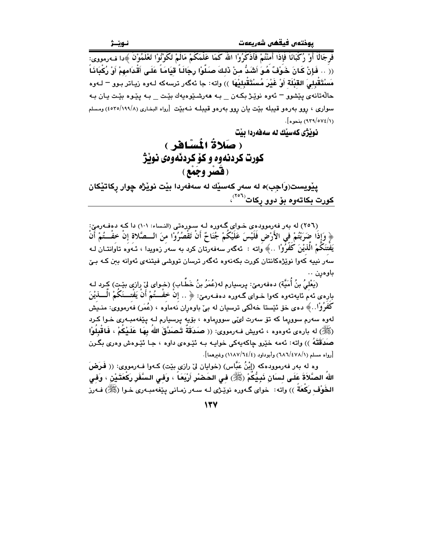فَرِ جَالًا ۚ أَوْ ۚ رُكِّبَانًا ۖ فَإِذَا أَمِنْتُمْ فَأَذْكَرُوْا اللَّهُ كَمَا عَلَّمَكُمْ مَالَمْ تَكُوْنُوْا تَعْلَمُوْنَ ﴾ دا ف1رمووي: (( .. فَإِنْ كَانَ خَوْفٌ هُوَ أَشَدُّ منْ ذَلِكَ صَلُّوْا رِجَالَـا ۚ قِيَامَـاً عَلَـى أَقْدَامهمْ أَوْ رُكْبَاذَـاْ مَسْتَقْبِلِيَ القَبْلَةِ أَوْ غَيْرَ مُسْتَقْبِلِيْهَا ﴾) وإته: جا ئهگەر ترسهكه لـهوه زيباتر بـوو <sup>—</sup> لـهوه حالّهتانهي پيشوو – ئهوه نويزژ بکـهن – بـه ههرشنيوهيهك بيّت – بـه پيّوه بيّت يـان بـه سواری ، روو بهرهو قیبله بێت یان روو بهرهو قیبلـه نـهبێت [رواه البخاری (۱۹۹۸/۵۶۵) ومسلم (٩٣٩/٥٧٤/١) بنجوه].

نونژي كەسٽك لە سەڧەردا ىنت

( صَلاةُ الْمَسْافِرِ ) کورت کردنهوه و کو کردئهوهي نوێژ (قضر وجُمع)

يێويست(وَاجِبِ)ه له سەر كەسێك له سەفەردا بێت نوێڗٛه چوار ركاتێكان <mark>کورت بکاتـ*هوه* ب</mark>ۆ دوو ړکات<sup>(۲۰۲</sup>)،

(٢٥٦) له بهر فهرموودهي خـواي گـهوره لـه سـورهتي (النساء: ١٠١) دا كـه دهفـهرميّ: ﴿ وَإِذَا ضَرَبْتُمْ فِي الأَرْضِ فَلَيْسَ عَلَيْكُمْ جُنَاحٌ أَنْ تَقْصُرُوْا مِنَ الــصَّلاةِ إِنْ خفْــتُمْ أَنْ يَفْتَنَكُمْ الْذَيْنَ كَفَرُوْا ..﴾ واته : ئەگەر سەفەرتان كرد بە سەر زەويدا ، ئـەوە تاوانتـان لـه سەر نیپە كەوا نوێژەكانتان كورت بكەنەوە ئەگەر ترسان تووشى فیتنەی ئەوانە بىن كـە بـێ باوەرن .

(يَعْلَىُ بنُ أُمَيَّةَ) دەفەرمىّ: پرسيارم لە(عُمَرُ بنُ خَطَّاب) (خـوای لِنّ رازیِ بێتٍ) کٍرد لـه بارەي ئەمّ ئايەتەوە كەو! خىواي گـەورە دەڧـەرمىؒ: ﴿ .. إِنْ خَفْـــتُمْ أَنْ يَفْتـــنَكُمْ الْــــذَيْنَ كَفْرُوْا..﴾ دەي خۆ ئێستا خەلكى ترسىيان لە بې باوەران نەماوە ، (عُمَر) فەرمووى: منـيش لهوه سهرم سوورما که تۆ سهرت ل*یٽی* سوورِماوه ، بۆيه پرسيارم لـه پێغهمبـهرِی خـوا کرد (ﷺ) له باردي نُهودود ، نُهويش فـهرمووي: (( صَدَقَةً تَـصَدَّقَ اللهُ بِهَا عَلَـيْكُمْ ، فَاقْبِلُوْا صَدَقَتَهُ )) واته: ئەمە خێرو چاكەپەكى خواپـە بـە ئێـوەي داوە ، جـا ئێـوەش وەرى بگـرن [رواه مسلم (١/ ٦٨٦/٤٧٨) وأبوداود (٤/ ١١٨٧/٢٤) وغيرهما].

وه له بهر فهرموودهکه (إِبْنُ عَبَّاس) (خوايان ليّ رازي بيّت) کـهوا فـهرمووي: (( فَـرَضَ اللهُ الصَّلاَةَ عَلَى لسان نَبِيُّكُمْ (ﷺ) في الحَضْرِ أَرْبَعَاً ، وَفي السَّفَرِ رَكْعَتَيْن ، وَفي الخُوْف رَكَعَةٌ )) واته: خواي گـهوره نوێـژي لــه ســهر زمـاني پێغهمبـهري خـوا (ﷺ) فــهرز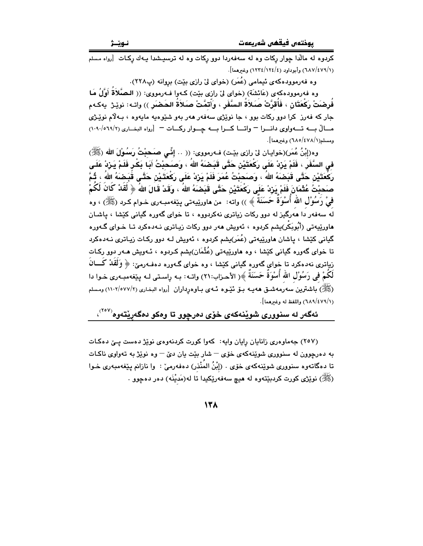(٦٨٧/٤٧٩/١) وأبوداود (١٢٤/١٢٤/١) وغيرهما].

وه فه٫موودهکهی ئیمامی (عُمَر) (خوای لیٌ رازی بیّت) بروانه (پ۲۲۸).

وه فەرموودەكەي (عَائشَة) (خواي لىْ رازى بيّت) كـەوا فـەرمووى: (( الـصَّلاَةُ أَوَّلُ مَا فُرِضَتْ رَكْعَتَان ، فَأُقرَّتْ صَلاَةُ السَّفَرِ ، وَأَتمَّتْ صَلاَةَ الحَضَنِ )) واتــ : نويْـرْ -يـه كــهم جار که فهرز کرا دوو رکات بوو ، جا نوێژي سهفهر ههر بهو شێوهيه مايهوه ، بـهلام نوێـژي مسالٌ بسه تسهواوى دانسوا - واتسا كسوا بسه جسوار ركسات - [رواه البغارى (١٠٩٠/٠١٠/٢) ومسلم(١/٤٧٨/١٥/٤٧٨) وغيرهما].

وه(إِبْنُ عُمَرٍ)(خوايـان ليّ رازي بيّـت) فـهرمووي: (( .. إِنِّـي صَـَحيْتُ رَسُـوْلَ الله (ﷺ) فِي السَّفَرِ ، فَلَمْ يَرِْدْ عَلَى رَكْعَتَيْنِ حَتَّى قَبَـضَهُ اللهُ ، وَصَـحَبْتُ أَبَـا بَكْـر فَلَمْ يَـرْدْ عَلَـى رَكْعَتَيْنِ حَتَّى قَبَضَهُ اللهُ ، وَصَحِبْتُ عُمَرَ فَلَمْ يَزِدْ عَلَى رَكْعَتَيْنِ حَتَّى قَبَضِمَهُ اللهُ ، ثُمَّ صَحِبْتُ عُثْمَانَ فَلَمْ يَرْكْ عَلَى رَكْعَتَيْنِ حَتَّى قَبَضَهُ اللهُ ، وَقَدْ قَالَ اللهَ ﴿ لَقَدْ كَانَ لَكُمْ فيْ رَسُوْلِ الله أَسْوَة حَسَنَة ﴾ )) واته: من هاورێيهتي بيێغهمبـهري خـوام كـرد (ﷺ) ، وه له سهفهر دا ههرگیز له دوو رکات زیاتری نهکردووه ، تا خوای گهوره گیانی کێشا ، یاشـان هاورێیەتی (أَبُوبَکْر)یشم کردوه ، ئەویش ھەر دوو رکات زیـاتری نـﻪدەکرد تـا خـوای گـﻪورە گیانی کێشا ، پاشان هاورێیەتی (عُمَر)بِشم کردوه ، ئەوپش لـه دوو رکـات زیباتری نـهدەکرد تا خوای گەورە گیانی کێشا ، وە ھاورێیەتی (عُثْمَان)یشم کـردوە ، ئـەویش ھـەر دوو رکـات زیاتری نه<code>دهکرد تاخوای گهوره گیانی کنیشا ، وه خوای گـهوره دهفـهرمنی: ﴿ وَلَقَلْ كَـــانُ</sup></code> لَكُمْ في رَسُوْلِ الله أَسْوَةَ حَسَنَةً ﴾( الأحـزاب:٢١) واتــه: بــه راسـتي لــه يـێغهمبــهري خــوا دا (ﷺ) باشترین سەرمەشىق ھەپبە بىۆ ئېيوە ئىەي بىاوەرداران [رواە البخارى (١١٠٢/٥٧٧/٢) ومسلم (١/ ٦٨٩/٤٧٩) واللفظ له وغيرهما].

## ئەگەر لە سنوورى شويْنەكەى خۆى دەرچوو تا وەكو دەگەريْتەوە<sup>(۲۰۷</sup>′،

(٢٥٧) جهماوهري زانايان رايان وايه: كهوا كورت كردنهوهي نويز دهست يـيّ دهكات به دهرچوون له سنووری شوینهکهی خوّی – شار بیّت بان دیّ – وه نویزژ به تهواوی ناکات تا دهگاتهوه سنووری شوێِنهکهی خوّی . (إِبْنُ المُنْذر) دهفهرمیٚ : وا نازانم یـێِغهمبهری خـوا (ﷺ) نوێژي کورت کردبێتەوه له هيچ سەفەرێِکیدا تا لە(مَدیْنَه) دەر دەچوو .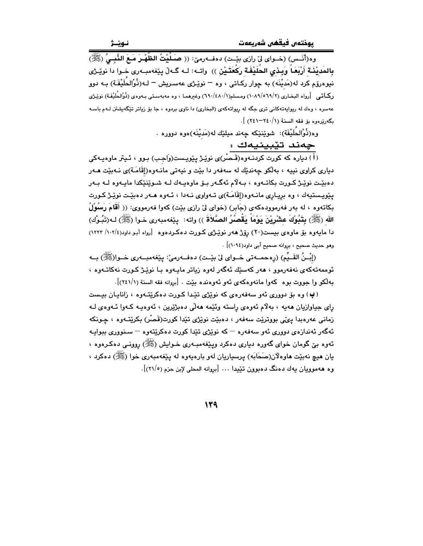وه(أَنَـس) (خـواي ليّ رازي بيّـت) دهفـهرميّ: (( صَـلَّيْتُ الظَّهْـرَ مَـعَ النَّبِـيِّ (ﷺ) بِالمَديْنَـةِ أَرْبَعَـاً وَبِـدْيِ الحُلَيْفَةِ رَكْعَتَـيْنِ )) ۚ واتــه: لــه گــهڵ بِيّغهمبــهري خـوا دا نويـْرْي نیوهرۆم کرد له(مَدیْنَه) به چوار رکـاتی ، وه <sup>ـــ</sup> نوێـژی عهسـریش <sup>ـــ</sup> لـه(ذُوْالحُلَیْفَـة) بــه دوو ریکاتی [رواه البخاری (٦٩/٢/٥٦٩/٢) ومسلم(١٠٨٩/١/١) وغیرهما ، وه مهبهستی بـهوهی (ذُوْالحُلَيْفَة) نوێـڑی .<br>عهسره ، ودك له ريوايهتهكاني ترې جگه له ريواتهكهي (البخاري) دا ناوي بردوه ، جا بۆ زياتر تێگهيشتن لـهم باسـه بگەريرەوە بۆ فقه السنة (٢٤١-٢٤١) ].

> وه(ذُوْالحَلَيْفَة): شوێنێِکه چەند میلێك لە(مَدینْهَ)ەوە دوورە . چەند تێبينيەك :

.<br>( أ ) دیاره که کورت کردنـهوه(قـّـصـُر)ی نوێـِژ پێویـست(وَاجـب) بـوو ، ئـیتر ماوهیـهکی دیاری کراوی نییه ، بهڵکو چهندێك له سهفهر دا بێت و نیهتی مانــهوه(إقَامَــة)ی نــهبێت هــهر دەبێت نوێـژ کـورت بکاتـﻪوه ، بـﻪلاّم ئەگـﻪر بـۆ ماوەيـﻪك لـﻪ شـوێنێکدا مايـﻪوە لـﻪ بـﻪر یێویستیهك ، وه بریاری مانـهوه(إقَامَـة)ی تـهواوی نـهدا ، ئـهوه هـهر دهبێت نوێـژ كـورت بكاتهوه ، له بهر فهرموودهكهي (جَابِر) (خواي لِيّ رازي بيّت) كهوا فهرمووي: (( أَقَامَ رَسُوْلُ الله (ﷺ) بِتَنُوكَ عِشْرِيْنَ بَوْمَاً بِقُصْرُ الصَّلاَةَ )) واته: بِيّفهمبهري خـوا (ﷺ) لـه(تَبُـوْك) دا مایهوه بۆ ماوەی بیست(۲۰) رۆژ هەر نوێژی کورت دەکردەوە [رواه أبو داود(۱۰۲/ ۱۲۲۳) وهو حديث صحيح ، بروانه صحيح أبي داود(١٠٩٤)] .

(إِبْـنُ القَــيِّمِ) (رەحمــهتى خــواي لِي بێــت) دەفــهرمىّ: يێغهمبــهرى خــوا(ﷺ) بــه ئوممەتەكەي نەفەرموق ، ھەر كەسىلە ئەگەر لەۋە زىاتر ماسەۋە سا نوپىژ كىورت نەكاتىەۋە ، مه لکو وا جووت مو د کهوا مانهو دکهي ئهو ئهو دنده مئت . [بروانه فقه السنة (٢٤١/١)].

(پ) وه بۆ دوورې ئەو سەفەرەي كە نوپژى تێدا كـورت دەكرێتـەوە ، زانايـان بيـست رای جیاوازیان هەیە ، بەلام ئەوەی راستە وئێمە ھەلْی دەبژێرین ، ئەوەپـە كـەوا ئـەوەی لـە زماني عەرەبدا يېي بووتريت سەفەر ، دەبيّت نويزي تيدا كورت(قَصْر) بكريّتـەوە ، جـونكە ئهگەر ئەندازەي دوورى ئەو سەفەرە – كە نوێژى تێدا كورت دەكرێتەوە – سىنوورى ببوايـە ئەوە بىن گومان خواي گەورە دىيارى دەكرد وپێغەمبـەرى خــوايش (ﷺ) روونــى دەكــرەوە ، يان هيچ نهبێت هاوهلان(صَحَابَه) پرسپاريان لهو بارهپهوه له پيٽغهمبهري خوا (ﷺ) دهکرد ، وه ههموويان پهك دهنگ دهيوون تئيدا ... [پروانه المحلي لابن چزم (٢١/٥)].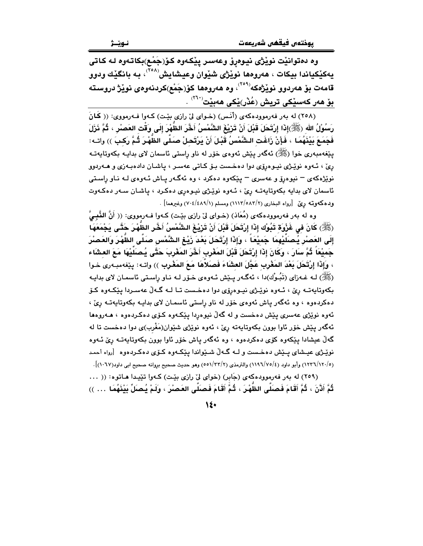وه دهتوانێت نوێژی نیوهڕٯٚ وعهسر پێکهوه کوٚ(جَمْع)بکاتـهوه لـه کـاتی يەكێكياندا بيكات ، ھەروەھا نوێژى شێوان وعيشايش<sup>(^°۲</sup>) بـه بانگێك ودوو قامەت بۆ ھەردوو نوێژەكە<sup>‹٬۲۰۹</sup>٬ وە ھەروەھا كۆ(جَمْع)كردنەوەى نوێژ دروستە بۆ ھەر كەس<u>ى</u>كى تريش (عُدْر)يْكى ھەبيْت<sup>(٢٦٠</sup>) .

(٢٥٨) له بهر فهرمووده كهى (أنس) (خواى ليّ رازى بيّت) كهوا فهرمووى: ((كَانَ رَسُوْلُ الله (ﷺ)إِذَا إِرْتَحَلَ قَبْلَ أَنْ تَزِيْغَ الشَّمْسُ أَخَّرَ الظَّهْرَ إِلَى وَقْتِ العَصْرِ ، ثُمَّ ذَرْلَ فَجَمَعَ بَيْنَهُمَا ، فَإِنْ زَاغَت الشَّمْسُ قَبْلَ أَنْ يَرْتَحلْ صَلَّى الظَّهْرَ ثُمَّ رَكبَ )) واتـه: يێغەمبەرى خوا (ﷺ) ئەگەر يێش ئەوەي خۆر لە ناو راستى ئاسمان لاي بدايـە بكەوتايەتـە رِیِّ ، ئەوە نوێژی نیوەرۆی دوا دەخست بىۆ كىاتى عەسىر ، پاشىان دادەبەزی و ھـەردوو نوێژهکهی – نیوهرۆ و عهسری – یێکهوه دهکرد ، وه ئهگهر یـاش ئـهوهی لـه نـاو راسـتی ئاسمان لای بدایه بکهوتایهته رِیِّ ، ئـهوه نویْـژی نیـوهری دهکـرد ، پاشـان سـهر دهکـهوت ودهكهوتـه ريٌ [رواه البخاري (١١١٣/٥٨٣/٢) ومسلم (٧٠٤/٤٨٩/١) وغيرهما] .

وه له بهر فهرموودهكهى (مُعَاذ) (خـواى ليّ رازى بيّـت) كـهوا فـهرمووى: (( أَنَّ النَّبِـيَّ (ﷺ) كَانَ في غَزْوَة تَبُوْك إِذَا إِرْتَحَلَ قَبْلَ أَنْ تَرْيْغَ الشَّمْسُ أَخَّرِ الظَّهْرَ حَتَّـي يَجْمَعَهَا إِلَى العَصْرِ يُـصَلِّيْهِمَا ـجَمِيْعَاً ، وَإِذَا إِرْتَحَلَ بَعْدَ زَيْـغِ الشَّمْس صَلَّى الظَّهْرَ وَالعَصْرَ جَمِيْعَاً ثُمَّ سَارَ ، وَكَانَ إِذَا إِرْتَحَلَ قَبْلَ المَغْرِبِ أَخَّرَ المَغْرِبَ حَتَّى يُصَلِّيْهَا مَعَ العشَاء ، وَإِذَا إِرْتَحَلَ بَعْدَ المَغْرِبِ عَجَّلَ العشَاءَ فَصَلاَهَا مَعَ المَغْرِبِ )) واتـه: يـيّفهمبـهرى خـوا (ﷺ) لــه غــهزای (تَبُـوْك)دا ، ئهگـهر پـێش ئــهوهی خـۆر لــه نــاو راسـتی ئاسمـان لای بدایـه بکەوتايەتــه رێ ، ئــهوه نوێـِـژي نيــوهرۆي دوا دەخـست تــا لــه گــهڵ عەســردا يێكــهوه كـۆ دهکردهوه ، وه ئهگەر پاش ئەوەي خۆر لە ناو راستى ئاسمان لاي بدايـه بكەوتايەتـه رِيِّ ، ئەوە نوێژى عەسرى يێش دەخست و لە گەڵ نيوەردا يێكـەوە كـۆى دەكـردەوە ، ھـەروەھا ئهگەر يێش خۆر ئاوا بوون بكەوتايەتە رێ ، ئەوە نوێژى شێوان(مَغْرب)ى دوا دەخست تا لە گەلٌ عیشادا یێکەوه کۆی دەکردەوە ، وە ئەگەر یاش خۆر ئاوا بوون بکەوتاپەتـﻪ رێ ئـﻪوە نوێـژی عیـشای پـێش دهخـست و لــه گــهڵ شــێواندا پێکـهوه کـۆی دهکـردهوه  $\,$  [رواه أحمـد (١٢٠/١٢٠/٥) وأبو داود (٤/١١٩٦/٧٥) والترمذي (٥٥١/٢٣/٢) وهو حديث صحيح بروانه صحيح ابي داود(١٠٦٧)].

(٢٥٩) له بهر فهرموودهكهى (جَابِرِ) (خواى ليِّ رازى بيِّت) كـهوا تيِّيدا هـاتوه: (( ... ثُمَّ أَذَّنَ ، ثُمَّ أَقَامَ فَصنَلَّى الظَّهْرَ ، ثُمَّ أَقَامَ فَصنَلَّى العَصنُرَ ، ولَمْ يُصنَلّ بَيْنَهُمَا … ))

 $\mathcal{N}$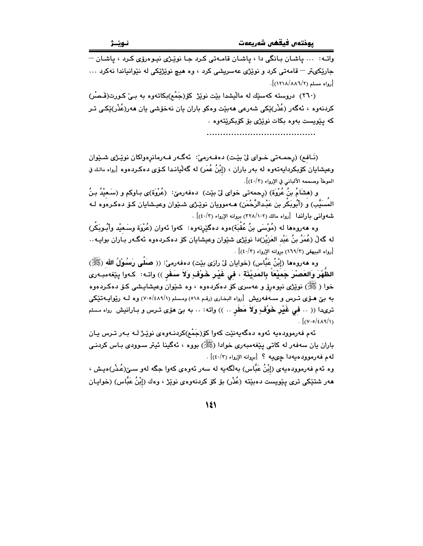واتـه: ... ياشـان بـانگي دا ، ياشـان قامـهتي كـرد جـا نوێـژي نيـوهرۆي كـرد ، ياشـان – جارێکیټر – قامەتی کرد و نوێژی عەسریشی کرد ، وه هیچ نوێژێکی له نێوانیاندا نەکرد …  $[$ رواه مسلم (١٢١٨/٨٨٦/٢)].

(٢٦٠) دروسته کهسێك له ماليشدا بێت نوێژ کۆ(جَمْم)بکاتهوه به بے کورت(قَـصْر) کردنهوه ، ئەگەر (عُذْر)ێکى شەرعى ھەبێت وەکو باران يان نەخۆشى يان ھەر(عُذْر)ێکى تـر که پێویست بهوه بکات نوێژی بۆ کۆبکرێتهوه .

(نَافِع) (رحمـه تي خـواي ليّ بيّت) دهفـهرميّ: كَهگـهر فـهرمانرهواكان نويّـژي شـيوان وعيشايان كۆبكردايەتەوە لە بەر باران ، (إِبْنُ عُمَر) لە گەلىيانىدا كـۆى دەكـردەوە [رواە مالـك في الموطأ وصححه الألباني في الإرواء (٤٠/٢)].

و (هشَامُ بنُ عُرُوَة) (رِحمه تي خواي ليُ بيّت) دهفهرميّ: (عُرُوَة)ي بـاوكم و (سَـعيْدُ بـنُ المُسَيَّبِ) و (أَبُوبَكْر بن عَبْدالرَّحْمَن) هـﻪموويان نوێـژی شـێوان وعيـشايان کـۆ دەکـرەوە لـﻪ شهواني باراندا [رواه مالك (٢٢٨/١٠٢) بروانه الإرواء (٤٠/٢)] .

وه هەروەها لە (مُوْسَى بنُ عُقْبَة)ەوە دەگێرنەوە: كەوا ئەوان (عُرْوَة وسَـعيْد وأُبُـوبَكْر) له گەلْ (عُمَرُ بنُ عَبْد العَزیْز)دا نوێژی شێوان وعیشایان کۆ دەکـردەوە ئەگـەر بـاران بوایـە.. [رواه البيهقي (١٦٩/٣) بروانه الإرواء (٤٠/٣)] .

وه هەروەها (إِبْنُ عَبَّاس) (خوايان لى رازى بيّت) دەفەرمىٰ: (( صَلَّى رَسُوْلُ الله (ﷺ) الظَّهْرَ وَالعَصْرَ جَمِيْعَاً بِالمَديْنَة ، في غَيْر خَوْفٍ وَلاَ سَفَرٍ )) واتـه: ۖ كـهوا بِيْغهمبـهرى خوا ( ﷺ) نوێژی نیوهڕێی و عهسری کۆ دەکردەوە ، وە شێوان وعیشاییشی کـۆ دەکـردەوە به بێ هـۆی تــرس و ســهفهریش [رواه البخـاری (رقـم ٥١٨) ومـسلم (٧٠٥/٤٨٩/١) وه لــه رێوایــهتێکی ترىدا (( .. فمي غَيْر خَوْفٍ وَلاَ مَطَرٍ .. )) واتـه: .. به بـيّ هوّى تـرس و بـارانيش رواه مـسلم  $\lceil (V \cdot o / \epsilon \Lambda \eta / V) \rceil$ 

ئهم فهرموودهيه ئهوه دهگهيهنێت کهوا کۆرجَمْم)کردنـهوهي نوێـِژ لـه بـهر تـرس يـان باران يان سەفەر لە كاتى يێغەمبەرى خوادا (ﷺ) بووە ، ئەگينا ئيتر سىوودى بـاس كردنـي لهم فهرموودهيهدا چىيه ؟ [بروانه الإرواء (٤٠/٣)] .

وه ئهم فهرموودهيهي (إِبْنُ عَبَّاس) بهلَّگهيه له سهر ئهوهي كهوا جگه لهو سـێ(عُـذْر)هيش ، هەر شتێکی تری پێویست دەبێتە (عُذْر) بۆ کۆ کردنەوەی نوێژ ، وەك (إبْنُ عَبَّاس) (خواپـان

 $\mathcal{N}$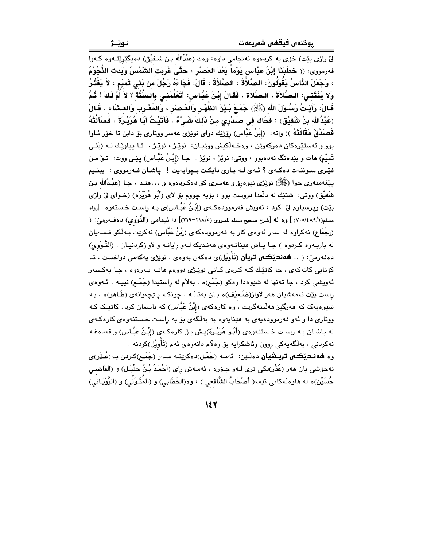نـوێـژ

لی رازی بیّت) خوّی به کردهوه ئهنجامی داوه: وهك (عَبْدُالله بـن شَـفيْق) دهیگیریتِــّـهوه کـهوا فەرمورى: (( خَطَبَذَا إِبْنُ عَبَّاس يَوْمَاً بَعْدَ العَصْر ، حَتَّى غَرَبَت الشَّمْسُ وَبَدَت النُّجُوْمُ ، وَجَعَلَ النَّاسُ يَقُوْلُوْنَ: الصَّلاَةَ ، الصَّلاَةَ ، قَالَ: فَجَاءَهُ رَجُلٌ مِنْ بَني تَميْم ، لاَ يَفْتُرُ ولاَ يَذْتَني: الصَّلاَةَ ، الصَّلاَةَ ، فَقَالَ إِبْنُ عَبَّاس: أَتُعَلِّمُني بِالسُّنَّة ؟ لاَ أُمَّ لَكَ ! ثُمَّ قَـَالَ: رَأَيْـتُ رَسُـوْلَ اللهِ (ﷺ) جَمَـعَ بَـيْنَ الظَّهْـرِ وَالْعَـصْرِ ، وَالمَغْـرِبِ وَالعـشَاء . قَـالَ (عَبْدُالله بنُ شَفَيْق) : فَحَاكَ في صَدْرِي منْ ذَلِكَ شَيْءٌ ، فَأَتَيْتُ أَبَا هُرَيْرِةَ ، فَسَأَلْتُهُ فَصندَّقَ مَقَالَتَهُ )) واته: (إِبْنُ عَبَّاس) رِوْرْيَك دواي نويرْي عهسر ووتاري بو داين تا خوّر ئـاوا بوو و ئەستێرەكان دەركەوتن ، وەخـەلكيش ووتيـان: نوێـِژ ، نوێـِژ . تـا يياوێـك لـه (بَنــى تَمنْم) هات و بێدەنگ نەدەبوو ، ووتى: نوێژ ، نوێژ . ۖ جـا (إِبْنُ عَبَّـاس) يێـى ووت: تــوٚ مـن فيَّـری سـوننهت دهکـهی ؟ ئـهی لـه بـاری دایکـت بـچوایهیت ! پاشـان فـهرمووی : بینـیم يێغەمبەرى خوا (ﷺ) نوێژى نيوەرۆ و عەسرى كۆ دەكىردەوە و …هتـد . جـا (عَبْـدُالله بـن شَفَيْق) ووتي: شتنيك له دلَّمدا دروست بوو ، بۆيه چووم بۆ لاى (أَبُو هُرَيْرَه) (خـواى ليْ رازى بێت) ویرسیارم لیٚ کرد ، ئەویش فەرموودەکـەی (إِبْـنُ عَبَّـاس)ی بـه راسـت خـستەوە [رواە مسلم(٧٠٥/٤٨٩/١) ] وه له [شرح صحيح مسلم للنـووي (٢١٨/٥-٢١٩)] دا تَيمامي (النَّوَوِي) دهفـهرميّ: ( (إِجْمَاعِ) نهكراوه له سهر ئهوهي كار به فهرموودهكهي (إِبْنُ عَبَّاس) نهكريت بـهلْكو قـسهيان له باریهوه کردوه ) جا یاش هینانـهوهی ههندیک لـهو رایانـه و لاوازکردنیـان ، (النَّـوَوی) دەفەرمىّ: ( .. **ھەنديْكى تريان** (تَأْوِيْل)ى دەكەن بەوەى ، نوێژى يەكەمى دواخست ، تـا کۆتاہے، کاتەکەی ، جا <mark>کات</mark>ێِك کـه کـردی کـاتے نوێـژی دووہم هاتـه بـهرەوه ، جـا پەکـسەر ئهويشي كرد ، جا تهنها له شێوهدا وهكو (جَمْع)ه ، بهلأم له راستيدا (جَمْـع) نييـه . ئـهوهي راست بيّت ئهمهشيان ههر لاواز(ضَعيْف)ه يان بهتالْـه ، چونكـه پـتيچهوانهى (ظَـاهر)ه ، بـه شێوهپهک که هەرگیز هەڵپنەگرێِت ، وه کارەکەی (إِبْنُ عَبَّاس) که باسمان کرد ، کاتێِـک کـه ووتاري دا و ئەو فەرموودەپەي بە ھێناپەوە بە بەلگەي بۆ بە راست خىستنەوەي كارەكـەي له ياشـان بـه راسـت خـستنهوهى (أُبُـو هُرَيْـرَة)يـش بـوّ كارهكـهى (إبْـنُ عَبَّـاس) و قهدهـفـه نهكردنى ، بەلْگەپەكى روون وئاشكرايە بۆ وەلّام دانەوەي ئەم (تَأْوِيْل)كردنە . وه **هەنـدێڪي تريـشيان** دەڵـێن: ئەمـە (حَمْل)دەكرێتـە سـەر (جَمْـع)كـردن بـە(عُـڏر)ي

نهخوّشي يان هەر (عُذْر)ێِكي ترى لـهو جـوّره ، ئهمـهش راي (اَحْمَدُ بْـنُ حَنْبَـل) و (القَاضـي حُسَنْين)ه له هاوهڵەكانى ئێمە( أَصْحَابُ الشَّافعى ) ، وه(الخَطَابى) و (المُتَـوَلِّي) و (الرَّوْيَـانى)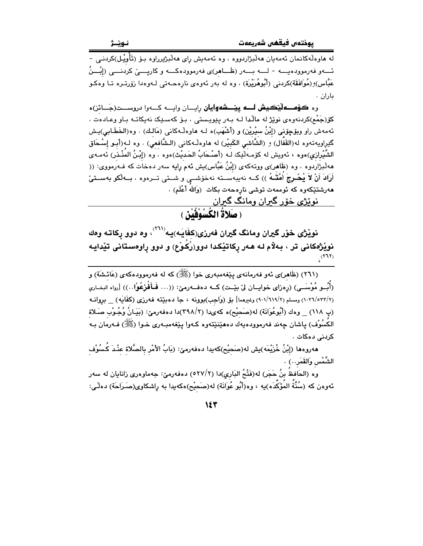له هاوەڵەكانمان ئەمەيان ھەڵبژاردووە ، وە ئەمەيش رِاى ھەڵبژىرراوە بىۆ (تَأُويْـل)كردنـى -ئــــهو فهرموودهيــــه - لــــه بــــهر (ظَـــاهر)ى فهرموودهكـــه و كاريـــــىّ كردنــــى (إبْــــرُ عَبَّاس)و(مُوَافَقَة)کردنی (أَبُوهُرَيْرَة) ، وه له بهر ئهوهي نارهحـهتي لـهوهدا زوّرتـره تـا وهکـو ىاران .

وه **کۆســه ليٽڪيش لــــه ييٽــــشه وايان** رايــــان وايـــــه کــــهوا دروســــت(جَـــائز) ه کۆ(جَمْم)کردنەوەی نوێژ لە ماڵدا لـﻪ بـﻪر يێويستى ، بـۆ کەسـێک نەپکاتـﻪ بـاو وعـادەت ، ئهمهش راو وبۆچۆنى (إِبْنُ سيْرِيْن) و (أَشْهَب)ه لـه هاوهڵـهكانى (مَالـك) . وه(الخَطَـابي)يـش گێرِاویهتهوه له(القَفَّال) و (الشَّاشى الكَبيْر) له هاوهڵـهكانى (الـشَّافعى) . وه لـه(أبـو إِسْـحَاق الشِّيْرازى)ەوە ، ئەويش لە كۆمـەلْيْك لـه (أَصْـحَابُ الحَديْث)ەوە ، وە (إِبْـنُ المَنْـذر) ئەمـەي ههڵبژاردوه ، وه (ظَاهر)ی ووتهکهی (إِبْنُ عَبَّاس)یش ئهم رایه سهر دهخات که فـهرمووی: (( أَرَادَ أَنْ لاَ يُصْرِجَ أَهَّقُهُ )) كــه نهيبهســته نهخوّشـــي و شـــتى تـــرهوه ، بـــهڵكو بهســتىٚ ھەرشتێكەوە كە ئوممەت توشى نارەحەت بكات (وَالله أَعْلَم) . ِ نوێژی خۆړ گیران ومانگ گیران

( صَلاةُ الْكَسُوْفَيْنَ )

نويْژي خۆر گيران ومانگ گيران فەرزى(كِفَايَـه)يـه'````، وه دوو ركاتـه وهك نوێژهکانی تر ، بهلام له ههر رکاتێکدا دوو(رُکوْع) و دوو راوهستانی تێدایـه

(۲٦۱) (ظَاهر)ي ئەو فەرمانەي يێغەمبەرى خوا (ﷺ) كە لە فەرموودەكەي (عَائشَة) و (أَبُسِ مُوْسَــى) (رەزاي خواپــان ليّ بێـت) كــه دەفـــهرميّ: ((… فَــأَفْرْعُوْا…)) [رواه البخـاري (١٠٢٦/٥٣٢/٢) ومسلم (٩٠١/٦١٩/٢) وغيرهما] بق (وَاجِب)بوونه ، جا دهبيِّته فهرزي (كِفَايَه) \_ برِوانـه (پ ١١٨) \_ وهك (أَبُوعُوَانَة) له(صَحيْح)ه كهىدا (٢٩٨/٢)دا دهفهرميّ: (بَيَـانُ وُجُـوْبِ صَـلاة الکسُوْف) پاشان چەند فەرموودەيەك دەھێنێتەوە كـەوا پێغەمبـەرى خـوا (ﷺ) فـەرمان بـە كردنى دەكات .

مەروەما (إِبْنُ خُزَيْمَه)يش لە(صَحيْح)كەيدا دەفەرمێ: (بَابُ الأَمْر بالصَّلاة عنْـدَ كَسُوْف الشَّمْس وَالقَمَر…) .

وه (الحَافظَ بنُ حَجَر) له(فَتْحُ البَارِي)دا (٢٧/٢) دهفهرميّ: جهماوهري زانايان له سهر ئەوەن كە (سُنَّةَ المَوْكَدَه)يە ، وە(أَبُو عُوَانَة) لە(صَحيْح)ەكەيدا بە راشكاوى(صَـرَاحَة) دەلْـى: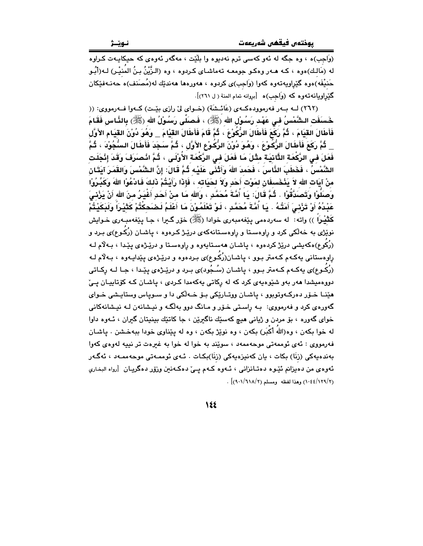(وَاجِبِ)ه ، وه جگه له ئهو کهسی ترم نهدیوه وا بِلَيْت ، مهگهر ئهوهي که حیکایـهت کـراوه له (مَالـك)ەوە ، كـه مـهر وەكـو جومعـه تەماشـاى كـردوه ، وه (الـزَّيْنُ بـنُ المُنيْـر) لـه(أَبُـو حَنيْفَه)ەوە گێراويەتەوە كەوا (وَاجِب)ى كردوە ، ھەورەھا ھەندێك لە(مُصَنف)ە حەنـەفێكان گَیْراویانهتهوه که (وَاجِبِ)ه [بروانه تمام المنة ( ل ۲٦١)].

(٢٦٢) لـه بـهر فهرموودهكـهى (عَائـشَة) (خـواى ليّ رازى بيّـت) كـهوا فـهرمووى: (( خَسَفَت الـتَنْمُسُ فـى عَهْد رَسُوْل الله (ﷺ) ، فَـصَلَّى رَسُوْلُ الله (ﷺ) بِالذَّاسِ فَقَامَ فَأَطَالَ الْقَيَامَ ، ثُمَّ رَكِّعَ فَأَطَالَ الرُّكُوْعَ ، ثُمَّ قَامَ فَأَطَالَ القَيْامَ \_ وَهُوَ دُوْنَ القَيَام الأَوَّلِ

\_ ثُمَّ رَكَعَ فَأَطَالَ الرُّكُوْعَ ، وَهُوَ دُوْنَ الرُّكُوْعِ الأَوَّلِ ، ثُمَّ سَجَدَ فَأَطَالَ السُّجُوْدَ ، ثُمَّ فَعَلَ فِي الرَّكْعَة التَّانِيَة مِثْلَ مَا فَعَلَ فِي الرَّكْعَةِ الأُوْلَى ، ثُمَّ انْصَرَفَ وَقَدَ إِنْجَلَت الشَّمْسُ ، فَخَطَبَ الذَّاسَ ، فَحَمدَ اللهَ وَأَثْنَى عَلَيْه ثُمَّ قَالَ: إنَّ الشَّمْسَ وَالقَمَرَ آيَتَان منْ آبَات الله لاَ يَذْخَسفَانِ لمَوْت أَحَدٍ وَلاَ لحَيَاتِه ، فَإِذَا رَأَيْتُمْ ذَلِكَ فَادْعُوْا اللهَ وَكَشّْرُوْا وَصَلُّوْا وَتَصَدَّقُوْا . ثُمَّ قَالَ: يَا أُمَّةَ مُحَمَّدٍ ، وَالله مَا منْ أَحَدٍ أَغْيَرُ منَ الله أنْ يَرْنى َ عَبْدُهُ أَوْ تَرْنِى ۖ أَمَتُهُ ۚ . يَا أُمَّةَ مُحَمَّدٍ ، لَوْ تَعْلَمُوْنَ مَا أَعْلَمُ لَضَحِكْتُمْ كَثَيْرَاً وَلَبَكَيْتُمْ كَثْيْراً )) واته: له سەردەمى يێغەمبەرى خوادا (ﷺ) خۆر گـيرا ، جـا يێغەمبـەرى خـوايش نوێژی به خهڵکی کرد و راوهسـتا و راوهسـتانهکهی درێـژ کـرهوه ، یاشـان (رُکَـوع)ی بـرد و (رُکُوع)هکهیشی درێژ کردهوه ، یاشـان ههسـتایهوه و راوهسـتا و درێـژهی یێـدا ، بـهلاّم لـه راوهستانی بهکـهم کـهمتر بـوو ، پاشـان(رُکُـوع)ی بـردهوه و درێـِژهی پێدایـهوه ، بـهلاّم لـه (رُکُـوع)ی بِهکـهم کـهمتر بـوو ، پاشـان (سُـجُود)ی بـرد و درێـِـژهی بِێـدا ، جـا لــه رکـاتی دووهمیشدا ههر بهو شێوهیهی کرد که له رکاتی یهکهمدا کـردی ، یاشـان کـه کۆتاییـان یـیّ هێنـا خـۆر دەركـەوتوبوو ، ياشـان ووتـارێكى بـۆ خـەلكى دا و سـوياس وستايـشى خـواى گەورەي كرد و فەرمووي: بــه راسـتى خـۆر و مـانگ دوو بەلگـه و نيـشانەن لــه نيـشانـهكانى خواي گهوره ، بۆ مردن و ژياني هيچ كهسێك ناگيرين ، جا كاتێك بينيتان گيران ، ئـهوه داوا له خوا بكهن ، وه(اللهُ أكْبَر) بكهن ، وه نوێژ بكهن ، وه له يێناوي خودا ببهخـشن . ياشـان فهرمووي : ئهي ئوممهتي موحهممهد ، سوێند به خوا له خوا به غیرهت تر نیپه لهوهي کهوا بەندەبەكى (زنَا) بكات ، يان كەنپزەبەكى (زنَا)بكـات . ئـەي ئوممـەتى موجەممـەد ، ئەگـەر ئەوەي من دەيزانم ئێـوە دەتـانزانـى ، ئــەوە كــەم يــىٰ دەكــەنىن وزۆر دەگريـان [رواە البخـارى (١٢٩/٢) (١٠٤٤/١٢٩) وهذا لفظه ومسلم (٩٠١/٦١٨/٢) .

 $\lambda$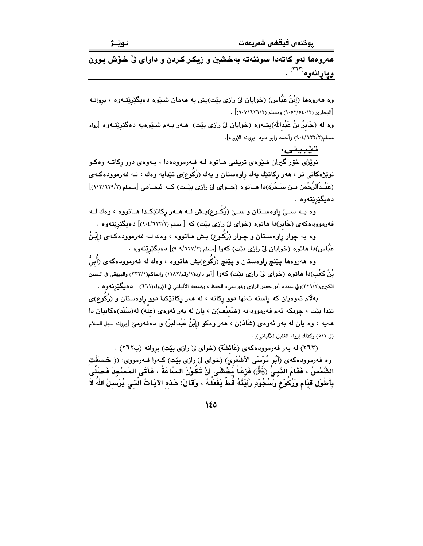هەروەھا لەو كاتەدا سوننەتە بەخشين و زيكر كردن و داواي لِّي خوْش بوون ويارانەوە<sup>(717)</sup> .

وه هەروەها (إِبْنُ عَبَّاس) (خوايان ليٌ رازِي بِيِّت)يش به هەمان شـيوه دەيـگێرێتـەوه ، بروانـه [البخارى (١٠٥٢/٥٤٠/٢) ومسلم (١٠٧/٦٢٦)] .

وه له (جَابرُ بنُ عَبْدالله)بشەوه (خوايان لیٌ رازی بێت) هــهر بــهم شــێوهيه دهگێرێتــهوه [رواه مسلم(٢/٦٢٢/٢) وأحمد وابو داود بروانه الإرواء].

تێبينى:

نوێ<u>ژی</u> خۆر گیران شێوهی تریشی <mark>مـا</mark>توه لـه فـهرموودهدا ، بـهوهی دوو ڕکاتـه وهکـو نوێژهکانی تر ، هەر رکاتێك پەك راوەستان و يەك (رُكَوع)ى تێدايە وەك ، لــه فەرموودەكــەی (عَبْـدُالرَّحْمَن بـن سَـمُرَة)دا هــاتوه (خــواي ليّ رازي بيّـت) كــه ئيمــامي [مـسلم (٢/٦٢٩)/٩١٢)] دەبگێرێتەوە .

وه بــه ســیّ راوهســتان و ســیّ (رُکَــوع)پــش لــه هــهر رکاتێِکــدا هــاتووه ، وهك لــه فه رمووده که ی (جَابر)دا هاتوه (خوای لیّ رازی بیّت) که [ مسلم (۶/۲۲۲/۲)] دهیگیریته وه .

وه به چوار راوهسـتان و چـوار (رُکَـوع) پـش هـاتووه ، وهك لـه فهرموودهكـهى (إِبْـنُ عَبَّاس)دا هاتوه (خوایان لیٌ رازی بیّت) کهوا [مسلم (٢/٦٢٧/٢)] دهیگیریتهوه .

وه ههروهها پێنچ ڕاوهستان و پێنچ (رُکُوع)یش هاتووه ، وهك له فهرموودهكهى (أُبيُّ بْنُ كَعْبِ)دا هاتوه (خواي ليّ رازي بيّت) كهوا [أبو داود(١/رقم/١١٨٢) والحاكم(٢٣٣/١) والبيهقي في الـسنن الكبرى(٣٢٩/٣)وفي سنده أبو جعفر الرازي وهو سيء الحفظ ، وضعفه الألباني في الإرواء(٦٦١) ] دهيگێرنـهوره .

بهلٌام ئەوەيان كە راٍستە تەنھا دوو رِكاتە ، لە ھەر رِكاتێكدا دوو راوەستان و (رُكَوع)ى تێدا بێت ، چونکه ئهم فهرموودانه (ضَعيْف)ن ، يان له بهر ئهوهي (علّه) له(سَنَد)هکانيان دا ههيه ، وه بان له بهر ئهوهي (شَادْ)ن ، ههر وهكو (إِبْنُ عَبْدالبَرّ) وا دهفهرميّ [برِيانه سبل السلام (ل ٥١١) وكذلك إرواء الغليل للألباني)].

(٢٦٣) له بهر فهرموودهکهي (عَائشَة) (خواي ليّ رازي بيّت) بروانه (پ٢٦٢) . وه فەرموودەكەي (أَبُو مُوْسَى الأَشْعَرى) (خواي ليٌ رازى بيّت) كـەوا فـەرمووى: (( خَسَفَت الشَّمْسُ ، فَقَامَ النَّبِيُّ (ﷺ) فَزِعَاً يَخْشَى أَنْ تَكُوْنَ السَّاعَةُ ، فَأَتَى المَسْجِدَ فَصَلَّى بِأَطْوَلِ قِيَامٍ وَرُكُوْعٍ وَسُجُوْدٍ رَأَيْتُهُ قُطَّ يَغْفَلُهُ ، وَقَالَ: هَذِهِ الآيَاتُ الَّتي يُرْسَلُ اللهُ لاَ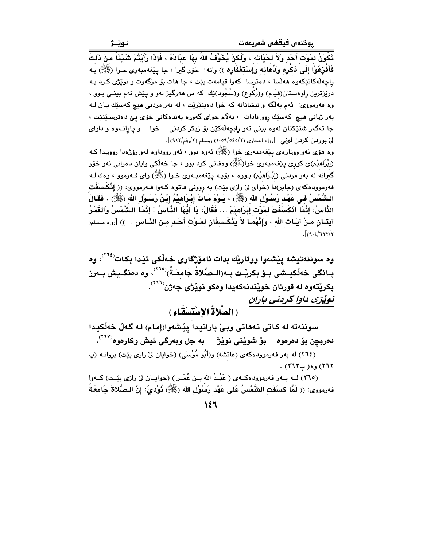تَكُوْنُ لمَوْت أَحَدٍ وَلاَ لحَيَاته ، وَلَكنْ يُخَوِّفُ اللهُ بِهَا عبَادَهُ ، فَإِذَا رَأَيْتُمْ شَيْئَاً منْ ذَلكَ فَأَفْرٰعُوْا إِلَى ذِكْرِهِ وَدُعَائِهِ وَإِسْتَغْفَارِهِ )) واته: ۖ خَوْر كَبِرا ، جا ينْغهمبەرى خـوا (ﷺ) بـه راچهڵەكانێكەوە ھەلسا ، دەترسا كەوا قيامەت بێت ، جا ھات بۆ مزگەوت و نوێژى كـرد بـه درێڗ۬ترین راوهستان(قیَام) و(رُکُوع) و(سُجُود)ێك كه من ههرگیز لهو و یێش نهم بینـی بـوو ، وه فهرمووي: ئهم بهلَّكه و نيشانانه كه خوا دهينێرێت ، له بهر مردني هيچ كهسێك پـان لـه بەر ژيانى ھىچ كەسێك روو نادات ، بەلام خواى گەورە بەندەكانى خۆى پىّ دەترسىێنێت ، جا ئەگەر شتێکتان لەوە بېنى ئەو رابچەڵەكێن بۆ زيكر كردنى – خوا – و يارانـەوە و داواي ليِّ بوردن كردن ليَّمي [رواه البخاري (٢/٥٤٥/٢) ومسلم (٢/رقم/٩١٢)].

وه هوّي ئهو ووتارهي بيٽغهمبهري خوا (ﷺ) ئهوه ٻوو ، ئهو رووڊاوه لهو روّژهدا روويـدا كـه (اِبْرَاهِیْمِ)ی کوری بِیْغهمبەری خوا(ﷺ) وهفاتی کرد بوو ، جا خەلکی واپان دەزانی ئەو خۆر گيرانه له بهر مردني (إِبْـرَاهيْم) بـووه ، بۆيــه يـێغهمبــهري خـوا (ﷺ) واي فــهرموو ، وهك لــه فهرموودهکهی (جابر)دا (خوای لیّ رازی بیّت) به روونی هاتوه کـهوا فـهرمووی: (( إنْكَسَفَت الشَّمْسُ فـى عَهْد رَسُول الله (ﷺ) ، يَـوْمَ مَـاتَ إِبْـرَاهِيْمُ إِبْـنُ رَسُـوْل الله (ﷺ) ، فَقَالَ الذَّاسُ: إِنَّمَا انْكَسَفَتْ لمَوْت إِبْرَاهِيْمَ … فَقَالَ: يَا أَيُّهَا الذَّاسُ ! إِنَّمَا الشَّمْسُ وَالقَمَرُ آيَتَـان مـنْ آيَـات الله ، وَإِنَّهُمَـا لاَ يَنْكَـسفَانِ لِمَـوْتِ أَحَـدٍ مِـنَ النَّـاسِ .. )) [رواه مـسلم(  $\int (9.5/777)$ 

سوننهته له كاتي نههاتي وبيِّ بارانيدا ييْشەوا(إمَام) لـه گـەلٌ خەلْكيدا دمربچِن بوّ دمرموه – بوّ شويْنی نويْژ – به جل وبهرگی ئيش وكارموه<sup>(٢٦٧)</sup>، (٢٦٤) له بهر فهرموودهکهی (عَائشَة) و(أَبُو مُوْسَى) (خوایان لیٌ رازی بیّت) بروانــه (پ  $(775)$  وه( پ $775$ )

(٢٦٥) لــه بــهر فهرموودهكــهى ( عَبْـدُ الله بــن عُمَــر ) (خوايــان ليّ رازى بيّــت) كــهوا فهرمووى: (( لَمَّا كَسَفَت الشُّمْسُ عَلَى عَهْد رَسُوْل الله (ﷺ) ذُوْدىَ: إنَّ الـصَّلاةَ جَامعَةً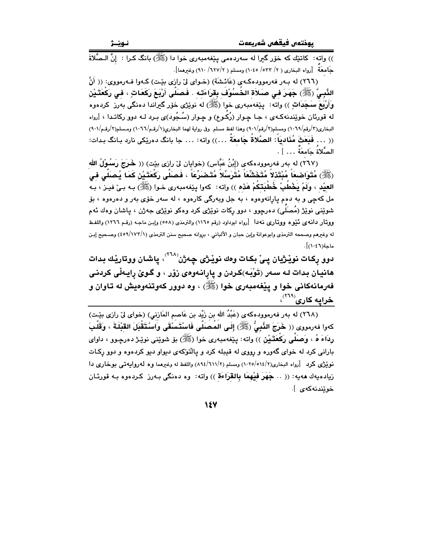)) واته: كاتنك كه خۆر گیرا له سەردەمى يێغەمبەرى خوا دا (ﷺ) بانگ كـرا : إنَّ الـصَّلاةَ حَامعَةَ [رواه البخاري ( ٢/ ٥٣٣/ ١٠٤٥) ومسلم ( ٦/٧٢/ ٩١٠) وغيرهما].

(٢٦٦) له بـهر فهرموودهكهى (عَائـشَة) (خـواى ليّ رازى بيّـت) كـهوا فـهرمووى: (( أَنّ النَّبِيُّ (ﷺ) جَهَرَ في صلاَة الخُسُوْفُ بِقرَاءَتِه . فَصَلَّى أَرْبَعَ رَكَعَاتٍ ، في رَكْعَتَيْن وَأَرْبَعَ سَـجَدَاتٍ )) واته: يـێفەمبەرى خوا (ﷺ) له نوێژى خۆر گیراندا دەنگى بەرز كردەوە له قورنان خوێندنهکهی ، جـا چـوار (رُکـوع) و چـوار (سُـجُود)ی بـرد لـه دوو رکاتـدا ، [رواه البخاري(٣/رقم/٢٦٠٩) ومسلم(٢/رقم/٩٠١) وهذا لفظ مسلم وفي رواية لهما البخاري(١/رقم/٢٦٦) ومسلم(٢/رقم/٩٠١) (( . . . فَيَعَثْ مُنَادِيَاً: الصَّلاةَ جَامعَةَ . . .)) واته: . . . جا بانگ دهرێِكي نارد بـانگ بـدات: الصُّلاةُ جَامعَةٌ … ] .

(٢٦٧) له بهر فهرموودهكهى (إِبْنُ عَبَّاس) (خوايان ليّ رازي بيّت) (( خَرَجَ رَسُوْلُ الله (ﷺ) مُتَوَاصْعَاً مُبْتَدْلاً مُتَخَشِّعَاً مُتَّرَسِّلاً مُتَصْرِّعَاً ، فَصَلَّى رَكْعَتَيْنِ كَمَا يُصلَّى في العيْد ، ولَمْ يَخْطَبْ خُطْبَتْكُمْ هَذه )) واته: كهوا يێغهمبهري خـوا (ﷺ) بـه بـيّ فيـز ، بـه مل کهچې و به دهم پارانهوهوه ، به جل وبهرگی کارهوه ، له سهر خۆی بهر و دهرهوه ، بۆ شوێنی نوێژ (مُصَلّی) دەرچوو ، دوو رکات نوێژی کرد وەکو نوێژی جەژن ، ڀاشان وەك ئەم ووتار دانهی نُيْوه ووتاری نهدا [رواه ابوداود (رقم ١١٦٥) والترمذي (٥٥٨) وإبن ماجه (رقم ١٢٦٦) واللفظ له وغيرهم وصححه الترمذي وابوعوانة وإبن حبان و الألباني ، بروانه صحيح سنن الترمذي (١٧٣/١٧٩) وصـحيح إبـن ماحة(١٠٤٦)].

دوو رِکات نوێژيان پیِّ بکات وهك نوێژی چەژن<sup>‹‹۲۸</sup>ْ› پاشان ووتارێك بدات هانيان بدات لـه سـهر (تَوْبَـه)كـردن و يارانـهوهي زۆر ، و گـوێ رايـهڵي كردنـي فهرمانهکانی خوا و پێغهمبهری خوا (ﷺ) ، وه دوور کهوتنهوهیش له تاوان و خرایه کاری<sup>(۲۱۹)</sup>،

(٢٦٨) له بهر فهرموودهكهي (عَبْدُ الله بن زَيْد بن عَاصم المَازني) (خواي ليٌ رازي بێت) كهوا فهرمووى (( خَرَجَ النَّبِيُّ (ﷺ) إِلَى المُصَلَّى فَاسْتَسْقَى وَاسْتَقْبَلَ القَبْلَةَ ، وَقَلْبَ رِدَاءَ هُ ، وَصَلَّى رَكْعَتَـٰيْن )) واته: يێغهمبهري خوا (ﷺ) بۆ شوێنى نوێـژ دەرچـوو ، داواي بارانی کرد له خوای گهوره و رووی له قیبله کرد و یالنّوکهی دیواو دیو کردهوه و دوو رکـات نويْژي كرد [رواه البخاري(٢/٥١٤/٢/٥) ومسلم (٢/٦١١/٢) واللفظ له وغيرهما وه لـهروايـهـتـي بوخاري دا زيادهيهك ههيه: (( .. جَهَرَ فَيْهِمَا بِالقَرَاءَة )) واته: وه دهنگي بـهرز كـردهوه بـه قورئـان خوێندنەكەي ].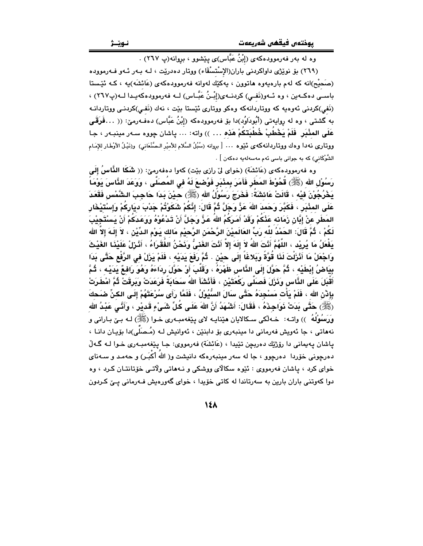وه له بهر فهرموودهکهی (إِبْنُ عَبَّاس)ی پێشوو ، بروانه(پ ٢٦٧) .

(٢٦٩) بِقِ نويْژِي داواكردني باران(الإسْتسْقَاء) ووتار دەدريّت ، لـه بـهر ئـهو فـهرمووده (صَحِيْح)انه که لهم بارهيهوه هاتوون ، يهکيّك لهوانه فهرموودهکهي (عَائشَه)يه ، کـه ئَيْستا باسـي دەكــەين ، وه ئــەو(نَفـي) كردنــەي(إِبْـنُ عَبَّــاس) لــه فەرموودەكەيـدا لــە(پ٢٦٧) ، (نَفِي)کردنی ئەوەپە کە ووتاردانەکە وەکو ووتارى ئێستا بێت ، نەك (نَفي)کردنـی ووتاردانـه به گشتی ، وه له روایهتی (أَبُودَاوُد)دا بۆ فەرموودەكە (إِبْنُ عَبَّاس) دەفـەرمێ: (( …فَرَقَـى عَلَى المئْبَرِ. فَلَمْ يَخْطُبْ خُطْبَتَكُمْ هَذه ... )) واته: … ياشان چووه سـهر مينبـهر ، جـا ووتارى نه دا و دك ووتاردانه كه ى ئَيْوه … [ بروانه (سُبُلُ السَّلام للأميْر الـصَّنْعَانى) و(نَيْـلُ الأوْطَار للإمَـام الشَّوْكَاني) كه به جواني باسي ئهم مهسهلهيه دهكهن ] .

وه فهرموودهكهي (عَائشَة) (خواي ليْ رازي بيْت) كهوا دهفهرميّ: (( شَكَا النَّاسُ إِلَى رَسُوْلِ الله (ﷺ) قُحُوْطَ المَطَرِ فَأَمَرَ بِمِئْدَرِ فَوُصْبِعَ لَهُ في المُصنِّي ، وَوَعَدَ الذَّاسَ دَوْمَـأُ يَخْرُجُوْنَ فيْه ، قَالَتْ عَائشَةُ: فَخَرَجَ رَسُوْلُ الله (ﷺ) حيْنَ بَداَ حَاجِبَ الشَّمْس فَقَعَدَ عَلَى المئْبَرِ ، فَكَبَّرَ وَحَمدَ اللهَ عَزَّ وَجَلَّ ثُمَّ قَالَ: إِنَّكُمْ شَكَوْتُمْ جَدْبَ ديَاركُمْ وإسْتَيْخَار المَطَر عنْ إِبَّان زَمَانه عَنْكُمْ وَقَدْ أَمَرَكُمُ اللهُ عَنَّ وَجَلَّ أَنْ تَدْعُوْهُ وَوَعَدَكُمْ أَنْ يَسْتَجِيْبَ لَكُمْ ، ثُمَّ قَالَ: الحَمْدُ للّه رَبِّ العَالَميْنَ الرَّحْمَنِ الرَّحيْمِ مَالك يَـوْمِ الـدِّيْن ، لاَ إلَـهَ إلاّ الله يَفْعَلُ مَا يُرِيْد ، اللَّهُمَّ أَنْتَ اللهُ لاَ إِلَهَ إلاَّ أَنْتَ الغَنىُّ وَنَحْنُ الفُقَرَاءُ ، أَنْرَلْ عَلَيْذَا الغَيْثَ وَاجْعَلْ مَا أَثْرَلْتَ لَذَا قُوَّةً وَبَلاغَاً إِلَى حيْن . ثُمَّ رَفَعَ يَدَيْه ، فَلَمْ يَرْلْ في الرَّفْع حَتَّى بَدَا بِيَاضُ إِبْطَيْه ، ثُمَّ حَوَّلَ إِلَى الذَّاسِ ظَهْرَهُ ، وَقَلَّبَ أَوْ حَوَّلَ رِدَاءَهُ وَهُوَ رَافـمٌ يَدَيْـه ، ثُمَّ أَقْبَلَ عَلَى النَّاسِ وَذَرْلَ فَصَلَّى رَكْعَتَيْنِ ، فَأَنْشَأَ اللهُ سَحَابَةٌ فَرَعَدَتْ وَيَرقَتْ ثُمَّ أمْطَرَتْ بإِذْنَ الله ، فَلَمْ يَأْت مَسْجِدَهُ حَتَّى سَالَ السُّيُولُ ، فَلَمَّا رَأَى سُرْعَتَهُمْ إِلَى الكنِّ ضَحك (ﷺ) حَتَّى بَدَتْ ذَوَاجِذَهُ ، فَقَالَ: أَشْهَدُ أَنَّ اللهَ عَلَى كُلِّ شَيْءٍ قَديْرٍ ، وَأَنَّى عَبْدُ الله وَرَسُوْلُهُ ﴾) واته: ۖ خـه لکي سـکالايان هێنايـه لاي پێغهمبـهري خـوا (ﷺ) لـه بـێ بـاراني و نههاتي ، جا ئەويش فەرمانى دا مينبەرى بۆ دابنٽن ، ئەوانيش لـه (مُـصَلَّى)دا بۆيـان دانـا ، پاشان پهيماني دا رۆژێك دەربچن تێيدا ، (عَائشَة) فەرمووى: جـا پێغەمبـەرى خـوا لــه گــەلّ دهرچونی خۆردا دهرچوق ، جا له سهر مینبهرهکه دانیشت و( الله أکْبَر) و حهمد و سـهنای خواي کرد ، پاشان فهرمووي : ئێوه سکالاي ووشکي و نـههاتي ولاتـي خۆتانتـان کـرد ، وه دوا کهوتنی باران بارین به سهرتاندا له کاتی خۆیدا ، خوای گهورهیش فـهرمانی یـیّ کـردون

 $\lambda$